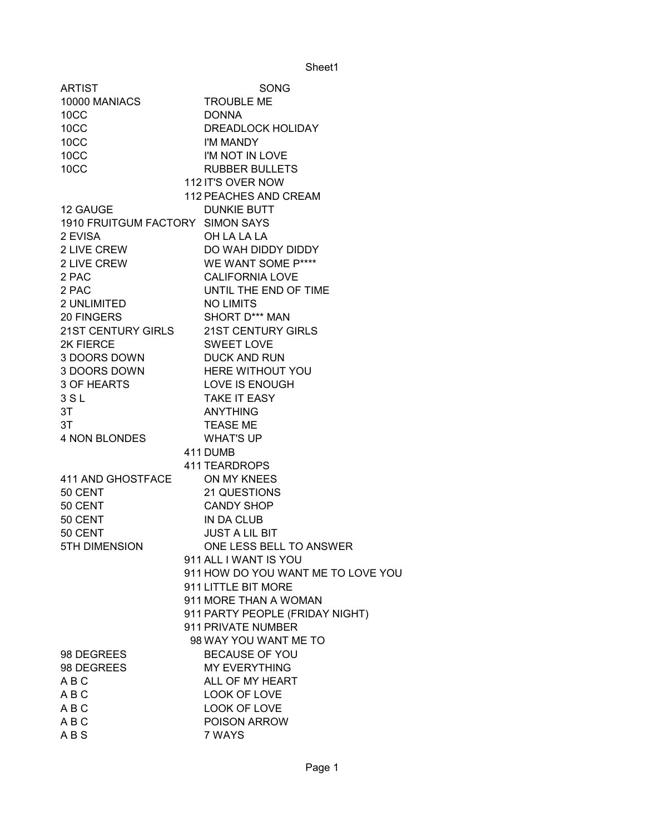| <b>ARTIST</b>                    | SONG                                  |
|----------------------------------|---------------------------------------|
| 10000 MANIACS                    | <b>TROUBLE ME</b>                     |
| 10CC                             | <b>DONNA</b>                          |
| 10CC                             | DREADLOCK HOLIDAY                     |
| 10CC                             | I'M MANDY                             |
| 10CC                             | I'M NOT IN LOVE                       |
| 10CC                             | <b>RUBBER BULLETS</b>                 |
|                                  | 112 IT'S OVER NOW                     |
|                                  | 112 PEACHES AND CREAM                 |
| 12 GAUGE                         | <b>DUNKIE BUTT</b>                    |
| 1910 FRUITGUM FACTORY SIMON SAYS |                                       |
| 2 EVISA                          | OH LA LA LA                           |
| 2 LIVE CREW                      | DO WAH DIDDY DIDDY                    |
| 2 LIVE CREW                      | WE WANT SOME P****                    |
| 2 PAC                            | <b>CALIFORNIA LOVE</b>                |
| 2 PAC                            | UNTIL THE END OF TIME                 |
| 2 UNLIMITED                      | <b>NO LIMITS</b>                      |
| 20 FINGERS                       | SHORT D*** MAN                        |
|                                  | 21ST CENTURY GIRLS 21ST CENTURY GIRLS |
| 2K FIERCE                        | <b>SWEET LOVE</b>                     |
| 3 DOORS DOWN                     | <b>DUCK AND RUN</b>                   |
| 3 DOORS DOWN                     | <b>HERE WITHOUT YOU</b>               |
| 3 OF HEARTS                      | LOVE IS ENOUGH                        |
| 3S <sub>L</sub>                  | <b>TAKE IT EASY</b>                   |
| 3T                               | ANYTHING                              |
| 3T                               | <b>TEASE ME</b>                       |
| 4 NON BLONDES                    | <b>WHAT'S UP</b>                      |
|                                  | 411 DUMB                              |
|                                  | <b>411 TEARDROPS</b>                  |
| 411 AND GHOSTFACE                | ON MY KNEES                           |
| 50 CENT                          | 21 QUESTIONS                          |
| 50 CENT                          | <b>CANDY SHOP</b>                     |
| 50 CENT                          | IN DA CLUB                            |
| 50 CENT                          | <b>JUST A LIL BIT</b>                 |
| <b>5TH DIMENSION</b>             | ONE LESS BELL TO ANSWER               |
|                                  | 911 ALL I WANT IS YOU                 |
|                                  | 911 HOW DO YOU WANT ME TO LOVE YOU    |
|                                  | 911 LITTLE BIT MORE                   |
|                                  | 911 MORE THAN A WOMAN                 |
|                                  | 911 PARTY PEOPLE (FRIDAY NIGHT)       |
|                                  | 911 PRIVATE NUMBER                    |
|                                  | 98 WAY YOU WANT ME TO                 |
| 98 DEGREES                       | <b>BECAUSE OF YOU</b>                 |
| 98 DEGREES                       | <b>MY EVERYTHING</b>                  |
| A B C                            | ALL OF MY HEART                       |
| A B C                            | <b>LOOK OF LOVE</b>                   |
| ABC                              | LOOK OF LOVE                          |
| A B C                            | POISON ARROW                          |
| <b>ABS</b>                       | 7 WAYS                                |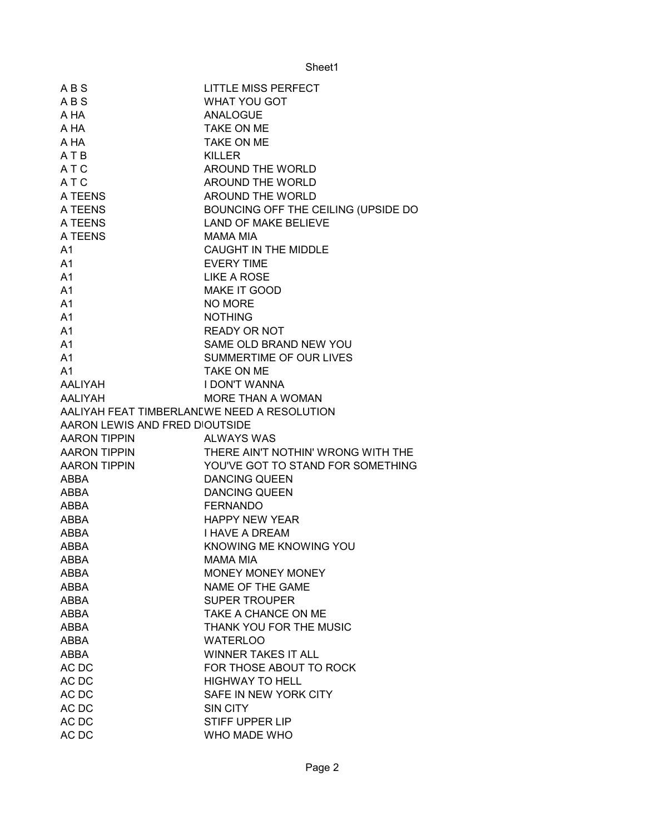| ABS                                         | LITTLE MISS PERFECT                               |
|---------------------------------------------|---------------------------------------------------|
| ABS                                         | <b>WHAT YOU GOT</b>                               |
| A HA                                        | <b>ANALOGUE</b>                                   |
| A HA                                        | TAKE ON ME                                        |
| A HA                                        | <b>TAKE ON ME</b>                                 |
| ATB                                         | <b>KILLER</b>                                     |
| A <sub>T</sub> C                            | AROUND THE WORLD                                  |
| A T C                                       | AROUND THE WORLD                                  |
| A TEENS                                     | AROUND THE WORLD                                  |
| A TEENS                                     | BOUNCING OFF THE CEILING (UPSIDE DO               |
| A TEENS                                     | <b>LAND OF MAKE BELIEVE</b>                       |
| A TEENS                                     | MAMA MIA                                          |
| A <sub>1</sub>                              | CAUGHT IN THE MIDDLE                              |
| A <sub>1</sub>                              | <b>EVERY TIME</b>                                 |
| A <sub>1</sub>                              | LIKE A ROSE                                       |
| A <sub>1</sub>                              | MAKE IT GOOD                                      |
| A <sub>1</sub>                              | <b>NO MORE</b>                                    |
| A <sub>1</sub>                              | <b>NOTHING</b>                                    |
| A <sub>1</sub>                              | <b>READY OR NOT</b>                               |
| A <sub>1</sub>                              | SAME OLD BRAND NEW YOU                            |
| A <sub>1</sub>                              | SUMMERTIME OF OUR LIVES                           |
| A <sub>1</sub>                              | <b>TAKE ON ME</b>                                 |
| AALIYAH                                     | <b>I DON'T WANNA</b>                              |
| AALIYAH                                     | MORE THAN A WOMAN                                 |
| AALIYAH FEAT TIMBERLANEWE NEED A RESOLUTION |                                                   |
| AARON LEWIS AND FRED DIOUTSIDE              |                                                   |
|                                             | <b>ALWAYS WAS</b>                                 |
| AARON TIPPIN<br>AARON TIPPIN                | THERE AIN'T NOTHIN' WRONG WITH THE                |
| AARON TIPPIN                                | YOU'VE GOT TO STAND FOR SOMETHING                 |
| <b>ABBA</b>                                 | <b>DANCING QUEEN</b>                              |
| <b>ABBA</b>                                 | <b>DANCING QUEEN</b>                              |
| <b>ABBA</b>                                 |                                                   |
|                                             |                                                   |
|                                             | <b>FERNANDO</b>                                   |
| ABBA                                        | <b>HAPPY NEW YEAR</b>                             |
| ABBA                                        | <b>I HAVE A DREAM</b>                             |
| <b>ABBA</b>                                 | KNOWING ME KNOWING YOU<br><b>MAMA MIA</b>         |
| ABBA<br><b>ABBA</b>                         |                                                   |
| <b>ABBA</b>                                 | <b>MONEY MONEY MONEY</b>                          |
| <b>ABBA</b>                                 | NAME OF THE GAME<br><b>SUPER TROUPER</b>          |
| <b>ABBA</b>                                 | TAKE A CHANCE ON ME                               |
| ABBA                                        |                                                   |
| ABBA                                        | THANK YOU FOR THE MUSIC<br><b>WATERLOO</b>        |
| ABBA                                        | <b>WINNER TAKES IT ALL</b>                        |
|                                             |                                                   |
| AC DC<br>AC DC                              | FOR THOSE ABOUT TO ROCK<br><b>HIGHWAY TO HELL</b> |
| AC DC                                       | SAFE IN NEW YORK CITY                             |
| AC DC                                       | SIN CITY                                          |
| AC DC                                       | <b>STIFF UPPER LIP</b>                            |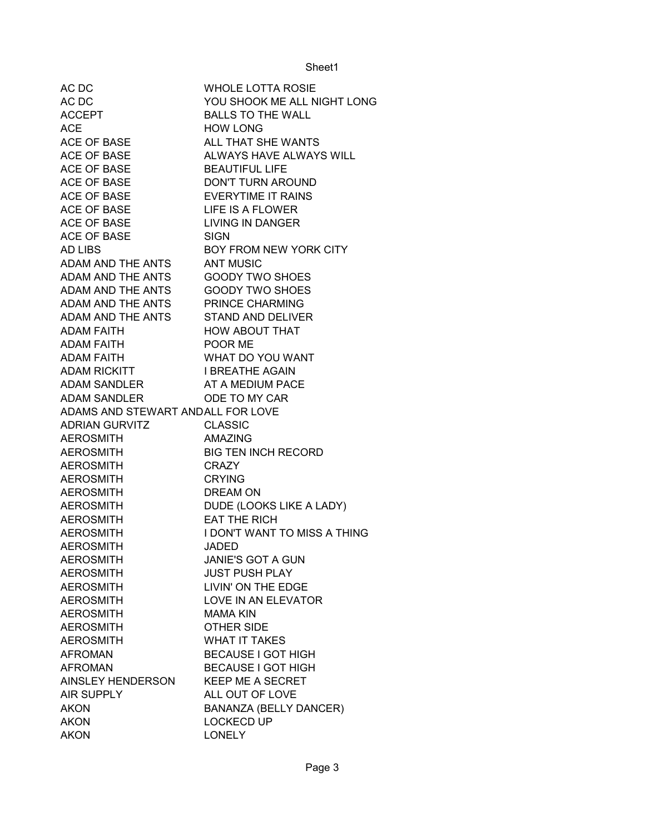| AC DC                             | <b>WHOLE LOTTA ROSIE</b>      |
|-----------------------------------|-------------------------------|
| AC DC                             | YOU SHOOK ME ALL NIGHT LONG   |
| <b>ACCEPT</b>                     | <b>BALLS TO THE WALL</b>      |
| <b>ACE</b>                        | <b>HOW LONG</b>               |
| <b>ACE OF BASE</b>                | ALL THAT SHE WANTS            |
| <b>ACE OF BASE</b>                | ALWAYS HAVE ALWAYS WILL       |
| ACE OF BASE                       | <b>BEAUTIFUL LIFE</b>         |
| <b>ACE OF BASE</b>                | DON'T TURN AROUND             |
| <b>ACE OF BASE</b>                | <b>EVERYTIME IT RAINS</b>     |
| <b>ACE OF BASE</b>                | LIFE IS A FLOWER              |
| <b>ACE OF BASE</b>                | <b>LIVING IN DANGER</b>       |
| <b>ACE OF BASE</b>                | <b>SIGN</b>                   |
| <b>AD LIBS</b>                    | BOY FROM NEW YORK CITY        |
| ADAM AND THE ANTS                 | <b>ANT MUSIC</b>              |
| ADAM AND THE ANTS                 | <b>GOODY TWO SHOES</b>        |
| ADAM AND THE ANTS                 | <b>GOODY TWO SHOES</b>        |
| ADAM AND THE ANTS                 | PRINCE CHARMING               |
| ADAM AND THE ANTS                 | <b>STAND AND DELIVER</b>      |
| <b>ADAM FAITH</b>                 | HOW ABOUT THAT                |
| <b>ADAM FAITH</b>                 | POOR ME                       |
| <b>ADAM FAITH</b>                 | WHAT DO YOU WANT              |
| <b>ADAM RICKITT</b>               | <b>I BREATHE AGAIN</b>        |
| <b>ADAM SANDLER</b>               | AT A MEDIUM PACE              |
| ADAM SANDLER                      | ODE TO MY CAR                 |
| ADAMS AND STEWART ANDALL FOR LOVE |                               |
| ADRIAN GURVITZ                    | <b>CLASSIC</b>                |
| <b>AEROSMITH</b>                  | <b>AMAZING</b>                |
| <b>AEROSMITH</b>                  | <b>BIG TEN INCH RECORD</b>    |
| <b>AEROSMITH</b>                  | <b>CRAZY</b>                  |
| <b>AEROSMITH</b>                  | <b>CRYING</b>                 |
| <b>AEROSMITH</b>                  | <b>DREAM ON</b>               |
| <b>AEROSMITH</b>                  | DUDE (LOOKS LIKE A LADY)      |
| <b>AEROSMITH</b>                  | <b>EAT THE RICH</b>           |
| <b>AEROSMITH</b>                  | I DON'T WANT TO MISS A THING  |
| <b>AEROSMITH</b>                  | <b>JADED</b>                  |
| <b>AEROSMITH</b>                  | <b>JANIE'S GOT A GUN</b>      |
| <b>AEROSMITH</b>                  | <b>JUST PUSH PLAY</b>         |
| <b>AEROSMITH</b>                  | LIVIN' ON THE EDGE            |
| <b>AEROSMITH</b>                  | <b>LOVE IN AN ELEVATOR</b>    |
| <b>AEROSMITH</b>                  | <b>MAMA KIN</b>               |
| <b>AEROSMITH</b>                  | <b>OTHER SIDE</b>             |
| <b>AEROSMITH</b>                  | <b>WHAT IT TAKES</b>          |
| <b>AFROMAN</b>                    | <b>BECAUSE I GOT HIGH</b>     |
| <b>AFROMAN</b>                    | <b>BECAUSE I GOT HIGH</b>     |
| AINSLEY HENDERSON                 | <b>KEEP ME A SECRET</b>       |
| AIR SUPPLY                        | ALL OUT OF LOVE               |
| <b>AKON</b>                       | <b>BANANZA (BELLY DANCER)</b> |
| <b>AKON</b>                       | <b>LOCKECD UP</b>             |
| <b>AKON</b>                       | <b>LONELY</b>                 |
|                                   |                               |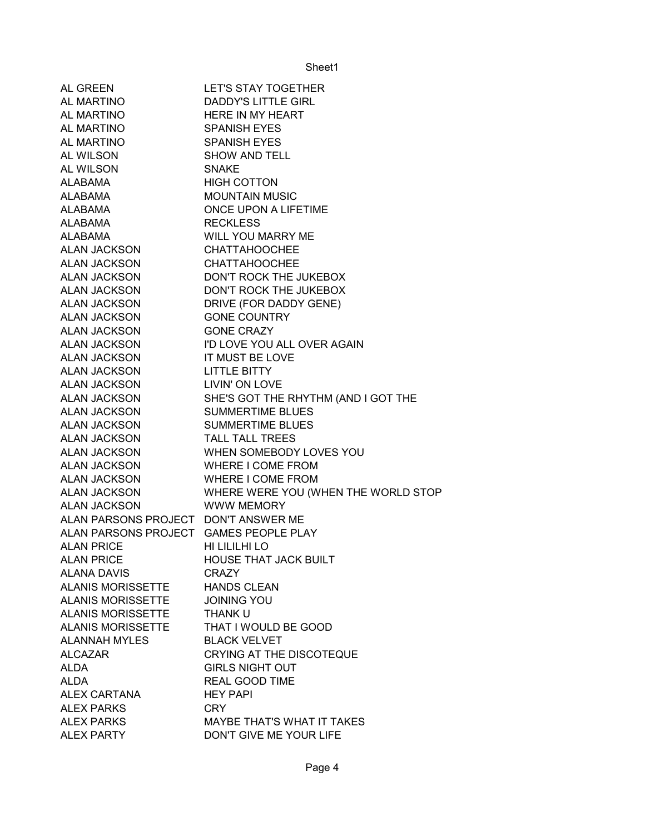| AL GREEN                               | <b>LET'S STAY TOGETHER</b>          |
|----------------------------------------|-------------------------------------|
| <b>AL MARTINO</b>                      | DADDY'S LITTLE GIRL                 |
| <b>AL MARTINO</b>                      | <b>HERE IN MY HEART</b>             |
| <b>AL MARTINO</b>                      | <b>SPANISH EYES</b>                 |
| AL MARTINO                             | <b>SPANISH EYES</b>                 |
| AL WILSON                              | <b>SHOW AND TELL</b>                |
| <b>AL WILSON</b>                       | <b>SNAKE</b>                        |
| ALABAMA                                | <b>HIGH COTTON</b>                  |
| ALABAMA                                | <b>MOUNTAIN MUSIC</b>               |
| ALABAMA                                | ONCE UPON A LIFETIME                |
| ALABAMA                                | <b>RECKLESS</b>                     |
| ALABAMA                                | WILL YOU MARRY ME                   |
| ALAN JACKSON                           | <b>CHATTAHOOCHEE</b>                |
| ALAN JACKSON                           | <b>CHATTAHOOCHEE</b>                |
| ALAN JACKSON                           | DON'T ROCK THE JUKEBOX              |
| ALAN JACKSON                           | DON'T ROCK THE JUKEBOX              |
| ALAN JACKSON                           | DRIVE (FOR DADDY GENE)              |
| ALAN JACKSON                           | <b>GONE COUNTRY</b>                 |
| ALAN JACKSON                           | <b>GONE CRAZY</b>                   |
| ALAN JACKSON                           | I'D LOVE YOU ALL OVER AGAIN         |
| ALAN JACKSON                           | IT MUST BE LOVE                     |
| ALAN JACKSON                           | <b>LITTLE BITTY</b>                 |
| ALAN JACKSON                           | LIVIN' ON LOVE                      |
| ALAN JACKSON                           | SHE'S GOT THE RHYTHM (AND I GOT THE |
| ALAN JACKSON                           | <b>SUMMERTIME BLUES</b>             |
| ALAN JACKSON                           | <b>SUMMERTIME BLUES</b>             |
| ALAN JACKSON                           | <b>TALL TALL TREES</b>              |
| ALAN JACKSON                           | WHEN SOMEBODY LOVES YOU             |
| <b>ALAN JACKSON</b>                    | WHERE I COME FROM                   |
| ALAN JACKSON                           | WHERE I COME FROM                   |
| ALAN JACKSON                           | WHERE WERE YOU (WHEN THE WORLD STOP |
| <b>ALAN JACKSON</b>                    | <b>WWW MEMORY</b>                   |
| ALAN PARSONS PROJECT DON'T ANSWER ME   |                                     |
| ALAN PARSONS PROJECT GAMES PEOPLE PLAY |                                     |
| <b>ALAN PRICE</b>                      | HI LILILHI LO                       |
| <b>ALAN PRICE</b>                      | <b>HOUSE THAT JACK BUILT</b>        |
| <b>ALANA DAVIS</b>                     | <b>CRAZY</b>                        |
| <b>ALANIS MORISSETTE</b>               | <b>HANDS CLEAN</b>                  |
| <b>ALANIS MORISSETTE</b>               | <b>JOINING YOU</b>                  |
| <b>ALANIS MORISSETTE</b>               | <b>THANK U</b>                      |
| <b>ALANIS MORISSETTE</b>               | THAT I WOULD BE GOOD                |
| <b>ALANNAH MYLES</b>                   | <b>BLACK VELVET</b>                 |
| <b>ALCAZAR</b>                         | <b>CRYING AT THE DISCOTEQUE</b>     |
| ALDA                                   | <b>GIRLS NIGHT OUT</b>              |
| <b>ALDA</b>                            | <b>REAL GOOD TIME</b>               |
| ALEX CARTANA                           | <b>HEY PAPI</b>                     |
| <b>ALEX PARKS</b>                      | CRY                                 |
| <b>ALEX PARKS</b>                      | <b>MAYBE THAT'S WHAT IT TAKES</b>   |
| <b>ALEX PARTY</b>                      | DON'T GIVE ME YOUR LIFE             |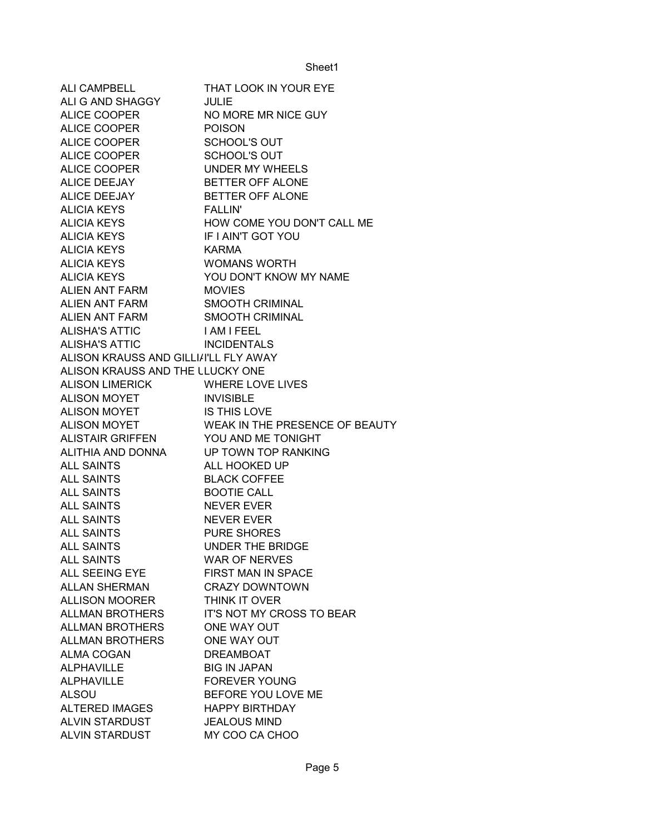| <b>ALI CAMPBELL</b>                   | THAT LOOK IN YOUR EYE                       |
|---------------------------------------|---------------------------------------------|
| ALI G AND SHAGGY                      | <b>JULIE</b>                                |
| <b>ALICE COOPER</b>                   | NO MORE MR NICE GUY                         |
| ALICE COOPER                          | <b>POISON</b>                               |
| ALICE COOPER                          | <b>SCHOOL'S OUT</b>                         |
| ALICE COOPER                          | SCHOOL'S OUT                                |
| ALICE COOPER                          | UNDER MY WHEELS                             |
| ALICE DEEJAY                          | <b>BETTER OFF ALONE</b>                     |
| <b>ALICE DEEJAY</b>                   | BETTER OFF ALONE                            |
| ALICIA KEYS                           | <b>FALLIN'</b>                              |
| ALICIA KEYS                           | HOW COME YOU DON'T CALL ME                  |
| <b>ALICIA KEYS</b>                    | IF I AIN'T GOT YOU                          |
| <b>ALICIA KEYS</b>                    | <b>KARMA</b>                                |
| <b>ALICIA KEYS</b>                    | <b>WOMANS WORTH</b>                         |
| <b>ALICIA KEYS</b>                    | YOU DON'T KNOW MY NAME                      |
| ALIEN ANT FARM MOVIES                 |                                             |
| ALIEN ANT FARM SMOOTH CRIMINAL        |                                             |
| ALIEN ANT FARM SMOOTH CRIMINAL        |                                             |
| ALISHA'S ATTIC                        | <b>I AM I FEEL</b>                          |
| ALISHA'S ATTIC                        | <b>INCIDENTALS</b>                          |
| ALISON KRAUSS AND GILLI/I'LL FLY AWAY |                                             |
| ALISON KRAUSS AND THE LLUCKY ONE      |                                             |
| ALISON LIMERICK WHERE LOVE LIVES      |                                             |
| ALISON MOYET INVISIBLE                |                                             |
| ALISON MOYET IS THIS LOVE             |                                             |
|                                       | ALISON MOYET WEAK IN THE PRESENCE OF BEAUTY |
| ALISTAIR GRIFFEN YOU AND ME TONIGHT   |                                             |
| ALITHIA AND DONNA                     | UP TOWN TOP RANKING                         |
| <b>ALL SAINTS</b>                     | ALL HOOKED UP                               |
| <b>ALL SAINTS</b>                     | <b>BLACK COFFEE</b>                         |
| <b>ALL SAINTS</b>                     | <b>BOOTIE CALL</b>                          |
| <b>ALL SAINTS</b>                     | <b>NEVER EVER</b>                           |
| <b>ALL SAINTS</b>                     | <b>NEVER EVER</b>                           |
| <b>ALL SAINTS</b>                     | <b>PURE SHORES</b>                          |
| <b>ALL SAINTS</b>                     | <b>UNDER THE BRIDGE</b>                     |
| <b>ALL SAINTS</b>                     | <b>WAR OF NERVES</b>                        |
| ALL SEEING EYE                        | <b>FIRST MAN IN SPACE</b>                   |
| <b>ALLAN SHERMAN</b>                  | <b>CRAZY DOWNTOWN</b>                       |
| <b>ALLISON MOORER</b>                 | THINK IT OVER                               |
| ALLMAN BROTHERS                       | <b>IT'S NOT MY CROSS TO BEAR</b>            |
| <b>ALLMAN BROTHERS</b>                | ONE WAY OUT                                 |
| ALLMAN BROTHERS                       | ONE WAY OUT                                 |
| <b>ALMA COGAN</b>                     | <b>DREAMBOAT</b>                            |
| <b>ALPHAVILLE</b>                     | <b>BIG IN JAPAN</b>                         |
| <b>ALPHAVILLE</b>                     | <b>FOREVER YOUNG</b>                        |
| <b>ALSOU</b>                          | BEFORE YOU LOVE ME                          |
| <b>ALTERED IMAGES</b>                 | <b>HAPPY BIRTHDAY</b>                       |
| ALVIN STARDUST                        | <b>JEALOUS MIND</b>                         |
| ALVIN STARDUST                        | MY COO CA CHOO                              |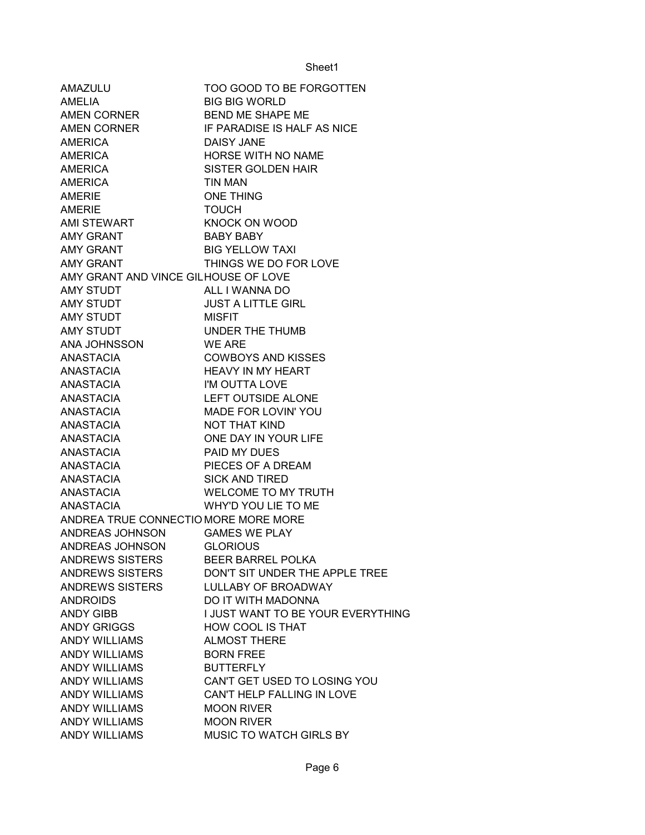| AMAZULU                                                                                                 | TOO GOOD TO BE FORGOTTEN                |
|---------------------------------------------------------------------------------------------------------|-----------------------------------------|
| AMELIA                                                                                                  | <b>BIG BIG WORLD</b>                    |
| AMEN CORNER                                                                                             | <b>BEND ME SHAPE ME</b>                 |
|                                                                                                         | AMEN CORNER IF PARADISE IS HALF AS NICE |
|                                                                                                         | DAISY JANE                              |
|                                                                                                         | HORSE WITH NO NAME                      |
|                                                                                                         | SISTER GOLDEN HAIR                      |
|                                                                                                         | TIN MAN                                 |
| NIVEN CONNER<br>AMERICA<br>AMERICA<br>AMERICA<br>AMERIE<br>AMERIE<br>AMERIE<br>AMI STEWART<br>AMY CRANT | <b>ONE THING</b>                        |
|                                                                                                         | <b>TOUCH</b>                            |
|                                                                                                         | <b>KNOCK ON WOOD</b>                    |
| AMY GRANT<br>AMY GRANT<br>AMY GRANT                                                                     | <b>BABY BABY</b>                        |
|                                                                                                         | <b>BIG YELLOW TAXI</b>                  |
|                                                                                                         | THINGS WE DO FOR LOVE                   |
| AMY GRANT AND VINCE GILHOUSE OF LOVE                                                                    |                                         |
| AMY STUDT                                                                                               | ALL I WANNA DO                          |
| AMY STUDT                                                                                               | <b>JUST A LITTLE GIRL</b>               |
| AMY STUDT                                                                                               | MISFIT                                  |
| AMY STUDT                                                                                               | UNDER THE THUMB                         |
| ANA JOHNSSON WE ARE                                                                                     |                                         |
| ANASTACIA                                                                                               | <b>COWBOYS AND KISSES</b>               |
| ANASTACIA                                                                                               | COWBOYS AND KISS<br>HEAVY IN MY HEART   |
| ANASTACIA                                                                                               | I'M OUTTA LOVE                          |
| ANASTACIA                                                                                               | <b>LEFT OUTSIDE ALONE</b>               |
| ANASTACIA                                                                                               | MADE FOR LOVIN' YOU                     |
| ANASTACIA                                                                                               | <b>NOT THAT KIND</b>                    |
| ANASTACIA                                                                                               | ONE DAY IN YOUR LIFE                    |
| ANASTACIA                                                                                               | PAID MY DUES                            |
| ANASTACIA                                                                                               | PIECES OF A DREAM                       |
| ANASTACIA                                                                                               | <b>SICK AND TIRED</b>                   |
| <b>ANASTACIA</b>                                                                                        | <b>WELCOME TO MY TRUTH</b>              |
| ANASTACIA                                                                                               | WHY'D YOU LIE TO ME                     |
| ANDREA TRUE CONNECTIO MORE MORE MORE                                                                    |                                         |
| ANDREAS JOHNSON                                                                                         | <b>GAMES WE PLAY</b>                    |
| ANDREAS JOHNSON                                                                                         | <b>GLORIOUS</b>                         |
| <b>ANDREWS SISTERS</b>                                                                                  | <b>BEER BARREL POLKA</b>                |
| ANDREWS SISTERS                                                                                         | DON'T SIT UNDER THE APPLE TREE          |
| ANDREWS SISTERS                                                                                         | <b>LULLABY OF BROADWAY</b>              |
| <b>ANDROIDS</b>                                                                                         | DO IT WITH MADONNA                      |
| <b>ANDY GIBB</b>                                                                                        | I JUST WANT TO BE YOUR EVERYTHING       |
| <b>ANDY GRIGGS</b>                                                                                      | <b>HOW COOL IS THAT</b>                 |
| <b>ANDY WILLIAMS</b>                                                                                    | <b>ALMOST THERE</b>                     |
| <b>ANDY WILLIAMS</b>                                                                                    | <b>BORN FREE</b>                        |
| <b>ANDY WILLIAMS</b>                                                                                    | <b>BUTTERFLY</b>                        |
| <b>ANDY WILLIAMS</b>                                                                                    | CAN'T GET USED TO LOSING YOU            |
| <b>ANDY WILLIAMS</b>                                                                                    | CAN'T HELP FALLING IN LOVE              |
| <b>ANDY WILLIAMS</b>                                                                                    | <b>MOON RIVER</b>                       |
| <b>ANDY WILLIAMS</b>                                                                                    | <b>MOON RIVER</b>                       |
| <b>ANDY WILLIAMS</b>                                                                                    | MUSIC TO WATCH GIRLS BY                 |
|                                                                                                         |                                         |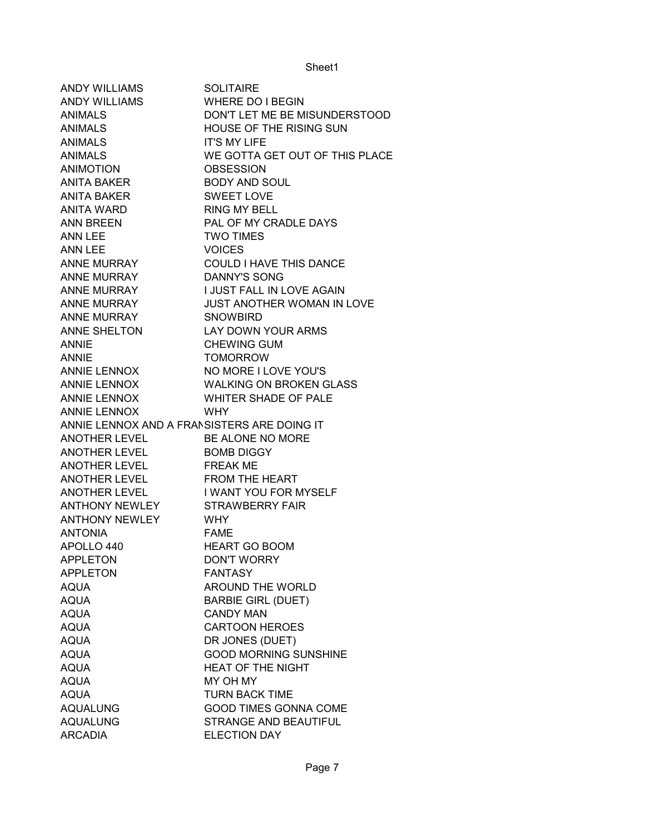| <b>ANDY WILLIAMS</b>                        | <b>SOLITAIRE</b>               |
|---------------------------------------------|--------------------------------|
| ANDY WILLIAMS                               | <b>WHERE DO I BEGIN</b>        |
| <b>ANIMALS</b>                              | DON'T LET ME BE MISUNDERSTOOD  |
| <b>ANIMALS</b>                              | HOUSE OF THE RISING SUN        |
| <b>ANIMALS</b>                              | <b>IT'S MY LIFE</b>            |
| <b>ANIMALS</b>                              | WE GOTTA GET OUT OF THIS PLACE |
| ANIMOTION                                   | <b>OBSESSION</b>               |
| ANITA BAKER                                 | <b>BODY AND SOUL</b>           |
| ANITA BAKER                                 | <b>SWEET LOVE</b>              |
| ANITA WARD                                  | <b>RING MY BELL</b>            |
| ANN BREEN                                   | PAL OF MY CRADLE DAYS          |
| ANN LEE                                     | <b>TWO TIMES</b>               |
| ANN LEE                                     | <b>VOICES</b>                  |
| ANNE MURRAY                                 | <b>COULD I HAVE THIS DANCE</b> |
| ANNE MURRAY                                 | <b>DANNY'S SONG</b>            |
| ANNE MURRAY                                 | I JUST FALL IN LOVE AGAIN      |
| ANNE MURRAY                                 | JUST ANOTHER WOMAN IN LOVE     |
| ANNE MURRAY                                 | <b>SNOWBIRD</b>                |
| ANNE SHELTON                                | LAY DOWN YOUR ARMS             |
| <b>ANNIE</b>                                | <b>CHEWING GUM</b>             |
| <b>ANNIE</b>                                | <b>TOMORROW</b>                |
| ANNIE LENNOX                                | NO MORE I LOVE YOU'S           |
| ANNIE LENNOX                                | <b>WALKING ON BROKEN GLASS</b> |
| ANNIE LENNOX                                | WHITER SHADE OF PALE           |
| <b>ANNIE LENNOX</b>                         | <b>WHY</b>                     |
| ANNIE LENNOX AND A FRANSISTERS ARE DOING IT |                                |
| ANOTHER LEVEL BE ALONE NO MORE              |                                |
| ANOTHER LEVEL BOMB DIGGY                    |                                |
| ANOTHER LEVEL FREAK ME                      |                                |
| ANOTHER LEVEL FROM THE HEART                |                                |
| ANOTHER LEVEL I WANT YOU FOR MYSELF         |                                |
| ANTHONY NEWLEY STRAWBERRY FAIR              |                                |
| <b>ANTHONY NEWLEY</b>                       | <b>WHY</b>                     |
| <b>ANTONIA</b>                              | <b>FAME</b>                    |
| APOLLO 440                                  | <b>HEART GO BOOM</b>           |
| <b>APPLETON</b>                             | <b>DON'T WORRY</b>             |
| <b>APPLETON</b>                             | <b>FANTASY</b>                 |
| <b>AQUA</b>                                 | <b>AROUND THE WORLD</b>        |
| <b>AQUA</b>                                 | <b>BARBIE GIRL (DUET)</b>      |
| <b>AQUA</b>                                 | <b>CANDY MAN</b>               |
| <b>AQUA</b>                                 | <b>CARTOON HEROES</b>          |
| <b>AQUA</b>                                 | DR JONES (DUET)                |
| <b>AQUA</b>                                 | <b>GOOD MORNING SUNSHINE</b>   |
| <b>AQUA</b>                                 | <b>HEAT OF THE NIGHT</b>       |
| <b>AQUA</b>                                 | MY OH MY                       |
| <b>AQUA</b>                                 | <b>TURN BACK TIME</b>          |
| <b>AQUALUNG</b>                             | <b>GOOD TIMES GONNA COME</b>   |
| <b>AQUALUNG</b>                             | STRANGE AND BEAUTIFUL          |
| <b>ARCADIA</b>                              | <b>ELECTION DAY</b>            |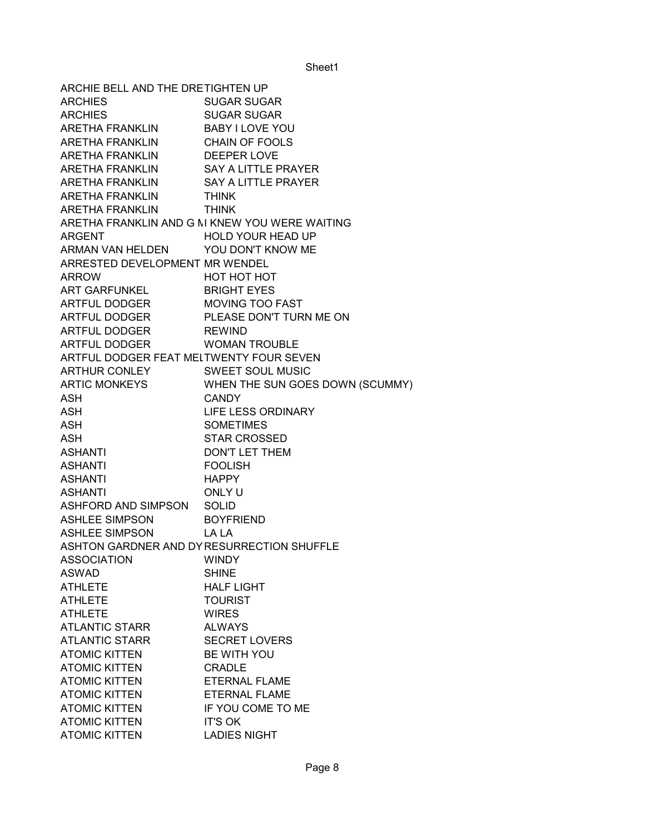ARCHIE BELL AND THE DRETIGHTEN UP ARCHIES SUGAR SUGAR ARCHIES SUGAR SUGAR ARETHA FRANKLIN BABY I LOVE YOU ARETHA FRANKLIN CHAIN OF FOOLS ARETHA FRANKLIN DEEPER LOVE ARETHA FRANKLIN SAY A LITTLE PRAYER ARETHA FRANKLIN SAY A LITTLE PRAYER ARETHA FRANKLIN THINK ARETHA FRANKLIN THINK ARETHA FRANKLIN AND G M KNEW YOU WERE WAITING ARGENT HOLD YOUR HEAD UP ARMAN VAN HELDEN YOU DON'T KNOW ME ARRESTED DEVELOPMENT MR WENDEL ARROW HOT HOT HOT ART GARFUNKEL BRIGHT EYES ARTFUL DODGER MOVING TOO FAST ARTFUL DODGER PLEASE DON'T TURN ME ON ARTFUL DODGER REWIND ARTFUL DODGER WOMAN TROUBLE ARTFUL DODGER FEAT MELTWENTY FOUR SEVEN ARTHUR CONLEY SWEET SOUL MUSIC ARTIC MONKEYS WHEN THE SUN GOES DOWN (SCUMMY) ASH CANDY ASH LIFE LESS ORDINARY ASH SOMETIMES ASH STAR CROSSED ASHANTI DON'T LET THEM ASHANTI FOOLISH ASHANTI HAPPY ASHANTI ONLY U ASHFORD AND SIMPSON SOLID ASHLEE SIMPSON BOYFRIEND ASHLEE SIMPSON LA LA ASHTON GARDNER AND DY RESURRECTION SHUFFLE ASSOCIATION WINDY ASWAD SHINE ATHLETE HALF LIGHT ATHLETE **TOURIST** ATHLETE WIRES ATLANTIC STARR ALWAYS ATLANTIC STARR SECRET LOVERS ATOMIC KITTEN BE WITH YOU ATOMIC KITTEN CRADLE ATOMIC KITTEN ETERNAL FLAME ATOMIC KITTEN ETERNAL FLAME ATOMIC KITTEN IF YOU COME TO ME ATOMIC KITTEN IT'S OK ATOMIC KITTEN LADIES NIGHT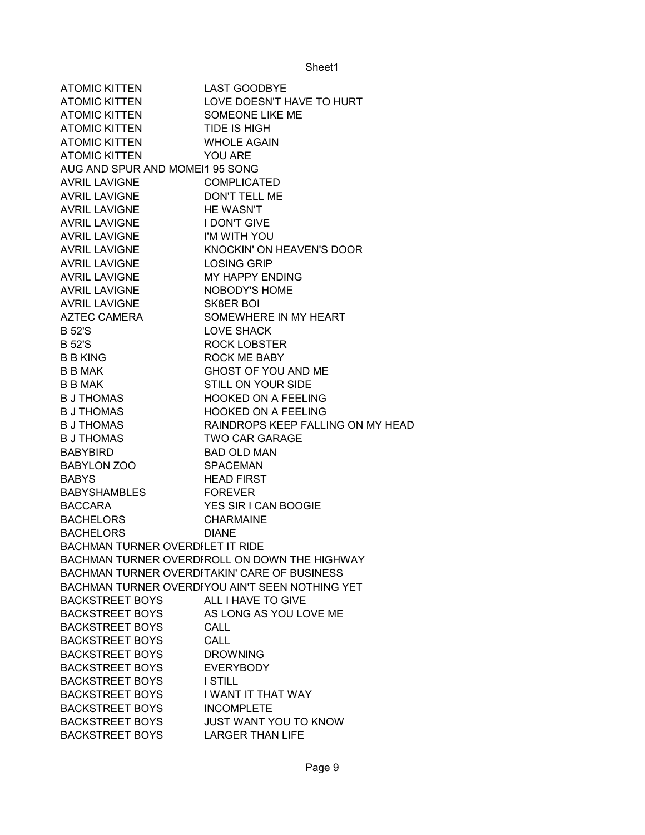| <b>ATOMIC KITTEN</b>                    | <b>LAST GOODBYE</b>                             |
|-----------------------------------------|-------------------------------------------------|
| <b>ATOMIC KITTEN</b>                    | LOVE DOESN'T HAVE TO HURT                       |
| <b>ATOMIC KITTEN</b>                    | SOMEONE LIKE ME                                 |
| <b>ATOMIC KITTEN</b>                    | <b>TIDE IS HIGH</b>                             |
| <b>ATOMIC KITTEN</b>                    | <b>WHOLE AGAIN</b>                              |
| <b>ATOMIC KITTEN</b>                    | <b>YOU ARE</b>                                  |
| AUG AND SPUR AND MOMEI1 95 SONG         |                                                 |
| <b>AVRIL LAVIGNE</b>                    | COMPLICATED                                     |
| <b>AVRIL LAVIGNE</b>                    | <b>DON'T TELL ME</b>                            |
| <b>AVRIL LAVIGNE</b>                    | <b>HE WASN'T</b>                                |
| <b>AVRIL LAVIGNE</b>                    | <b>I DON'T GIVE</b>                             |
| AVRIL LAVIGNE                           | I'M WITH YOU                                    |
| AVRIL LAVIGNE                           | <b>KNOCKIN' ON HEAVEN'S DOOR</b>                |
| AVRIL LAVIGNE                           | <b>LOSING GRIP</b>                              |
| AVRIL LAVIGNE                           | MY HAPPY ENDING                                 |
| <b>AVRIL LAVIGNE</b>                    | NOBODY'S HOME                                   |
| <b>AVRIL LAVIGNE</b>                    | SK8ER BOI                                       |
| AZTEC CAMERA                            | SOMEWHERE IN MY HEART                           |
| <b>B52'S</b>                            | <b>LOVE SHACK</b>                               |
| <b>B52'S</b>                            | <b>ROCK LOBSTER</b>                             |
| <b>B B KING</b>                         | <b>ROCK ME BABY</b>                             |
| <b>B B MAK</b>                          | GHOST OF YOU AND ME                             |
| <b>B B MAK</b>                          | <b>STILL ON YOUR SIDE</b>                       |
| <b>B J THOMAS</b>                       | <b>HOOKED ON A FEELING</b>                      |
| <b>B J THOMAS</b>                       | <b>HOOKED ON A FEELING</b>                      |
| <b>B J THOMAS</b>                       | RAINDROPS KEEP FALLING ON MY HEAD               |
| <b>B J THOMAS</b>                       | <b>TWO CAR GARAGE</b>                           |
| <b>BABYBIRD</b>                         | <b>BAD OLD MAN</b>                              |
| BABYLON ZOO                             | <b>SPACEMAN</b>                                 |
| <b>BABYS</b>                            | <b>HEAD FIRST</b>                               |
| <b>BABYSHAMBLES</b>                     | <b>FOREVER</b>                                  |
| <b>BACCARA</b>                          | YES SIR I CAN BOOGIE                            |
| <b>BACHELORS</b>                        | <b>CHARMAINE</b>                                |
|                                         |                                                 |
| <b>BACHELORS</b>                        | <b>DIANE</b>                                    |
| <b>BACHMAN TURNER OVERDILET IT RIDE</b> |                                                 |
|                                         | BACHMAN TURNER OVERDIROLL ON DOWN THE HIGHWAY   |
|                                         | BACHMAN TURNER OVERDITAKIN' CARE OF BUSINESS    |
|                                         | BACHMAN TURNER OVERDIYOU AIN'T SEEN NOTHING YET |
| <b>BACKSTREET BOYS</b>                  | ALL I HAVE TO GIVE                              |
| <b>BACKSTREET BOYS</b>                  | AS LONG AS YOU LOVE ME                          |
| <b>BACKSTREET BOYS</b>                  | <b>CALL</b>                                     |
| <b>BACKSTREET BOYS</b>                  | <b>CALL</b>                                     |
| <b>BACKSTREET BOYS</b>                  | <b>DROWNING</b>                                 |
| <b>BACKSTREET BOYS</b>                  | <b>EVERYBODY</b>                                |
| <b>BACKSTREET BOYS</b>                  | <b>I STILL</b>                                  |
| <b>BACKSTREET BOYS</b>                  | I WANT IT THAT WAY                              |
| <b>BACKSTREET BOYS</b>                  | <b>INCOMPLETE</b>                               |
| <b>BACKSTREET BOYS</b>                  | <b>JUST WANT YOU TO KNOW</b>                    |
| <b>BACKSTREET BOYS</b>                  | <b>LARGER THAN LIFE</b>                         |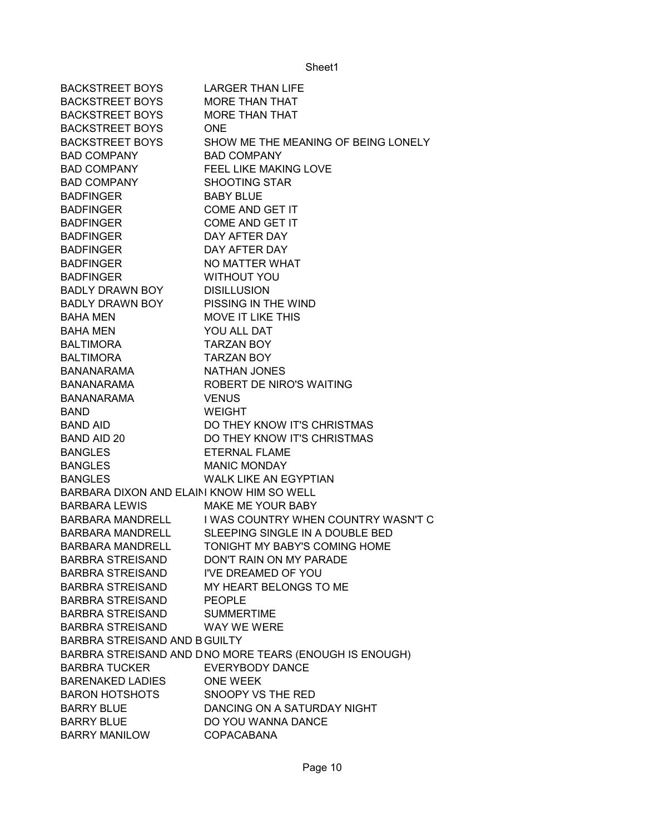| <b>BACKSTREET BOYS</b>                    | <b>LARGER THAN LIFE</b>                                |
|-------------------------------------------|--------------------------------------------------------|
| <b>BACKSTREET BOYS</b>                    | <b>MORE THAN THAT</b>                                  |
| <b>BACKSTREET BOYS</b>                    | <b>MORE THAN THAT</b>                                  |
| <b>BACKSTREET BOYS</b>                    | <b>ONE</b>                                             |
| <b>BACKSTREET BOYS</b>                    | SHOW ME THE MEANING OF BEING LONELY                    |
| <b>BAD COMPANY</b>                        | <b>BAD COMPANY</b>                                     |
| <b>BAD COMPANY</b>                        | <b>FEEL LIKE MAKING LOVE</b>                           |
| <b>BAD COMPANY</b>                        | <b>SHOOTING STAR</b>                                   |
| <b>BADFINGER</b>                          | <b>BABY BLUE</b>                                       |
| <b>BADFINGER</b>                          | COME AND GET IT                                        |
| <b>BADFINGER</b>                          | <b>COME AND GET IT</b>                                 |
| <b>BADFINGER</b>                          | DAY AFTER DAY                                          |
| <b>BADFINGER</b>                          | DAY AFTER DAY                                          |
| <b>BADFINGER</b>                          | NO MATTER WHAT                                         |
| <b>BADFINGER</b>                          | <b>WITHOUT YOU</b>                                     |
| BADLY DRAWN BOY                           | <b>DISILLUSION</b>                                     |
| <b>BADLY DRAWN BOY</b>                    | PISSING IN THE WIND                                    |
| <b>BAHA MEN</b>                           | MOVE IT LIKE THIS                                      |
| <b>BAHA MEN</b>                           | YOU ALL DAT                                            |
| <b>BALTIMORA</b>                          | <b>TARZAN BOY</b>                                      |
| <b>BALTIMORA</b>                          | <b>TARZAN BOY</b>                                      |
| BANANARAMA                                | <b>NATHAN JONES</b>                                    |
| <b>BANANARAMA</b>                         | ROBERT DE NIRO'S WAITING                               |
| <b>BANANARAMA</b>                         | <b>VENUS</b>                                           |
| <b>BAND</b>                               | <b>WEIGHT</b>                                          |
| <b>BAND AID</b>                           | DO THEY KNOW IT'S CHRISTMAS                            |
| <b>BAND AID 20</b>                        | DO THEY KNOW IT'S CHRISTMAS                            |
| <b>BANGLES</b>                            | ETERNAL FLAME                                          |
| <b>BANGLES</b>                            | <b>MANIC MONDAY</b>                                    |
| <b>BANGLES</b>                            | <b>WALK LIKE AN EGYPTIAN</b>                           |
| BARBARA DIXON AND ELAINI KNOW HIM SO WELL |                                                        |
| <b>BARBARA LEWIS</b>                      | MAKE ME YOUR BABY                                      |
| BARBARA MANDRELL                          | I WAS COUNTRY WHEN COUNTRY WASN'T C                    |
|                                           | BARBARA MANDRELL SLEEPING SINGLE IN A DOUBLE BED       |
| BARBARA MANDRELL                          | TONIGHT MY BABY'S COMING HOME                          |
| <b>BARBRA STREISAND</b>                   | DON'T RAIN ON MY PARADE                                |
| <b>BARBRA STREISAND</b>                   | I'VE DREAMED OF YOU                                    |
| <b>BARBRA STREISAND</b>                   | MY HEART BELONGS TO ME                                 |
| <b>BARBRA STREISAND</b>                   | <b>PEOPLE</b>                                          |
| BARBRA STREISAND                          | <b>SUMMERTIME</b>                                      |
| <b>BARBRA STREISAND</b>                   | WAY WE WERE                                            |
| BARBRA STREISAND AND B GUILTY             |                                                        |
|                                           | BARBRA STREISAND AND DNO MORE TEARS (ENOUGH IS ENOUGH) |
| <b>BARBRA TUCKER</b>                      | <b>EVERYBODY DANCE</b>                                 |
| <b>BARENAKED LADIES</b>                   | <b>ONE WEEK</b>                                        |
| <b>BARON HOTSHOTS</b>                     | SNOOPY VS THE RED                                      |
| <b>BARRY BLUE</b>                         | DANCING ON A SATURDAY NIGHT                            |
| <b>BARRY BLUE</b>                         | DO YOU WANNA DANCE                                     |
| <b>BARRY MANILOW</b>                      | <b>COPACABANA</b>                                      |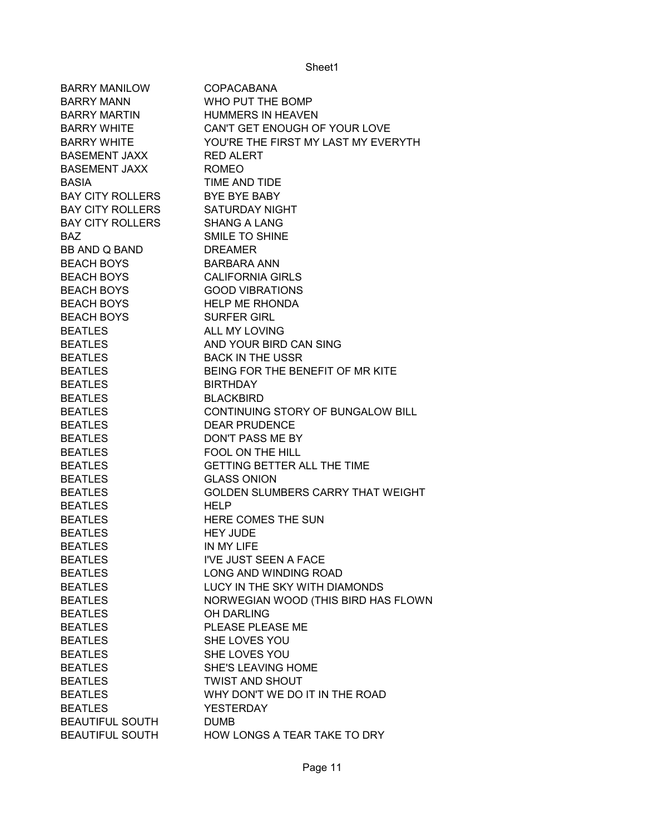| <b>BARRY MANILOW</b>    | <b>COPACABANA</b>                   |
|-------------------------|-------------------------------------|
| <b>BARRY MANN</b>       | WHO PUT THE BOMP                    |
| <b>BARRY MARTIN</b>     | <b>HUMMERS IN HEAVEN</b>            |
| <b>BARRY WHITE</b>      | CAN'T GET ENOUGH OF YOUR LOVE       |
| <b>BARRY WHITE</b>      | YOU'RE THE FIRST MY LAST MY EVERYTH |
| <b>BASEMENT JAXX</b>    | <b>RED ALERT</b>                    |
| <b>BASEMENT JAXX</b>    | <b>ROMEO</b>                        |
| <b>BASIA</b>            | TIME AND TIDE                       |
| <b>BAY CITY ROLLERS</b> | <b>BYE BYE BABY</b>                 |
| <b>BAY CITY ROLLERS</b> | <b>SATURDAY NIGHT</b>               |
| <b>BAY CITY ROLLERS</b> | <b>SHANG A LANG</b>                 |
| <b>BAZ</b>              | <b>SMILE TO SHINE</b>               |
| BB AND Q BAND           | <b>DREAMER</b>                      |
| <b>BEACH BOYS</b>       | <b>BARBARA ANN</b>                  |
| <b>BEACH BOYS</b>       | <b>CALIFORNIA GIRLS</b>             |
| <b>BEACH BOYS</b>       | <b>GOOD VIBRATIONS</b>              |
| <b>BEACH BOYS</b>       | <b>HELP ME RHONDA</b>               |
| <b>BEACH BOYS</b>       | <b>SURFER GIRL</b>                  |
| <b>BEATLES</b>          | ALL MY LOVING                       |
| <b>BEATLES</b>          | AND YOUR BIRD CAN SING              |
| <b>BEATLES</b>          | <b>BACK IN THE USSR</b>             |
| <b>BEATLES</b>          | BEING FOR THE BENEFIT OF MR KITE    |
| <b>BEATLES</b>          | <b>BIRTHDAY</b>                     |
| <b>BEATLES</b>          | <b>BLACKBIRD</b>                    |
| <b>BEATLES</b>          | CONTINUING STORY OF BUNGALOW BILL   |
| <b>BEATLES</b>          | <b>DEAR PRUDENCE</b>                |
| <b>BEATLES</b>          | DON'T PASS ME BY                    |
| <b>BEATLES</b>          | <b>FOOL ON THE HILL</b>             |
| <b>BEATLES</b>          | <b>GETTING BETTER ALL THE TIME</b>  |
| <b>BEATLES</b>          | <b>GLASS ONION</b>                  |
| <b>BEATLES</b>          | GOLDEN SLUMBERS CARRY THAT WEIGHT   |
| <b>BEATLES</b>          | <b>HELP</b>                         |
| <b>BEATLES</b>          | HERE COMES THE SUN                  |
| <b>BEATLES</b>          | <b>HEY JUDE</b>                     |
| <b>BEATLES</b>          | IN MY LIFE                          |
| <b>BEATLES</b>          | I'VE JUST SEEN A FACE               |
| <b>BEATLES</b>          | LONG AND WINDING ROAD               |
| <b>BEATLES</b>          | LUCY IN THE SKY WITH DIAMONDS       |
| <b>BEATLES</b>          | NORWEGIAN WOOD (THIS BIRD HAS FLOWN |
| <b>BEATLES</b>          | <b>OH DARLING</b>                   |
| <b>BEATLES</b>          | PLEASE PLEASE ME                    |
| <b>BEATLES</b>          | SHE LOVES YOU                       |
| <b>BEATLES</b>          | SHE LOVES YOU                       |
| <b>BEATLES</b>          | <b>SHE'S LEAVING HOME</b>           |
| <b>BEATLES</b>          | <b>TWIST AND SHOUT</b>              |
| <b>BEATLES</b>          | WHY DON'T WE DO IT IN THE ROAD      |
| <b>BEATLES</b>          | <b>YESTERDAY</b>                    |
| <b>BEAUTIFUL SOUTH</b>  | <b>DUMB</b>                         |
| <b>BEAUTIFUL SOUTH</b>  | HOW LONGS A TEAR TAKE TO DRY        |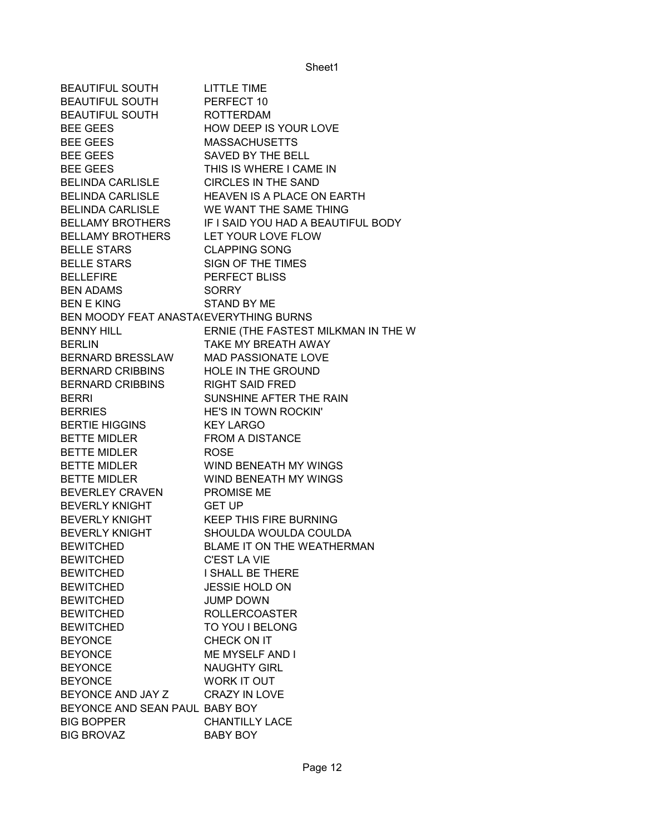| BEAUTIFUL SOUTH                        | <b>LITTLE TIME</b>                                  |
|----------------------------------------|-----------------------------------------------------|
| <b>BEAUTIFUL SOUTH</b>                 | PERFECT 10                                          |
| BEAUTIFUL SOUTH ROTTERDAM              |                                                     |
| <b>BEE GEES</b>                        | HOW DEEP IS YOUR LOVE                               |
| <b>BEE GEES</b>                        | MASSACHUSETTS                                       |
| <b>BEE GEES</b>                        | SAVED BY THE BELL                                   |
| <b>BEE GEES</b>                        | THIS IS WHERE I CAME IN                             |
| <b>BELINDA CARLISLE</b>                | <b>CIRCLES IN THE SAND</b>                          |
| <b>BELINDA CARLISLE</b>                | HEAVEN IS A PLACE ON EARTH                          |
| <b>BELINDA CARLISLE</b>                | WE WANT THE SAME THING                              |
|                                        | BELLAMY BROTHERS IF I SAID YOU HAD A BEAUTIFUL BODY |
| BELLAMY BROTHERS LET YOUR LOVE FLOW    |                                                     |
| <b>BELLE STARS</b>                     | <b>CLAPPING SONG</b>                                |
| <b>BELLE STARS</b>                     | SIGN OF THE TIMES                                   |
| <b>BELLEFIRE</b>                       | <b>PERFECT BLISS</b>                                |
| <b>BEN ADAMS</b>                       | <b>SORRY</b>                                        |
| <b>BEN E KING</b>                      | <b>STAND BY ME</b>                                  |
| BEN MOODY FEAT ANASTA(EVERYTHING BURNS |                                                     |
| <b>BENNY HILL</b>                      | ERNIE (THE FASTEST MILKMAN IN THE W                 |
| <b>BERLIN</b>                          | TAKE MY BREATH AWAY                                 |
| BERNARD BRESSLAW MAD PASSIONATE LOVE   |                                                     |
| BERNARD CRIBBINS HOLE IN THE GROUND    |                                                     |
| <b>BERNARD CRIBBINS</b>                | <b>RIGHT SAID FRED</b>                              |
| <b>BERRI</b>                           | SUNSHINE AFTER THE RAIN                             |
| <b>BERRIES</b>                         | HE'S IN TOWN ROCKIN'                                |
| <b>BERTIE HIGGINS</b>                  | <b>KEY LARGO</b>                                    |
| BETTE MIDLER                           | <b>FROM A DISTANCE</b>                              |
| BETTE MIDLER ROSE                      |                                                     |
|                                        | BETTE MIDLER WIND BENEATH MY WINGS                  |
| BETTE MIDLER                           | WIND BENEATH MY WINGS                               |
| BEVERLEY CRAVEN                        | PROMISE ME                                          |
| <b>BEVERLY KNIGHT</b>                  | <b>GET UP</b>                                       |
| <b>BEVERLY KNIGHT</b>                  | <b>KEEP THIS FIRE BURNING</b>                       |
| <b>BEVERLY KNIGHT</b>                  | SHOULDA WOULDA COULDA                               |
| <b>BEWITCHED</b>                       | BLAME IT ON THE WEATHERMAN                          |
| <b>BEWITCHED</b>                       | <b>C'EST LA VIE</b>                                 |
| <b>BEWITCHED</b>                       | I SHALL BE THERE                                    |
| <b>BEWITCHED</b>                       | <b>JESSIE HOLD ON</b>                               |
| <b>BEWITCHED</b>                       | <b>JUMP DOWN</b>                                    |
| <b>BEWITCHED</b>                       | <b>ROLLERCOASTER</b>                                |
| <b>BEWITCHED</b>                       | TO YOU I BELONG                                     |
| <b>BEYONCE</b>                         | CHECK ON IT                                         |
| <b>BEYONCE</b>                         | ME MYSELF AND I                                     |
| <b>BEYONCE</b>                         | <b>NAUGHTY GIRL</b>                                 |
| <b>BEYONCE</b>                         | WORK IT OUT                                         |
| BEYONCE AND JAY Z                      | <b>CRAZY IN LOVE</b>                                |
| BEYONCE AND SEAN PAUL BABY BOY         |                                                     |
| <b>BIG BOPPER</b>                      | <b>CHANTILLY LACE</b>                               |
| <b>BIG BROVAZ</b>                      | BABY BOY                                            |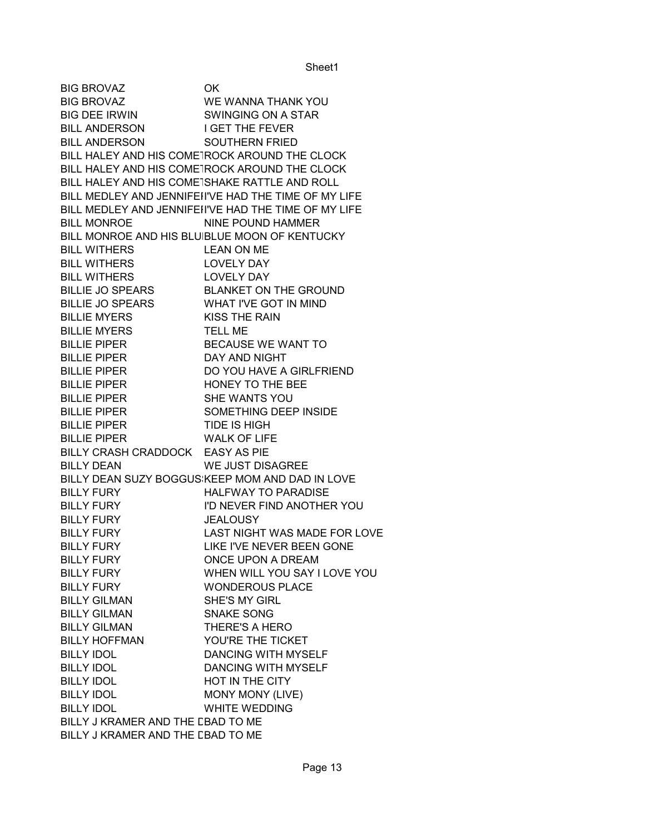BIG BROVAZ OK BIG BROVAZ WE WANNA THANK YOU BIG DEE IRWIN SWINGING ON A STAR BILL ANDERSON I GET THE FEVER BILL ANDERSON SOUTHERN FRIED BILL HALEY AND HIS COMETROCK AROUND THE CLOCK BILL HALEY AND HIS COMETROCK AROUND THE CLOCK BILL HALEY AND HIS COMETSHAKE RATTLE AND ROLL BILL MEDLEY AND JENNIFEHI'VE HAD THE TIME OF MY LIFE BILL MEDLEY AND JENNIFEII'VE HAD THE TIME OF MY LIFE BILL MONROE NINE POUND HAMMER BILL MONROE AND HIS BLUIBLUE MOON OF KENTUCKY BILL WITHERS LEAN ON ME BILL WITHERS LOVELY DAY BILL WITHERS LOVELY DAY BILLIE JO SPEARS BLANKET ON THE GROUND BILLIE JO SPEARS WHAT I'VE GOT IN MIND BILLIE MYERS KISS THE RAIN BILLIE MYERS TELL ME BILLIE PIPER BECAUSE WE WANT TO BILLIE PIPER DAY AND NIGHT BILLIE PIPER DO YOU HAVE A GIRLFRIEND BILLIE PIPER HONEY TO THE BEE BILLIE PIPER SHE WANTS YOU BILLIE PIPER SOMETHING DEEP INSIDE BILLIE PIPER TIDE IS HIGH BILLIE PIPER WALK OF LIFE BILLY CRASH CRADDOCK EASY AS PIE BILLY DEAN WE JUST DISAGREE BILLY DEAN SUZY BOGGUS KEEP MOM AND DAD IN LOVE BILLY FURY **HALFWAY TO PARADISE** BILLY FURY I'D NEVER FIND ANOTHER YOU BILLY FURY **JEALOUSY** BILLY FURY LAST NIGHT WAS MADE FOR LOVE BILLY FURY LIKE I'VE NEVER BEEN GONE BILLY FURY ONCE UPON A DREAM BILLY FURY WHEN WILL YOU SAY I LOVE YOU BILLY FURY WONDEROUS PLACE BILLY GILMAN SHE'S MY GIRL BILLY GILMAN SNAKE SONG BILLY GILMAN THERE'S A HERO BILLY HOFFMAN YOU'RE THE TICKET BILLY IDOL DANCING WITH MYSELF BILLY IDOL DANCING WITH MYSELF BILLY IDOL **HOT IN THE CITY** BILLY IDOL MONY MONY (LIVE) BILLY IDOL WHITE WEDDING BILLY J KRAMER AND THE CBAD TO ME BILLY J KRAMER AND THE CBAD TO ME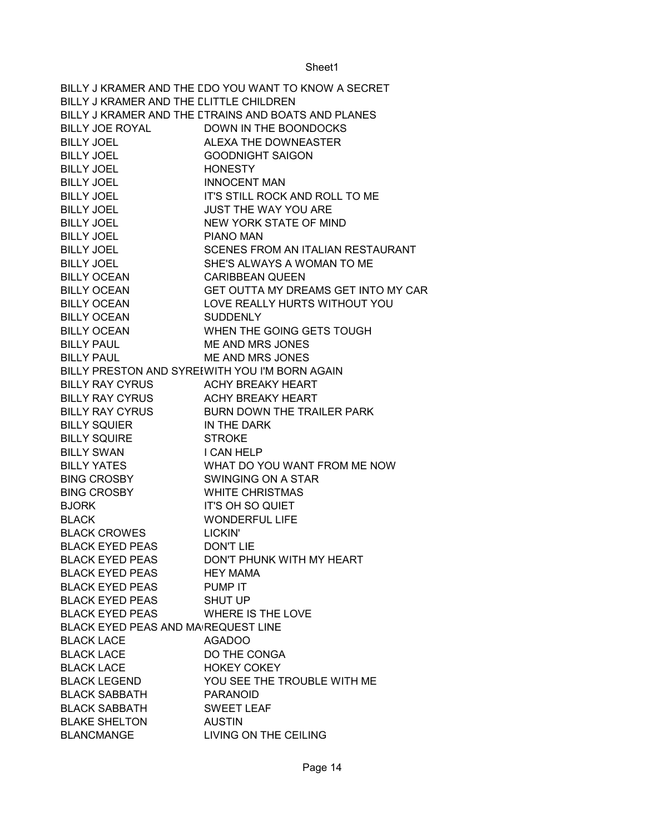BILLY J KRAMER AND THE CDO YOU WANT TO KNOW A SECRET BILLY J KRAMER AND THE CLITTLE CHILDREN BILLY J KRAMER AND THE LTRAINS AND BOATS AND PLANES BILLY JOE ROYAL DOWN IN THE BOONDOCKS BILLY JOEL ALEXA THE DOWNEASTER BILLY JOEL GOODNIGHT SAIGON BILLY JOEL HONESTY BILLY JOEL INNOCENT MAN BILLY JOEL IT'S STILL ROCK AND ROLL TO ME BILLY JOEL JUST THE WAY YOU ARE BILLY JOEL NEW YORK STATE OF MIND BILLY JOEL PIANO MAN BILLY JOEL SCENES FROM AN ITALIAN RESTAURANT BILLY JOEL SHE'S ALWAYS A WOMAN TO ME BILLY OCEAN CARIBBEAN QUEEN BILLY OCEAN GET OUTTA MY DREAMS GET INTO MY CAR BILLY OCEAN LOVE REALLY HURTS WITHOUT YOU BILLY OCEAN SUDDENLY BILLY OCEAN WHEN THE GOING GETS TOUGH BILLY PAUL ME AND MRS JONES BILLY PAUL ME AND MRS JONES BILLY PRESTON AND SYREEWITH YOU I'M BORN AGAIN BILLY RAY CYRUS ACHY BREAKY HEART BILLY RAY CYRUS ACHY BREAKY HEART BILLY RAY CYRUS BURN DOWN THE TRAILER PARK BILLY SQUIER IN THE DARK BILLY SQUIRE STROKE BILLY SWAN I CAN HELP BILLY YATES WHAT DO YOU WANT FROM ME NOW BING CROSBY SWINGING ON A STAR BING CROSBY WHITE CHRISTMAS BJORK IT'S OH SO QUIET BLACK WONDERFUL LIFE BLACK CROWES LICKIN' BLACK EYED PEAS DON'T LIE BLACK EYED PEAS DON'T PHUNK WITH MY HEART BLACK EYED PEAS HEY MAMA BLACK EYED PEAS PUMP IT BLACK EYED PEAS SHUT UP BLACK EYED PEAS WHERE IS THE LOVE BLACK EYED PEAS AND MA REQUEST LINE BLACK LACE AGADOO BLACK LACE DO THE CONGA BLACK LACE HOKEY COKEY BLACK LEGEND YOU SEE THE TROUBLE WITH ME BLACK SABBATH PARANOID BLACK SABBATH SWEET LEAF BLAKE SHELTON AUSTIN BLANCMANGE LIVING ON THE CEILING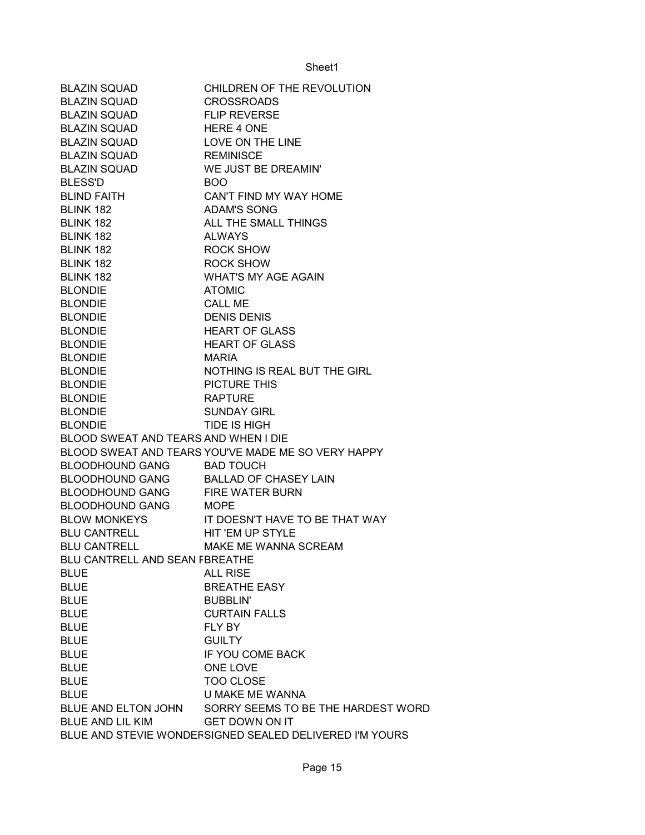| <b>BLAZIN SQUAD</b>                   | CHILDREN OF THE REVOLUTION                              |
|---------------------------------------|---------------------------------------------------------|
| <b>BLAZIN SQUAD</b>                   | <b>CROSSROADS</b>                                       |
| <b>BLAZIN SQUAD</b>                   | <b>FLIP REVERSE</b>                                     |
| BLAZIN SQUAD                          | HERE 4 ONE                                              |
| <b>BLAZIN SQUAD</b>                   | LOVE ON THE LINE                                        |
| <b>BLAZIN SQUAD</b>                   | <b>REMINISCE</b>                                        |
| <b>BLAZIN SQUAD</b>                   | WE JUST BE DREAMIN'                                     |
| <b>BLESS'D</b>                        | <b>BOO</b>                                              |
| <b>BLIND FAITH</b>                    | CAN'T FIND MY WAY HOME                                  |
| BLINK 182                             | <b>ADAM'S SONG</b>                                      |
| BLINK 182                             | ALL THE SMALL THINGS                                    |
| BLINK 182                             | <b>ALWAYS</b>                                           |
| BLINK 182                             | <b>ROCK SHOW</b>                                        |
| BLINK 182                             | <b>ROCK SHOW</b>                                        |
| BLINK 182                             | <b>WHAT'S MY AGE AGAIN</b>                              |
| <b>BLONDIE</b>                        | <b>ATOMIC</b>                                           |
| <b>BLONDIE</b>                        | <b>CALL ME</b>                                          |
| <b>BLONDIE</b>                        | <b>DENIS DENIS</b>                                      |
| <b>BLONDIE</b>                        | <b>HEART OF GLASS</b>                                   |
| <b>BLONDIE</b>                        | <b>HEART OF GLASS</b>                                   |
| <b>BLONDIE</b>                        | <b>MARIA</b>                                            |
| <b>BLONDIE</b>                        | NOTHING IS REAL BUT THE GIRL                            |
| <b>BLONDIE</b>                        | PICTURE THIS                                            |
| <b>BLONDIE</b>                        | <b>RAPTURE</b>                                          |
| <b>BLONDIE</b>                        | <b>SUNDAY GIRL</b>                                      |
| <b>BLONDIE</b>                        | <b>TIDE IS HIGH</b>                                     |
| BLOOD SWEAT AND TEARS AND WHEN I DIE  |                                                         |
|                                       | BLOOD SWEAT AND TEARS YOU'VE MADE ME SO VERY HAPPY      |
| <b>BLOODHOUND GANG</b>                | <b>BAD TOUCH</b>                                        |
| BLOODHOUND GANG BALLAD OF CHASEY LAIN |                                                         |
| <b>BLOODHOUND GANG</b>                | <b>FIRE WATER BURN</b>                                  |
| BLOODHOUND GANG MOPE                  |                                                         |
|                                       | BLOW MONKEYS IT DOESN'T HAVE TO BE THAT WAY             |
| BLU CANTRELL HIT 'EM UP STYLE         |                                                         |
| <b>BLU CANTRELL</b>                   | MAKE ME WANNA SCREAM                                    |
| BLU CANTRELL AND SEAN FBREATHE        |                                                         |
| <b>BLUE</b>                           | <b>ALL RISE</b>                                         |
|                                       | <b>BREATHE EASY</b>                                     |
| <b>BLUE</b>                           | <b>BUBBLIN'</b>                                         |
| <b>BLUE</b><br><b>BLUE</b>            | <b>CURTAIN FALLS</b>                                    |
|                                       |                                                         |
| <b>BLUE</b>                           | FLY BY                                                  |
| <b>BLUE</b>                           | <b>GUILTY</b>                                           |
| <b>BLUE</b>                           | IF YOU COME BACK                                        |
| <b>BLUE</b>                           | ONE LOVE                                                |
| <b>BLUE</b>                           | <b>TOO CLOSE</b>                                        |
| <b>BLUE</b>                           | U MAKE ME WANNA                                         |
|                                       | BLUE AND ELTON JOHN SORRY SEEMS TO BE THE HARDEST WORD  |
| BLUE AND LIL KIM                      | <b>GET DOWN ON IT</b>                                   |
|                                       | BLUE AND STEVIE WONDEFSIGNED SEALED DELIVERED I'M YOURS |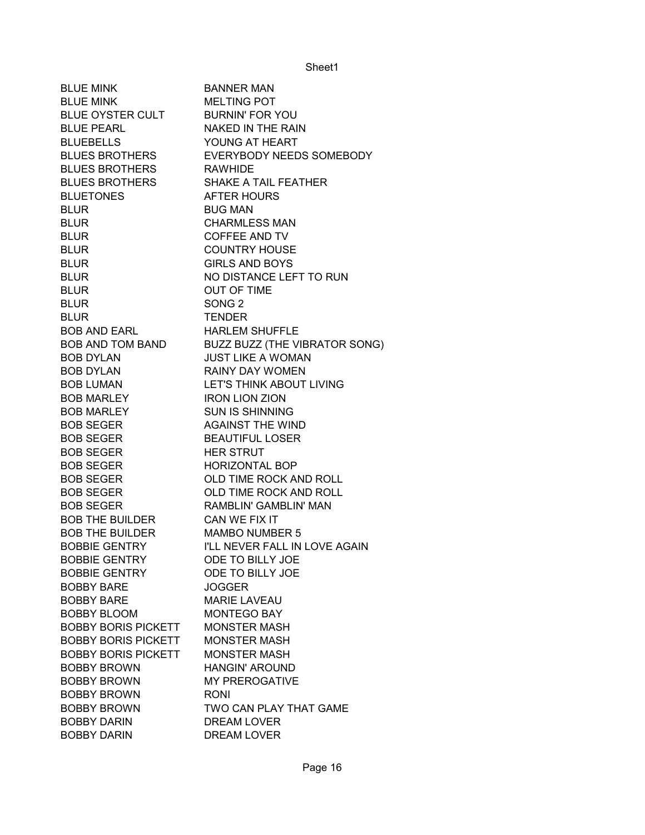| <b>BLUE MINK</b>                 | <b>BANNER MAN</b>                                                                                          |
|----------------------------------|------------------------------------------------------------------------------------------------------------|
| <b>BLUE MINK</b>                 | <b>MELTING POT</b>                                                                                         |
| BLUE OYSTER CULT BURNIN' FOR YOU |                                                                                                            |
| <b>BLUE PEARL</b>                | NAKED IN THE RAIN                                                                                          |
| <b>BLUEBELLS</b>                 | YOUNG AT HEART                                                                                             |
|                                  | BLUES BROTHERS EVERYBODY NEEDS SOMEBODY                                                                    |
| BLUES BROTHERS RAWHIDE           |                                                                                                            |
| <b>BLUES BROTHERS</b>            | SHAKE A TAIL FEATHER                                                                                       |
| <b>BLUETONES</b>                 | <b>AFTER HOURS</b>                                                                                         |
| <b>BLUR</b>                      | <b>BUG MAN</b>                                                                                             |
| <b>BLUR</b>                      | <b>CHARMLESS MAN</b>                                                                                       |
| <b>BLUR</b>                      | <b>COFFEE AND TV</b>                                                                                       |
| <b>BLUR</b>                      | <b>COUNTRY HOUSE</b>                                                                                       |
| <b>BLUR</b>                      | <b>GIRLS AND BOYS</b>                                                                                      |
| <b>BLUR</b>                      | NO DISTANCE LEFT TO RUN                                                                                    |
| <b>BLUR</b>                      | <b>OUT OF TIME</b>                                                                                         |
| <b>BLUR</b>                      | SONG <sub>2</sub>                                                                                          |
| <b>BLUR</b>                      | <b>TENDER</b>                                                                                              |
| BOB AND EARL                     | <b>HARLEM SHUFFLE</b>                                                                                      |
|                                  |                                                                                                            |
| <b>BOB DYLAN</b>                 | BOB AND TOM BAND BUZZ BUZZ (THE VIBRATOR SONG)<br>BOB DYLAN ULIST LIKE A WOMAN<br><b>JUST LIKE A WOMAN</b> |
| <b>BOB DYLAN</b>                 | RAINY DAY WOMEN                                                                                            |
| <b>BOB LUMAN</b>                 | LET'S THINK ABOUT LIVING                                                                                   |
| <b>BOB MARLEY</b>                | <b>IRON LION ZION</b>                                                                                      |
| <b>BOB MARLEY</b>                | <b>SUN IS SHINNING</b>                                                                                     |
| <b>BOB SEGER</b>                 | <b>AGAINST THE WIND</b>                                                                                    |
| <b>BOB SEGER</b>                 | <b>BEAUTIFUL LOSER</b>                                                                                     |
| <b>BOB SEGER</b>                 | <b>HER STRUT</b>                                                                                           |
| <b>BOB SEGER</b>                 | <b>HORIZONTAL BOP</b>                                                                                      |
| <b>BOB SEGER</b>                 | OLD TIME ROCK AND ROLL                                                                                     |
| <b>BOB SEGER</b>                 | OLD TIME ROCK AND ROLL                                                                                     |
| <b>BOB SEGER</b>                 | RAMBLIN' GAMBLIN' MAN                                                                                      |
| BOB THE BUILDER                  | CAN WE FIX IT                                                                                              |
| BOB THE BUILDER MAMBO NUMBER 5   |                                                                                                            |
| <b>BOBBIE GENTRY</b>             | I'LL NEVER FALL IN LOVE AGAIN                                                                              |
| <b>BOBBIE GENTRY</b>             | ODE TO BILLY JOE                                                                                           |
| <b>BOBBIE GENTRY</b>             | ODE TO BILLY JOE                                                                                           |
| <b>BOBBY BARE</b>                | <b>JOGGER</b>                                                                                              |
| <b>BOBBY BARE</b>                | <b>MARIE LAVEAU</b>                                                                                        |
| <b>BOBBY BLOOM</b>               | <b>MONTEGO BAY</b>                                                                                         |
| <b>BOBBY BORIS PICKETT</b>       | <b>MONSTER MASH</b>                                                                                        |
| <b>BOBBY BORIS PICKETT</b>       | <b>MONSTER MASH</b>                                                                                        |
| <b>BOBBY BORIS PICKETT</b>       | <b>MONSTER MASH</b>                                                                                        |
| <b>BOBBY BROWN</b>               | <b>HANGIN' AROUND</b>                                                                                      |
| <b>BOBBY BROWN</b>               | <b>MY PREROGATIVE</b>                                                                                      |
| <b>BOBBY BROWN</b>               | <b>RONI</b>                                                                                                |
| <b>BOBBY BROWN</b>               | TWO CAN PLAY THAT GAME                                                                                     |
| <b>BOBBY DARIN</b>               | DREAM LOVER                                                                                                |
| <b>BOBBY DARIN</b>               | DREAM LOVER                                                                                                |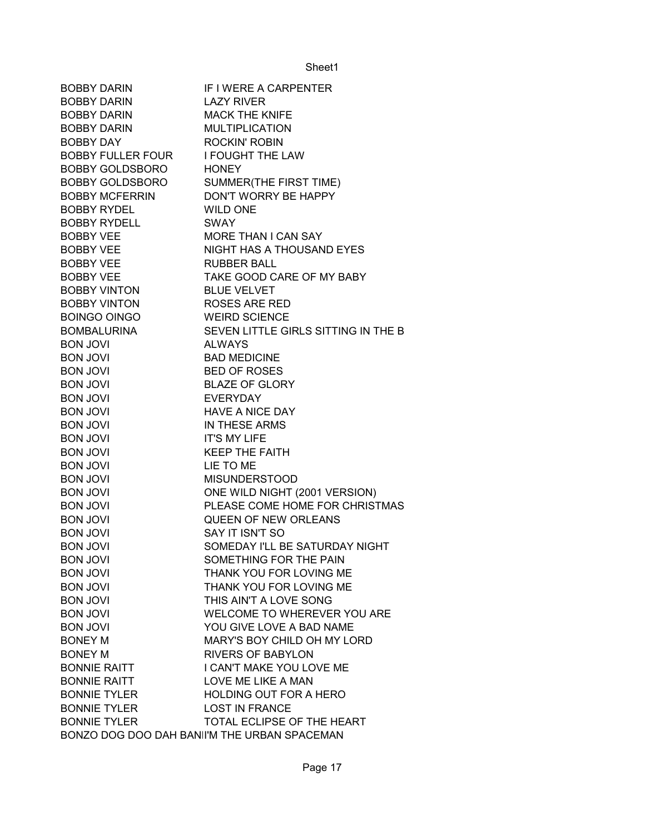| <b>BOBBY DARIN</b>                                  | IF I WERE A CARPENTER                           |
|-----------------------------------------------------|-------------------------------------------------|
| BOBBY DARIN                                         | <b>LAZY RIVER</b>                               |
| BOBBY DARIN                                         | <b>MACK THE KNIFE</b>                           |
| <b>BOBBY DARIN</b>                                  | <b>MULTIPLICATION</b>                           |
| <b>BOBBY DAY</b>                                    | <b>ROCKIN' ROBIN</b>                            |
| BOBBY FULLER FOUR I FOUGHT THE LAW                  |                                                 |
| BOBBY GOLDSBORO HONEY                               |                                                 |
| BOBBY GOLDSBORO                                     | SUMMER(THE FIRST TIME)                          |
| <b>BOBBY MCFERRIN</b>                               | DON'T WORRY BE HAPPY                            |
| <b>BOBBY RYDEL</b>                                  | <b>WILD ONE</b>                                 |
| <b>BOBBY RYDELL</b>                                 | <b>SWAY</b>                                     |
|                                                     | MORE THAN I CAN SAY                             |
| BOBBY VEE<br>BOBBY VEE                              | NIGHT HAS A THOUSAND EYES                       |
| BOBBY VEL<br>BOBBY VEE<br>BOBBY VEE<br>BOBBY VINTON | <b>RUBBER BALL</b>                              |
|                                                     | TAKE GOOD CARE OF MY BABY                       |
|                                                     | <b>BLUE VELVET</b>                              |
| BOBBY VINTON ROSES ARE RED                          |                                                 |
| BOINGO OINGO WEIRD SCIENCE                          |                                                 |
|                                                     | BOMBALURINA SEVEN LITTLE GIRLS SITTING IN THE B |
| <b>BON JOVI</b>                                     | <b>ALWAYS</b>                                   |
| <b>BON JOVI</b>                                     | <b>BAD MEDICINE</b>                             |
| <b>BON JOVI</b>                                     | <b>BED OF ROSES</b>                             |
| <b>BON JOVI</b>                                     | <b>BLAZE OF GLORY</b>                           |
| <b>BON JOVI</b>                                     | <b>EVERYDAY</b>                                 |
| <b>BON JOVI</b>                                     | <b>HAVE A NICE DAY</b>                          |
| <b>BON JOVI</b>                                     | IN THESE ARMS                                   |
| <b>BON JOVI</b>                                     | <b>IT'S MY LIFE</b>                             |
| <b>BON JOVI</b>                                     | <b>KEEP THE FAITH</b>                           |
| <b>BON JOVI</b>                                     | LIE TO ME                                       |
| <b>BON JOVI</b>                                     | <b>MISUNDERSTOOD</b>                            |
| <b>BON JOVI</b>                                     | ONE WILD NIGHT (2001 VERSION)                   |
| <b>BON JOVI</b>                                     | PLEASE COME HOME FOR CHRISTMAS                  |
| <b>BON JOVI</b>                                     | <b>QUEEN OF NEW ORLEANS</b>                     |
| <b>BON JOVI</b>                                     | SAY IT ISN'T SO                                 |
| <b>BON JOVI</b>                                     | SOMEDAY I'LL BE SATURDAY NIGHT                  |
| <b>BON JOVI</b>                                     | SOMETHING FOR THE PAIN                          |
| <b>BON JOVI</b>                                     | THANK YOU FOR LOVING ME                         |
| <b>BON JOVI</b>                                     | THANK YOU FOR LOVING ME                         |
| <b>BON JOVI</b>                                     | THIS AIN'T A LOVE SONG                          |
| <b>BON JOVI</b>                                     | WELCOME TO WHEREVER YOU ARE                     |
| <b>BON JOVI</b>                                     | YOU GIVE LOVE A BAD NAME                        |
| <b>BONEY M</b>                                      | MARY'S BOY CHILD OH MY LORD                     |
| <b>BONEY M</b>                                      | <b>RIVERS OF BABYLON</b>                        |
| <b>BONNIE RAITT</b>                                 | I CAN'T MAKE YOU LOVE ME                        |
| <b>BONNIE RAITT</b>                                 | LOVE ME LIKE A MAN                              |
| <b>BONNIE TYLER</b>                                 | <b>HOLDING OUT FOR A HERO</b>                   |
| <b>BONNIE TYLER</b>                                 | <b>LOST IN FRANCE</b>                           |
| <b>BONNIE TYLER</b>                                 | TOTAL ECLIPSE OF THE HEART                      |
|                                                     | BONZO DOG DOO DAH BANII'M THE URBAN SPACEMAN    |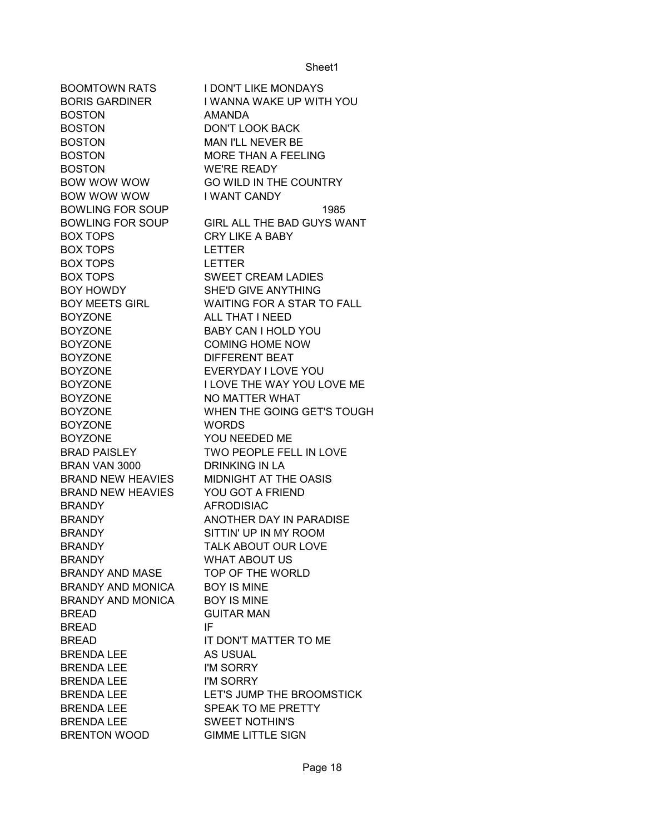| <b>BOOMTOWN RATS</b>     | <b>I DON'T LIKE MONDAYS</b>       |
|--------------------------|-----------------------------------|
| BORIS GARDINER           | I WANNA WAKE UP WITH YOU          |
| <b>BOSTON</b>            | <b>AMANDA</b>                     |
| <b>BOSTON</b>            | <b>DON'T LOOK BACK</b>            |
| <b>BOSTON</b>            | MAN I'LL NEVER BE                 |
| <b>BOSTON</b>            | MORE THAN A FEELING               |
| <b>BOSTON</b>            | WE'RE READY                       |
| BOW WOW WOW              | <b>GO WILD IN THE COUNTRY</b>     |
| BOW WOW WOW              | I WANT CANDY                      |
| <b>BOWLING FOR SOUP</b>  | 1985                              |
| BOWLING FOR SOUP         | GIRL ALL THE BAD GUYS WANT        |
| <b>BOX TOPS</b>          | <b>CRY LIKE A BABY</b>            |
| <b>BOX TOPS</b>          | <b>LETTER</b>                     |
| <b>BOX TOPS</b>          | <b>LETTER</b>                     |
| <b>BOX TOPS</b>          | <b>SWEET CREAM LADIES</b>         |
| BOY HOWDY                | <b>SHE'D GIVE ANYTHING</b>        |
| <b>BOY MEETS GIRL</b>    | <b>WAITING FOR A STAR TO FALL</b> |
| <b>BOYZONE</b>           | ALL THAT I NEED                   |
| <b>BOYZONE</b>           | BABY CAN I HOLD YOU               |
| <b>BOYZONE</b>           | <b>COMING HOME NOW</b>            |
| <b>BOYZONE</b>           | <b>DIFFERENT BEAT</b>             |
| <b>BOYZONE</b>           | EVERYDAY I LOVE YOU               |
| <b>BOYZONE</b>           | <b>I LOVE THE WAY YOU LOVE ME</b> |
| <b>BOYZONE</b>           | NO MATTER WHAT                    |
| <b>BOYZONE</b>           | WHEN THE GOING GET'S TOUGH        |
| <b>BOYZONE</b>           | <b>WORDS</b>                      |
| <b>BOYZONE</b>           | YOU NEEDED ME                     |
| <b>BRAD PAISLEY</b>      | TWO PEOPLE FELL IN LOVE           |
| BRAN VAN 3000            | <b>DRINKING IN LA</b>             |
| <b>BRAND NEW HEAVIES</b> | MIDNIGHT AT THE OASIS             |
| <b>BRAND NEW HEAVIES</b> | YOU GOT A FRIEND                  |
| <b>BRANDY</b>            | <b>AFRODISIAC</b>                 |
| <b>BRANDY</b>            | ANOTHER DAY IN PARADISE           |
| <b>BRANDY</b>            | SITTIN' UP IN MY ROOM             |
| <b>BRANDY</b>            | TALK ABOUT OUR LOVE               |
| <b>BRANDY</b>            | <b>WHAT ABOUT US</b>              |
| <b>BRANDY AND MASE</b>   | TOP OF THE WORLD                  |
| BRANDY AND MONICA        | <b>BOY IS MINE</b>                |
| <b>BRANDY AND MONICA</b> | <b>BOY IS MINE</b>                |
| <b>BREAD</b>             | <b>GUITAR MAN</b>                 |
| <b>BREAD</b>             | IF.                               |
| <b>BREAD</b>             | IT DON'T MATTER TO ME             |
| <b>BRENDA LEE</b>        | <b>AS USUAL</b>                   |
| <b>BRENDA LEE</b>        | I'M SORRY                         |
| <b>BRENDA LEE</b>        | I'M SORRY                         |
| <b>BRENDA LEE</b>        | LET'S JUMP THE BROOMSTICK         |
| <b>BRENDA LEE</b>        | SPEAK TO ME PRETTY                |
| <b>BRENDA LEE</b>        | <b>SWEET NOTHIN'S</b>             |
| <b>BRENTON WOOD</b>      | <b>GIMME LITTLE SIGN</b>          |
|                          |                                   |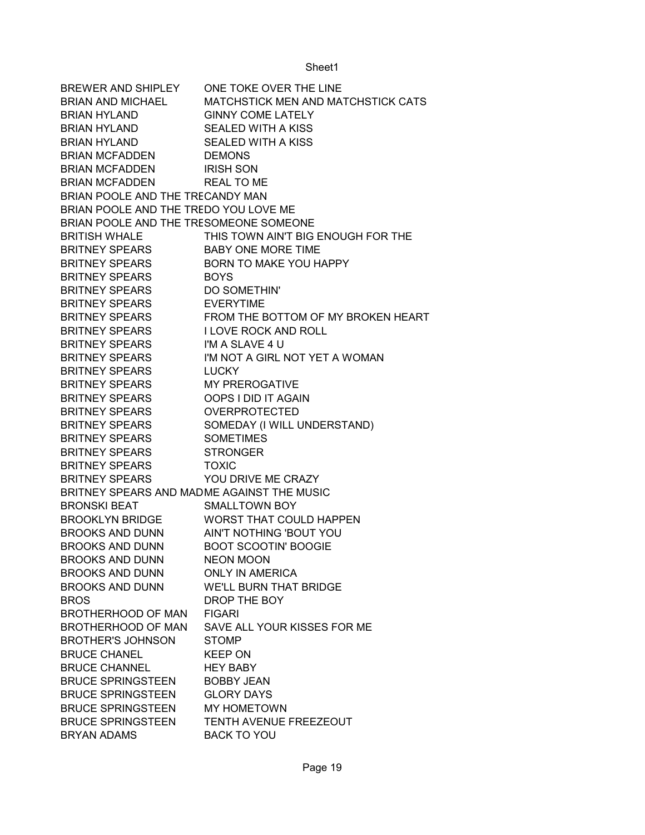BREWER AND SHIPLEY ONE TOKE OVER THE LINE BRIAN AND MICHAEL MATCHSTICK MEN AND MATCHSTICK CATS BRIAN HYLAND GINNY COME LATELY BRIAN HYLAND SEALED WITH A KISS BRIAN HYLAND SEALED WITH A KISS BRIAN MCFADDEN DEMONS BRIAN MCFADDEN IRISH SON BRIAN MCFADDEN REAL TO ME BRIAN POOLE AND THE TRECANDY MAN BRIAN POOLE AND THE TREDO YOU LOVE ME BRIAN POOLE AND THE TRESOMEONE SOMEONE BRITISH WHALE THIS TOWN AIN'T BIG ENOUGH FOR THE BRITNEY SPEARS BABY ONE MORE TIME BRITNEY SPEARS BORN TO MAKE YOU HAPPY BRITNEY SPEARS BOYS BRITNEY SPEARS DO SOMETHIN' BRITNEY SPEARS EVERYTIME BRITNEY SPEARS FROM THE BOTTOM OF MY BROKEN HEART BRITNEY SPEARS I LOVE ROCK AND ROLL BRITNEY SPEARS I'M A SLAVE 4 U BRITNEY SPEARS I'M NOT A GIRL NOT YET A WOMAN BRITNEY SPEARS LUCKY BRITNEY SPEARS MY PREROGATIVE BRITNEY SPEARS OOPS I DID IT AGAIN BRITNEY SPEARS OVERPROTECTED BRITNEY SPEARS SOMEDAY (I WILL UNDERSTAND) BRITNEY SPEARS SOMETIMES BRITNEY SPEARS STRONGER BRITNEY SPEARS TOXIC BRITNEY SPEARS YOU DRIVE ME CRAZY BRITNEY SPEARS AND MADME AGAINST THE MUSIC BRONSKI BEAT SMALLTOWN BOY BROOKLYN BRIDGE WORST THAT COULD HAPPEN BROOKS AND DUNN AIN'T NOTHING 'BOUT YOU BROOKS AND DUNN BOOT SCOOTIN' BOOGIE BROOKS AND DUNN NEON MOON BROOKS AND DUNN ONLY IN AMERICA BROOKS AND DUNN WE'LL BURN THAT BRIDGE BROS DROP THE BOY BROTHERHOOD OF MAN FIGARI BROTHERHOOD OF MAN SAVE ALL YOUR KISSES FOR ME BROTHER'S JOHNSON STOMP BRUCE CHANEL KEEP ON BRUCE CHANNEL HEY BABY BRUCE SPRINGSTEEN BOBBY JEAN BRUCE SPRINGSTEEN GLORY DAYS BRUCE SPRINGSTEEN MY HOMETOWN BRUCE SPRINGSTEEN TENTH AVENUE FREEZEOUT BRYAN ADAMS BACK TO YOU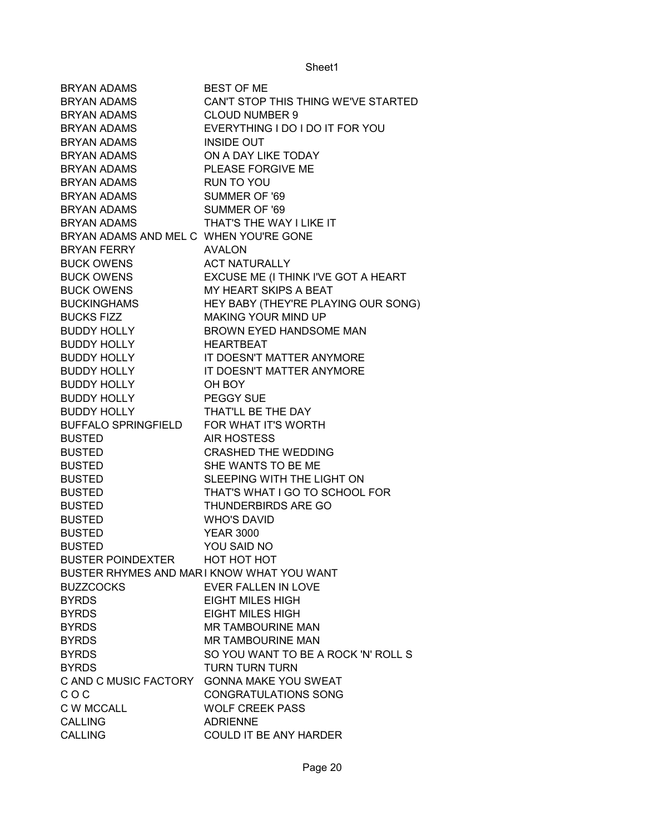| <b>BRYAN ADAMS</b>                        | <b>BEST OF ME</b>                   |
|-------------------------------------------|-------------------------------------|
| <b>BRYAN ADAMS</b>                        | CAN'T STOP THIS THING WE'VE STARTED |
| BRYAN ADAMS                               | <b>CLOUD NUMBER 9</b>               |
| BRYAN ADAMS                               | EVERYTHING I DO I DO IT FOR YOU     |
| BRYAN ADAMS                               | <b>INSIDE OUT</b>                   |
| <b>BRYAN ADAMS</b>                        | ON A DAY LIKE TODAY                 |
| <b>BRYAN ADAMS</b>                        | PLEASE FORGIVE ME                   |
| <b>BRYAN ADAMS</b>                        | RUN TO YOU                          |
| <b>BRYAN ADAMS</b>                        | SUMMER OF '69                       |
| <b>BRYAN ADAMS</b>                        | SUMMER OF '69                       |
| <b>BRYAN ADAMS</b>                        | THAT'S THE WAY I LIKE IT            |
| BRYAN ADAMS AND MEL C WHEN YOU'RE GONE    |                                     |
| <b>BRYAN FERRY</b>                        | <b>AVALON</b>                       |
| <b>BUCK OWENS</b>                         | <b>ACT NATURALLY</b>                |
| <b>BUCK OWENS</b>                         | EXCUSE ME (I THINK I'VE GOT A HEART |
| <b>BUCK OWENS</b>                         | MY HEART SKIPS A BEAT               |
| <b>BUCKINGHAMS</b>                        | HEY BABY (THEY'RE PLAYING OUR SONG) |
| <b>BUCKS FIZZ</b>                         | <b>MAKING YOUR MIND UP</b>          |
| <b>BUDDY HOLLY</b>                        | BROWN EYED HANDSOME MAN             |
| <b>BUDDY HOLLY</b>                        | HEARTBEAT                           |
| <b>BUDDY HOLLY</b>                        | IT DOESN'T MATTER ANYMORE           |
| <b>BUDDY HOLLY</b>                        | IT DOESN'T MATTER ANYMORE           |
| <b>BUDDY HOLLY</b>                        | OH BOY                              |
| <b>BUDDY HOLLY</b>                        | PEGGY SUE                           |
| <b>BUDDY HOLLY</b>                        | THAT'LL BE THE DAY                  |
| BUFFALO SPRINGFIELD FOR WHAT IT'S WORTH   |                                     |
| <b>BUSTED</b>                             | <b>AIR HOSTESS</b>                  |
| <b>BUSTED</b>                             | <b>CRASHED THE WEDDING</b>          |
| <b>BUSTED</b>                             | SHE WANTS TO BE ME                  |
| <b>BUSTED</b>                             | SLEEPING WITH THE LIGHT ON          |
| <b>BUSTED</b>                             | THAT'S WHAT I GO TO SCHOOL FOR      |
| <b>BUSTED</b>                             | THUNDERBIRDS ARE GO                 |
| <b>BUSTED</b>                             | <b>WHO'S DAVID</b>                  |
| <b>BUSTED</b>                             | <b>YEAR 3000</b>                    |
| <b>BUSTED</b>                             | YOU SAID NO                         |
| <b>BUSTER POINDEXTER</b>                  | <b>HOT HOT HOT</b>                  |
| BUSTER RHYMES AND MARI KNOW WHAT YOU WANT |                                     |
| <b>BUZZCOCKS</b>                          | <b>EVER FALLEN IN LOVE</b>          |
| <b>BYRDS</b>                              | <b>EIGHT MILES HIGH</b>             |
| <b>BYRDS</b>                              | <b>EIGHT MILES HIGH</b>             |
| <b>BYRDS</b>                              | <b>MR TAMBOURINE MAN</b>            |
| <b>BYRDS</b>                              | <b>MR TAMBOURINE MAN</b>            |
| <b>BYRDS</b>                              | SO YOU WANT TO BE A ROCK 'N' ROLL S |
| <b>BYRDS</b>                              | <b>TURN TURN TURN</b>               |
| C AND C MUSIC FACTORY                     | <b>GONNA MAKE YOU SWEAT</b>         |
| COC                                       | <b>CONGRATULATIONS SONG</b>         |
| <b>C W MCCALL</b>                         | <b>WOLF CREEK PASS</b>              |
| <b>CALLING</b>                            | <b>ADRIENNE</b>                     |
| <b>CALLING</b>                            | COULD IT BE ANY HARDER              |
|                                           |                                     |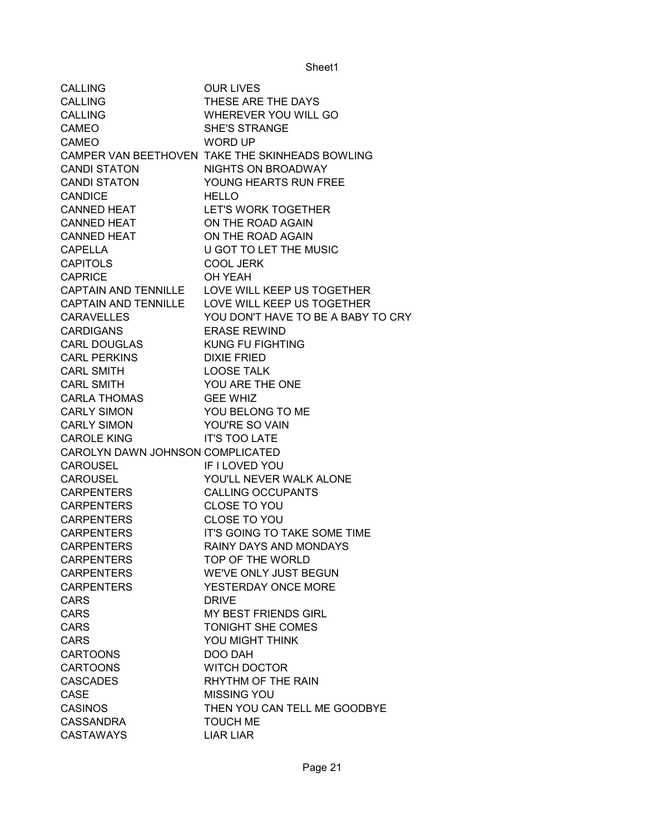| <b>CALLING</b>                   | <b>OUR LIVES</b>                                |
|----------------------------------|-------------------------------------------------|
| <b>CALLING</b>                   | THESE ARE THE DAYS                              |
| <b>CALLING</b>                   | WHEREVER YOU WILL GO                            |
| <b>CAMEO</b>                     | <b>SHE'S STRANGE</b>                            |
| <b>CAMEO</b>                     | <b>WORD UP</b>                                  |
|                                  | CAMPER VAN BEETHOVEN TAKE THE SKINHEADS BOWLING |
| <b>CANDI STATON</b>              | NIGHTS ON BROADWAY                              |
| <b>CANDI STATON</b>              | YOUNG HEARTS RUN FREE                           |
| <b>CANDICE</b>                   | <b>HELLO</b>                                    |
| <b>CANNED HEAT</b>               | <b>LET'S WORK TOGETHER</b>                      |
| <b>CANNED HEAT</b>               | ON THE ROAD AGAIN                               |
| <b>CANNED HEAT</b>               | ON THE ROAD AGAIN                               |
| <b>CAPELLA</b>                   | U GOT TO LET THE MUSIC                          |
| <b>CAPITOLS</b>                  | <b>COOL JERK</b>                                |
| <b>CAPRICE</b>                   | OH YEAH                                         |
|                                  | CAPTAIN AND TENNILLE LOVE WILL KEEP US TOGETHER |
|                                  | CAPTAIN AND TENNILLE LOVE WILL KEEP US TOGETHER |
| <b>CARAVELLES</b>                | YOU DON'T HAVE TO BE A BABY TO CRY              |
| <b>CARDIGANS</b>                 | <b>ERASE REWIND</b>                             |
| <b>CARL DOUGLAS</b>              | <b>KUNG FU FIGHTING</b>                         |
| <b>CARL PERKINS</b>              | <b>DIXIE FRIED</b>                              |
| <b>CARL SMITH</b>                | <b>LOOSE TALK</b>                               |
| <b>CARL SMITH</b>                | YOU ARE THE ONE                                 |
| <b>CARLA THOMAS</b>              | <b>GEE WHIZ</b>                                 |
| <b>CARLY SIMON</b>               | YOU BELONG TO ME                                |
| <b>CARLY SIMON</b>               | YOU'RE SO VAIN                                  |
| <b>CAROLE KING</b>               | <b>IT'S TOO LATE</b>                            |
| CAROLYN DAWN JOHNSON COMPLICATED |                                                 |
| <b>CAROUSEL</b>                  | IF I LOVED YOU                                  |
| <b>CAROUSEL</b>                  | YOU'LL NEVER WALK ALONE                         |
| <b>CARPENTERS</b>                | <b>CALLING OCCUPANTS</b>                        |
| <b>CARPENTERS</b>                | <b>CLOSE TO YOU</b>                             |
| <b>CARPENTERS</b>                | <b>CLOSE TO YOU</b>                             |
| CARPENTERS                       | IT'S GOING TO TAKE SOME TIME                    |
| <b>CARPENTERS</b>                | <b>RAINY DAYS AND MONDAYS</b>                   |
| <b>CARPENTERS</b>                | TOP OF THE WORLD                                |
| <b>CARPENTERS</b>                | WE'VE ONLY JUST BEGUN                           |
| <b>CARPENTERS</b>                | YESTERDAY ONCE MORE                             |
| <b>CARS</b>                      | <b>DRIVE</b>                                    |
| <b>CARS</b>                      | MY BEST FRIENDS GIRL                            |
| <b>CARS</b>                      | TONIGHT SHE COMES                               |
| <b>CARS</b>                      | YOU MIGHT THINK                                 |
| <b>CARTOONS</b>                  | DOO DAH                                         |
| <b>CARTOONS</b>                  | <b>WITCH DOCTOR</b>                             |
| <b>CASCADES</b>                  | RHYTHM OF THE RAIN                              |
| <b>CASE</b>                      | <b>MISSING YOU</b>                              |
| <b>CASINOS</b>                   | THEN YOU CAN TELL ME GOODBYE                    |
| <b>CASSANDRA</b>                 | <b>TOUCH ME</b>                                 |
| <b>CASTAWAYS</b>                 | <b>LIAR LIAR</b>                                |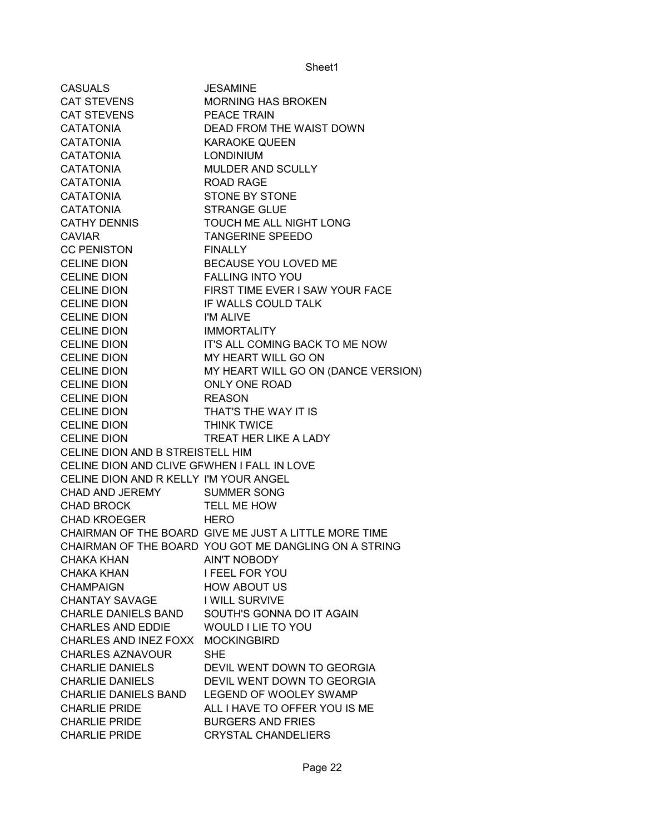| <b>CASUALS</b>                              | <b>JESAMINE</b>                                       |
|---------------------------------------------|-------------------------------------------------------|
| <b>CAT STEVENS</b>                          | <b>MORNING HAS BROKEN</b>                             |
| CAT STEVENS                                 | PEACE TRAIN                                           |
| <b>CATATONIA</b>                            | DEAD FROM THE WAIST DOWN                              |
| CATATONIA                                   | <b>KARAOKE QUEEN</b>                                  |
| <b>CATATONIA</b>                            | <b>LONDINIUM</b>                                      |
| <b>CATATONIA</b>                            | MULDER AND SCULLY                                     |
| <b>CATATONIA</b>                            | ROAD RAGE                                             |
| <b>CATATONIA</b>                            | <b>STONE BY STONE</b>                                 |
| <b>CATATONIA</b>                            | <b>STRANGE GLUE</b>                                   |
| <b>CATHY DENNIS</b>                         | TOUCH ME ALL NIGHT LONG                               |
| <b>CAVIAR</b>                               | <b>TANGERINE SPEEDO</b>                               |
| <b>CC PENISTON</b>                          | <b>FINALLY</b>                                        |
| <b>CELINE DION</b>                          | BECAUSE YOU LOVED ME                                  |
| <b>CELINE DION</b>                          | <b>FALLING INTO YOU</b>                               |
| <b>CELINE DION</b>                          | FIRST TIME EVER I SAW YOUR FACE                       |
| <b>CELINE DION</b>                          | IF WALLS COULD TALK                                   |
| <b>CELINE DION</b>                          | I'M ALIVE                                             |
| <b>CELINE DION</b>                          | <b>IMMORTALITY</b>                                    |
| <b>CELINE DION</b>                          | IT'S ALL COMING BACK TO ME NOW                        |
| <b>CELINE DION</b>                          | MY HEART WILL GO ON                                   |
| <b>CELINE DION</b>                          | MY HEART WILL GO ON (DANCE VERSION)                   |
| <b>CELINE DION</b>                          | ONLY ONE ROAD                                         |
| <b>CELINE DION</b>                          | <b>REASON</b>                                         |
| <b>CELINE DION</b>                          | THAT'S THE WAY IT IS                                  |
| <b>CELINE DION</b>                          | <b>THINK TWICE</b>                                    |
| <b>CELINE DION</b>                          | TREAT HER LIKE A LADY                                 |
| CELINE DION AND B STREISTELL HIM            |                                                       |
| CELINE DION AND CLIVE GFWHEN I FALL IN LOVE |                                                       |
| CELINE DION AND R KELLY I'M YOUR ANGEL      |                                                       |
| CHAD AND JEREMY                             | <b>SUMMER SONG</b>                                    |
| <b>CHAD BROCK</b>                           | TELL ME HOW                                           |
| CHAD KROEGER                                | <b>HERO</b>                                           |
|                                             | CHAIRMAN OF THE BOARD GIVE ME JUST A LITTLE MORE TIME |
|                                             | CHAIRMAN OF THE BOARD YOU GOT ME DANGLING ON A STRING |
| <b>CHAKA KHAN</b>                           | <b>AIN'T NOBODY</b>                                   |
| CHAKA KHAN                                  | <b>I FEEL FOR YOU</b>                                 |
| <b>CHAMPAIGN</b>                            | <b>HOW ABOUT US</b>                                   |
| <b>CHANTAY SAVAGE</b>                       | I WILL SURVIVE                                        |
| <b>CHARLE DANIELS BAND</b>                  | SOUTH'S GONNA DO IT AGAIN                             |
| <b>CHARLES AND EDDIE</b>                    | WOULD I LIE TO YOU                                    |
| CHARLES AND INEZ FOXX                       | <b>MOCKINGBIRD</b>                                    |
| <b>CHARLES AZNAVOUR</b>                     | <b>SHE</b>                                            |
| <b>CHARLIE DANIELS</b>                      | DEVIL WENT DOWN TO GEORGIA                            |
| <b>CHARLIE DANIELS</b>                      | DEVIL WENT DOWN TO GEORGIA                            |
| <b>CHARLIE DANIELS BAND</b>                 | LEGEND OF WOOLEY SWAMP                                |
| <b>CHARLIE PRIDE</b>                        | ALL I HAVE TO OFFER YOU IS ME                         |
| <b>CHARLIE PRIDE</b>                        | <b>BURGERS AND FRIES</b>                              |
| <b>CHARLIE PRIDE</b>                        | <b>CRYSTAL CHANDELIERS</b>                            |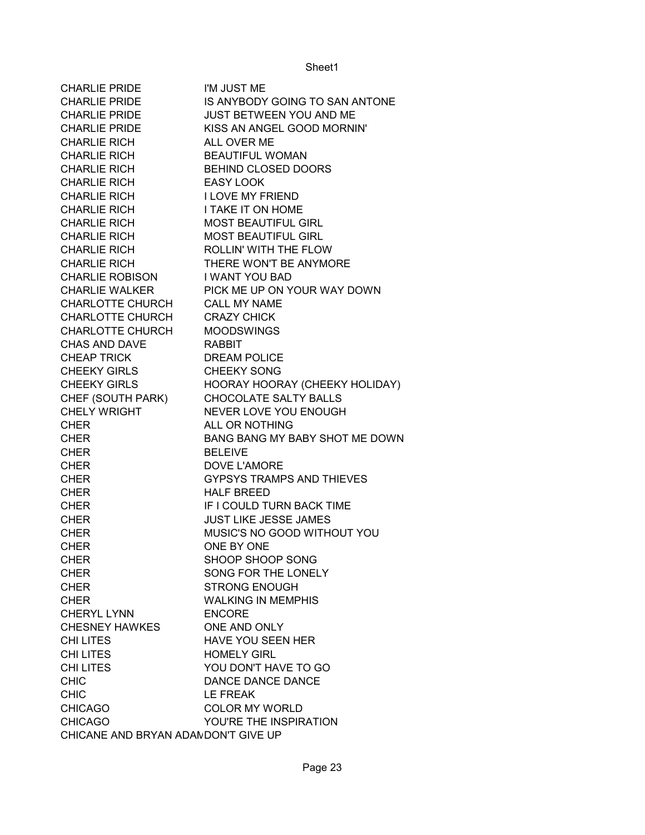| <b>CHARLIE PRIDE</b>                | I'M JUST ME                      |
|-------------------------------------|----------------------------------|
| <b>CHARLIE PRIDE</b>                | IS ANYBODY GOING TO SAN ANTONE   |
| <b>CHARLIE PRIDE</b>                | JUST BETWEEN YOU AND ME          |
| <b>CHARLIE PRIDE</b>                | KISS AN ANGEL GOOD MORNIN'       |
| <b>CHARLIE RICH</b>                 | ALL OVER ME                      |
| <b>CHARLIE RICH</b>                 | <b>BEAUTIFUL WOMAN</b>           |
| <b>CHARLIE RICH</b>                 | BEHIND CLOSED DOORS              |
| <b>CHARLIE RICH</b>                 | <b>EASY LOOK</b>                 |
| <b>CHARLIE RICH</b>                 | <b>I LOVE MY FRIEND</b>          |
| <b>CHARLIE RICH</b>                 | <b>I TAKE IT ON HOME</b>         |
| <b>CHARLIE RICH</b>                 | <b>MOST BEAUTIFUL GIRL</b>       |
| <b>CHARLIE RICH</b>                 | <b>MOST BEAUTIFUL GIRL</b>       |
| <b>CHARLIE RICH</b>                 | ROLLIN' WITH THE FLOW            |
| <b>CHARLIE RICH</b>                 | THERE WON'T BE ANYMORE           |
| <b>CHARLIE ROBISON</b>              | <b>I WANT YOU BAD</b>            |
| <b>CHARLIE WALKER</b>               | PICK ME UP ON YOUR WAY DOWN      |
| <b>CHARLOTTE CHURCH</b>             | <b>CALL MY NAME</b>              |
| <b>CHARLOTTE CHURCH</b>             | <b>CRAZY CHICK</b>               |
| CHARLOTTE CHURCH                    | <b>MOODSWINGS</b>                |
|                                     | <b>RABBIT</b>                    |
| <b>CHAS AND DAVE</b>                |                                  |
| CHEAP TRICK                         | <b>DREAM POLICE</b>              |
| <b>CHEEKY GIRLS</b>                 | <b>CHEEKY SONG</b>               |
| <b>CHEEKY GIRLS</b>                 | HOORAY HOORAY (CHEEKY HOLIDAY)   |
| CHEF (SOUTH PARK)                   | CHOCOLATE SALTY BALLS            |
| <b>CHELY WRIGHT</b>                 | NEVER LOVE YOU ENOUGH            |
| <b>CHER</b>                         | ALL OR NOTHING                   |
| <b>CHER</b>                         | BANG BANG MY BABY SHOT ME DOWN   |
| <b>CHER</b>                         | <b>BELEIVE</b>                   |
| <b>CHER</b>                         | DOVE L'AMORE                     |
| <b>CHER</b>                         | <b>GYPSYS TRAMPS AND THIEVES</b> |
| <b>CHER</b>                         | <b>HALF BREED</b>                |
| <b>CHER</b>                         | IF I COULD TURN BACK TIME        |
| <b>CHER</b>                         | <b>JUST LIKE JESSE JAMES</b>     |
| <b>CHER</b>                         | MUSIC'S NO GOOD WITHOUT YOU      |
| <b>CHER</b>                         | ONE BY ONE                       |
| <b>CHER</b>                         | SHOOP SHOOP SONG                 |
| <b>CHER</b>                         | SONG FOR THE LONELY              |
| <b>CHER</b>                         | <b>STRONG ENOUGH</b>             |
| <b>CHER</b>                         | <b>WALKING IN MEMPHIS</b>        |
| <b>CHERYL LYNN</b>                  | <b>ENCORE</b>                    |
| CHESNEY HAWKES                      | ONE AND ONLY                     |
| <b>CHILITES</b>                     | <b>HAVE YOU SEEN HER</b>         |
| <b>CHILITES</b>                     | <b>HOMELY GIRL</b>               |
| <b>CHILITES</b>                     | YOU DON'T HAVE TO GO             |
| <b>CHIC</b>                         | DANCE DANCE DANCE                |
| <b>CHIC</b>                         | <b>LE FREAK</b>                  |
| <b>CHICAGO</b>                      | <b>COLOR MY WORLD</b>            |
| <b>CHICAGO</b>                      | YOU'RE THE INSPIRATION           |
| CHICANE AND BRYAN ADAMDON'T GIVE UP |                                  |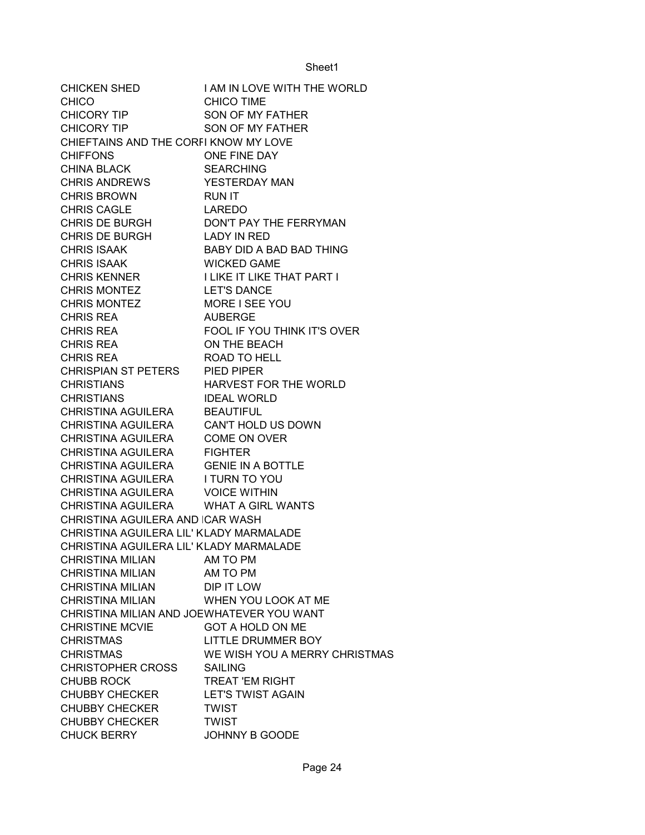| CHICKEN SHED                              | I AM IN LOVE WITH THE WORLD           |
|-------------------------------------------|---------------------------------------|
| <b>CHICO</b>                              | <b>CHICO TIME</b>                     |
| CHICORY TIP                               | SON OF MY FATHER                      |
| CHICORY TIP                               | SON OF MY FATHER                      |
| CHIEFTAINS AND THE CORFI KNOW MY LOVE     |                                       |
| <b>CHIFFONS</b>                           | ONE FINE DAY                          |
| <b>CHINA BLACK</b>                        | <b>SEARCHING</b>                      |
| CHRIS ANDREWS                             | YESTERDAY MAN                         |
| <b>CHRIS BROWN</b>                        | <b>RUN IT</b>                         |
| <b>CHRIS CAGLE</b>                        | LAREDO                                |
|                                           | CHRIS DE BURGH DON'T PAY THE FERRYMAN |
| CHRIS DE BURGH LADY IN RED                |                                       |
| <b>CHRIS ISAAK</b>                        | BABY DID A BAD BAD THING              |
| CHRIS ISAAK                               | <b>WICKED GAME</b>                    |
| <b>CHRIS KENNER</b>                       | <b>I LIKE IT LIKE THAT PART I</b>     |
| <b>CHRIS MONTEZ</b>                       | <b>LET'S DANCE</b>                    |
| <b>CHRIS MONTEZ</b>                       | MORE I SEE YOU                        |
| <b>CHRIS REA</b>                          | <b>AUBERGE</b>                        |
| CHRIS REA                                 | FOOL IF YOU THINK IT'S OVER           |
| CHRIS REA                                 | ON THE BEACH                          |
| <b>CHRIS REA</b>                          | ROAD TO HELL                          |
| CHRISPIAN ST PETERS PIED PIPER            |                                       |
| <b>CHRISTIANS</b>                         | HARVEST FOR THE WORLD                 |
| <b>CHRISTIANS</b>                         | <b>IDEAL WORLD</b>                    |
| CHRISTINA AGUILERA BEAUTIFUL              |                                       |
| CHRISTINA AGUILERA CAN'T HOLD US DOWN     |                                       |
| CHRISTINA AGUILERA COME ON OVER           |                                       |
| CHRISTINA AGUILERA FIGHTER                |                                       |
| CHRISTINA AGUILERA GENIE IN A BOTTLE      |                                       |
| <b>CHRISTINA AGUILERA</b>                 | I TURN TO YOU                         |
| <b>CHRISTINA AGUILERA</b>                 | <b>VOICE WITHIN</b>                   |
| CHRISTINA AGUILERA WHAT A GIRL WANTS      |                                       |
| CHRISTINA AGUILERA AND ICAR WASH          |                                       |
| CHRISTINA AGUILERA LIL' KLADY MARMALADE   |                                       |
| CHRISTINA AGUILERA LIL' KLADY MARMALADE   |                                       |
| <b>CHRISTINA MILIAN</b>                   | AM TO PM                              |
| <b>CHRISTINA MILIAN</b>                   | AM TO PM                              |
| CHRISTINA MILIAN                          | DIP IT LOW                            |
| <b>CHRISTINA MILIAN</b>                   | WHEN YOU LOOK AT ME                   |
| CHRISTINA MILIAN AND JOEWHATEVER YOU WANT |                                       |
| <b>CHRISTINE MCVIE</b>                    | GOT A HOLD ON ME                      |
| <b>CHRISTMAS</b>                          | <b>LITTLE DRUMMER BOY</b>             |
| <b>CHRISTMAS</b>                          | WE WISH YOU A MERRY CHRISTMAS         |
| <b>CHRISTOPHER CROSS</b>                  | <b>SAILING</b>                        |
| <b>CHUBB ROCK</b>                         | <b>TREAT 'EM RIGHT</b>                |
| <b>CHUBBY CHECKER</b>                     | <b>LET'S TWIST AGAIN</b>              |
| <b>CHUBBY CHECKER</b>                     | <b>TWIST</b>                          |
| <b>CHUBBY CHECKER</b>                     | <b>TWIST</b>                          |
| <b>CHUCK BERRY</b>                        | <b>JOHNNY B GOODE</b>                 |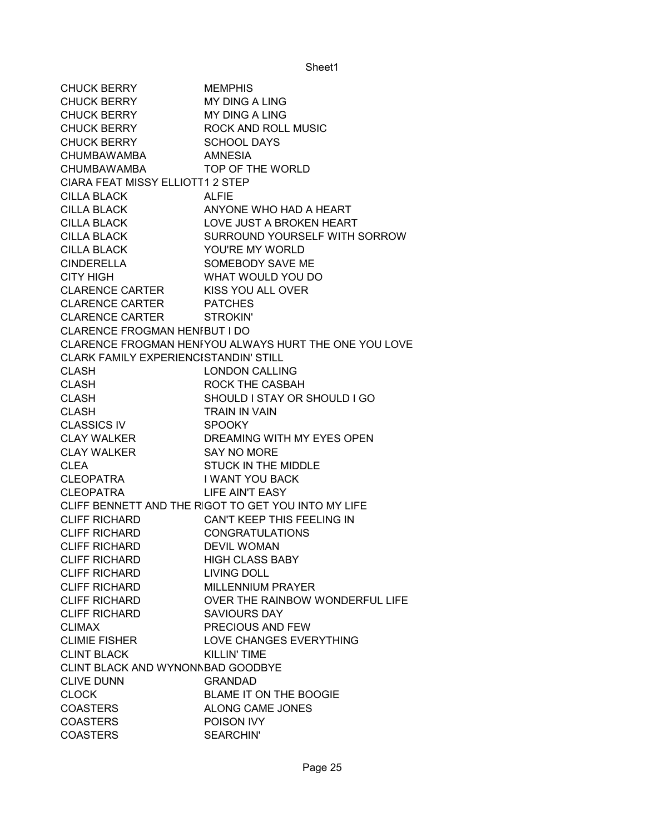CHUCK BERRY MEMPHIS CHUCK BERRY MY DING A LING CHUCK BERRY MY DING A LING CHUCK BERRY ROCK AND ROLL MUSIC CHUCK BERRY SCHOOL DAYS CHUMBAWAMBA AMNESIA CHUMBAWAMBA TOP OF THE WORLD CIARA FEAT MISSY ELLIOTT1 2 STEP CILLA BLACK ALFIE CILLA BLACK ANYONE WHO HAD A HEART CILLA BLACK LOVE JUST A BROKEN HEART CILLA BLACK SURROUND YOURSELF WITH SORROW CILLA BLACK YOU'RE MY WORLD CINDERELLA SOMEBODY SAVE ME CITY HIGH WHAT WOULD YOU DO CLARENCE CARTER KISS YOU ALL OVER CLARENCE CARTER PATCHES CLARENCE CARTER STROKIN' CLARENCE FROGMAN HENFBUT I DO CLARENCE FROGMAN HENRYYOU ALWAYS HURT THE ONE YOU LOVE CLARK FAMILY EXPERIENCISTANDIN' STILL CLASH LONDON CALLING CLASH ROCK THE CASBAH CLASH SHOULD I STAY OR SHOULD I GO CLASH TRAIN IN VAIN CLASSICS IV SPOOKY CLAY WALKER DREAMING WITH MY EYES OPEN CLAY WALKER SAY NO MORE CLEA STUCK IN THE MIDDLE CLEOPATRA I WANT YOU BACK CLEOPATRA LIFE AIN'T EASY CLIFF BENNETT AND THE RIGOT TO GET YOU INTO MY LIFE CLIFF RICHARD CAN'T KEEP THIS FEELING IN CLIFF RICHARD CONGRATULATIONS CLIFF RICHARD DEVIL WOMAN CLIFF RICHARD HIGH CLASS BABY CLIFF RICHARD LIVING DOLL CLIFF RICHARD MILLENNIUM PRAYER CLIFF RICHARD OVER THE RAINBOW WONDERFUL LIFE CLIFF RICHARD SAVIOURS DAY CLIMAX PRECIOUS AND FEW CLIMIE FISHER LOVE CHANGES EVERYTHING CLINT BLACK KILLIN' TIME CLINT BLACK AND WYNONNBAD GOODBYE CLIVE DUNN GRANDAD CLOCK BLAME IT ON THE BOOGIE COASTERS ALONG CAME JONES COASTERS POISON IVY COASTERS SEARCHIN'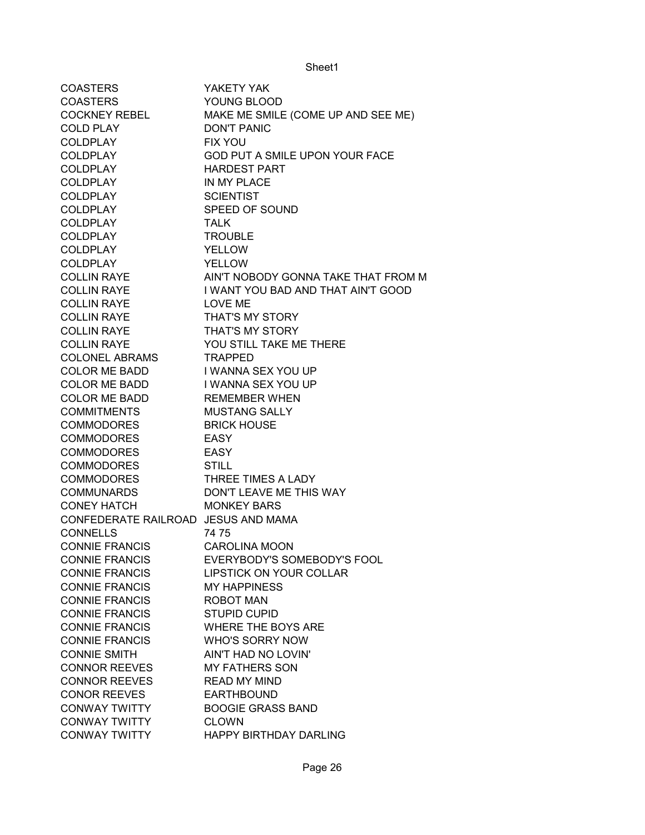| <b>COASTERS</b>                     | YAKETY YAK                          |
|-------------------------------------|-------------------------------------|
| <b>COASTERS</b>                     | YOUNG BLOOD                         |
| COCKNEY REBEL                       | MAKE ME SMILE (COME UP AND SEE ME)  |
| <b>COLD PLAY</b>                    | <b>DON'T PANIC</b>                  |
| <b>COLDPLAY</b>                     | <b>FIX YOU</b>                      |
| <b>COLDPLAY</b>                     | GOD PUT A SMILE UPON YOUR FACE      |
| <b>COLDPLAY</b>                     | <b>HARDEST PART</b>                 |
| <b>COLDPLAY</b>                     | IN MY PLACE                         |
| <b>COLDPLAY</b>                     | <b>SCIENTIST</b>                    |
| COLDPLAY                            | SPEED OF SOUND                      |
| COLDPLAY                            | <b>TALK</b>                         |
| COLDPLAY                            | <b>TROUBLE</b>                      |
| COLDPLAY                            | <b>YELLOW</b>                       |
| <b>COLDPLAY</b>                     | <b>YELLOW</b>                       |
| <b>COLLIN RAYE</b>                  | AIN'T NOBODY GONNA TAKE THAT FROM M |
| <b>COLLIN RAYE</b>                  | I WANT YOU BAD AND THAT AIN'T GOOD  |
| <b>COLLIN RAYE</b>                  | LOVE ME                             |
| <b>COLLIN RAYE</b>                  | <b>THAT'S MY STORY</b>              |
| <b>COLLIN RAYE</b>                  | <b>THAT'S MY STORY</b>              |
| <b>COLLIN RAYE</b>                  | YOU STILL TAKE ME THERE             |
| <b>COLONEL ABRAMS</b>               | <b>TRAPPED</b>                      |
| COLOR ME BADD                       | I WANNA SEX YOU UP                  |
| COLOR ME BADD                       | I WANNA SEX YOU UP                  |
| COLOR ME BADD                       | <b>REMEMBER WHEN</b>                |
| <b>COMMITMENTS</b>                  | <b>MUSTANG SALLY</b>                |
| COMMODORES                          | <b>BRICK HOUSE</b>                  |
| COMMODORES                          | EASY                                |
| COMMODORES                          | EASY                                |
| COMMODORES                          |                                     |
|                                     | <b>STILL</b><br>THREE TIMES A LADY  |
| COMMODORES                          |                                     |
| <b>COMMUNARDS</b>                   | DON'T LEAVE ME THIS WAY             |
| <b>CONEY HATCH</b>                  | <b>MONKEY BARS</b>                  |
| CONFEDERATE RAILROAD JESUS AND MAMA |                                     |
| <b>CONNELLS</b>                     | 7475                                |
| CONNIE FRANCIS                      | <b>CAROLINA MOON</b>                |
| <b>CONNIE FRANCIS</b>               | EVERYBODY'S SOMEBODY'S FOOL         |
| <b>CONNIE FRANCIS</b>               | <b>LIPSTICK ON YOUR COLLAR</b>      |
| <b>CONNIE FRANCIS</b>               | <b>MY HAPPINESS</b>                 |
| <b>CONNIE FRANCIS</b>               | <b>ROBOT MAN</b>                    |
| <b>CONNIE FRANCIS</b>               | <b>STUPID CUPID</b>                 |
| <b>CONNIE FRANCIS</b>               | <b>WHERE THE BOYS ARE</b>           |
| <b>CONNIE FRANCIS</b>               | <b>WHO'S SORRY NOW</b>              |
| <b>CONNIE SMITH</b>                 | AIN'T HAD NO LOVIN'                 |
| <b>CONNOR REEVES</b>                | <b>MY FATHERS SON</b>               |
| <b>CONNOR REEVES</b>                | <b>READ MY MIND</b>                 |
| <b>CONOR REEVES</b>                 | <b>EARTHBOUND</b>                   |
| <b>CONWAY TWITTY</b>                | <b>BOOGIE GRASS BAND</b>            |
| <b>CONWAY TWITTY</b>                | <b>CLOWN</b>                        |
| <b>CONWAY TWITTY</b>                | HAPPY BIRTHDAY DARLING              |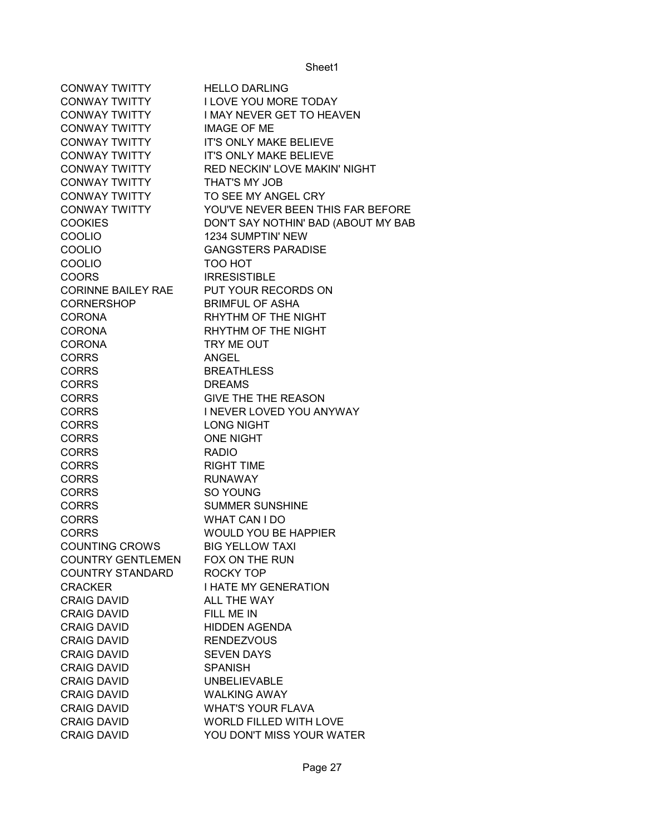| <b>CONWAY TWITTY</b>      | <b>HELLO DARLING</b>                |
|---------------------------|-------------------------------------|
| <b>CONWAY TWITTY</b>      | <b>I LOVE YOU MORE TODAY</b>        |
| <b>CONWAY TWITTY</b>      | <b>I MAY NEVER GET TO HEAVEN</b>    |
| <b>CONWAY TWITTY</b>      | <b>IMAGE OF ME</b>                  |
| <b>CONWAY TWITTY</b>      | IT'S ONLY MAKE BELIEVE              |
| <b>CONWAY TWITTY</b>      | <b>IT'S ONLY MAKE BELIEVE</b>       |
| <b>CONWAY TWITTY</b>      | RED NECKIN' LOVE MAKIN' NIGHT       |
| <b>CONWAY TWITTY</b>      | THAT'S MY JOB                       |
| <b>CONWAY TWITTY</b>      | TO SEE MY ANGEL CRY                 |
| <b>CONWAY TWITTY</b>      | YOU'VE NEVER BEEN THIS FAR BEFORE   |
| <b>COOKIES</b>            | DON'T SAY NOTHIN' BAD (ABOUT MY BAB |
| COOLIO                    | 1234 SUMPTIN' NEW                   |
| <b>COOLIO</b>             | <b>GANGSTERS PARADISE</b>           |
| <b>COOLIO</b>             | TOO HOT                             |
| <b>COORS</b>              | <b>IRRESISTIBLE</b>                 |
| <b>CORINNE BAILEY RAE</b> | PUT YOUR RECORDS ON                 |
| <b>CORNERSHOP</b>         | <b>BRIMFUL OF ASHA</b>              |
| <b>CORONA</b>             | RHYTHM OF THE NIGHT                 |
| <b>CORONA</b>             | RHYTHM OF THE NIGHT                 |
| <b>CORONA</b>             | TRY ME OUT                          |
| <b>CORRS</b>              | <b>ANGEL</b>                        |
| <b>CORRS</b>              | <b>BREATHLESS</b>                   |
| <b>CORRS</b>              | <b>DREAMS</b>                       |
| <b>CORRS</b>              | <b>GIVE THE THE REASON</b>          |
| <b>CORRS</b>              | I NEVER LOVED YOU ANYWAY            |
| <b>CORRS</b>              | <b>LONG NIGHT</b>                   |
| <b>CORRS</b>              | <b>ONE NIGHT</b>                    |
| <b>CORRS</b>              | <b>RADIO</b>                        |
| <b>CORRS</b>              | <b>RIGHT TIME</b>                   |
| <b>CORRS</b>              | <b>RUNAWAY</b>                      |
| <b>CORRS</b>              | SO YOUNG                            |
| <b>CORRS</b>              | <b>SUMMER SUNSHINE</b>              |
| <b>CORRS</b>              | <b>WHAT CAN I DO</b>                |
| <b>CORRS</b>              | WOULD YOU BE HAPPIER                |
| <b>COUNTING CROWS</b>     | <b>BIG YELLOW TAXI</b>              |
| <b>COUNTRY GENTLEMEN</b>  | FOX ON THE RUN                      |
| <b>COUNTRY STANDARD</b>   | ROCKY TOP                           |
| <b>CRACKER</b>            | <b>I HATE MY GENERATION</b>         |
| <b>CRAIG DAVID</b>        | ALL THE WAY                         |
| <b>CRAIG DAVID</b>        | FILL ME IN                          |
| <b>CRAIG DAVID</b>        | <b>HIDDEN AGENDA</b>                |
| <b>CRAIG DAVID</b>        | <b>RENDEZVOUS</b>                   |
| <b>CRAIG DAVID</b>        | <b>SEVEN DAYS</b>                   |
| <b>CRAIG DAVID</b>        | <b>SPANISH</b>                      |
| <b>CRAIG DAVID</b>        | <b>UNBELIEVABLE</b>                 |
| <b>CRAIG DAVID</b>        | <b>WALKING AWAY</b>                 |
| <b>CRAIG DAVID</b>        | <b>WHAT'S YOUR FLAVA</b>            |
| <b>CRAIG DAVID</b>        | WORLD FILLED WITH LOVE              |
| <b>CRAIG DAVID</b>        | YOU DON'T MISS YOUR WATER           |
|                           |                                     |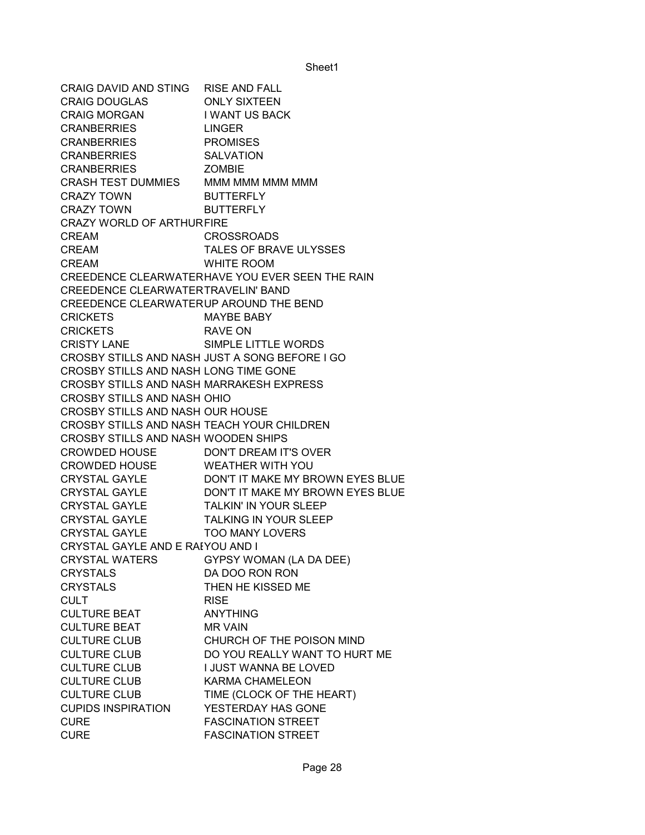CRAIG DAVID AND STING RISE AND FALL CRAIG DOUGLAS ONLY SIXTEEN CRAIG MORGAN I WANT US BACK CRANBERRIES LINGER CRANBERRIES PROMISES CRANBERRIES SALVATION CRANBERRIES ZOMBIE CRASH TEST DUMMIES MMM MMM MMM MMM CRAZY TOWN BUTTERFLY CRAZY TOWN BUTTERFLY CRAZY WORLD OF ARTHUR FIRE CREAM CROSSROADS CREAM TALES OF BRAVE ULYSSES CREAM WHITE ROOM CREEDENCE CLEARWATER HAVE YOU EVER SEEN THE RAIN CREEDENCE CLEARWATER TRAVELIN' BAND CREEDENCE CLEARWATERUP AROUND THE BEND CRICKETS MAYBE BABY CRICKETS RAVE ON CRISTY LANE SIMPLE LITTLE WORDS CROSBY STILLS AND NASH JUST A SONG BEFORE I GO CROSBY STILLS AND NASH LONG TIME GONE CROSBY STILLS AND NASH MARRAKESH EXPRESS CROSBY STILLS AND NASH OHIO CROSBY STILLS AND NASH OUR HOUSE CROSBY STILLS AND NASH TEACH YOUR CHILDREN CROSBY STILLS AND NASH WOODEN SHIPS CROWDED HOUSE DON'T DREAM IT'S OVER CROWDED HOUSE WEATHER WITH YOU CRYSTAL GAYLE DON'T IT MAKE MY BROWN EYES BLUE CRYSTAL GAYLE DON'T IT MAKE MY BROWN EYES BLUE CRYSTAL GAYLE TALKIN' IN YOUR SLEEP CRYSTAL GAYLE TALKING IN YOUR SLEEP CRYSTAL GAYLE TOO MANY LOVERS CRYSTAL GAYLE AND E RAEYOU AND I CRYSTAL WATERS GYPSY WOMAN (LA DA DEE) CRYSTALS DA DOO RON RON CRYSTALS THEN HE KISSED ME CULT RISE CULTURE BEAT ANYTHING CULTURE BEAT MR VAIN CULTURE CLUB CHURCH OF THE POISON MIND CULTURE CLUB DO YOU REALLY WANT TO HURT ME CULTURE CLUB I JUST WANNA BE LOVED CULTURE CLUB KARMA CHAMELEON CULTURE CLUB TIME (CLOCK OF THE HEART) CUPIDS INSPIRATION YESTERDAY HAS GONE CURE FASCINATION STREET CURE FASCINATION STREET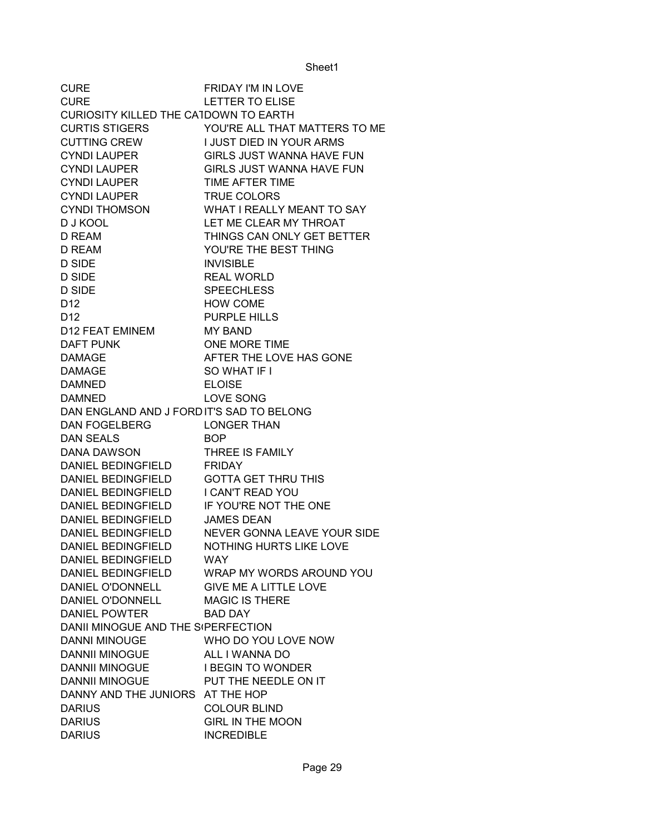| <b>CURE</b>                               | <b>FRIDAY I'M IN LOVE</b>                   |
|-------------------------------------------|---------------------------------------------|
| <b>CURE</b>                               | <b>LETTER TO ELISE</b>                      |
| CURIOSITY KILLED THE CATDOWN TO EARTH     |                                             |
| <b>CURTIS STIGERS</b>                     | YOU'RE ALL THAT MATTERS TO ME               |
| <b>CUTTING CREW</b>                       | I JUST DIED IN YOUR ARMS                    |
| <b>CYNDI LAUPER</b>                       | GIRLS JUST WANNA HAVE FUN                   |
| <b>CYNDI LAUPER</b>                       | <b>GIRLS JUST WANNA HAVE FUN</b>            |
| <b>CYNDI LAUPER</b>                       | TIME AFTER TIME                             |
| <b>CYNDI LAUPER</b>                       | <b>TRUE COLORS</b>                          |
| <b>CYNDI THOMSON</b>                      | WHAT I REALLY MEANT TO SAY                  |
| <b>DJ KOOL</b>                            | LET ME CLEAR MY THROAT                      |
| D REAM                                    | THINGS CAN ONLY GET BETTER                  |
| D REAM                                    | YOU'RE THE BEST THING                       |
| D SIDE                                    | <b>INVISIBLE</b>                            |
| <b>D SIDE</b>                             | <b>REAL WORLD</b>                           |
| <b>D SIDE</b>                             | <b>SPEECHLESS</b>                           |
| D <sub>12</sub>                           | <b>HOW COME</b>                             |
| D <sub>12</sub>                           | <b>PURPLE HILLS</b>                         |
| D12 FEAT EMINEM                           | <b>MY BAND</b>                              |
| <b>DAFT PUNK</b>                          | ONE MORE TIME                               |
| <b>DAMAGE</b>                             | AFTER THE LOVE HAS GONE                     |
| <b>DAMAGE</b>                             | SO WHAT IF I                                |
| <b>DAMNED</b>                             | <b>ELOISE</b>                               |
| <b>DAMNED</b>                             | <b>LOVE SONG</b>                            |
| DAN ENGLAND AND J FORD IT'S SAD TO BELONG |                                             |
| DAN FOGELBERG                             | <b>LONGER THAN</b>                          |
| <b>DAN SEALS</b>                          | <b>BOP</b>                                  |
| <b>DANA DAWSON</b>                        | THREE IS FAMILY                             |
| DANIEL BEDINGFIELD FRIDAY                 |                                             |
| DANIEL BEDINGFIELD GOTTA GET THRU THIS    |                                             |
| DANIEL BEDINGFIELD I CAN'T READ YOU       |                                             |
| DANIEL BEDINGFIELD                        | IF YOU'RE NOT THE ONE                       |
| DANIEL BEDINGFIELD                        | <b>JAMES DEAN</b>                           |
| DANIEL BEDINGFIELD                        | NEVER GONNA LEAVE YOUR SIDE                 |
| <b>DANIEL BEDINGFIELD</b>                 | NOTHING HURTS LIKE LOVE                     |
| DANIEL BEDINGFIELD                        | <b>WAY</b>                                  |
|                                           | DANIEL BEDINGFIELD WRAP MY WORDS AROUND YOU |
| DANIEL O'DONNELL                          | <b>GIVE ME A LITTLE LOVE</b>                |
| DANIEL O'DONNELL                          | <b>MAGIC IS THERE</b>                       |
| <b>DANIEL POWTER</b>                      | <b>BAD DAY</b>                              |
| DANII MINOGUE AND THE S(PERFECTION        |                                             |
| <b>DANNI MINOUGE</b>                      | WHO DO YOU LOVE NOW                         |
| <b>DANNII MINOGUE</b>                     | ALL I WANNA DO                              |
| <b>DANNII MINOGUE</b>                     | <b>I BEGIN TO WONDER</b>                    |
| DANNII MINOGUE PUT THE NEEDLE ON IT       |                                             |
| DANNY AND THE JUNIORS AT THE HOP          |                                             |
| <b>DARIUS</b>                             | <b>COLOUR BLIND</b>                         |
| <b>DARIUS</b>                             | <b>GIRL IN THE MOON</b>                     |
|                                           | <b>INCREDIBLE</b>                           |
| <b>DARIUS</b>                             |                                             |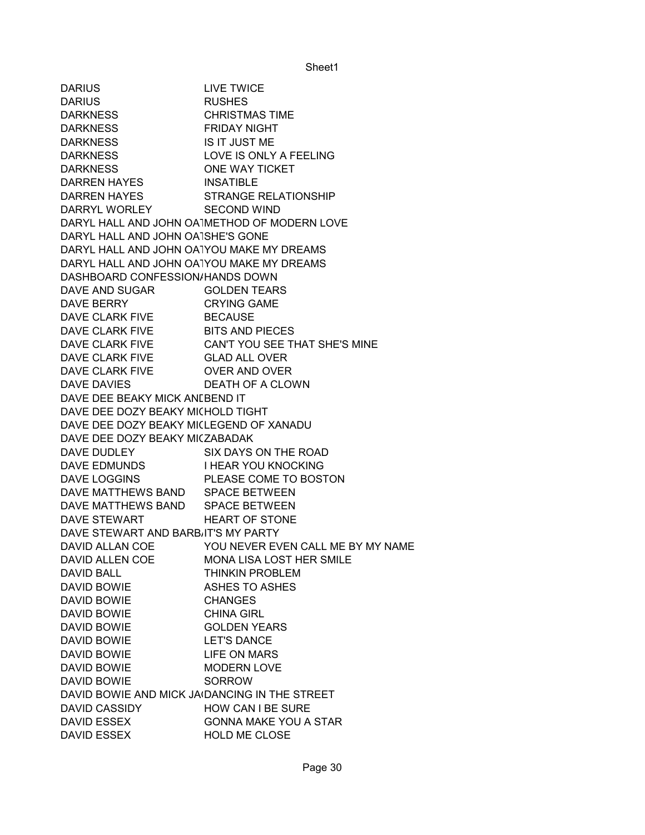DARIUS LIVE TWICE DARIUS RUSHES DARKNESS CHRISTMAS TIME DARKNESS FRIDAY NIGHT DARKNESS IS IT JUST ME DARKNESS LOVE IS ONLY A FEELING DARKNESS ONE WAY TICKET DARREN HAYES INSATIBLE DARREN HAYES STRANGE RELATIONSHIP DARRYL WORLEY SECOND WIND DARYL HALL AND JOHN OATMETHOD OF MODERN LOVE DARYL HALL AND JOHN OATSHE'S GONE DARYL HALL AND JOHN OATYOU MAKE MY DREAMS DARYL HALL AND JOHN OATYOU MAKE MY DREAMS DASHBOARD CONFESSION/HANDS DOWN DAVE AND SUGAR GOLDEN TEARS DAVE BERRY CRYING GAME DAVE CLARK FIVE BECAUSE DAVE CLARK FIVE BITS AND PIECES DAVE CLARK FIVE CAN'T YOU SEE THAT SHE'S MINE DAVE CLARK FIVE GLAD ALL OVER DAVE CLARK FIVE OVER AND OVER DAVE DAVIES DEATH OF A CLOWN DAVE DEE BEAKY MICK ANLBEND IT DAVE DEE DOZY BEAKY MICHOLD TIGHT DAVE DEE DOZY BEAKY MICLEGEND OF XANADU DAVE DEE DOZY BEAKY MICZABADAK DAVE DUDLEY SIX DAYS ON THE ROAD DAVE EDMUNDS I HEAR YOU KNOCKING DAVE LOGGINS PLEASE COME TO BOSTON DAVE MATTHEWS BAND SPACE BETWEEN DAVE MATTHEWS BAND SPACE BETWEEN DAVE STEWART HEART OF STONE DAVE STEWART AND BARBIIT'S MY PARTY DAVID ALLAN COE YOU NEVER EVEN CALL ME BY MY NAME DAVID ALLEN COE MONA LISA LOST HER SMILE DAVID BALL **THINKIN PROBLEM** DAVID BOWIE ASHES TO ASHES DAVID BOWIE CHANGES DAVID BOWIE CHINA GIRL DAVID BOWIE GOLDEN YEARS DAVID BOWIE LET'S DANCE DAVID BOWIE LIFE ON MARS DAVID BOWIE MODERN LOVE DAVID BOWIE SORROW DAVID BOWIE AND MICK JA(DANCING IN THE STREET DAVID CASSIDY HOW CAN I BE SURE DAVID ESSEX GONNA MAKE YOU A STAR DAVID ESSEX HOLD ME CLOSE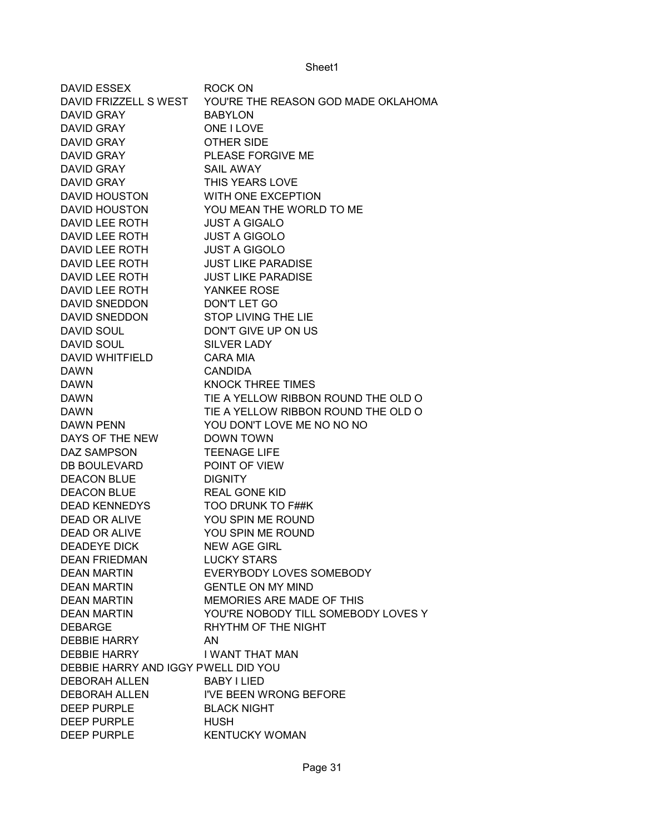| <b>DAVID ESSEX</b>                  | ROCK ON                             |
|-------------------------------------|-------------------------------------|
| DAVID FRIZZELL S WEST               | YOU'RE THE REASON GOD MADE OKLAHOMA |
| DAVID GRAY                          | <b>BABYLON</b>                      |
| <b>DAVID GRAY</b>                   | <b>ONE I LOVE</b>                   |
| <b>DAVID GRAY</b>                   | <b>OTHER SIDE</b>                   |
| <b>DAVID GRAY</b>                   | PLEASE FORGIVE ME                   |
| <b>DAVID GRAY</b>                   | <b>SAIL AWAY</b>                    |
| <b>DAVID GRAY</b>                   | THIS YEARS LOVE                     |
| <b>DAVID HOUSTON</b>                | WITH ONE EXCEPTION                  |
| <b>DAVID HOUSTON</b>                | YOU MEAN THE WORLD TO ME            |
| <b>DAVID LEE ROTH</b>               | <b>JUST A GIGALO</b>                |
| DAVID LEE ROTH                      | <b>JUST A GIGOLO</b>                |
| DAVID LEE ROTH                      | <b>JUST A GIGOLO</b>                |
| DAVID LEE ROTH                      | <b>JUST LIKE PARADISE</b>           |
| <b>DAVID LEE ROTH</b>               | <b>JUST LIKE PARADISE</b>           |
| DAVID LEE ROTH                      | YANKEE ROSE                         |
| <b>DAVID SNEDDON</b>                | DON'T LET GO                        |
| <b>DAVID SNEDDON</b>                | <b>STOP LIVING THE LIE</b>          |
| <b>DAVID SOUL</b>                   | DON'T GIVE UP ON US                 |
| <b>DAVID SOUL</b>                   | <b>SILVER LADY</b>                  |
| <b>DAVID WHITFIELD</b>              | CARA MIA                            |
| <b>DAWN</b>                         | <b>CANDIDA</b>                      |
| <b>DAWN</b>                         | <b>KNOCK THREE TIMES</b>            |
| <b>DAWN</b>                         | TIE A YELLOW RIBBON ROUND THE OLD O |
| <b>DAWN</b>                         | TIE A YELLOW RIBBON ROUND THE OLD O |
| <b>DAWN PENN</b>                    | YOU DON'T LOVE ME NO NO NO          |
| DAYS OF THE NEW                     | <b>DOWN TOWN</b>                    |
| DAZ SAMPSON                         | <b>TEENAGE LIFE</b>                 |
| <b>DB BOULEVARD</b>                 | POINT OF VIEW                       |
| <b>DEACON BLUE</b>                  | <b>DIGNITY</b>                      |
| <b>DEACON BLUE</b>                  | <b>REAL GONE KID</b>                |
| <b>DEAD KENNEDYS</b>                | TOO DRUNK TO F##K                   |
| <b>DEAD OR ALIVE</b>                | YOU SPIN ME ROUND                   |
| <b>DEAD OR ALIVE</b>                | YOU SPIN ME ROUND                   |
| <b>DEADEYE DICK</b>                 | <b>NEW AGE GIRL</b>                 |
| <b>DEAN FRIEDMAN</b>                | <b>LUCKY STARS</b>                  |
| <b>DEAN MARTIN</b>                  | <b>EVERYBODY LOVES SOMEBODY</b>     |
| <b>DEAN MARTIN</b>                  | <b>GENTLE ON MY MIND</b>            |
| <b>DEAN MARTIN</b>                  | MEMORIES ARE MADE OF THIS           |
| <b>DEAN MARTIN</b>                  | YOU'RE NOBODY TILL SOMEBODY LOVES Y |
| <b>DEBARGE</b>                      | RHYTHM OF THE NIGHT                 |
| <b>DEBBIE HARRY</b>                 | AN.                                 |
| <b>DEBBIE HARRY</b>                 | I WANT THAT MAN                     |
| DEBBIE HARRY AND IGGY PWELL DID YOU |                                     |
| <b>DEBORAH ALLEN</b>                | <b>BABY I LIED</b>                  |
| <b>DEBORAH ALLEN</b>                | I'VE BEEN WRONG BEFORE              |
| <b>DEEP PURPLE</b>                  | <b>BLACK NIGHT</b>                  |
| <b>DEEP PURPLE</b>                  | <b>HUSH</b>                         |
| <b>DEEP PURPLE</b>                  | <b>KENTUCKY WOMAN</b>               |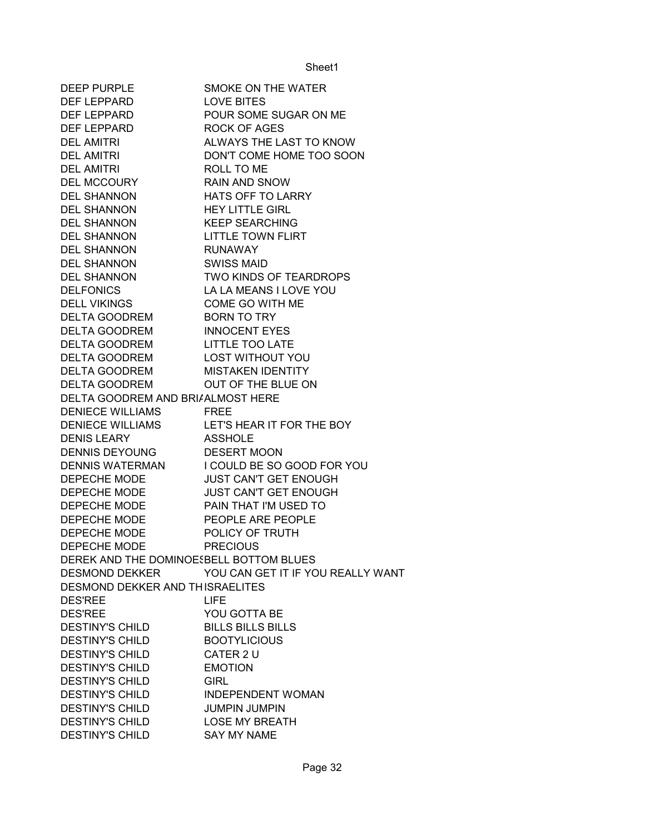| <b>DEEP PURPLE</b>                      | SMOKE ON THE WATER                |
|-----------------------------------------|-----------------------------------|
| DEF LEPPARD                             | <b>LOVE BITES</b>                 |
| DEF LEPPARD                             | POUR SOME SUGAR ON ME             |
| DEF LEPPARD                             | <b>ROCK OF AGES</b>               |
| <b>DEL AMITRI</b>                       | ALWAYS THE LAST TO KNOW           |
| <b>DEL AMITRI</b>                       | DON'T COME HOME TOO SOON          |
| DEL AMITRI                              | ROLL TO ME                        |
| DEL MCCOURY                             | <b>RAIN AND SNOW</b>              |
| <b>DEL SHANNON</b>                      | HATS OFF TO LARRY                 |
| DEL SHANNON                             | <b>HEY LITTLE GIRL</b>            |
| <b>DEL SHANNON</b>                      | <b>KEEP SEARCHING</b>             |
| DEL SHANNON                             | <b>LITTLE TOWN FLIRT</b>          |
| <b>DEL SHANNON</b>                      | <b>RUNAWAY</b>                    |
| <b>DEL SHANNON</b>                      | <b>SWISS MAID</b>                 |
| DEL SHANNON                             | TWO KINDS OF TEARDROPS            |
| <b>DELFONICS</b>                        | LA LA MEANS I LOVE YOU            |
| <b>DELL VIKINGS</b>                     | COME GO WITH ME                   |
| DELTA GOODREM                           | <b>BORN TO TRY</b>                |
| DELTA GOODREM                           | <b>INNOCENT EYES</b>              |
| DELTA GOODREM                           | <b>LITTLE TOO LATE</b>            |
| DELTA GOODREM                           | <b>LOST WITHOUT YOU</b>           |
| <b>DELTA GOODREM</b>                    | <b>MISTAKEN IDENTITY</b>          |
| <b>DELTA GOODREM</b>                    | OUT OF THE BLUE ON                |
| DELTA GOODREM AND BRI/ALMOST HERE       |                                   |
| <b>DENIECE WILLIAMS</b>                 | <b>FREE</b>                       |
| <b>DENIECE WILLIAMS</b>                 | LET'S HEAR IT FOR THE BOY         |
| <b>DENIS LEARY</b>                      | <b>ASSHOLE</b>                    |
| <b>DENNIS DEYOUNG</b>                   | <b>DESERT MOON</b>                |
| <b>DENNIS WATERMAN</b>                  | I COULD BE SO GOOD FOR YOU        |
| DEPECHE MODE                            | <b>JUST CAN'T GET ENOUGH</b>      |
| DEPECHE MODE                            | <b>JUST CAN'T GET ENOUGH</b>      |
| DEPECHE MODE                            | PAIN THAT I'M USED TO             |
| DEPECHE MODE                            | PEOPLE ARE PEOPLE                 |
| DEPECHE MODE                            | POLICY OF TRUTH                   |
| DEPECHE MODE                            | <b>PRECIOUS</b>                   |
| DEREK AND THE DOMINOESBELL BOTTOM BLUES |                                   |
| <b>DESMOND DEKKER</b>                   | YOU CAN GET IT IF YOU REALLY WANT |
| DESMOND DEKKER AND THISRAELITES         |                                   |
| <b>DES'REE</b>                          | LIFE.                             |
| <b>DES'REE</b>                          | YOU GOTTA BE                      |
| <b>DESTINY'S CHILD</b>                  | <b>BILLS BILLS BILLS</b>          |
| <b>DESTINY'S CHILD</b>                  | <b>BOOTYLICIOUS</b>               |
| <b>DESTINY'S CHILD</b>                  | CATER 2 U                         |
| <b>DESTINY'S CHILD</b>                  | <b>EMOTION</b>                    |
| <b>DESTINY'S CHILD</b>                  | <b>GIRL</b>                       |
| <b>DESTINY'S CHILD</b>                  | <b>INDEPENDENT WOMAN</b>          |
| <b>DESTINY'S CHILD</b>                  | <b>JUMPIN JUMPIN</b>              |
| <b>DESTINY'S CHILD</b>                  | <b>LOSE MY BREATH</b>             |
| <b>DESTINY'S CHILD</b>                  | <b>SAY MY NAME</b>                |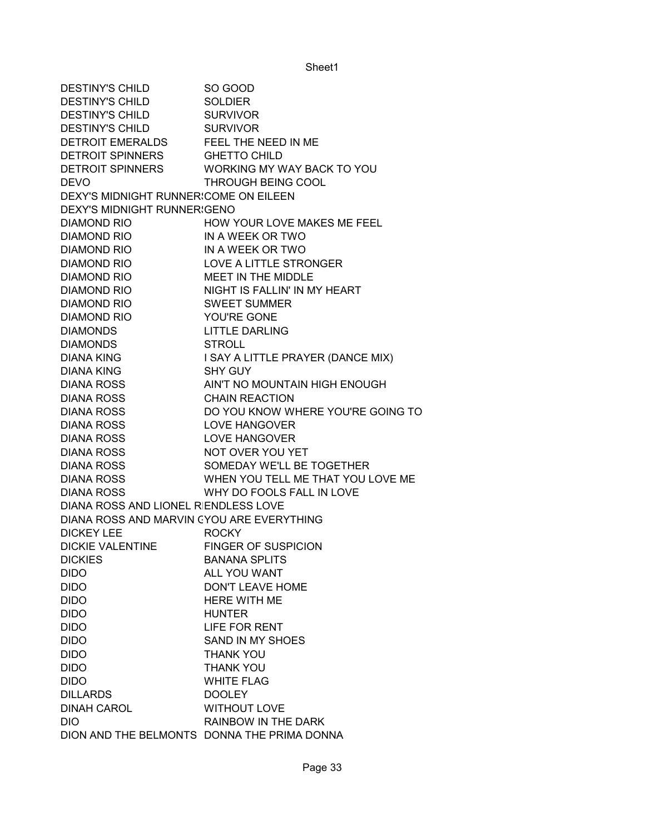DESTINY'S CHILD SO GOOD DESTINY'S CHILD SOLDIER DESTINY'S CHILD SURVIVOR DESTINY'S CHILD SURVIVOR DETROIT EMERALDS FEEL THE NEED IN ME DETROIT SPINNERS GHETTO CHILD DETROIT SPINNERS WORKING MY WAY BACK TO YOU DEVO THROUGH BEING COOL DEXY'S MIDNIGHT RUNNER COME ON EILEEN DEXY'S MIDNIGHT RUNNER GENO DIAMOND RIO **HOW YOUR LOVE MAKES ME FEEL** DIAMOND RIO IN A WEEK OR TWO DIAMOND RIO IN A WEEK OR TWO DIAMOND RIO LOVE A LITTLE STRONGER DIAMOND RIO MEET IN THE MIDDLE DIAMOND RIO NIGHT IS FALLIN' IN MY HEART DIAMOND RIO SWEET SUMMER DIAMOND RIO YOU'RE GONE DIAMONDS LITTLE DARLING DIAMONDS STROLL DIANA KING I SAY A LITTLE PRAYER (DANCE MIX) DIANA KING SHY GUY DIANA ROSS AIN'T NO MOUNTAIN HIGH ENOUGH DIANA ROSS CHAIN REACTION DIANA ROSS DO YOU KNOW WHERE YOU'RE GOING TO DIANA ROSS LOVE HANGOVER DIANA ROSS LOVE HANGOVER DIANA ROSS NOT OVER YOU YET DIANA ROSS SOMEDAY WE'LL BE TOGETHER DIANA ROSS WHEN YOU TELL ME THAT YOU LOVE ME DIANA ROSS WHY DO FOOLS FALL IN LOVE DIANA ROSS AND LIONEL RIENDLESS LOVE DIANA ROSS AND MARVIN CYOU ARE EVERYTHING DICKEY LEE ROCKY DICKIE VALENTINE FINGER OF SUSPICION DICKIES BANANA SPLITS DIDO ALL YOU WANT DIDO DON'T LEAVE HOME DIDO HERE WITH ME DIDO HUNTER DIDO LIFE FOR RENT DIDO SAND IN MY SHOES DIDO THANK YOU DIDO THANK YOU DIDO WHITE FLAG DILLARDS DOOLEY DINAH CAROL WITHOUT LOVE DIO RAINBOW IN THE DARK DION AND THE BELMONTS DONNA THE PRIMA DONNA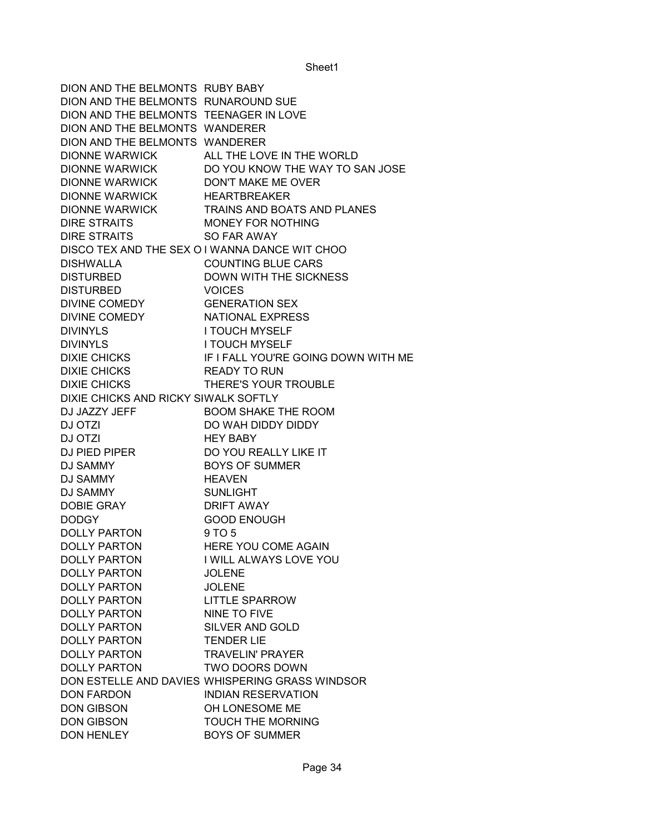DION AND THE BELMONTS RUBY BABY DION AND THE BELMONTS RUNAROUND SUE DION AND THE BELMONTS TEENAGER IN LOVE DION AND THE BELMONTS WANDERER DION AND THE BELMONTS WANDERER DIONNE WARWICK ALL THE LOVE IN THE WORLD DIONNE WARWICK DO YOU KNOW THE WAY TO SAN JOSE DIONNE WARWICK DON'T MAKE ME OVER DIONNE WARWICK HEARTBREAKER DIONNE WARWICK TRAINS AND BOATS AND PLANES DIRE STRAITS MONEY FOR NOTHING DIRE STRAITS SO FAR AWAY DISCO TEX AND THE SEX O I WANNA DANCE WIT CHOO DISHWALLA COUNTING BLUE CARS DISTURBED DOWN WITH THE SICKNESS DISTURBED VOICES DIVINE COMEDY GENERATION SEX DIVINE COMEDY NATIONAL EXPRESS DIVINYLS I TOUCH MYSELF DIVINYLS I TOUCH MYSELF DIXIE CHICKS IF I FALL YOU'RE GOING DOWN WITH ME DIXIE CHICKS READY TO RUN DIXIE CHICKS THERE'S YOUR TROUBLE DIXIE CHICKS AND RICKY SIWALK SOFTLY DJ JAZZY JEFF BOOM SHAKE THE ROOM DJ OTZI DO WAH DIDDY DIDDY DJ OTZI HEY BABY DJ PIED PIPER DO YOU REALLY LIKE IT DJ SAMMY BOYS OF SUMMER DJ SAMMY HEAVEN DJ SAMMY SUNLIGHT DOBIE GRAY DRIFT AWAY DODGY GOOD ENOUGH DOLLY PARTON 9 TO 5 DOLLY PARTON HERE YOU COME AGAIN DOLLY PARTON I WILL ALWAYS LOVE YOU DOLLY PARTON JOLENE DOLLY PARTON JOLENE DOLLY PARTON LITTLE SPARROW DOLLY PARTON NINE TO FIVE DOLLY PARTON SILVER AND GOLD DOLLY PARTON TENDER LIE DOLLY PARTON TRAVELIN' PRAYER DOLLY PARTON TWO DOORS DOWN DON ESTELLE AND DAVIES WHISPERING GRASS WINDSOR DON FARDON INDIAN RESERVATION DON GIBSON OH LONESOME ME DON GIBSON TOUCH THE MORNING DON HENLEY BOYS OF SUMMER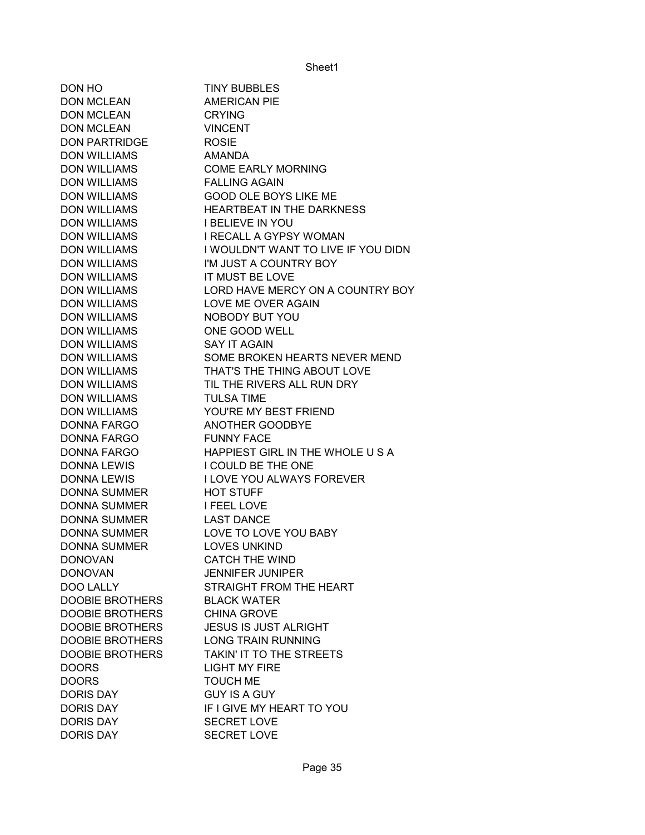| DON HO                 | <b>TINY BUBBLES</b>                 |
|------------------------|-------------------------------------|
| <b>DON MCLEAN</b>      | <b>AMERICAN PIE</b>                 |
| <b>DON MCLEAN</b>      | <b>CRYING</b>                       |
| <b>DON MCLEAN</b>      | <b>VINCENT</b>                      |
| <b>DON PARTRIDGE</b>   | <b>ROSIE</b>                        |
| <b>DON WILLIAMS</b>    | <b>AMANDA</b>                       |
| <b>DON WILLIAMS</b>    | <b>COME EARLY MORNING</b>           |
| <b>DON WILLIAMS</b>    | <b>FALLING AGAIN</b>                |
| <b>DON WILLIAMS</b>    | <b>GOOD OLE BOYS LIKE ME</b>        |
| <b>DON WILLIAMS</b>    | HEARTBEAT IN THE DARKNESS           |
| <b>DON WILLIAMS</b>    | <b>I BELIEVE IN YOU</b>             |
| <b>DON WILLIAMS</b>    | <b>I RECALL A GYPSY WOMAN</b>       |
| <b>DON WILLIAMS</b>    | I WOULDN'T WANT TO LIVE IF YOU DIDN |
| <b>DON WILLIAMS</b>    | I'M JUST A COUNTRY BOY              |
| <b>DON WILLIAMS</b>    | IT MUST BE LOVE                     |
| <b>DON WILLIAMS</b>    | LORD HAVE MERCY ON A COUNTRY BOY    |
| <b>DON WILLIAMS</b>    | LOVE ME OVER AGAIN                  |
| <b>DON WILLIAMS</b>    | NOBODY BUT YOU                      |
| <b>DON WILLIAMS</b>    | ONE GOOD WELL                       |
| <b>DON WILLIAMS</b>    | <b>SAY IT AGAIN</b>                 |
| <b>DON WILLIAMS</b>    | SOME BROKEN HEARTS NEVER MEND       |
| <b>DON WILLIAMS</b>    | THAT'S THE THING ABOUT LOVE         |
| <b>DON WILLIAMS</b>    | TIL THE RIVERS ALL RUN DRY          |
| <b>DON WILLIAMS</b>    | <b>TULSA TIME</b>                   |
| <b>DON WILLIAMS</b>    | YOU'RE MY BEST FRIEND               |
| <b>DONNA FARGO</b>     | ANOTHER GOODBYE                     |
| <b>DONNA FARGO</b>     | <b>FUNNY FACE</b>                   |
| <b>DONNA FARGO</b>     | HAPPIEST GIRL IN THE WHOLE US A     |
|                        |                                     |
| DONNA LEWIS            | I COULD BE THE ONE                  |
| <b>DONNA LEWIS</b>     | <b>I LOVE YOU ALWAYS FOREVER</b>    |
| <b>DONNA SUMMER</b>    | <b>HOT STUFF</b>                    |
| DONNA SUMMER           | <b>I FEEL LOVE</b>                  |
| <b>DONNA SUMMER</b>    | <b>LAST DANCE</b>                   |
| <b>DONNA SUMMER</b>    | LOVE TO LOVE YOU BABY               |
| <b>DONNA SUMMER</b>    | <b>LOVES UNKIND</b>                 |
| <b>DONOVAN</b>         | <b>CATCH THE WIND</b>               |
| <b>DONOVAN</b>         | <b>JENNIFER JUNIPER</b>             |
| <b>DOO LALLY</b>       | STRAIGHT FROM THE HEART             |
| <b>DOOBIE BROTHERS</b> | <b>BLACK WATER</b>                  |
| <b>DOOBIE BROTHERS</b> | <b>CHINA GROVE</b>                  |
| <b>DOOBIE BROTHERS</b> | <b>JESUS IS JUST ALRIGHT</b>        |
| <b>DOOBIE BROTHERS</b> | <b>LONG TRAIN RUNNING</b>           |
| <b>DOOBIE BROTHERS</b> | TAKIN' IT TO THE STREETS            |
| <b>DOORS</b>           | <b>LIGHT MY FIRE</b>                |
| <b>DOORS</b>           | <b>TOUCH ME</b>                     |
| <b>DORIS DAY</b>       | <b>GUY IS A GUY</b>                 |
| <b>DORIS DAY</b>       | IF I GIVE MY HEART TO YOU           |
| <b>DORIS DAY</b>       | <b>SECRET LOVE</b>                  |
| <b>DORIS DAY</b>       | <b>SECRET LOVE</b>                  |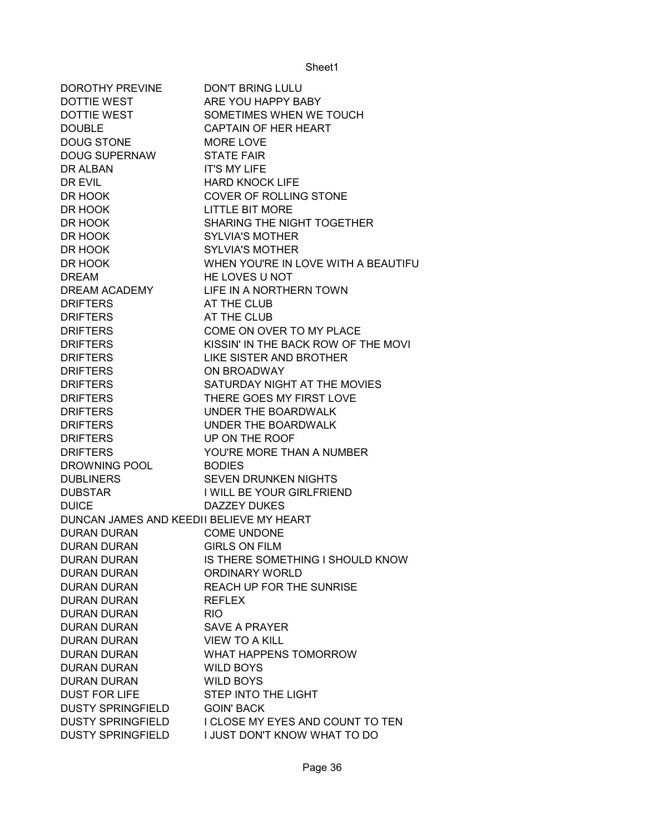| <b>DOROTHY PREVINE</b>                   | <b>DON'T BRING LULU</b>             |
|------------------------------------------|-------------------------------------|
| <b>DOTTIE WEST</b>                       | ARE YOU HAPPY BABY                  |
| <b>DOTTIE WEST</b>                       | SOMETIMES WHEN WE TOUCH             |
| <b>DOUBLE</b>                            | <b>CAPTAIN OF HER HEART</b>         |
| <b>DOUG STONE</b>                        | <b>MORE LOVE</b>                    |
| <b>DOUG SUPERNAW</b>                     | <b>STATE FAIR</b>                   |
| DR ALBAN                                 | <b>IT'S MY LIFE</b>                 |
| DR EVIL                                  | <b>HARD KNOCK LIFE</b>              |
| DR HOOK                                  | COVER OF ROLLING STONE              |
| DR HOOK                                  | <b>LITTLE BIT MORE</b>              |
| DR HOOK                                  | SHARING THE NIGHT TOGETHER          |
| DR HOOK                                  | <b>SYLVIA'S MOTHER</b>              |
| DR HOOK                                  | <b>SYLVIA'S MOTHER</b>              |
| DR HOOK                                  | WHEN YOU'RE IN LOVE WITH A BEAUTIFU |
| <b>DREAM</b>                             | HE LOVES U NOT                      |
| DREAM ACADEMY                            | LIFE IN A NORTHERN TOWN             |
| <b>DRIFTERS</b>                          | AT THE CLUB                         |
| <b>DRIFTERS</b>                          | AT THE CLUB                         |
| <b>DRIFTERS</b>                          | COME ON OVER TO MY PLACE            |
| <b>DRIFTERS</b>                          | KISSIN' IN THE BACK ROW OF THE MOVI |
| <b>DRIFTERS</b>                          | <b>LIKE SISTER AND BROTHER</b>      |
| <b>DRIFTERS</b>                          | ON BROADWAY                         |
| <b>DRIFTERS</b>                          | SATURDAY NIGHT AT THE MOVIES        |
| <b>DRIFTERS</b>                          | THERE GOES MY FIRST LOVE            |
| <b>DRIFTERS</b>                          | UNDER THE BOARDWALK                 |
| <b>DRIFTERS</b>                          | UNDER THE BOARDWALK                 |
| <b>DRIFTERS</b>                          | UP ON THE ROOF                      |
| <b>DRIFTERS</b>                          | YOU'RE MORE THAN A NUMBER           |
| DROWNING POOL                            | <b>BODIES</b>                       |
| <b>DUBLINERS</b>                         | <b>SEVEN DRUNKEN NIGHTS</b>         |
| <b>DUBSTAR</b>                           | I WILL BE YOUR GIRLFRIEND           |
| <b>DUICE</b>                             | <b>DAZZEY DUKES</b>                 |
| DUNCAN JAMES AND KEEDII BELIEVE MY HEART |                                     |
| <b>DURAN DURAN</b>                       | <b>COME UNDONE</b>                  |
| <b>DURAN DURAN</b>                       | <b>GIRLS ON FILM</b>                |
| <b>DURAN DURAN</b>                       | IS THERE SOMETHING I SHOULD KNOW    |
| <b>DURAN DURAN</b>                       | ORDINARY WORLD                      |
| <b>DURAN DURAN</b>                       | REACH UP FOR THE SUNRISE            |
|                                          | <b>REFLEX</b>                       |
| <b>DURAN DURAN</b><br><b>DURAN DURAN</b> |                                     |
|                                          | <b>RIO</b>                          |
| <b>DURAN DURAN</b>                       | <b>SAVE A PRAYER</b>                |
| <b>DURAN DURAN</b>                       | <b>VIEW TO A KILL</b>               |
| <b>DURAN DURAN</b>                       | WHAT HAPPENS TOMORROW               |
| <b>DURAN DURAN</b>                       | <b>WILD BOYS</b>                    |
| <b>DURAN DURAN</b>                       | <b>WILD BOYS</b>                    |
| <b>DUST FOR LIFE</b>                     | STEP INTO THE LIGHT                 |
| <b>DUSTY SPRINGFIELD</b>                 | <b>GOIN' BACK</b>                   |
| <b>DUSTY SPRINGFIELD</b>                 | I CLOSE MY EYES AND COUNT TO TEN    |
| <b>DUSTY SPRINGFIELD</b>                 | I JUST DON'T KNOW WHAT TO DO        |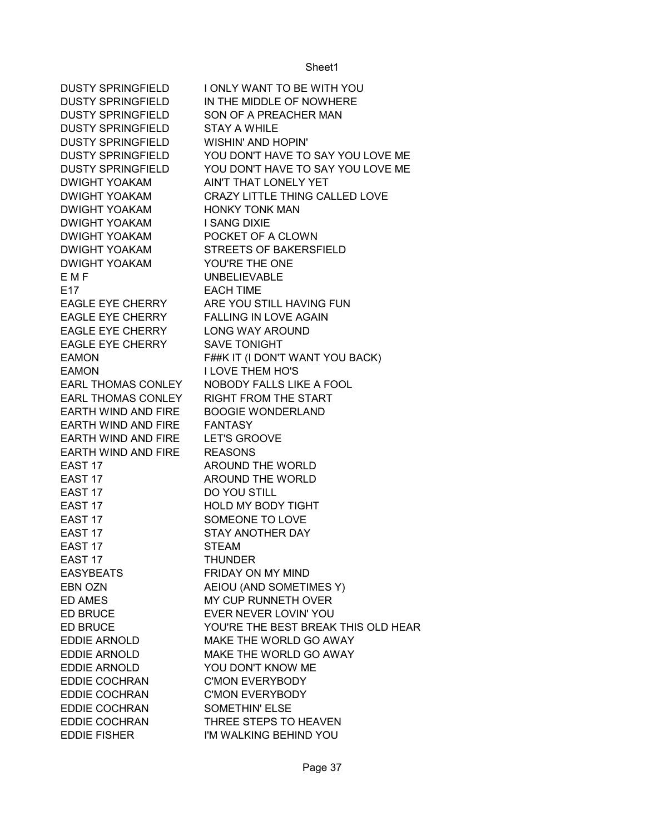DUSTY SPRINGFIELD I ONLY WANT TO BE WITH YOU DUSTY SPRINGFIELD IN THE MIDDLE OF NOWHERE DUSTY SPRINGFIELD SON OF A PREACHER MAN DUSTY SPRINGFIELD STAY A WHILE DUSTY SPRINGFIELD WISHIN' AND HOPIN' DUSTY SPRINGFIELD YOU DON'T HAVE TO SAY YOU LOVE ME DUSTY SPRINGFIELD YOU DON'T HAVE TO SAY YOU LOVE ME DWIGHT YOAKAM AIN'T THAT LONELY YET DWIGHT YOAKAM CRAZY LITTLE THING CALLED LOVE DWIGHT YOAKAM HONKY TONK MAN DWIGHT YOAKAM I SANG DIXIE DWIGHT YOAKAM POCKET OF A CLOWN DWIGHT YOAKAM STREETS OF BAKERSFIELD DWIGHT YOAKAM YOU'RE THE ONE E M F GENERAL BLOW UNBELIEVABLE E17 EACH TIME EAGLE EYE CHERRY ARE YOU STILL HAVING FUN EAGLE EYE CHERRY FALLING IN LOVE AGAIN EAGLE EYE CHERRY LONG WAY AROUND EAGLE EYE CHERRY SAVE TONIGHT EAMON F##K IT (I DON'T WANT YOU BACK) EAMON I LOVE THEM HO'S EARL THOMAS CONLEY NOBODY FALLS LIKE A FOOL EARL THOMAS CONLEY RIGHT FROM THE START EARTH WIND AND FIRE BOOGIE WONDERLAND EARTH WIND AND FIRE FANTASY EARTH WIND AND FIRE LET'S GROOVE EARTH WIND AND FIRE REASONS EAST 17 AROUND THE WORLD EAST 17 AROUND THE WORLD EAST 17 DO YOU STILL EAST 17 HOLD MY BODY TIGHT EAST 17 SOMEONE TO LOVE EAST 17 STAY ANOTHER DAY EAST 17 STEAM EAST 17 THUNDER EASYBEATS FRIDAY ON MY MIND EBN OZN AEIOU (AND SOMETIMES Y) ED AMES MY CUP RUNNETH OVER ED BRUCE EVER NEVER LOVIN' YOU ED BRUCE YOU'RE THE BEST BREAK THIS OLD HEAR EDDIE ARNOLD MAKE THE WORLD GO AWAY EDDIE ARNOLD MAKE THE WORLD GO AWAY EDDIE ARNOLD YOU DON'T KNOW ME EDDIE COCHRAN C'MON EVERYBODY EDDIE COCHRAN C'MON EVERYBODY EDDIE COCHRAN SOMETHIN' ELSE EDDIE COCHRAN THREE STEPS TO HEAVEN EDDIE FISHER I'M WALKING BEHIND YOU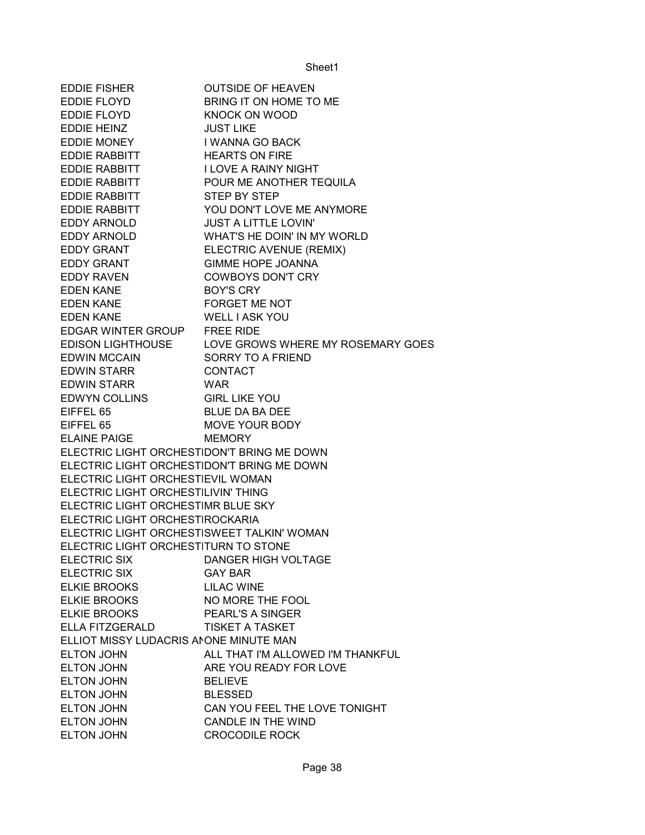| EDDIE FISHER                               | <b>OUTSIDE OF HEAVEN</b>                            |
|--------------------------------------------|-----------------------------------------------------|
| EDDIE FLOYD                                | BRING IT ON HOME TO ME                              |
| EDDIE FLOYD                                | <b>KNOCK ON WOOD</b>                                |
| EDDIE HEINZ                                | <b>JUST LIKE</b>                                    |
| <b>EDDIE MONEY</b>                         | I WANNA GO BACK                                     |
| <b>EDDIE RABBITT</b>                       | <b>HEARTS ON FIRE</b>                               |
| EDDIE RABBITT                              | <b>I LOVE A RAINY NIGHT</b>                         |
| EDDIE RABBITT                              | POUR ME ANOTHER TEQUILA                             |
| EDDIE RABBITT                              | STEP BY STEP                                        |
| EDDIE RABBITT                              | YOU DON'T LOVE ME ANYMORE                           |
| EDDY ARNOLD <b>EDDY</b>                    | <b>JUST A LITTLE LOVIN'</b>                         |
|                                            | EDDY ARNOLD WHAT'S HE DOIN' IN MY WORLD             |
| <b>EDDY GRANT</b>                          | ELECTRIC AVENUE (REMIX)                             |
| <b>EDDY GRANT</b>                          | <b>GIMME HOPE JOANNA</b>                            |
| <b>EDDY RAVEN</b>                          | <b>COWBOYS DON'T CRY</b>                            |
| <b>EDEN KANE</b>                           | <b>BOY'S CRY</b>                                    |
| EDEN KANE                                  | FORGET ME NOT                                       |
| <b>EDEN KANE</b>                           | <b>WELL I ASK YOU</b>                               |
| EDGAR WINTER GROUP FREE RIDE               |                                                     |
|                                            | EDISON LIGHTHOUSE LOVE GROWS WHERE MY ROSEMARY GOES |
|                                            |                                                     |
| EDWIN MCCAIN<br>EDWIN STARR CONTACT        |                                                     |
| <b>EDWIN STARR</b>                         | WAR                                                 |
| EDWYN COLLINS GIRL LIKE YOU                |                                                     |
| EIFFEL 65                                  | <b>BLUE DA BA DEE</b>                               |
| EIFFEL 65                                  | MOVE YOUR BODY                                      |
| ELAINE PAIGE                               | <b>MEMORY</b>                                       |
| ELECTRIC LIGHT ORCHESTIDON'T BRING ME DOWN |                                                     |
| ELECTRIC LIGHT ORCHESTIDON'T BRING ME DOWN |                                                     |
| ELECTRIC LIGHT ORCHESTIEVIL WOMAN          |                                                     |
| ELECTRIC LIGHT ORCHESTILIVIN' THING        |                                                     |
| ELECTRIC LIGHT ORCHESTIMR BLUE SKY         |                                                     |
| ELECTRIC LIGHT ORCHESTIROCKARIA            |                                                     |
| ELECTRIC LIGHT ORCHESTISWEET TALKIN' WOMAN |                                                     |
| ELECTRIC LIGHT ORCHESTITURN TO STONE       |                                                     |
| <b>ELECTRIC SIX</b>                        | <b>DANGER HIGH VOLTAGE</b>                          |
| <b>ELECTRIC SIX</b>                        | <b>GAY BAR</b>                                      |
| <b>ELKIE BROOKS</b>                        | <b>LILAC WINE</b>                                   |
| <b>ELKIE BROOKS</b>                        | NO MORE THE FOOL                                    |
| <b>ELKIE BROOKS</b>                        | PEARL'S A SINGER                                    |
| ELLA FITZGERALD                            | <b>TISKET A TASKET</b>                              |
| ELLIOT MISSY LUDACRIS ANONE MINUTE MAN     |                                                     |
| <b>ELTON JOHN</b>                          | ALL THAT I'M ALLOWED I'M THANKFUL                   |
| ELTON JOHN                                 | ARE YOU READY FOR LOVE                              |
| <b>ELTON JOHN</b>                          | <b>BELIEVE</b>                                      |
| <b>ELTON JOHN</b>                          | <b>BLESSED</b>                                      |
| <b>ELTON JOHN</b>                          | CAN YOU FEEL THE LOVE TONIGHT                       |
| <b>ELTON JOHN</b>                          | CANDLE IN THE WIND                                  |
| <b>ELTON JOHN</b>                          | <b>CROCODILE ROCK</b>                               |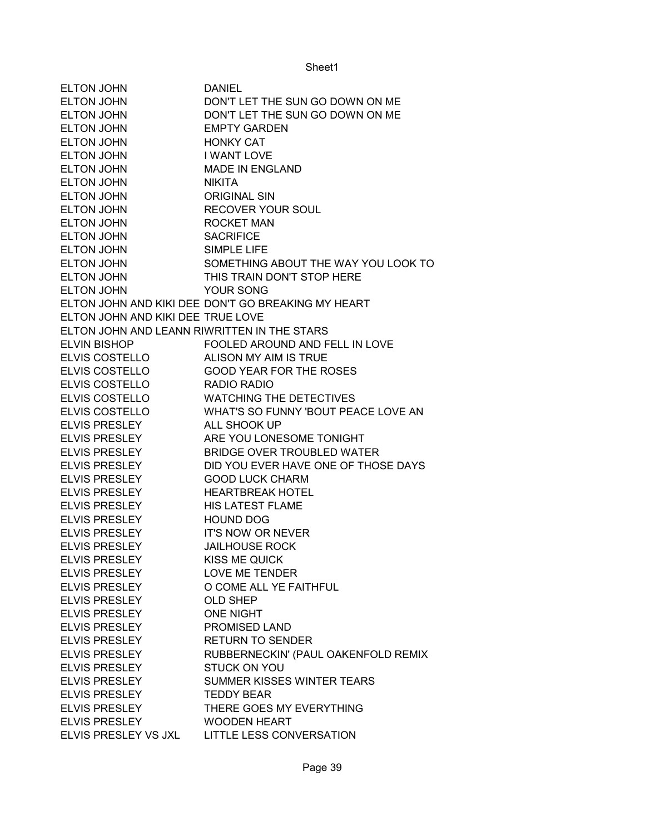| <b>ELTON JOHN</b>                           | <b>DANIEL</b>                                      |
|---------------------------------------------|----------------------------------------------------|
| <b>ELTON JOHN</b>                           | DON'T LET THE SUN GO DOWN ON ME                    |
| <b>ELTON JOHN</b>                           | DON'T LET THE SUN GO DOWN ON ME                    |
| <b>ELTON JOHN</b>                           | <b>EMPTY GARDEN</b>                                |
| <b>ELTON JOHN</b>                           | <b>HONKY CAT</b>                                   |
| <b>ELTON JOHN</b>                           | <b>I WANT LOVE</b>                                 |
| ELTON JOHN                                  | <b>MADE IN ENGLAND</b>                             |
| <b>ELTON JOHN</b>                           | <b>NIKITA</b>                                      |
| <b>ELTON JOHN</b>                           | <b>ORIGINAL SIN</b>                                |
| <b>ELTON JOHN</b>                           | <b>RECOVER YOUR SOUL</b>                           |
| <b>ELTON JOHN</b>                           | <b>ROCKET MAN</b>                                  |
| <b>ELTON JOHN</b>                           | <b>SACRIFICE</b>                                   |
| <b>ELTON JOHN</b>                           | <b>SIMPLE LIFE</b>                                 |
| ELTON JOHN                                  | SOMETHING ABOUT THE WAY YOU LOOK TO                |
| ELTON JOHN                                  | THIS TRAIN DON'T STOP HERE                         |
| <b>ELTON JOHN</b>                           | YOUR SONG                                          |
|                                             | ELTON JOHN AND KIKI DEE DON'T GO BREAKING MY HEART |
| ELTON JOHN AND KIKI DEE TRUE LOVE           |                                                    |
| ELTON JOHN AND LEANN RIWRITTEN IN THE STARS |                                                    |
| <b>ELVIN BISHOP</b>                         | <b>FOOLED AROUND AND FELL IN LOVE</b>              |
| <b>ELVIS COSTELLO</b>                       | ALISON MY AIM IS TRUE                              |
| <b>ELVIS COSTELLO</b>                       | <b>GOOD YEAR FOR THE ROSES</b>                     |
| <b>ELVIS COSTELLO</b>                       | RADIO RADIO                                        |
| <b>ELVIS COSTELLO</b>                       | <b>WATCHING THE DETECTIVES</b>                     |
| <b>ELVIS COSTELLO</b>                       | WHAT'S SO FUNNY 'BOUT PEACE LOVE AN                |
| <b>ELVIS PRESLEY</b>                        | ALL SHOOK UP                                       |
| <b>ELVIS PRESLEY</b>                        | ARE YOU LONESOME TONIGHT                           |
| <b>ELVIS PRESLEY</b>                        | <b>BRIDGE OVER TROUBLED WATER</b>                  |
| <b>ELVIS PRESLEY</b>                        | DID YOU EVER HAVE ONE OF THOSE DAYS                |
| <b>ELVIS PRESLEY</b>                        | <b>GOOD LUCK CHARM</b>                             |
| <b>ELVIS PRESLEY</b>                        | <b>HEARTBREAK HOTEL</b>                            |
| <b>ELVIS PRESLEY</b>                        | <b>HIS LATEST FLAME</b>                            |
| <b>ELVIS PRESLEY</b>                        | <b>HOUND DOG</b>                                   |
| <b>ELVIS PRESLEY</b>                        | <b>IT'S NOW OR NEVER</b>                           |
| <b>ELVIS PRESLEY</b>                        | <b>JAILHOUSE ROCK</b>                              |
| <b>ELVIS PRESLEY</b>                        | <b>KISS ME QUICK</b>                               |
| <b>ELVIS PRESLEY</b>                        | <b>LOVE ME TENDER</b>                              |
| <b>ELVIS PRESLEY</b>                        | O COME ALL YE FAITHFUL                             |
| <b>ELVIS PRESLEY</b>                        | <b>OLD SHEP</b>                                    |
| <b>ELVIS PRESLEY</b>                        | <b>ONE NIGHT</b>                                   |
| <b>ELVIS PRESLEY</b>                        | <b>PROMISED LAND</b>                               |
| <b>ELVIS PRESLEY</b>                        | <b>RETURN TO SENDER</b>                            |
| <b>ELVIS PRESLEY</b>                        | RUBBERNECKIN' (PAUL OAKENFOLD REMIX                |
| <b>ELVIS PRESLEY</b>                        | <b>STUCK ON YOU</b>                                |
| <b>ELVIS PRESLEY</b>                        | SUMMER KISSES WINTER TEARS                         |
| <b>ELVIS PRESLEY</b>                        | <b>TEDDY BEAR</b>                                  |
| <b>ELVIS PRESLEY</b>                        | THERE GOES MY EVERYTHING                           |
| <b>ELVIS PRESLEY</b>                        | <b>WOODEN HEART</b>                                |
| ELVIS PRESLEY VS JXL                        | LITTLE LESS CONVERSATION                           |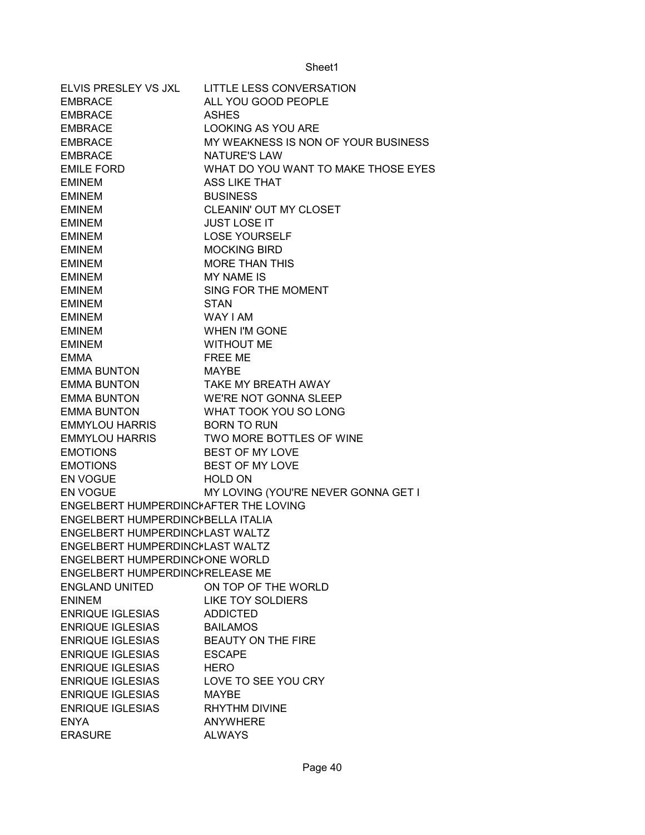| ELVIS PRESLEY VS JXL                  | <b>LITTLE LESS CONVERSATION</b>         |
|---------------------------------------|-----------------------------------------|
| <b>EMBRACE</b>                        | ALL YOU GOOD PEOPLE                     |
| <b>EMBRACE</b>                        | <b>ASHES</b>                            |
| <b>EMBRACE</b>                        | <b>LOOKING AS YOU ARE</b>               |
| <b>EMBRACE</b>                        | MY WEAKNESS IS NON OF YOUR BUSINESS     |
| <b>EMBRACE</b>                        | NATURE'S LAW                            |
| <b>EMILE FORD</b>                     | WHAT DO YOU WANT TO MAKE THOSE EYES     |
| <b>EMINEM</b>                         | <b>ASS LIKE THAT</b>                    |
| <b>EMINEM</b>                         | <b>BUSINESS</b>                         |
| <b>EMINEM</b>                         | CLEANIN' OUT MY CLOSET                  |
| <b>EMINEM</b>                         | <b>JUST LOSE IT</b>                     |
| <b>EMINEM</b>                         | <b>LOSE YOURSELF</b>                    |
| <b>EMINEM</b>                         | <b>MOCKING BIRD</b>                     |
| <b>EMINEM</b>                         | <b>MORE THAN THIS</b>                   |
| <b>EMINEM</b>                         | <b>MY NAME IS</b>                       |
| <b>EMINEM</b>                         | SING FOR THE MOMENT                     |
| <b>EMINEM</b>                         | <b>STAN</b>                             |
| <b>EMINEM</b>                         | <b>WAY I AM</b>                         |
| <b>EMINEM</b>                         | WHEN I'M GONE                           |
| <b>EMINEM</b>                         | <b>WITHOUT ME</b>                       |
| <b>EMMA</b>                           | FREE ME                                 |
| <b>EMMA BUNTON</b>                    | MAYBE                                   |
| EMMA BUNTON TAKE MY BREATH AWAY       |                                         |
| EMMA BUNTON WE'RE NOT GONNA SLEEP     |                                         |
|                                       | EMMA BUNTON WHAT TOOK YOU SO LONG       |
| EMMYLOU HARRIS BORN TO RUN            |                                         |
|                                       | EMMYLOU HARRIS TWO MORE BOTTLES OF WINE |
| <b>EMOTIONS</b>                       | <b>BEST OF MY LOVE</b>                  |
| <b>EMOTIONS</b>                       | <b>BEST OF MY LOVE</b>                  |
| <b>EN VOGUE</b>                       | <b>HOLD ON</b>                          |
| <b>EN VOGUE</b>                       | MY LOVING (YOU'RE NEVER GONNA GET I     |
| ENGELBERT HUMPERDINCKAFTER THE LOVING |                                         |
| ENGELBERT HUMPERDINCKBELLA ITALIA     |                                         |
| ENGELBERT HUMPERDINCILAST WALTZ       |                                         |
| ENGELBERT HUMPERDINCILAST WALTZ       |                                         |
| ENGELBERT HUMPERDINCIONE WORLD        |                                         |
| ENGELBERT HUMPERDINCKRELEASE ME       |                                         |
| <b>ENGLAND UNITED</b>                 | ON TOP OF THE WORLD                     |
| <b>ENINEM</b>                         | <b>LIKE TOY SOLDIERS</b>                |
| <b>ENRIQUE IGLESIAS</b>               | <b>ADDICTED</b>                         |
| <b>ENRIQUE IGLESIAS</b>               | <b>BAILAMOS</b>                         |
| <b>ENRIQUE IGLESIAS</b>               | BEAUTY ON THE FIRE                      |
| <b>ENRIQUE IGLESIAS</b>               | <b>ESCAPE</b>                           |
| <b>ENRIQUE IGLESIAS</b>               | <b>HERO</b>                             |
| <b>ENRIQUE IGLESIAS</b>               | LOVE TO SEE YOU CRY                     |
| <b>ENRIQUE IGLESIAS</b>               | <b>MAYBE</b>                            |
| <b>ENRIQUE IGLESIAS</b>               | RHYTHM DIVINE                           |
| <b>ENYA</b>                           | <b>ANYWHERE</b>                         |
| <b>ERASURE</b>                        | <b>ALWAYS</b>                           |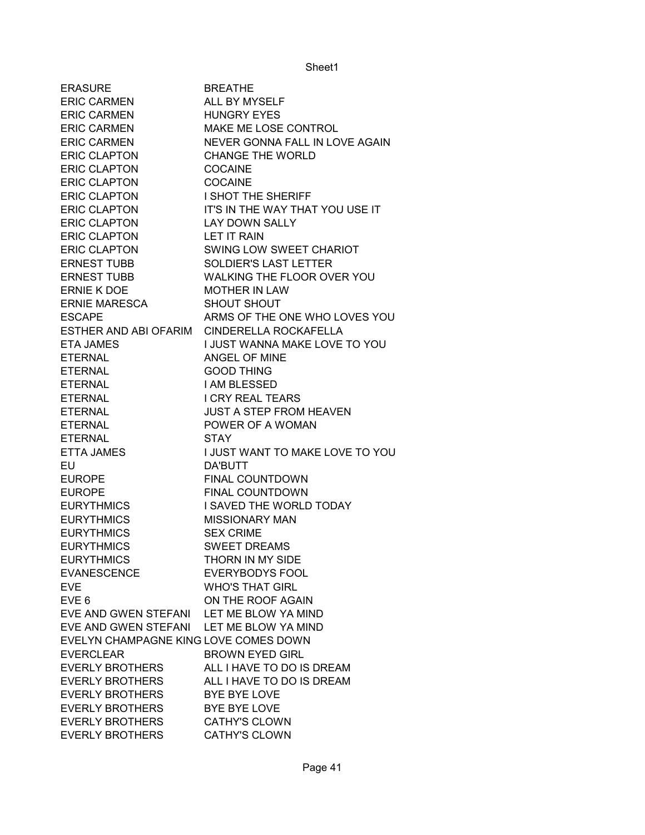| <b>ERASURE</b>                           | <b>BREATHE</b>                       |
|------------------------------------------|--------------------------------------|
| <b>ERIC CARMEN</b>                       | <b>ALL BY MYSELF</b>                 |
| <b>ERIC CARMEN</b>                       | <b>HUNGRY EYES</b>                   |
| <b>ERIC CARMEN</b>                       | MAKE ME LOSE CONTROL                 |
| <b>ERIC CARMEN</b>                       | NEVER GONNA FALL IN LOVE AGAIN       |
| <b>ERIC CLAPTON</b>                      | <b>CHANGE THE WORLD</b>              |
| <b>ERIC CLAPTON</b>                      | <b>COCAINE</b>                       |
| <b>ERIC CLAPTON</b>                      | <b>COCAINE</b>                       |
| <b>ERIC CLAPTON</b>                      | <b>I SHOT THE SHERIFF</b>            |
| <b>ERIC CLAPTON</b>                      | IT'S IN THE WAY THAT YOU USE IT      |
| <b>ERIC CLAPTON</b>                      | LAY DOWN SALLY                       |
| <b>ERIC CLAPTON</b>                      | <b>LET IT RAIN</b>                   |
| <b>ERIC CLAPTON</b>                      | SWING LOW SWEET CHARIOT              |
| <b>ERNEST TUBB</b>                       | <b>SOLDIER'S LAST LETTER</b>         |
| <b>ERNEST TUBB</b>                       | WALKING THE FLOOR OVER YOU           |
| ERNIE K DOE                              | <b>MOTHER IN LAW</b>                 |
| <b>ERNIE MARESCA</b>                     | <b>SHOUT SHOUT</b>                   |
| <b>ESCAPE</b>                            | ARMS OF THE ONE WHO LOVES YOU        |
| ESTHER AND ABI OFARIM                    | <b>CINDERELLA ROCKAFELLA</b>         |
| <b>ETA JAMES</b>                         | <b>I JUST WANNA MAKE LOVE TO YOU</b> |
| <b>ETERNAL</b>                           | ANGEL OF MINE                        |
| <b>ETERNAL</b>                           | <b>GOOD THING</b>                    |
| <b>ETERNAL</b>                           | I AM BLESSED                         |
| <b>ETERNAL</b>                           | <b>I CRY REAL TEARS</b>              |
|                                          |                                      |
| <b>ETERNAL</b>                           | <b>JUST A STEP FROM HEAVEN</b>       |
| <b>ETERNAL</b>                           | POWER OF A WOMAN                     |
| <b>ETERNAL</b>                           | <b>STAY</b>                          |
| <b>ETTA JAMES</b>                        | I JUST WANT TO MAKE LOVE TO YOU      |
| <b>EU</b>                                | DA'BUTT                              |
| <b>EUROPE</b>                            | FINAL COUNTDOWN                      |
| <b>EUROPE</b>                            | FINAL COUNTDOWN                      |
| <b>EURYTHMICS</b>                        | I SAVED THE WORLD TODAY              |
| <b>EURYTHMICS</b>                        | <b>MISSIONARY MAN</b>                |
| <b>EURYTHMICS</b>                        | <b>SEX CRIME</b>                     |
| <b>EURYTHMICS</b>                        | <b>SWEET DREAMS</b>                  |
| <b>EURYTHMICS</b>                        | THORN IN MY SIDE                     |
| <b>EVANESCENCE</b>                       | <b>EVERYBODYS FOOL</b>               |
| <b>EVE</b>                               | <b>WHO'S THAT GIRL</b>               |
| EVE <sub>6</sub>                         | ON THE ROOF AGAIN                    |
| EVE AND GWEN STEFANI LET ME BLOW YA MIND |                                      |
| EVE AND GWEN STEFANI LET ME BLOW YA MIND |                                      |
| EVELYN CHAMPAGNE KING LOVE COMES DOWN    |                                      |
| <b>EVERCLEAR</b>                         | <b>BROWN EYED GIRL</b>               |
| <b>EVERLY BROTHERS</b>                   | ALL I HAVE TO DO IS DREAM            |
| <b>EVERLY BROTHERS</b>                   | ALL I HAVE TO DO IS DREAM            |
| <b>EVERLY BROTHERS</b>                   | BYE BYE LOVE                         |
| <b>EVERLY BROTHERS</b>                   | BYE BYE LOVE                         |
| <b>EVERLY BROTHERS</b>                   | <b>CATHY'S CLOWN</b>                 |
| <b>EVERLY BROTHERS</b>                   | <b>CATHY'S CLOWN</b>                 |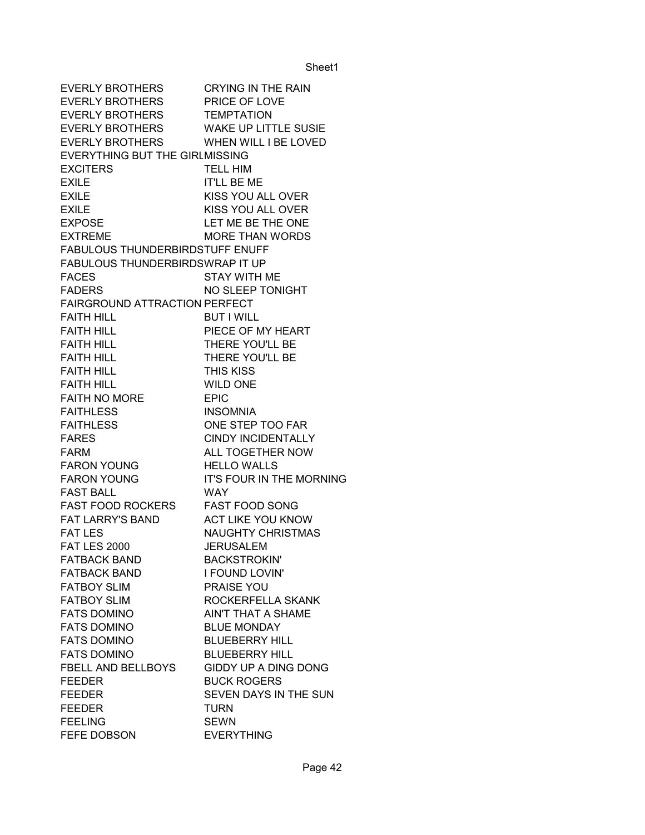EVERLY BROTHERS CRYING IN THE RAIN EVERLY BROTHERS PRICE OF LOVE EVERLY BROTHERS TEMPTATION EVERLY BROTHERS WAKE UP LITTLE SUSIE EVERLY BROTHERS WHEN WILL I BE LOVED EVERYTHING BUT THE GIRLMISSING EXCITERS TELL HIM EXILE **IT'LL BE ME** EXILE KISS YOU ALL OVER EXILE KISS YOU ALL OVER EXPOSE LET ME BE THE ONE EXTREME MORE THAN WORDS FABULOUS THUNDERBIRDSTUFF ENUFF FABULOUS THUNDERBIRDSWRAP IT UP FACES STAY WITH ME FADERS NO SLEEP TONIGHT FAIRGROUND ATTRACTION PERFECT FAITH HILL BUT I WILL FAITH HILL PIECE OF MY HEART FAITH HILL THERE YOU'LL BE FAITH HILL THERE YOU'LL BE FAITH HILL **THIS KISS** FAITH HILL WILD ONE FAITH NO MORE EPIC FAITHLESS INSOMNIA FAITHLESS ONE STEP TOO FAR FARES CINDY INCIDENTALLY FARM **ALL TOGETHER NOW** FARON YOUNG HELLO WALLS FARON YOUNG IT'S FOUR IN THE MORNING FAST BALL WAY FAST FOOD ROCKERS FAST FOOD SONG FAT LARRY'S BAND ACT LIKE YOU KNOW FAT LES NAUGHTY CHRISTMAS FAT LES 2000 JERUSALEM FATBACK BAND BACKSTROKIN' FATBACK BAND I FOUND LOVIN' FATBOY SLIM PRAISE YOU FATBOY SLIM ROCKERFELLA SKANK FATS DOMINO AIN'T THAT A SHAME FATS DOMINO BLUE MONDAY FATS DOMINO BLUEBERRY HILL FATS DOMINO BLUEBERRY HILL FBELL AND BELLBOYS GIDDY UP A DING DONG FEEDER BUCK ROGERS FEEDER SEVEN DAYS IN THE SUN FEEDER TURN FFFIING SEWN FEFE DOBSON EVERYTHING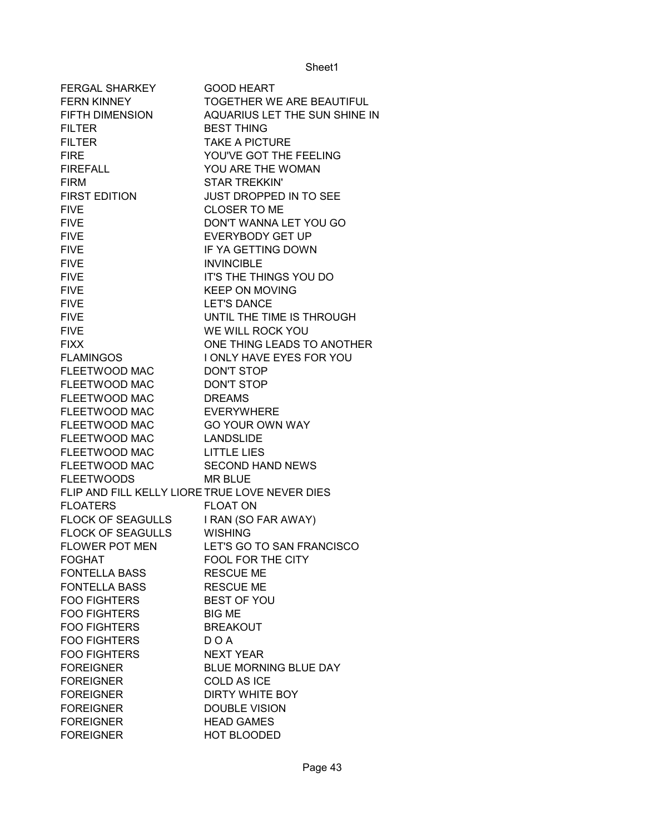| <b>FERGAL SHARKEY</b>                          | <b>GOOD HEART</b>                |
|------------------------------------------------|----------------------------------|
| <b>FERN KINNEY</b>                             | <b>TOGETHER WE ARE BEAUTIFUL</b> |
| FIFTH DIMENSION                                | AQUARIUS LET THE SUN SHINE IN    |
| <b>FILTER</b>                                  | <b>BEST THING</b>                |
| <b>FILTER</b>                                  | <b>TAKE A PICTURE</b>            |
| <b>FIRE</b>                                    | YOU'VE GOT THE FEELING           |
| <b>FIREFALL</b>                                | YOU ARE THE WOMAN                |
| <b>FIRM</b>                                    | <b>STAR TREKKIN'</b>             |
| <b>FIRST EDITION</b>                           | JUST DROPPED IN TO SEE           |
| <b>FIVE</b>                                    | <b>CLOSER TO ME</b>              |
| <b>FIVE</b>                                    | DON'T WANNA LET YOU GO           |
| <b>FIVE</b>                                    | <b>EVERYBODY GET UP</b>          |
| <b>FIVE</b>                                    | IF YA GETTING DOWN               |
| <b>FIVE</b>                                    | <b>INVINCIBLE</b>                |
| <b>FIVE</b>                                    | IT'S THE THINGS YOU DO           |
| <b>FIVE</b>                                    | <b>KEEP ON MOVING</b>            |
| <b>FIVE</b>                                    | <b>LET'S DANCE</b>               |
| <b>FIVE</b>                                    | UNTIL THE TIME IS THROUGH        |
| <b>FIVE</b>                                    | WE WILL ROCK YOU                 |
| <b>FIXX</b>                                    | ONE THING LEADS TO ANOTHER       |
| <b>FLAMINGOS</b>                               | I ONLY HAVE EYES FOR YOU         |
| FLEETWOOD MAC                                  | <b>DON'T STOP</b>                |
| FLEETWOOD MAC                                  | <b>DON'T STOP</b>                |
| FLEETWOOD MAC                                  | <b>DREAMS</b>                    |
| FLEETWOOD MAC                                  | <b>EVERYWHERE</b>                |
| FLEETWOOD MAC                                  | <b>GO YOUR OWN WAY</b>           |
| FLEETWOOD MAC LANDSLIDE                        |                                  |
| FLEETWOOD MAC LITTLE LIES                      |                                  |
| FLEETWOOD MAC                                  | <b>SECOND HAND NEWS</b>          |
| <b>FLEETWOODS</b>                              | <b>MR BLUE</b>                   |
| FLIP AND FILL KELLY LIORE TRUE LOVE NEVER DIES |                                  |
| <b>FLOATERS</b>                                | <b>FLOAT ON</b>                  |
| FLOCK OF SEAGULLS                              | I RAN (SO FAR AWAY)              |
| <b>FLOCK OF SEAGULLS</b>                       | <b>WISHING</b>                   |
| FLOWER POT MEN                                 | LET'S GO TO SAN FRANCISCO        |
| FOGHAT                                         | FOOL FOR THE CITY                |
| <b>FONTELLA BASS</b>                           | <b>RESCUE ME</b>                 |
| <b>FONTELLA BASS</b>                           | <b>RESCUE ME</b>                 |
| <b>FOO FIGHTERS</b>                            | <b>BEST OF YOU</b>               |
| <b>FOO FIGHTERS</b>                            | <b>BIG ME</b>                    |
| <b>FOO FIGHTERS</b>                            | <b>BREAKOUT</b>                  |
| <b>FOO FIGHTERS</b>                            | DOA                              |
| <b>FOO FIGHTERS</b>                            | <b>NEXT YEAR</b>                 |
| <b>FOREIGNER</b>                               | <b>BLUE MORNING BLUE DAY</b>     |
| <b>FOREIGNER</b>                               | <b>COLD AS ICE</b>               |
| <b>FOREIGNER</b>                               | DIRTY WHITE BOY                  |
| <b>FOREIGNER</b>                               | <b>DOUBLE VISION</b>             |
| <b>FOREIGNER</b>                               | <b>HEAD GAMES</b>                |
| <b>FOREIGNER</b>                               | HOT BLOODED                      |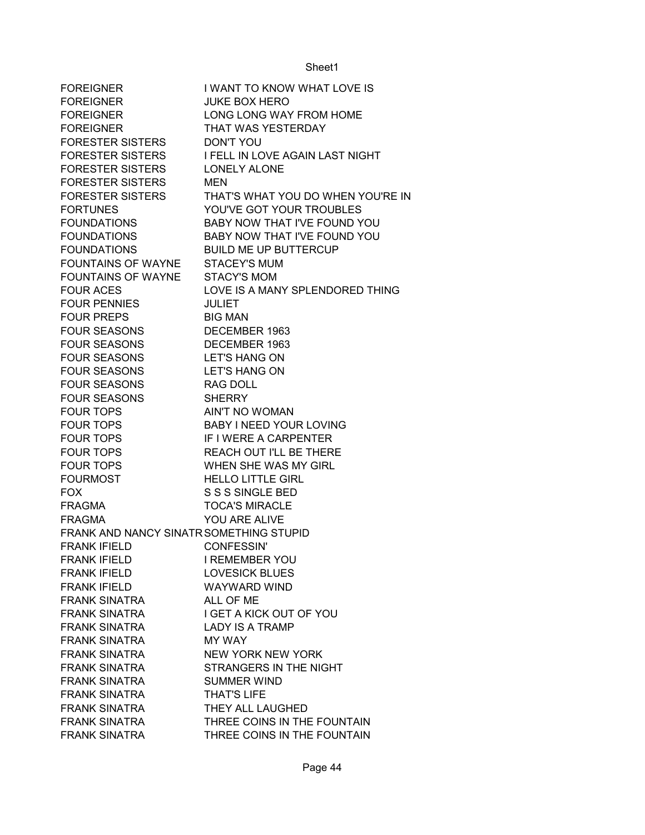| <b>FOREIGNER</b>                        | I WANT TO KNOW WHAT LOVE IS       |
|-----------------------------------------|-----------------------------------|
| <b>FOREIGNER</b>                        | <b>JUKE BOX HERO</b>              |
| <b>FOREIGNER</b>                        | LONG LONG WAY FROM HOME           |
| <b>FOREIGNER</b>                        | THAT WAS YESTERDAY                |
| <b>FORESTER SISTERS</b>                 | <b>DON'T YOU</b>                  |
| <b>FORESTER SISTERS</b>                 | I FELL IN LOVE AGAIN LAST NIGHT   |
| <b>FORESTER SISTERS</b>                 | LONELY ALONE                      |
| <b>FORESTER SISTERS</b>                 | <b>MEN</b>                        |
| <b>FORESTER SISTERS</b>                 | THAT'S WHAT YOU DO WHEN YOU'RE IN |
| <b>FORTUNES</b>                         | YOU'VE GOT YOUR TROUBLES          |
| <b>FOUNDATIONS</b>                      | BABY NOW THAT I'VE FOUND YOU      |
| <b>FOUNDATIONS</b>                      | BABY NOW THAT I'VE FOUND YOU      |
| <b>FOUNDATIONS</b>                      | <b>BUILD ME UP BUTTERCUP</b>      |
| <b>FOUNTAINS OF WAYNE</b>               | <b>STACEY'S MUM</b>               |
| <b>FOUNTAINS OF WAYNE</b>               | <b>STACY'S MOM</b>                |
| <b>FOUR ACES</b>                        | LOVE IS A MANY SPLENDORED THING   |
| <b>FOUR PENNIES</b>                     | <b>JULIET</b>                     |
| <b>FOUR PREPS</b>                       | <b>BIG MAN</b>                    |
| <b>FOUR SEASONS</b>                     | DECEMBER 1963                     |
| <b>FOUR SEASONS</b>                     | DECEMBER 1963                     |
| <b>FOUR SEASONS</b>                     | <b>LET'S HANG ON</b>              |
| <b>FOUR SEASONS</b>                     | <b>LET'S HANG ON</b>              |
| <b>FOUR SEASONS</b>                     | <b>RAG DOLL</b>                   |
| <b>FOUR SEASONS</b>                     | <b>SHERRY</b>                     |
| <b>FOUR TOPS</b>                        | <b>AIN'T NO WOMAN</b>             |
| <b>FOUR TOPS</b>                        | <b>BABY I NEED YOUR LOVING</b>    |
| <b>FOUR TOPS</b>                        | IF I WERE A CARPENTER             |
| <b>FOUR TOPS</b>                        | REACH OUT I'LL BE THERE           |
| <b>FOUR TOPS</b>                        | WHEN SHE WAS MY GIRL              |
| <b>FOURMOST</b>                         | <b>HELLO LITTLE GIRL</b>          |
| <b>FOX</b>                              | S S S SINGLE BED                  |
| <b>FRAGMA</b>                           | <b>TOCA'S MIRACLE</b>             |
| <b>FRAGMA</b>                           | YOU ARE ALIVE                     |
| FRANK AND NANCY SINATR SOMETHING STUPID |                                   |
| <b>FRANK IFIELD</b>                     | <b>CONFESSIN'</b>                 |
| <b>FRANK IFIELD</b>                     | <b>I REMEMBER YOU</b>             |
| <b>FRANK IFIELD</b>                     | <b>LOVESICK BLUES</b>             |
| <b>FRANK IFIELD</b>                     | <b>WAYWARD WIND</b>               |
| <b>FRANK SINATRA</b>                    | ALL OF ME                         |
| <b>FRANK SINATRA</b>                    | I GET A KICK OUT OF YOU           |
| <b>FRANK SINATRA</b>                    | <b>LADY IS A TRAMP</b>            |
| <b>FRANK SINATRA</b>                    | MY WAY                            |
| <b>FRANK SINATRA</b>                    | <b>NEW YORK NEW YORK</b>          |
| <b>FRANK SINATRA</b>                    | STRANGERS IN THE NIGHT            |
| <b>FRANK SINATRA</b>                    | <b>SUMMER WIND</b>                |
| <b>FRANK SINATRA</b>                    | <b>THAT'S LIFE</b>                |
| <b>FRANK SINATRA</b>                    | THEY ALL LAUGHED                  |
| <b>FRANK SINATRA</b>                    | THREE COINS IN THE FOUNTAIN       |
| <b>FRANK SINATRA</b>                    | THREE COINS IN THE FOUNTAIN       |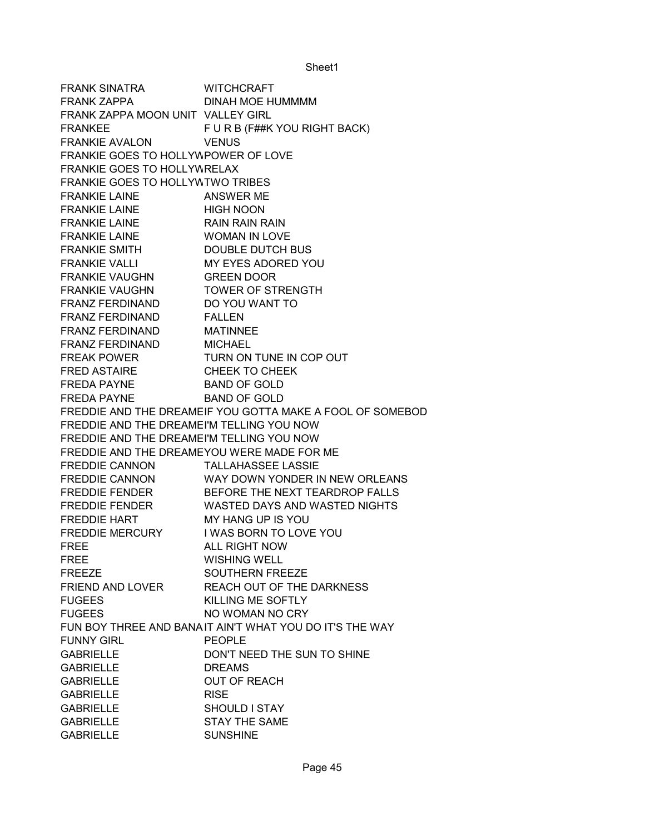FRANK SINATRA WITCHCRAFT FRANK ZAPPA DINAH MOE HUMMMM FRANK ZAPPA MOON UNIT VALLEY GIRL FRANKEE FUR B (F##K YOU RIGHT BACK) FRANKIE AVALON VENUS FRANKIE GOES TO HOLLYWPOWER OF LOVE FRANKIE GOES TO HOLLYWRELAX FRANKIE GOES TO HOLLYWTWO TRIBES FRANKIE LAINE ANSWER ME FRANKIE LAINE HIGH NOON FRANKIE LAINE RAIN RAIN RAIN FRANKIE LAINE WOMAN IN LOVE FRANKIE SMITH DOUBLE DUTCH BUS FRANKIE VALLI MY EYES ADORED YOU FRANKIE VAUGHN GREEN DOOR FRANKIE VAUGHN TOWER OF STRENGTH FRANZ FERDINAND DO YOU WANT TO FRANZ FERDINAND FALLEN FRANZ FERDINAND MATINNEE FRANZ FERDINAND MICHAEL FREAK POWER **TURN ON TUNE IN COP OUT** FRED ASTAIRE CHEEK TO CHEEK FREDA PAYNE BAND OF GOLD FREDA PAYNE BAND OF GOLD FREDDIE AND THE DREAMEIF YOU GOTTA MAKE A FOOL OF SOMEBOD FREDDIE AND THE DREAMEI'M TELLING YOU NOW FREDDIE AND THE DREAMEI'M TELLING YOU NOW FREDDIE AND THE DREAMEYOU WERE MADE FOR ME FREDDIE CANNON TALLAHASSEE LASSIE FREDDIE CANNON WAY DOWN YONDER IN NEW ORLEANS FREDDIE FENDER BEFORE THE NEXT TEARDROP FALLS FREDDIE FENDER WASTED DAYS AND WASTED NIGHTS FREDDIE HART MY HANG UP IS YOU FREDDIE MERCURY I WAS BORN TO LOVE YOU FREE ALL RIGHT NOW FREE WISHING WELL FREEZE SOUTHERN FREEZE FRIEND AND LOVER REACH OUT OF THE DARKNESS FUGEES KILLING ME SOFTLY FUGEES NO WOMAN NO CRY FUN BOY THREE AND BANAIT AIN'T WHAT YOU DO IT'S THE WAY FUNNY GIRL PEOPLE GABRIELLE DON'T NEED THE SUN TO SHINE GABRIELLE DREAMS GABRIELLE OUT OF REACH GABRIELLE RISE GABRIELLE SHOULD I STAY GABRIELLE STAY THE SAME GABRIELLE SUNSHINE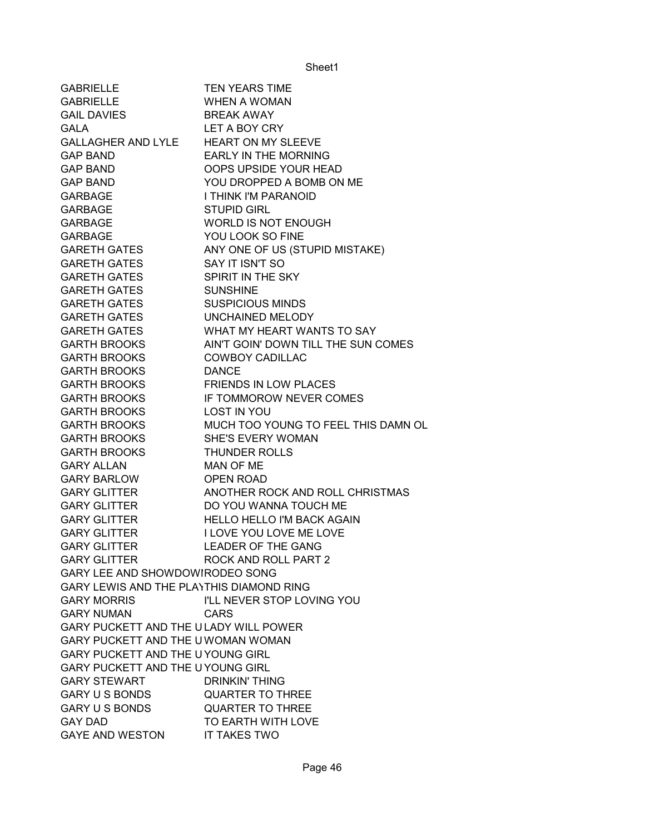| <b>GABRIELLE</b>                         | <b>TEN YEARS TIME</b>               |
|------------------------------------------|-------------------------------------|
| <b>GABRIELLE</b>                         | <b>WHEN A WOMAN</b>                 |
| <b>GAIL DAVIES</b>                       | <b>BREAK AWAY</b>                   |
| <b>GALA</b>                              | LET A BOY CRY                       |
| GALLAGHER AND LYLE                       | HEART ON MY SLEEVE                  |
| <b>GAP BAND</b>                          | <b>EARLY IN THE MORNING</b>         |
| <b>GAP BAND</b>                          | OOPS UPSIDE YOUR HEAD               |
| <b>GAP BAND</b>                          | YOU DROPPED A BOMB ON ME            |
| GARBAGE                                  | I THINK I'M PARANOID                |
| GARBAGE                                  | <b>STUPID GIRL</b>                  |
| GARBAGE                                  | <b>WORLD IS NOT ENOUGH</b>          |
| <b>GARBAGE</b>                           | YOU LOOK SO FINE                    |
| <b>GARETH GATES</b>                      | ANY ONE OF US (STUPID MISTAKE)      |
| <b>GARETH GATES</b>                      | SAY IT ISN'T SO                     |
| <b>GARETH GATES</b>                      | SPIRIT IN THE SKY                   |
| <b>GARETH GATES</b>                      | <b>SUNSHINE</b>                     |
| <b>GARETH GATES</b>                      | <b>SUSPICIOUS MINDS</b>             |
| GARETH GATES                             | UNCHAINED MELODY                    |
| GARETH GATES                             | WHAT MY HEART WANTS TO SAY          |
| <b>GARTH BROOKS</b>                      | AIN'T GOIN' DOWN TILL THE SUN COMES |
| <b>GARTH BROOKS</b>                      | <b>COWBOY CADILLAC</b>              |
| <b>GARTH BROOKS</b>                      | <b>DANCE</b>                        |
| <b>GARTH BROOKS</b>                      | <b>FRIENDS IN LOW PLACES</b>        |
| <b>GARTH BROOKS</b>                      | IF TOMMOROW NEVER COMES             |
| <b>GARTH BROOKS</b>                      | <b>LOST IN YOU</b>                  |
| GARTH BROOKS                             | MUCH TOO YOUNG TO FEEL THIS DAMN OL |
| GARTH BROOKS                             | SHE'S EVERY WOMAN                   |
| GARTH BROOKS                             | <b>THUNDER ROLLS</b>                |
| <b>GARY ALLAN</b>                        | MAN OF ME                           |
| <b>GARY BARLOW</b>                       | OPEN ROAD                           |
| <b>GARY GLITTER</b>                      | ANOTHER ROCK AND ROLL CHRISTMAS     |
| <b>GARY GLITTER</b>                      | DO YOU WANNA TOUCH ME               |
| <b>GARY GLITTER</b>                      | <b>HELLO HELLO I'M BACK AGAIN</b>   |
| <b>GARY GLITTER</b>                      | I LOVE YOU LOVE ME LOVE             |
| <b>GARY GLITTER</b>                      | <b>LEADER OF THE GANG</b>           |
| <b>GARY GLITTER</b>                      | ROCK AND ROLL PART 2                |
| GARY LEE AND SHOWDOWIRODEO SONG          |                                     |
| GARY LEWIS AND THE PLAYTHIS DIAMOND RING |                                     |
| <b>GARY MORRIS</b>                       | I'LL NEVER STOP LOVING YOU          |
| <b>GARY NUMAN</b>                        | <b>CARS</b>                         |
| GARY PUCKETT AND THE ULADY WILL POWER    |                                     |
| GARY PUCKETT AND THE U WOMAN WOMAN       |                                     |
| <b>GARY PUCKETT AND THE U YOUNG GIRL</b> |                                     |
| GARY PUCKETT AND THE UYOUNG GIRL         |                                     |
| <b>GARY STEWART</b>                      | DRINKIN' THING                      |
| <b>GARY U S BONDS</b>                    | <b>QUARTER TO THREE</b>             |
| <b>GARY U S BONDS</b>                    | <b>QUARTER TO THREE</b>             |
| <b>GAY DAD</b>                           | TO EARTH WITH LOVE                  |
| <b>GAYE AND WESTON</b>                   | IT TAKES TWO                        |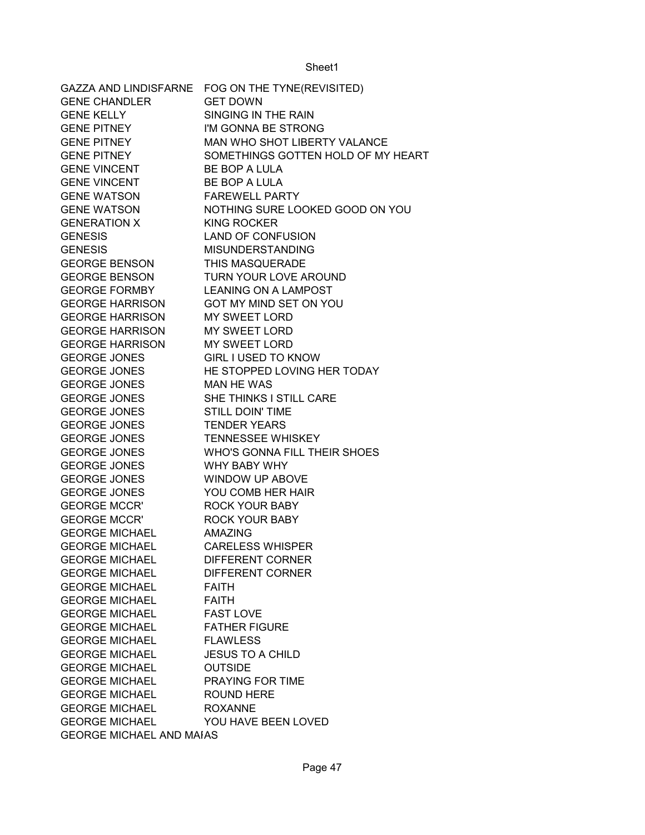| FOG ON THE TYNE(REVISITED)         |
|------------------------------------|
| <b>GET DOWN</b>                    |
| SINGING IN THE RAIN                |
| I'M GONNA BE STRONG                |
| MAN WHO SHOT LIBERTY VALANCE       |
| SOMETHINGS GOTTEN HOLD OF MY HEART |
| BE BOP A LULA                      |
| BE BOP A LULA                      |
| <b>FAREWELL PARTY</b>              |
| NOTHING SURE LOOKED GOOD ON YOU    |
| <b>KING ROCKER</b>                 |
| <b>LAND OF CONFUSION</b>           |
| <b>MISUNDERSTANDING</b>            |
| THIS MASQUERADE                    |
| TURN YOUR LOVE AROUND              |
| <b>LEANING ON A LAMPOST</b>        |
| GOT MY MIND SET ON YOU             |
| <b>MY SWEET LORD</b>               |
| <b>MY SWEET LORD</b>               |
| <b>MY SWEET LORD</b>               |
| <b>GIRL I USED TO KNOW</b>         |
| HE STOPPED LOVING HER TODAY        |
| <b>MAN HE WAS</b>                  |
| SHE THINKS I STILL CARE            |
| <b>STILL DOIN' TIME</b>            |
| <b>TENDER YEARS</b>                |
| <b>TENNESSEE WHISKEY</b>           |
| WHO'S GONNA FILL THEIR SHOES       |
| WHY BABY WHY                       |
| <b>WINDOW UP ABOVE</b>             |
| YOU COMB HER HAIR                  |
| <b>ROCK YOUR BABY</b>              |
| <b>ROCK YOUR BABY</b>              |
| <b>AMAZING</b>                     |
| <b>CARELESS WHISPER</b>            |
| <b>DIFFERENT CORNER</b>            |
| <b>DIFFERENT CORNER</b>            |
| <b>FAITH</b>                       |
| <b>FAITH</b>                       |
| <b>FAST LOVE</b>                   |
| <b>FATHER FIGURE</b>               |
| <b>FLAWLESS</b>                    |
| <b>JESUS TO A CHILD</b>            |
| <b>OUTSIDE</b>                     |
| <b>PRAYING FOR TIME</b>            |
| <b>ROUND HERE</b>                  |
| <b>ROXANNE</b>                     |
| YOU HAVE BEEN LOVED                |
| <b>GEORGE MICHAEL AND MAIAS</b>    |
|                                    |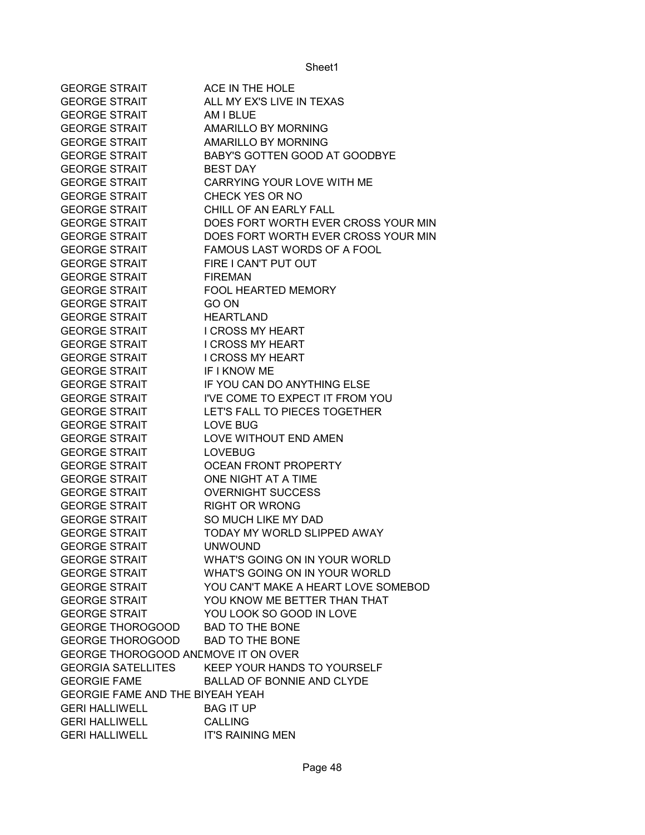| <b>GEORGE STRAIT</b>                         | ACE IN THE HOLE                                 |
|----------------------------------------------|-------------------------------------------------|
| <b>GEORGE STRAIT</b>                         | ALL MY EX'S LIVE IN TEXAS                       |
| <b>GEORGE STRAIT</b>                         | AM I BLUE                                       |
| <b>GEORGE STRAIT</b>                         | <b>AMARILLO BY MORNING</b>                      |
| <b>GEORGE STRAIT</b>                         | <b>AMARILLO BY MORNING</b>                      |
| <b>GEORGE STRAIT</b>                         | BABY'S GOTTEN GOOD AT GOODBYE                   |
| <b>GEORGE STRAIT</b>                         | <b>BEST DAY</b>                                 |
| <b>GEORGE STRAIT</b>                         | CARRYING YOUR LOVE WITH ME                      |
| <b>GEORGE STRAIT</b>                         | CHECK YES OR NO                                 |
| <b>GEORGE STRAIT</b>                         | CHILL OF AN EARLY FALL                          |
| <b>GEORGE STRAIT</b>                         | DOES FORT WORTH EVER CROSS YOUR MIN             |
| <b>GEORGE STRAIT</b>                         | DOES FORT WORTH EVER CROSS YOUR MIN             |
| <b>GEORGE STRAIT</b>                         | FAMOUS LAST WORDS OF A FOOL                     |
| <b>GEORGE STRAIT</b>                         | FIRE I CAN'T PUT OUT                            |
| <b>GEORGE STRAIT</b>                         | <b>FIREMAN</b>                                  |
| <b>GEORGE STRAIT</b>                         | FOOL HEARTED MEMORY                             |
| <b>GEORGE STRAIT</b>                         | GO ON                                           |
| <b>GEORGE STRAIT</b>                         | <b>HEARTLAND</b>                                |
| <b>GEORGE STRAIT</b>                         | <b>I CROSS MY HEART</b>                         |
| <b>GEORGE STRAIT</b>                         | <b>I CROSS MY HEART</b>                         |
| <b>GEORGE STRAIT</b>                         | <b>I CROSS MY HEART</b>                         |
| <b>GEORGE STRAIT</b>                         | IF I KNOW ME                                    |
| <b>GEORGE STRAIT</b>                         | IF YOU CAN DO ANYTHING ELSE                     |
| <b>GEORGE STRAIT</b>                         | I'VE COME TO EXPECT IT FROM YOU                 |
| <b>GEORGE STRAIT</b>                         | LET'S FALL TO PIECES TOGETHER                   |
| <b>GEORGE STRAIT</b>                         | <b>LOVE BUG</b>                                 |
| <b>GEORGE STRAIT</b>                         | LOVE WITHOUT END AMEN                           |
| <b>GEORGE STRAIT</b>                         | <b>LOVEBUG</b>                                  |
| <b>GEORGE STRAIT</b>                         | OCEAN FRONT PROPERTY                            |
| <b>GEORGE STRAIT</b>                         | ONE NIGHT AT A TIME                             |
| <b>GEORGE STRAIT</b>                         | <b>OVERNIGHT SUCCESS</b>                        |
| <b>GEORGE STRAIT</b>                         | <b>RIGHT OR WRONG</b>                           |
| <b>GEORGE STRAIT</b>                         | SO MUCH LIKE MY DAD                             |
| <b>GEORGE STRAIT</b>                         | TODAY MY WORLD SLIPPED AWAY                     |
| <b>GEORGE STRAIT</b>                         |                                                 |
| <b>GEORGE STRAIT</b>                         | <b>UNWOUND</b><br>WHAT'S GOING ON IN YOUR WORLD |
| <b>GEORGE STRAIT</b>                         | WHAT'S GOING ON IN YOUR WORLD                   |
|                                              | YOU CAN'T MAKE A HEART LOVE SOMEBOD             |
| <b>GEORGE STRAIT</b><br><b>GEORGE STRAIT</b> | YOU KNOW ME BETTER THAN THAT                    |
| <b>GEORGE STRAIT</b>                         |                                                 |
|                                              | YOU LOOK SO GOOD IN LOVE                        |
| <b>GEORGE THOROGOOD</b>                      | <b>BAD TO THE BONE</b>                          |
| GEORGE THOROGOOD BAD TO THE BONE             |                                                 |
| GEORGE THOROGOOD ANEMOVE IT ON OVER          |                                                 |
| <b>GEORGIA SATELLITES</b>                    | KEEP YOUR HANDS TO YOURSELF                     |
| <b>GEORGIE FAME</b>                          | <b>BALLAD OF BONNIE AND CLYDE</b>               |
| <b>GEORGIE FAME AND THE BIYEAH YEAH</b>      |                                                 |
| <b>GERI HALLIWELL</b>                        | <b>BAG IT UP</b>                                |
| <b>GERI HALLIWELL</b>                        | <b>CALLING</b>                                  |
| <b>GERI HALLIWELL</b>                        | <b>IT'S RAINING MEN</b>                         |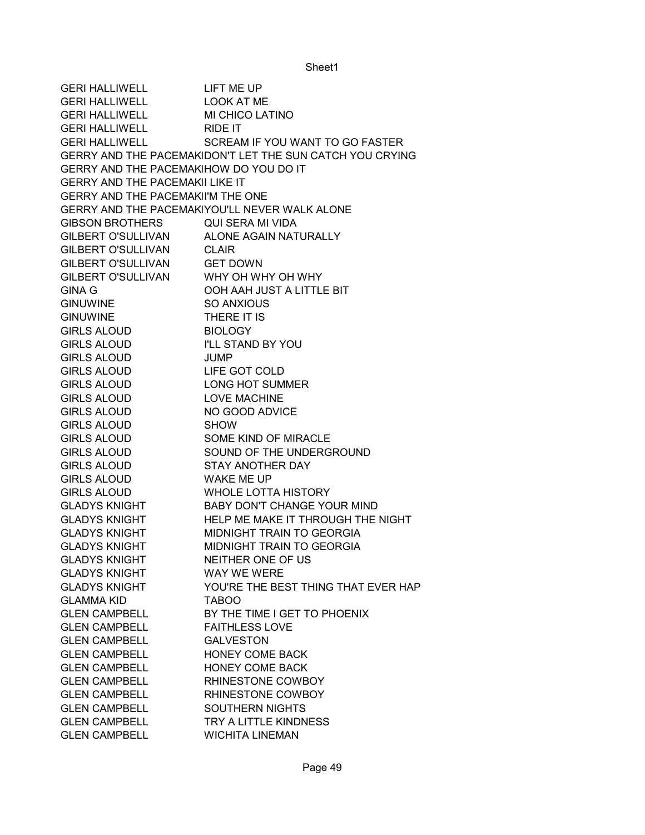GERI HALLIWELL LIFT ME UP GERI HALLIWELL LOOK AT ME GERI HALLIWELL MI CHICO LATINO GERI HALLIWELL RIDE IT GERI HALLIWELL SCREAM IF YOU WANT TO GO FASTER GERRY AND THE PACEMAKIDON'T LET THE SUN CATCH YOU CRYING GERRY AND THE PACEMAKIHOW DO YOU DO IT GERRY AND THE PACEMAKII LIKE IT GERRY AND THE PACEMAKII'M THE ONE GERRY AND THE PACEMAKIYOU'LL NEVER WALK ALONE GIBSON BROTHERS QUI SERA MI VIDA GILBERT O'SULLIVAN ALONE AGAIN NATURALLY GILBERT O'SULLIVAN CLAIR GILBERT O'SULLIVAN GET DOWN GILBERT O'SULLIVAN WHY OH WHY OH WHY GINA G OOH AAH JUST A LITTLE BIT GINUWINE SO ANXIOUS GINUWINE THERE IT IS GIRLS ALOUD BIOLOGY GIRLS ALOUD I'LL STAND BY YOU GIRLS ALOUD JUMP GIRLS ALOUD LIFE GOT COLD GIRLS ALOUD LONG HOT SUMMER GIRLS ALOUD LOVE MACHINE GIRLS ALOUD NO GOOD ADVICE GIRLS ALOUD SHOW GIRLS ALOUD SOME KIND OF MIRACLE GIRLS ALOUD SOUND OF THE UNDERGROUND GIRLS ALOUD STAY ANOTHER DAY GIRLS ALOUD WAKE ME UP GIRLS ALOUD WHOLE LOTTA HISTORY GLADYS KNIGHT BABY DON'T CHANGE YOUR MIND GLADYS KNIGHT HELP ME MAKE IT THROUGH THE NIGHT GLADYS KNIGHT MIDNIGHT TRAIN TO GEORGIA GLADYS KNIGHT MIDNIGHT TRAIN TO GEORGIA GLADYS KNIGHT NEITHER ONE OF US GLADYS KNIGHT WAY WE WERE GLADYS KNIGHT YOU'RE THE BEST THING THAT EVER HAP GLAMMA KID TABOO GLEN CAMPBELL BY THE TIME I GET TO PHOENIX GLEN CAMPBELL FAITHLESS LOVE GLEN CAMPBELL GALVESTON GLEN CAMPBELL HONEY COME BACK GLEN CAMPBELL HONEY COME BACK GLEN CAMPBELL RHINESTONE COWBOY GLEN CAMPBELL RHINESTONE COWBOY GLEN CAMPBELL SOUTHERN NIGHTS GLEN CAMPBELL TRY A LITTLE KINDNESS GLEN CAMPBELL WICHITA LINEMAN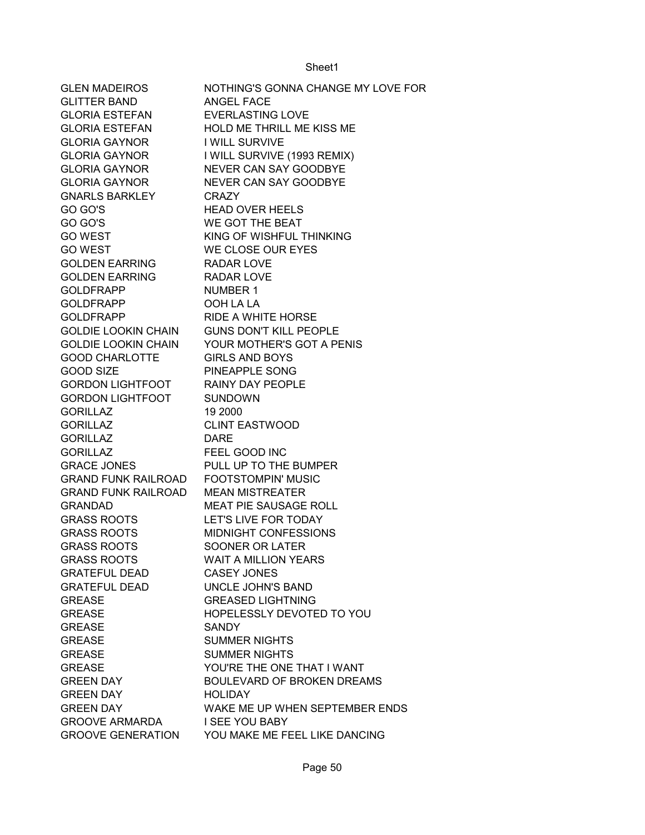GLEN MADEIROS NOTHING'S GONNA CHANGE MY LOVE FOR GLITTER BAND ANGEL FACE GLORIA ESTEFAN EVERLASTING LOVE GLORIA ESTEFAN HOLD ME THRILL ME KISS ME GLORIA GAYNOR I WILL SURVIVE GLORIA GAYNOR I WILL SURVIVE (1993 REMIX) GLORIA GAYNOR NEVER CAN SAY GOODBYE GLORIA GAYNOR NEVER CAN SAY GOODBYE GNARLS BARKLEY CRAZY GO GO'S FEAD OVER HEELS GO GO'S WE GOT THE BEAT GO WEST KING OF WISHFUL THINKING GO WEST WE CLOSE OUR EYES GOLDEN EARRING RADAR LOVE GOLDEN EARRING RADAR LOVE GOLDFRAPP NUMBER 1 GOLDFRAPP OOH LA LA GOLDFRAPP RIDE A WHITE HORSE GOLDIE LOOKIN CHAIN GUNS DON'T KILL PEOPLE GOLDIE LOOKIN CHAIN YOUR MOTHER'S GOT A PENIS GOOD CHARLOTTE GIRLS AND BOYS GOOD SIZE PINEAPPLE SONG GORDON LIGHTFOOT RAINY DAY PEOPLE GORDON LIGHTFOOT SUNDOWN GORILLAZ 19 2000 GORILLAZ CLINT EASTWOOD GORILLAZ DARE GORILLAZ FEEL GOOD INC GRACE JONES PULL UP TO THE BUMPER GRAND FUNK RAILROAD FOOTSTOMPIN' MUSIC GRAND FUNK RAILROAD MEAN MISTREATER GRANDAD MEAT PIE SAUSAGE ROLL GRASS ROOTS LET'S LIVE FOR TODAY GRASS ROOTS MIDNIGHT CONFESSIONS GRASS ROOTS SOONER OR LATER GRASS ROOTS WAIT A MILLION YEARS GRATEFUL DEAD CASEY JONES GRATEFUL DEAD UNCLE JOHN'S BAND GREASE GREASED LIGHTNING GREASE HOPELESSLY DEVOTED TO YOU GREASE SANDY GREASE SUMMER NIGHTS GREASE SUMMER NIGHTS GREASE YOU'RE THE ONE THAT I WANT GREEN DAY BOULEVARD OF BROKEN DREAMS GREEN DAY HOLIDAY GREEN DAY WAKE ME UP WHEN SEPTEMBER ENDS GROOVE ARMARDA I SEE YOU BABY GROOVE GENERATION YOU MAKE ME FEEL LIKE DANCING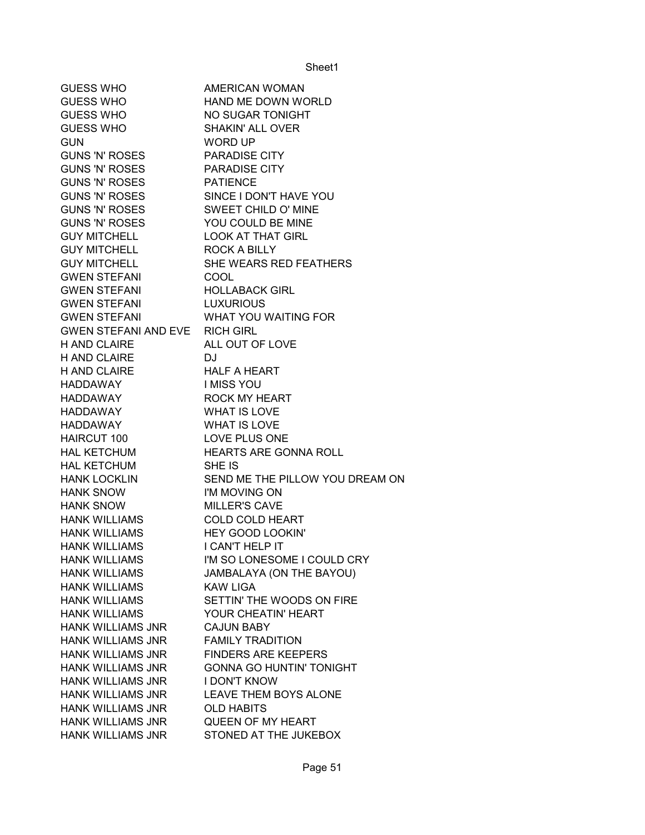| <b>GUESS WHO</b>               | AMERICAN WOMAN                  |
|--------------------------------|---------------------------------|
| <b>GUESS WHO</b>               | HAND ME DOWN WORLD              |
| <b>GUESS WHO</b>               | NO SUGAR TONIGHT                |
| <b>GUESS WHO</b>               | <b>SHAKIN' ALL OVER</b>         |
| <b>GUN</b>                     | <b>WORD UP</b>                  |
| <b>GUNS 'N' ROSES</b>          | <b>PARADISE CITY</b>            |
| <b>GUNS 'N' ROSES</b>          | <b>PARADISE CITY</b>            |
| <b>GUNS 'N' ROSES</b>          | <b>PATIENCE</b>                 |
| <b>GUNS 'N' ROSES</b>          | SINCE I DON'T HAVE YOU          |
| <b>GUNS 'N' ROSES</b>          | <b>SWEET CHILD O' MINE</b>      |
| <b>GUNS 'N' ROSES</b>          | YOU COULD BE MINE               |
| <b>GUY MITCHELL</b>            | <b>LOOK AT THAT GIRL</b>        |
| <b>GUY MITCHELL</b>            | ROCK A BILLY                    |
| <b>GUY MITCHELL</b>            | SHE WEARS RED FEATHERS          |
| <b>GWEN STEFANI</b>            | <b>COOL</b>                     |
| <b>GWEN STEFANI</b>            | <b>HOLLABACK GIRL</b>           |
| <b>GWEN STEFANI</b>            | <b>LUXURIOUS</b>                |
| <b>GWEN STEFANI</b>            | WHAT YOU WAITING FOR            |
| GWEN STEFANI AND EVE RICH GIRL |                                 |
| <b>H AND CLAIRE</b>            | ALL OUT OF LOVE                 |
| <b>H AND CLAIRE</b>            | DJ                              |
| <b>H AND CLAIRE</b>            | <b>HALF A HEART</b>             |
| HADDAWAY                       | I MISS YOU                      |
| HADDAWAY                       | <b>ROCK MY HEART</b>            |
| HADDAWAY                       | <b>WHAT IS LOVE</b>             |
| HADDAWAY                       | <b>WHAT IS LOVE</b>             |
| HAIRCUT 100                    | LOVE PLUS ONE                   |
| <b>HAL KETCHUM</b>             | <b>HEARTS ARE GONNA ROLL</b>    |
| <b>HAL KETCHUM</b>             | SHE IS                          |
| <b>HANK LOCKLIN</b>            | SEND ME THE PILLOW YOU DREAM ON |
| <b>HANK SNOW</b>               | I'M MOVING ON                   |
| <b>HANK SNOW</b>               | <b>MILLER'S CAVE</b>            |
| <b>HANK WILLIAMS</b>           | <b>COLD COLD HEART</b>          |
| <b>HANK WILLIAMS</b>           | <b>HEY GOOD LOOKIN'</b>         |
| <b>HANK WILLIAMS</b>           | I CAN'T HELP IT                 |
| <b>HANK WILLIAMS</b>           | I'M SO LONESOME I COULD CRY     |
| <b>HANK WILLIAMS</b>           | JAMBALAYA (ON THE BAYOU)        |
| <b>HANK WILLIAMS</b>           | <b>KAW LIGA</b>                 |
| <b>HANK WILLIAMS</b>           | SETTIN' THE WOODS ON FIRE       |
| <b>HANK WILLIAMS</b>           | YOUR CHEATIN' HEART             |
| <b>HANK WILLIAMS JNR</b>       | <b>CAJUN BABY</b>               |
| <b>HANK WILLIAMS JNR</b>       | <b>FAMILY TRADITION</b>         |
| <b>HANK WILLIAMS JNR</b>       | <b>FINDERS ARE KEEPERS</b>      |
| <b>HANK WILLIAMS JNR</b>       | <b>GONNA GO HUNTIN' TONIGHT</b> |
| <b>HANK WILLIAMS JNR</b>       | <b>I DON'T KNOW</b>             |
| <b>HANK WILLIAMS JNR</b>       | LEAVE THEM BOYS ALONE           |
| <b>HANK WILLIAMS JNR</b>       | <b>OLD HABITS</b>               |
| <b>HANK WILLIAMS JNR</b>       | QUEEN OF MY HEART               |
| <b>HANK WILLIAMS JNR</b>       | STONED AT THE JUKEBOX           |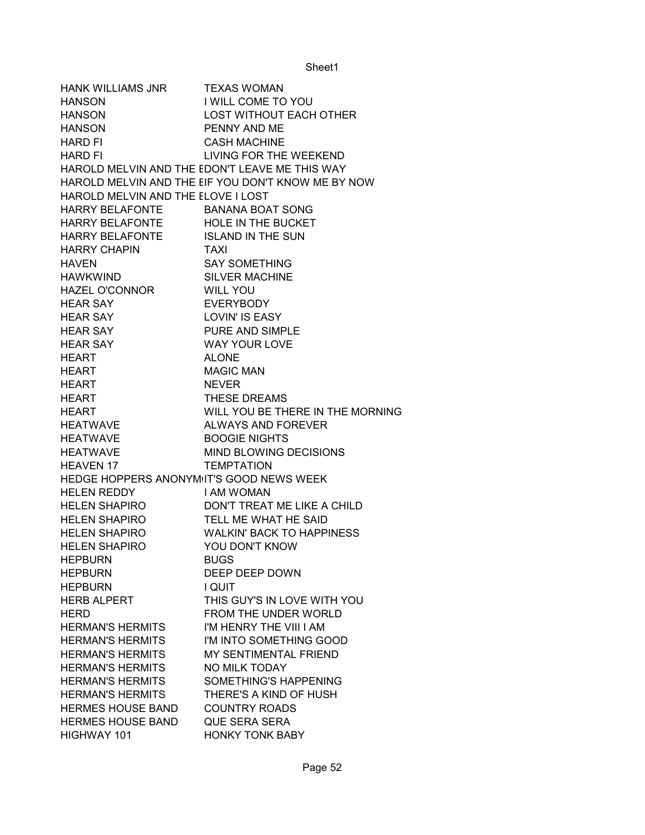HANK WILLIAMS JNR TEXAS WOMAN HANSON I WILL COME TO YOU HANSON LOST WITHOUT EACH OTHER HANSON PENNY AND ME HARD FI CASH MACHINE HARD FI LIVING FOR THE WEEKEND HAROLD MELVIN AND THE EDON'T LEAVE ME THIS WAY HAROLD MELVIN AND THE EIF YOU DON'T KNOW ME BY NOW HAROLD MELVIN AND THE ELOVE I LOST HARRY BELAFONTE BANANA BOAT SONG HARRY BELAFONTE HOLE IN THE BUCKET HARRY BELAFONTE ISLAND IN THE SUN HARRY CHAPIN TAXI HAVEN SAY SOMETHING HAWKWIND SILVER MACHINE HAZEL O'CONNOR WILL YOU HEAR SAY EVERYBODY HEAR SAY LOVIN' IS EASY HEAR SAY PURE AND SIMPLE HEAR SAY WAY YOUR LOVE HEART ALONE HEART MAGIC MAN HEART NEVER HEART **THESE DREAMS** HEART WILL YOU BE THERE IN THE MORNING HEATWAVE ALWAYS AND FOREVER HEATWAVE BOOGIE NIGHTS HEATWAVE MIND BLOWING DECISIONS HEAVEN 17 TEMPTATION HEDGE HOPPERS ANONYMIT'S GOOD NEWS WEEK HELEN REDDY I AM WOMAN HELEN SHAPIRO DON'T TREAT ME LIKE A CHILD HELEN SHAPIRO TELL ME WHAT HE SAID HELEN SHAPIRO WALKIN' BACK TO HAPPINESS HELEN SHAPIRO YOU DON'T KNOW HEPBURN BUGS HEPBURN DEEP DEEP DOWN HEPBURN I QUIT HERB ALPERT THIS GUY'S IN LOVE WITH YOU HERD **FROM THE UNDER WORLD** HERMAN'S HERMITS I'M HENRY THE VIII I AM HERMAN'S HERMITS I'M INTO SOMETHING GOOD HERMAN'S HERMITS MY SENTIMENTAL FRIEND HERMAN'S HERMITS NO MILK TODAY HERMAN'S HERMITS SOMETHING'S HAPPENING HERMAN'S HERMITS THERE'S A KIND OF HUSH HERMES HOUSE BAND COUNTRY ROADS HERMES HOUSE BAND QUE SERA SERA HIGHWAY 101 HONKY TONK BABY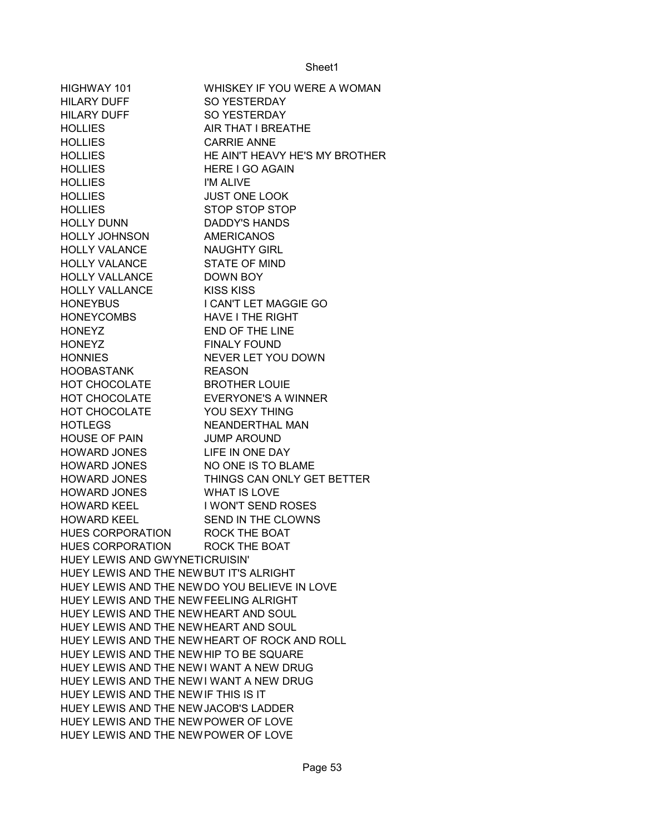| HIGHWAY 101                                   | WHISKEY IF YOU WERE A WOMAN                   |
|-----------------------------------------------|-----------------------------------------------|
| <b>HILARY DUFF</b>                            | SO YESTERDAY                                  |
| <b>HILARY DUFF</b>                            | SO YESTERDAY                                  |
| <b>HOLLIES</b>                                | AIR THAT I BREATHE                            |
| <b>HOLLIES</b>                                | <b>CARRIE ANNE</b>                            |
| <b>HOLLIES</b>                                | HE AIN'T HEAVY HE'S MY BROTHER                |
| <b>HOLLIES</b>                                | <b>HERE I GO AGAIN</b>                        |
| <b>HOLLIES</b>                                | I'M ALIVE                                     |
| <b>HOLLIES</b>                                | <b>JUST ONE LOOK</b>                          |
| <b>HOLLIES</b>                                | STOP STOP STOP                                |
| <b>HOLLY DUNN</b>                             | <b>DADDY'S HANDS</b>                          |
| <b>HOLLY JOHNSON</b>                          | <b>AMERICANOS</b>                             |
| <b>HOLLY VALANCE</b>                          | <b>NAUGHTY GIRL</b>                           |
| <b>HOLLY VALANCE</b>                          | <b>STATE OF MIND</b>                          |
| <b>HOLLY VALLANCE</b>                         | DOWN BOY                                      |
| <b>HOLLY VALLANCE</b>                         | <b>KISS KISS</b>                              |
| <b>HONEYBUS</b>                               | I CAN'T LET MAGGIE GO                         |
| HONEYCOMBS                                    | <b>HAVE I THE RIGHT</b>                       |
| <b>HONEYZ</b>                                 | END OF THE LINE                               |
| <b>HONEYZ</b>                                 | <b>FINALY FOUND</b>                           |
| <b>HONNIES</b>                                | NEVER LET YOU DOWN                            |
|                                               |                                               |
| HOOBASTANK                                    | <b>REASON</b>                                 |
| HOT CHOCOLATE                                 | <b>BROTHER LOUIE</b>                          |
| HOT CHOCOLATE                                 | <b>EVERYONE'S A WINNER</b>                    |
| HOT CHOCOLATE                                 | YOU SEXY THING                                |
| <b>HOTLEGS</b>                                | NEANDERTHAL MAN                               |
| <b>HOUSE OF PAIN</b>                          | <b>JUMP AROUND</b>                            |
| <b>HOWARD JONES</b>                           | LIFE IN ONE DAY                               |
| <b>HOWARD JONES</b>                           | NO ONE IS TO BLAME                            |
| <b>HOWARD JONES</b>                           | THINGS CAN ONLY GET BETTER                    |
| <b>HOWARD JONES</b>                           | <b>WHAT IS LOVE</b>                           |
| <b>HOWARD KEEL</b>                            | <b>I WON'T SEND ROSES</b>                     |
| <b>HOWARD KEEL</b>                            | SEND IN THE CLOWNS                            |
| HUES CORPORATION                              | <b>ROCK THE BOAT</b>                          |
| HUES CORPORATION                              | <b>ROCK THE BOAT</b>                          |
| HUEY LEWIS AND GWYNETICRUISIN'                |                                               |
| HUEY LEWIS AND THE NEW BUT IT'S ALRIGHT       |                                               |
| HUEY LEWIS AND THE NEW DO YOU BELIEVE IN LOVE |                                               |
| HUEY LEWIS AND THE NEW FEELING ALRIGHT        |                                               |
| HUEY LEWIS AND THE NEW HEART AND SOUL         |                                               |
| HUEY LEWIS AND THE NEW HEART AND SOUL         |                                               |
|                                               | HUEY LEWIS AND THE NEW HEART OF ROCK AND ROLL |
| HUEY LEWIS AND THE NEW HIP TO BE SQUARE       |                                               |
| HUEY LEWIS AND THE NEWI WANT A NEW DRUG       |                                               |
| HUEY LEWIS AND THE NEWI WANT A NEW DRUG       |                                               |
| HUEY LEWIS AND THE NEW IF THIS IS IT          |                                               |
| HUEY LEWIS AND THE NEW JACOB'S LADDER         |                                               |
| HUEY LEWIS AND THE NEW POWER OF LOVE          |                                               |
| HUEY LEWIS AND THE NEW POWER OF LOVE          |                                               |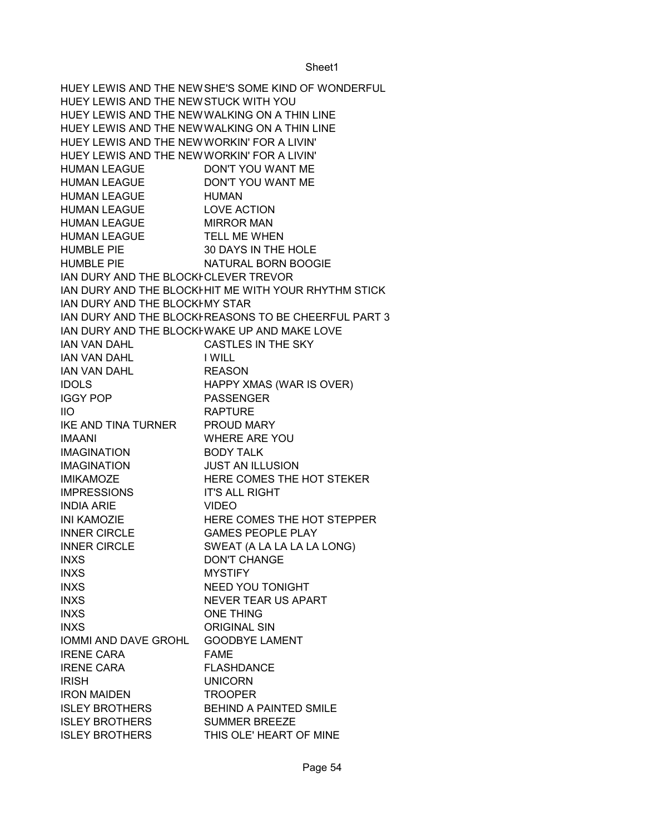HUEY LEWIS AND THE NEW SHE'S SOME KIND OF WONDERFUL HUEY LEWIS AND THE NEWSSTUCK WITH YOU HUEY LEWIS AND THE NEW WALKING ON A THIN LINE HUEY LEWIS AND THE NEW WALKING ON A THIN LINE HUEY LEWIS AND THE NEW WORKIN' FOR A LIVIN' HUEY LEWIS AND THE NEW WORKIN' FOR A LIVIN' HUMAN LEAGUE DON'T YOU WANT ME HUMAN LEAGUE DON'T YOU WANT ME HUMAN LEAGUE HUMAN HUMAN LEAGUE LOVE ACTION HUMAN LEAGUE MIRROR MAN HUMAN LEAGUE TELL ME WHEN HUMBLE PIE 30 DAYS IN THE HOLE HUMBLE PIE NATURAL BORN BOOGIE IAN DURY AND THE BLOCKFCLEVER TREVOR IAN DURY AND THE BLOCKHHIT ME WITH YOUR RHYTHM STICK IAN DURY AND THE BLOCKFMY STAR IAN DURY AND THE BLOCKI-REASONS TO BE CHEERFUL PART 3 IAN DURY AND THE BLOCKHWAKE UP AND MAKE LOVE IAN VAN DAHL CASTLES IN THE SKY IAN VAN DAHL I WILL IAN VAN DAHL REASON IDOLS HAPPY XMAS (WAR IS OVER) IGGY POP PASSENGER IIO RAPTURE IKE AND TINA TURNER PROUD MARY IMAANI WHERE ARE YOU IMAGINATION BODY TALK IMAGINATION JUST AN ILLUSION IMIKAMOZE HERE COMES THE HOT STEKER IMPRESSIONS IT'S ALL RIGHT INDIA ARIE VIDEO INI KAMOZIE HERE COMES THE HOT STEPPER INNER CIRCLE GAMES PEOPLE PLAY INNER CIRCLE SWEAT (A LA LA LA LA LONG) INXS DON'T CHANGE INXS MYSTIFY INXS NEED YOU TONIGHT INXS NEVER TEAR US APART INXS ONE THING INXS ORIGINAL SIN IOMMI AND DAVE GROHL GOODBYE LAMENT IRENE CARA FAME IRENE CARA FLASHDANCE IRISH UNICORN IRON MAIDEN TROOPER ISLEY BROTHERS BEHIND A PAINTED SMILE ISLEY BROTHERS SUMMER BREEZE ISLEY BROTHERS THIS OLE' HEART OF MINE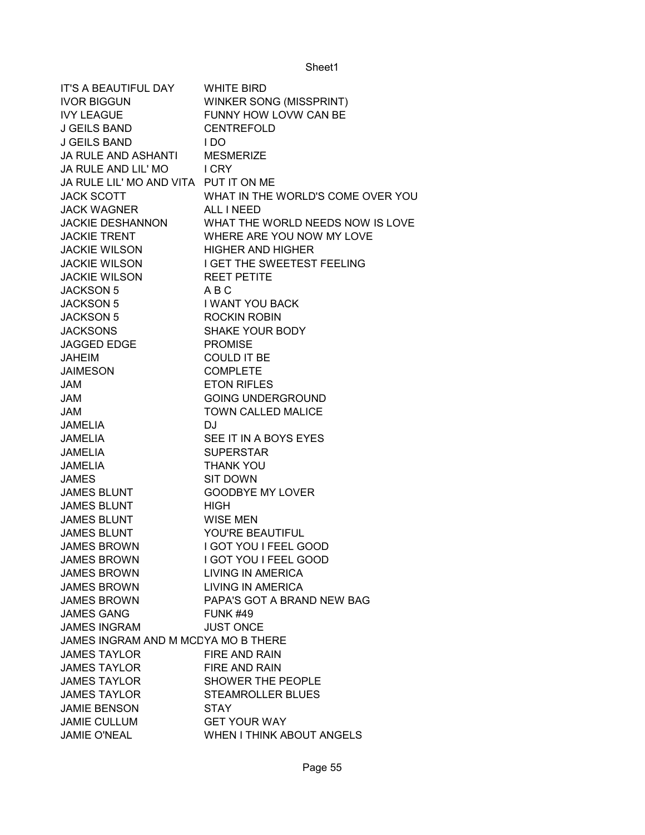| IT'S A BEAUTIFUL DAY WHITE BIRD       |                                                  |
|---------------------------------------|--------------------------------------------------|
| <b>IVOR BIGGUN</b>                    | <b>WINKER SONG (MISSPRINT)</b>                   |
| <b>IVY LEAGUE</b>                     | FUNNY HOW LOVW CAN BE                            |
| J GEILS BAND                          | <b>CENTREFOLD</b>                                |
| <b>J GEILS BAND</b>                   | I DO                                             |
| JA RULE AND ASHANTI MESMERIZE         |                                                  |
| JA RULE AND LIL' MO I CRY             |                                                  |
| JA RULE LIL' MO AND VITA PUT IT ON ME |                                                  |
| <b>JACK SCOTT</b>                     | WHAT IN THE WORLD'S COME OVER YOU                |
| <b>JACK WAGNER</b>                    | ALL I NEED                                       |
| <b>JACKIE DESHANNON</b>               | WHAT THE WORLD NEEDS NOW IS LOVE                 |
| <b>JACKIE TRENT</b>                   | WHERE ARE YOU NOW MY LOVE                        |
| <b>JACKIE WILSON</b>                  | <b>HIGHER AND HIGHER</b>                         |
|                                       | JACKIE WILSON I GET THE SWEETEST FEELING         |
| <b>JACKIE WILSON</b>                  | <b>REET PETITE</b>                               |
| <b>JACKSON 5</b>                      | ABC                                              |
| <b>JACKSON 5</b>                      | <b>I WANT YOU BACK</b>                           |
| <b>JACKSON 5</b>                      | <b>ROCKIN ROBIN</b>                              |
| <b>JACKSONS</b>                       | <b>SHAKE YOUR BODY</b>                           |
| <b>JAGGED EDGE</b>                    | <b>PROMISE</b>                                   |
| <b>JAHEIM</b>                         | <b>COULD IT BE</b>                               |
| <b>JAIMESON</b>                       | <b>COMPLETE</b>                                  |
| JAM                                   | <b>ETON RIFLES</b>                               |
| <b>JAM</b>                            | <b>GOING UNDERGROUND</b>                         |
| <b>JAM</b>                            | <b>TOWN CALLED MALICE</b>                        |
| <b>JAMELIA</b>                        | DJ                                               |
| <b>JAMELIA</b>                        | SEE IT IN A BOYS EYES                            |
| <b>JAMELIA</b>                        | <b>SUPERSTAR</b>                                 |
| <b>JAMELIA</b>                        | <b>THANK YOU</b>                                 |
| <b>JAMES</b>                          | <b>SIT DOWN</b>                                  |
| <b>JAMES BLUNT</b>                    | <b>GOODBYE MY LOVER</b>                          |
| <b>JAMES BLUNT</b>                    | <b>HIGH</b>                                      |
| <b>JAMES BLUNT</b>                    | <b>WISE MEN</b>                                  |
| <b>JAMES BLUNT</b>                    | YOU'RE BEAUTIFUL                                 |
| <b>JAMES BROWN</b>                    | I GOT YOU I FEEL GOOD                            |
| <b>JAMES BROWN</b>                    | <b>I GOT YOU I FEEL GOOD</b>                     |
| <b>JAMES BROWN</b>                    | <b>LIVING IN AMERICA</b>                         |
| <b>JAMES BROWN</b>                    | <b>LIVING IN AMERICA</b>                         |
| <b>JAMES BROWN</b>                    | PAPA'S GOT A BRAND NEW BAG                       |
| <b>JAMES GANG</b>                     | <b>FUNK #49</b>                                  |
| <b>JAMES INGRAM</b>                   | <b>JUST ONCE</b>                                 |
| JAMES INGRAM AND M MCDYA MO B THERE   |                                                  |
| <b>JAMES TAYLOR</b>                   | <b>FIRE AND RAIN</b>                             |
| <b>JAMES TAYLOR</b>                   |                                                  |
| <b>JAMES TAYLOR</b>                   | <b>FIRE AND RAIN</b><br><b>SHOWER THE PEOPLE</b> |
|                                       |                                                  |
| <b>JAMES TAYLOR</b>                   | <b>STEAMROLLER BLUES</b>                         |
| <b>JAMIE BENSON</b>                   | <b>STAY</b>                                      |
| <b>JAMIE CULLUM</b>                   | <b>GET YOUR WAY</b>                              |
| <b>JAMIE O'NEAL</b>                   | <b>WHEN I THINK ABOUT ANGELS</b>                 |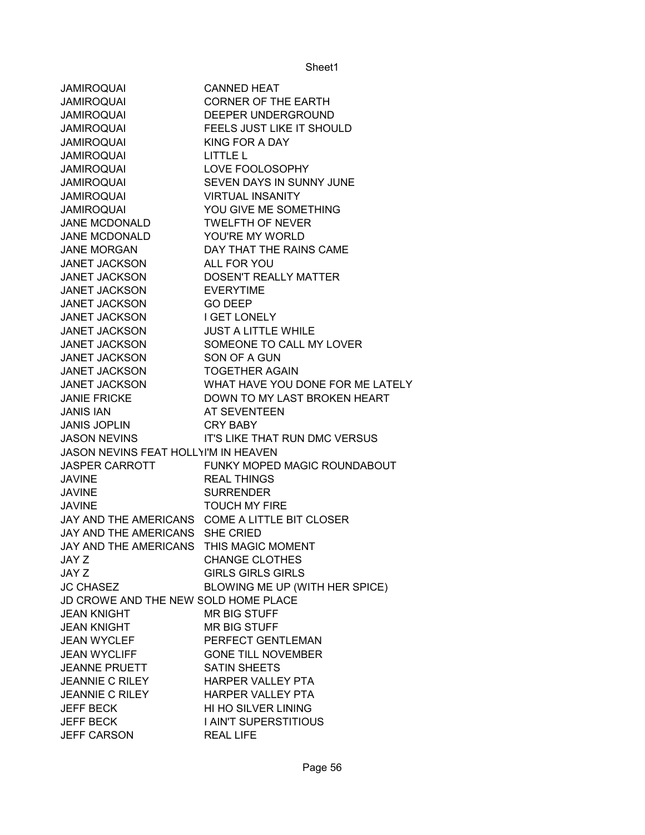| <b>JAMIROQUAI</b>                       | <b>CANNED HEAT</b>               |
|-----------------------------------------|----------------------------------|
| <b>JAMIROQUAI</b>                       | <b>CORNER OF THE EARTH</b>       |
| <b>JAMIROQUAI</b>                       | DEEPER UNDERGROUND               |
| <b>JAMIROQUAI</b>                       | FEELS JUST LIKE IT SHOULD        |
| <b>JAMIROQUAI</b>                       | KING FOR A DAY                   |
| <b>JAMIROQUAI</b>                       | LITTLE L                         |
| <b>JAMIROQUAI</b>                       | LOVE FOOLOSOPHY                  |
| <b>JAMIROQUAI</b>                       | SEVEN DAYS IN SUNNY JUNE         |
| <b>JAMIROQUAI</b>                       | <b>VIRTUAL INSANITY</b>          |
| <b>JAMIROQUAI</b>                       | YOU GIVE ME SOMETHING            |
| JANE MCDONALD                           | <b>TWELFTH OF NEVER</b>          |
| JANE MCDONALD                           | YOU'RE MY WORLD                  |
| <b>JANE MORGAN</b>                      | DAY THAT THE RAINS CAME          |
| <b>JANET JACKSON</b>                    | ALL FOR YOU                      |
| <b>JANET JACKSON</b>                    | <b>DOSEN'T REALLY MATTER</b>     |
| <b>JANET JACKSON</b>                    | <b>EVERYTIME</b>                 |
| <b>JANET JACKSON</b>                    | <b>GO DEEP</b>                   |
| <b>JANET JACKSON</b>                    | I GET LONELY                     |
| <b>JANET JACKSON</b>                    | <b>JUST A LITTLE WHILE</b>       |
| <b>JANET JACKSON</b>                    | SOMEONE TO CALL MY LOVER         |
| <b>JANET JACKSON</b>                    | SON OF A GUN                     |
| <b>JANET JACKSON</b>                    | <b>TOGETHER AGAIN</b>            |
| <b>JANET JACKSON</b>                    | WHAT HAVE YOU DONE FOR ME LATELY |
| <b>JANIE FRICKE</b>                     | DOWN TO MY LAST BROKEN HEART     |
| <b>JANIS IAN</b>                        | AT SEVENTEEN                     |
| <b>JANIS JOPLIN</b>                     | <b>CRY BABY</b>                  |
| <b>JASON NEVINS</b>                     | IT'S LIKE THAT RUN DMC VERSUS    |
| JASON NEVINS FEAT HOLLYI'M IN HEAVEN    |                                  |
| <b>JASPER CARROTT</b>                   | FUNKY MOPED MAGIC ROUNDABOUT     |
| <b>JAVINE</b>                           | <b>REAL THINGS</b>               |
| <b>JAVINE</b>                           | <b>SURRENDER</b>                 |
| <b>JAVINE</b>                           | <b>TOUCH MY FIRE</b>             |
| JAY AND THE AMERICANS                   | COME A LITTLE BIT CLOSER         |
| JAY AND THE AMERICANS SHE CRIED         |                                  |
| JAY AND THE AMERICANS THIS MAGIC MOMENT |                                  |
| JAY Z                                   | <b>CHANGE CLOTHES</b>            |
| JAY Z                                   | <b>GIRLS GIRLS GIRLS</b>         |
| <b>JC CHASEZ</b>                        | BLOWING ME UP (WITH HER SPICE)   |
| JD CROWE AND THE NEW SOLD HOME PLACE    |                                  |
| <b>JEAN KNIGHT</b>                      | <b>MR BIG STUFF</b>              |
| <b>JEAN KNIGHT</b>                      | <b>MR BIG STUFF</b>              |
| <b>JEAN WYCLEF</b>                      | PERFECT GENTLEMAN                |
| <b>JEAN WYCLIFF</b>                     | <b>GONE TILL NOVEMBER</b>        |
| <b>JEANNE PRUETT</b>                    | <b>SATIN SHEETS</b>              |
| <b>JEANNIE C RILEY</b>                  | <b>HARPER VALLEY PTA</b>         |
| <b>JEANNIE C RILEY</b>                  | <b>HARPER VALLEY PTA</b>         |
| <b>JEFF BECK</b>                        | HI HO SILVER LINING              |
| <b>JEFF BECK</b>                        | I AIN'T SUPERSTITIOUS            |
| <b>JEFF CARSON</b>                      | <b>REAL LIFE</b>                 |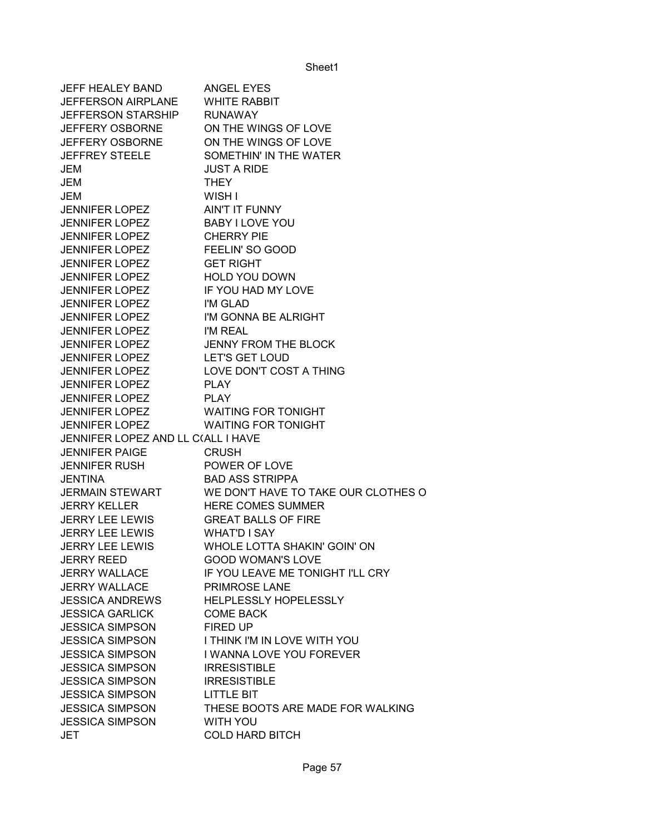| <b>JEFF HEALEY BAND</b>            | ANGEL EYES                          |
|------------------------------------|-------------------------------------|
| <b>JEFFERSON AIRPLANE</b>          | <b>WHITE RABBIT</b>                 |
| <b>JEFFERSON STARSHIP</b>          | <b>RUNAWAY</b>                      |
| <b>JEFFERY OSBORNE</b>             | ON THE WINGS OF LOVE                |
| <b>JEFFERY OSBORNE</b>             | ON THE WINGS OF LOVE                |
| <b>JEFFREY STEELE</b>              | SOMETHIN' IN THE WATER              |
| JEM                                | <b>JUST A RIDE</b>                  |
| <b>JEM</b>                         | <b>THEY</b>                         |
| JEM                                | WISH I                              |
| <b>JENNIFER LOPEZ</b>              | AIN'T IT FUNNY                      |
| <b>JENNIFER LOPEZ</b>              | <b>BABY I LOVE YOU</b>              |
| <b>JENNIFER LOPEZ</b>              | <b>CHERRY PIE</b>                   |
| <b>JENNIFER LOPEZ</b>              | FEELIN' SO GOOD                     |
| <b>JENNIFER LOPEZ</b>              | <b>GET RIGHT</b>                    |
| <b>JENNIFER LOPEZ</b>              | <b>HOLD YOU DOWN</b>                |
| <b>JENNIFER LOPEZ</b>              | IF YOU HAD MY LOVE                  |
| <b>JENNIFER LOPEZ</b>              | I'M GLAD                            |
| <b>JENNIFER LOPEZ</b>              | I'M GONNA BE ALRIGHT                |
| <b>JENNIFER LOPEZ</b>              | I'M REAL                            |
| <b>JENNIFER LOPEZ</b>              | <b>JENNY FROM THE BLOCK</b>         |
| <b>JENNIFER LOPEZ</b>              | <b>LET'S GET LOUD</b>               |
| <b>JENNIFER LOPEZ</b>              | LOVE DON'T COST A THING             |
| <b>JENNIFER LOPEZ</b>              | <b>PLAY</b>                         |
| <b>JENNIFER LOPEZ</b>              | <b>PLAY</b>                         |
| <b>JENNIFER LOPEZ</b>              | <b>WAITING FOR TONIGHT</b>          |
| <b>JENNIFER LOPEZ</b>              | <b>WAITING FOR TONIGHT</b>          |
| JENNIFER LOPEZ AND LL C(ALL I HAVE |                                     |
| <b>JENNIFER PAIGE</b>              | <b>CRUSH</b>                        |
| JENNIFER RUSH                      | POWER OF LOVE                       |
| <b>JENTINA</b>                     | <b>BAD ASS STRIPPA</b>              |
| <b>JERMAIN STEWART</b>             | WE DON'T HAVE TO TAKE OUR CLOTHES O |
| <b>JERRY KELLER</b>                | <b>HERE COMES SUMMER</b>            |
| <b>JERRY LEE LEWIS</b>             | <b>GREAT BALLS OF FIRE</b>          |
| <b>JERRY LEE LEWIS</b>             | <b>WHAT'D I SAY</b>                 |
| <b>JERRY LEE LEWIS</b>             | WHOLE LOTTA SHAKIN' GOIN' ON        |
| JERRY REED                         | <b>GOOD WOMAN'S LOVE</b>            |
| <b>JERRY WALLACE</b>               | IF YOU LEAVE ME TONIGHT I'LL CRY    |
| <b>JERRY WALLACE</b>               | PRIMROSE LANE                       |
| <b>JESSICA ANDREWS</b>             | HELPLESSLY HOPELESSLY               |
| <b>JESSICA GARLICK</b>             | <b>COME BACK</b>                    |
| <b>JESSICA SIMPSON</b>             | FIRED UP                            |
| <b>JESSICA SIMPSON</b>             | I THINK I'M IN LOVE WITH YOU        |
| <b>JESSICA SIMPSON</b>             | I WANNA LOVE YOU FOREVER            |
| <b>JESSICA SIMPSON</b>             | <b>IRRESISTIBLE</b>                 |
| <b>JESSICA SIMPSON</b>             | <b>IRRESISTIBLE</b>                 |
| <b>JESSICA SIMPSON</b>             | <b>LITTLE BIT</b>                   |
| <b>JESSICA SIMPSON</b>             | THESE BOOTS ARE MADE FOR WALKING    |
| <b>JESSICA SIMPSON</b>             | WITH YOU                            |
| <b>JET</b>                         | <b>COLD HARD BITCH</b>              |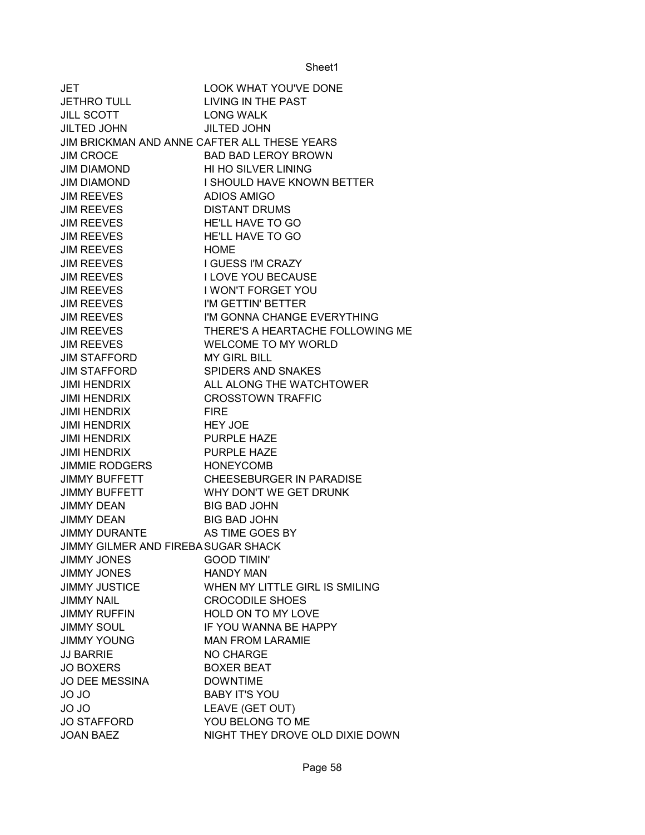| JET                                          | <b>LOOK WHAT YOU'VE DONE</b>     |
|----------------------------------------------|----------------------------------|
| <b>JETHRO TULL</b>                           | LIVING IN THE PAST               |
| <b>JILL SCOTT</b>                            | <b>LONG WALK</b>                 |
| <b>JILTED JOHN</b>                           | <b>JILTED JOHN</b>               |
| JIM BRICKMAN AND ANNE CAFTER ALL THESE YEARS |                                  |
| <b>JIM CROCE</b>                             | <b>BAD BAD LEROY BROWN</b>       |
| <b>JIM DIAMOND</b>                           | HI HO SILVER LINING              |
| <b>JIM DIAMOND</b>                           | I SHOULD HAVE KNOWN BETTER       |
| <b>JIM REEVES</b>                            | <b>ADIOS AMIGO</b>               |
| <b>JIM REEVES</b>                            | <b>DISTANT DRUMS</b>             |
| <b>JIM REEVES</b>                            | HE'LL HAVE TO GO                 |
| <b>JIM REEVES</b>                            | HE'LL HAVE TO GO                 |
| <b>JIM REEVES</b>                            | <b>HOME</b>                      |
| <b>JIM REEVES</b>                            | <b>I GUESS I'M CRAZY</b>         |
| <b>JIM REEVES</b>                            | <b>I LOVE YOU BECAUSE</b>        |
| <b>JIM REEVES</b>                            | I WON'T FORGET YOU               |
| <b>JIM REEVES</b>                            | I'M GETTIN' BETTER               |
| <b>JIM REEVES</b>                            | I'M GONNA CHANGE EVERYTHING      |
| <b>JIM REEVES</b>                            | THERE'S A HEARTACHE FOLLOWING ME |
| <b>JIM REEVES</b>                            | <b>WELCOME TO MY WORLD</b>       |
| <b>JIM STAFFORD</b>                          | <b>MY GIRL BILL</b>              |
| <b>JIM STAFFORD</b>                          | SPIDERS AND SNAKES               |
| <b>JIMI HENDRIX</b>                          | ALL ALONG THE WATCHTOWER         |
| <b>JIMI HENDRIX</b>                          | <b>CROSSTOWN TRAFFIC</b>         |
| <b>JIMI HENDRIX</b>                          | <b>FIRE</b>                      |
| <b>JIMI HENDRIX</b>                          | <b>HEY JOE</b>                   |
| <b>JIMI HENDRIX</b>                          | PURPLE HAZE                      |
| <b>JIMI HENDRIX</b>                          | <b>PURPLE HAZE</b>               |
| <b>JIMMIE RODGERS</b>                        | <b>HONEYCOMB</b>                 |
| <b>JIMMY BUFFETT</b>                         | <b>CHEESEBURGER IN PARADISE</b>  |
| <b>JIMMY BUFFETT</b>                         | WHY DON'T WE GET DRUNK           |
| <b>JIMMY DEAN</b>                            | <b>BIG BAD JOHN</b>              |
| <b>JIMMY DEAN</b>                            | <b>BIG BAD JOHN</b>              |
| <b>JIMMY DURANTE</b>                         | AS TIME GOES BY                  |
| JIMMY GILMER AND FIREBA SUGAR SHACK          |                                  |
| <b>JIMMY JONES</b>                           | <b>GOOD TIMIN'</b>               |
| <b>JIMMY JONES</b>                           | <b>HANDY MAN</b>                 |
| <b>JIMMY JUSTICE</b>                         | WHEN MY LITTLE GIRL IS SMILING   |
| <b>JIMMY NAIL</b>                            | <b>CROCODILE SHOES</b>           |
| <b>JIMMY RUFFIN</b>                          | HOLD ON TO MY LOVE               |
| <b>JIMMY SOUL</b>                            | IF YOU WANNA BE HAPPY            |
| <b>JIMMY YOUNG</b>                           | <b>MAN FROM LARAMIE</b>          |
| <b>JJ BARRIE</b>                             | <b>NO CHARGE</b>                 |
| <b>JO BOXERS</b>                             | <b>BOXER BEAT</b>                |
| <b>JO DEE MESSINA</b>                        | <b>DOWNTIME</b>                  |
| <b>JO JO</b>                                 | <b>BABY IT'S YOU</b>             |
| <b>JO JO</b>                                 | LEAVE (GET OUT)                  |
| <b>JO STAFFORD</b>                           | YOU BELONG TO ME                 |
| <b>JOAN BAEZ</b>                             | NIGHT THEY DROVE OLD DIXIE DOWN  |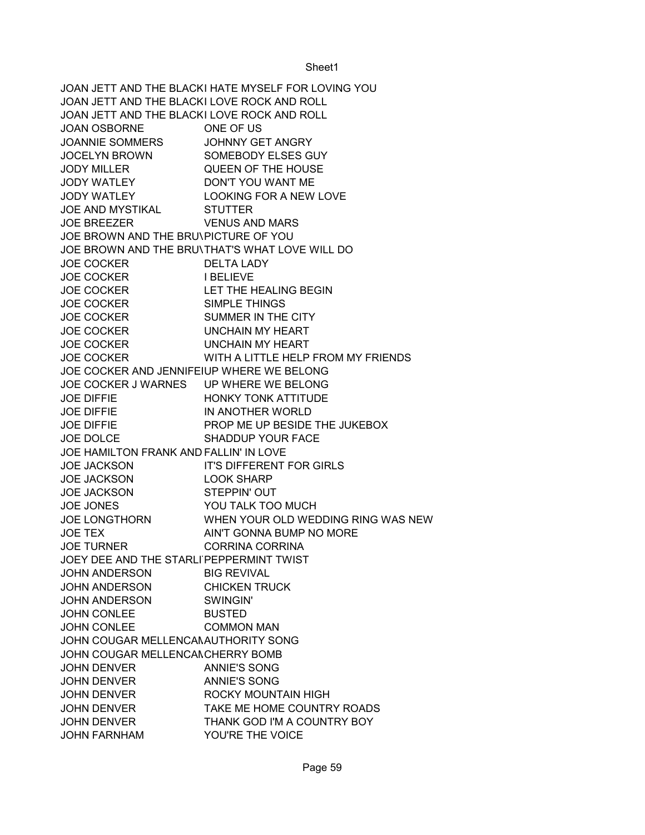JOAN JETT AND THE BLACKI HATE MYSELF FOR LOVING YOU JOAN JETT AND THE BLACKI LOVE ROCK AND ROLL JOAN JETT AND THE BLACKI LOVE ROCK AND ROLL JOAN OSBORNE ONE OF US JOANNIE SOMMERS JOHNNY GET ANGRY JOCELYN BROWN SOMEBODY ELSES GUY JODY MILLER QUEEN OF THE HOUSE JODY WATLEY DON'T YOU WANT ME JODY WATLEY LOOKING FOR A NEW LOVE JOE AND MYSTIKAL STUTTER JOE BREEZER VENUS AND MARS JOE BROWN AND THE BRU\PICTURE OF YOU JOE BROWN AND THE BRU\THAT'S WHAT LOVE WILL DO JOE COCKER
BILITA LADY JOE COCKER
IBELIEVE JOE COCKER LET THE HEALING BEGIN JOE COCKER SIMPLE THINGS JOE COCKER SUMMER IN THE CITY JOE COCKER UNCHAIN MY HEART JOE COCKER UNCHAIN MY HEART JOE COCKER WITH A LITTLE HELP FROM MY FRIENDS JOE COCKER AND JENNIFEIUP WHERE WE BELONG JOE COCKER J WARNES UP WHERE WE BELONG JOE DIFFIE HONKY TONK ATTITUDE JOE DIFFIE IN ANOTHER WORLD JOE DIFFIE PROP ME UP BESIDE THE JUKEBOX JOE DOLCE SHADDUP YOUR FACE JOE HAMILTON FRANK AND FALLIN' IN LOVE JOE JACKSON IT'S DIFFERENT FOR GIRLS JOE JACKSON LOOK SHARP JOE JACKSON STEPPIN' OUT JOE JONES YOU TALK TOO MUCH JOE LONGTHORN WHEN YOUR OLD WEDDING RING WAS NEW JOE TEX AIN'T GONNA BUMP NO MORE JOE TURNER CORRINA CORRINA JOEY DEE AND THE STARLI PEPPERMINT TWIST JOHN ANDERSON BIG REVIVAL JOHN ANDERSON CHICKEN TRUCK JOHN ANDERSON SWINGIN' JOHN CONLEE BUSTED JOHN CONLEE COMMON MAN JOHN COUGAR MELLENCANAUTHORITY SONG JOHN COUGAR MELLENCANCHERRY BOMB JOHN DENVER **ANNIE'S SONG** JOHN DENVER ANNIE'S SONG JOHN DENVER ROCKY MOUNTAIN HIGH JOHN DENVER TAKE ME HOME COUNTRY ROADS JOHN DENVER THANK GOD I'M A COUNTRY BOY JOHN FARNHAM YOU'RE THE VOICE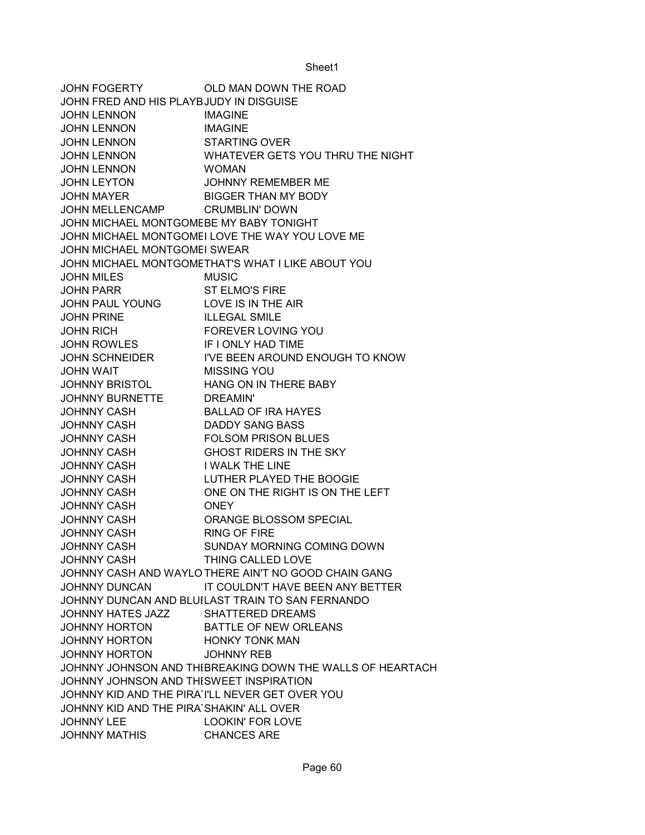JOHN FOGERTY OLD MAN DOWN THE ROAD JOHN FRED AND HIS PLAYBJUDY IN DISGUISE JOHN LENNON IMAGINE JOHN LENNON IMAGINE JOHN LENNON STARTING OVER JOHN LENNON WHATEVER GETS YOU THRU THE NIGHT JOHN LENNON WOMAN JOHN LEYTON JOHNNY REMEMBER ME JOHN MAYER BIGGER THAN MY BODY JOHN MELLENCAMP CRUMBLIN' DOWN JOHN MICHAEL MONTGOMEBE MY BABY TONIGHT JOHN MICHAEL MONTGOMEI LOVE THE WAY YOU LOVE ME JOHN MICHAEL MONTGOMEI SWEAR JOHN MICHAEL MONTGOMETHAT'S WHAT I LIKE ABOUT YOU JOHN MILES MUSIC JOHN PARR ST ELMO'S FIRE JOHN PAUL YOUNG LOVE IS IN THE AIR JOHN PRINE ILLEGAL SMILE JOHN RICH FOREVER LOVING YOU JOHN ROWLES **IF I ONLY HAD TIME** JOHN SCHNEIDER I'VE BEEN AROUND ENOUGH TO KNOW JOHN WAIT MISSING YOU JOHNNY BRISTOL HANG ON IN THERE BABY JOHNNY BURNETTE DREAMIN' JOHNNY CASH BALLAD OF IRA HAYES JOHNNY CASH DADDY SANG BASS JOHNNY CASH FOLSOM PRISON BLUES JOHNNY CASH GHOST RIDERS IN THE SKY JOHNNY CASH I WALK THE LINE JOHNNY CASH LUTHER PLAYED THE BOOGIE JOHNNY CASH ONE ON THE RIGHT IS ON THE LEFT JOHNNY CASH ONEY JOHNNY CASH ORANGE BLOSSOM SPECIAL JOHNNY CASH RING OF FIRE JOHNNY CASH SUNDAY MORNING COMING DOWN JOHNNY CASH THING CALLED LOVE JOHNNY CASH AND WAYLO THERE AIN'T NO GOOD CHAIN GANG JOHNNY DUNCAN IT COULDN'T HAVE BEEN ANY BETTER JOHNNY DUNCAN AND BLUILAST TRAIN TO SAN FERNANDO JOHNNY HATES JAZZ SHATTERED DREAMS JOHNNY HORTON BATTLE OF NEW ORLEANS JOHNNY HORTON HONKY TONK MAN JOHNNY HORTON JOHNNY REB JOHNNY JOHNSON AND THIBREAKING DOWN THE WALLS OF HEARTACH JOHNNY JOHNSON AND THE SWEET INSPIRATION JOHNNY KID AND THE PIRATILL NEVER GET OVER YOU JOHNNY KID AND THE PIRA SHAKIN' ALL OVER JOHNNY LEE LOOKIN' FOR LOVE JOHNNY MATHIS CHANCES ARE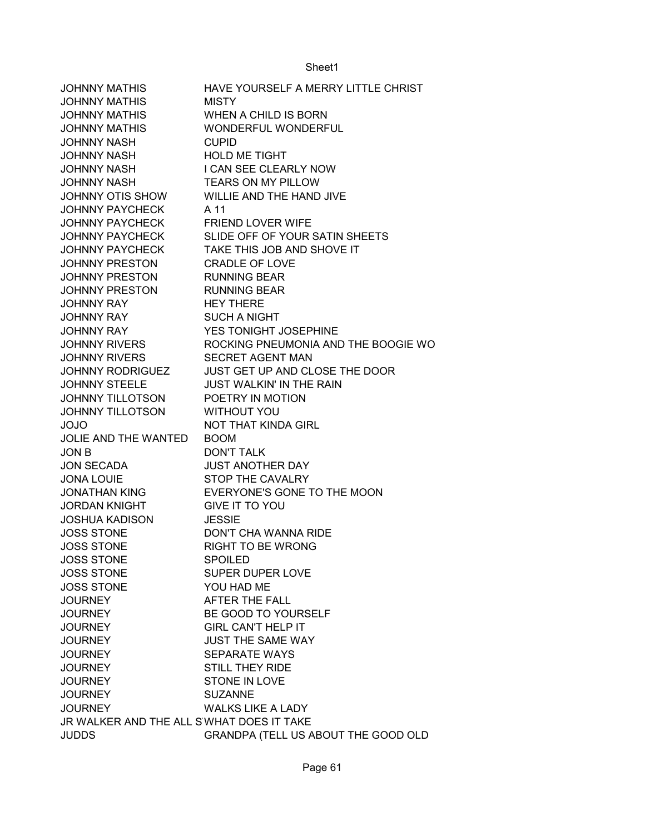| HAVE YOURSELF A MERRY LITTLE CHRIST                         |  |
|-------------------------------------------------------------|--|
| <b>JOHNNY MATHIS</b><br><b>MISTY</b>                        |  |
| <b>JOHNNY MATHIS</b><br>WHEN A CHILD IS BORN                |  |
| <b>JOHNNY MATHIS</b><br>WONDERFUL WONDERFUL                 |  |
| JOHNNY NASH<br><b>CUPID</b>                                 |  |
| <b>HOLD ME TIGHT</b><br><b>JOHNNY NASH</b>                  |  |
| I CAN SEE CLEARLY NOW<br><b>JOHNNY NASH</b>                 |  |
| <b>JOHNNY NASH</b><br><b>TEARS ON MY PILLOW</b>             |  |
| JOHNNY OTIS SHOW<br>WILLIE AND THE HAND JIVE                |  |
| <b>JOHNNY PAYCHECK</b><br>A 11                              |  |
| <b>JOHNNY PAYCHECK</b><br><b>FRIEND LOVER WIFE</b>          |  |
| <b>JOHNNY PAYCHECK</b><br>SLIDE OFF OF YOUR SATIN SHEETS    |  |
| <b>JOHNNY PAYCHECK</b><br>TAKE THIS JOB AND SHOVE IT        |  |
| <b>CRADLE OF LOVE</b><br><b>JOHNNY PRESTON</b>              |  |
| <b>RUNNING BEAR</b><br><b>JOHNNY PRESTON</b>                |  |
| <b>RUNNING BEAR</b><br><b>JOHNNY PRESTON</b>                |  |
| <b>HEY THERE</b><br><b>JOHNNY RAY</b>                       |  |
| <b>JOHNNY RAY</b><br><b>SUCH A NIGHT</b>                    |  |
| YES TONIGHT JOSEPHINE<br><b>JOHNNY RAY</b>                  |  |
| <b>JOHNNY RIVERS</b><br>ROCKING PNEUMONIA AND THE BOOGIE WO |  |
| <b>JOHNNY RIVERS</b><br><b>SECRET AGENT MAN</b>             |  |
| <b>JOHNNY RODRIGUEZ</b><br>JUST GET UP AND CLOSE THE DOOR   |  |
| <b>JOHNNY STEELE</b><br><b>JUST WALKIN' IN THE RAIN</b>     |  |
| POETRY IN MOTION<br><b>JOHNNY TILLOTSON</b>                 |  |
| <b>JOHNNY TILLOTSON</b><br><b>WITHOUT YOU</b>               |  |
| <b>NOT THAT KINDA GIRL</b><br><b>OLOL</b>                   |  |
| JOLIE AND THE WANTED<br><b>BOOM</b>                         |  |
| JON B<br><b>DON'T TALK</b>                                  |  |
| <b>JUST ANOTHER DAY</b><br><b>JON SECADA</b>                |  |
| STOP THE CAVALRY<br><b>JONA LOUIE</b>                       |  |
| EVERYONE'S GONE TO THE MOON<br><b>JONATHAN KING</b>         |  |
| <b>GIVE IT TO YOU</b><br>JORDAN KNIGHT                      |  |
| <b>JOSHUA KADISON</b><br><b>JESSIE</b>                      |  |
| <b>JOSS STONE</b><br>DON'T CHA WANNA RIDE                   |  |
| <b>JOSS STONE</b><br><b>RIGHT TO BE WRONG</b>               |  |
| <b>JOSS STONE</b><br><b>SPOILED</b>                         |  |
| <b>JOSS STONE</b><br><b>SUPER DUPER LOVE</b>                |  |
| <b>JOSS STONE</b><br>YOU HAD ME                             |  |
| <b>AFTER THE FALL</b><br><b>JOURNEY</b>                     |  |
| BE GOOD TO YOURSELF<br><b>JOURNEY</b>                       |  |
| <b>GIRL CAN'T HELP IT</b><br><b>JOURNEY</b>                 |  |
| <b>JUST THE SAME WAY</b><br><b>JOURNEY</b>                  |  |
| <b>SEPARATE WAYS</b><br><b>JOURNEY</b>                      |  |
| <b>STILL THEY RIDE</b><br><b>JOURNEY</b>                    |  |
| <b>STONE IN LOVE</b><br><b>JOURNEY</b>                      |  |
| <b>JOURNEY</b><br><b>SUZANNE</b>                            |  |
| <b>WALKS LIKE A LADY</b><br><b>JOURNEY</b>                  |  |
| JR WALKER AND THE ALL SWHAT DOES IT TAKE                    |  |
| <b>JUDDS</b><br>GRANDPA (TELL US ABOUT THE GOOD OLD         |  |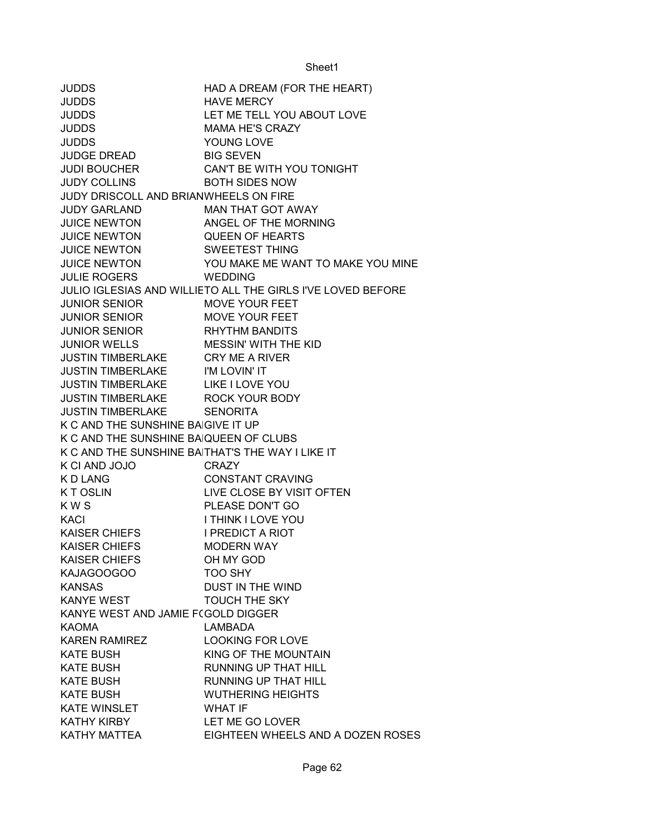JUDDS HAD A DREAM (FOR THE HEART) JUDDS HAVE MERCY JUDDS LET ME TELL YOU ABOUT LOVE JUDDS MAMA HE'S CRAZY JUDDS YOUNG LOVE JUDGE DREAD BIG SEVEN JUDI BOUCHER CAN'T BE WITH YOU TONIGHT JUDY COLLINS BOTH SIDES NOW JUDY DRISCOLL AND BRIANWHEELS ON FIRE JUDY GARLAND MAN THAT GOT AWAY JUICE NEWTON ANGEL OF THE MORNING JUICE NEWTON QUEEN OF HEARTS JUICE NEWTON SWEETEST THING JUICE NEWTON YOU MAKE ME WANT TO MAKE YOU MINE JULIE ROGERS WEDDING JULIO IGLESIAS AND WILLIETO ALL THE GIRLS I'VE LOVED BEFORE JUNIOR SENIOR MOVE YOUR FEET JUNIOR SENIOR MOVE YOUR FEET JUNIOR SENIOR RHYTHM BANDITS JUNIOR WELLS MESSIN' WITH THE KID JUSTIN TIMBERLAKE CRY ME A RIVER JUSTIN TIMBERLAKE I'M LOVIN' IT JUSTIN TIMBERLAKE LIKE I LOVE YOU JUSTIN TIMBERLAKE ROCK YOUR BODY JUSTIN TIMBERLAKE SENORITA K C AND THE SUNSHINE BAIGIVE IT UP K C AND THE SUNSHINE BAIQUEEN OF CLUBS K C AND THE SUNSHINE BAITHAT'S THE WAY I LIKE IT K CI AND JOJO CRAZY K D LANG CONSTANT CRAVING K TOSLIN LIVE CLOSE BY VISIT OFTEN K W S **PLEASE DON'T GO** KACI I THINK I LOVE YOU KAISER CHIEFS I PREDICT A RIOT KAISER CHIEFS MODERN WAY KAISER CHIEFS OH MY GOD KAJAGOOGOO TOO SHY KANSAS DUST IN THE WIND KANYE WEST **TOUCH THE SKY** KANYE WEST AND JAMIE F(GOLD DIGGER KAOMA LAMBADA KAREN RAMIREZ LOOKING FOR LOVE KATE BUSH KING OF THE MOUNTAIN KATE BUSH RUNNING UP THAT HILL KATE BUSH RUNNING UP THAT HILL KATE BUSH WUTHERING HEIGHTS KATE WINSLET WHAT IF KATHY KIRBY LET ME GO LOVER KATHY MATTEA EIGHTEEN WHEELS AND A DOZEN ROSES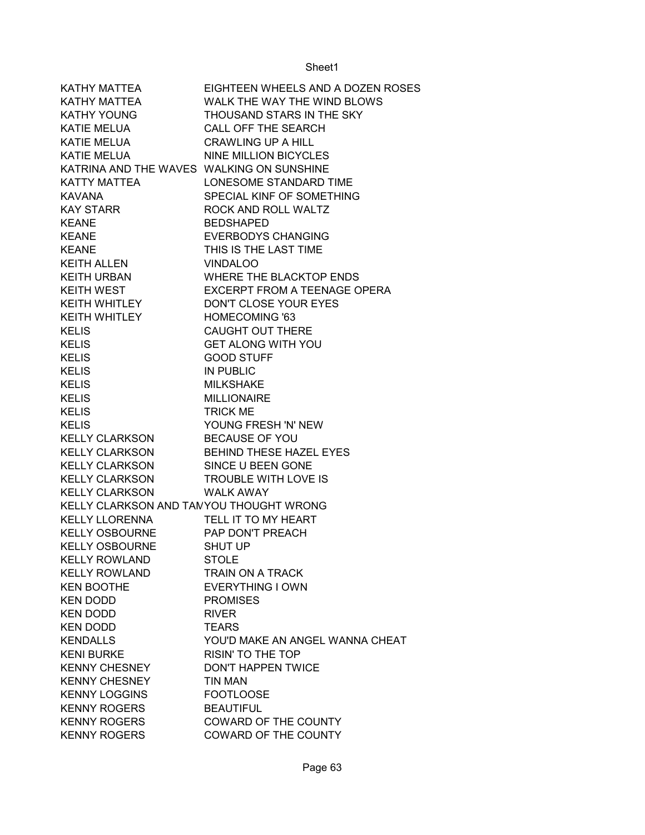| KATHY MATTEA                              | EIGHTEEN WHEELS AND A DOZEN ROSES |
|-------------------------------------------|-----------------------------------|
| KATHY MATTEA                              | WALK THE WAY THE WIND BLOWS       |
| KATHY YOUNG                               | THOUSAND STARS IN THE SKY         |
| KATIE MELUA                               | <b>CALL OFF THE SEARCH</b>        |
| KATIE MELUA                               | <b>CRAWLING UP A HILL</b>         |
| <b>KATIE MELUA</b>                        | <b>NINE MILLION BICYCLES</b>      |
| KATRINA AND THE WAVES WALKING ON SUNSHINE |                                   |
| KATTY MATTEA                              | LONESOME STANDARD TIME            |
| <b>KAVANA</b>                             | SPECIAL KINF OF SOMETHING         |
| <b>KAY STARR</b>                          | ROCK AND ROLL WALTZ               |
| <b>KEANE</b>                              | <b>BEDSHAPED</b>                  |
| <b>KEANE</b>                              | <b>EVERBODYS CHANGING</b>         |
| <b>KEANE</b>                              | THIS IS THE LAST TIME             |
| KEITH ALLEN                               | <b>VINDALOO</b>                   |
| KEITH URBAN                               | WHERE THE BLACKTOP ENDS           |
| <b>KEITH WEST</b>                         | EXCERPT FROM A TEENAGE OPERA      |
| KEITH WHITLEY                             | DON'T CLOSE YOUR EYES             |
| KEITH WHITLEY                             | <b>HOMECOMING '63</b>             |
| <b>KELIS</b>                              | <b>CAUGHT OUT THERE</b>           |
| <b>KELIS</b>                              | <b>GET ALONG WITH YOU</b>         |
| <b>KELIS</b>                              | <b>GOOD STUFF</b>                 |
| <b>KELIS</b>                              | <b>IN PUBLIC</b>                  |
| <b>KELIS</b>                              | <b>MILKSHAKE</b>                  |
| <b>KELIS</b>                              | <b>MILLIONAIRE</b>                |
| <b>KELIS</b>                              | <b>TRICK ME</b>                   |
| <b>KELIS</b>                              | YOUNG FRESH 'N' NEW               |
| <b>KELLY CLARKSON</b>                     | <b>BECAUSE OF YOU</b>             |
| <b>KELLY CLARKSON</b>                     | <b>BEHIND THESE HAZEL EYES</b>    |
| <b>KELLY CLARKSON</b>                     | SINCE U BEEN GONE                 |
| <b>KELLY CLARKSON</b>                     | TROUBLE WITH LOVE IS              |
| <b>KELLY CLARKSON</b>                     | <b>WALK AWAY</b>                  |
| KELLY CLARKSON AND TAMYOU THOUGHT WRONG   |                                   |
| KELLY LLORENNA                            | TELL IT TO MY HEART               |
| KELLY OSBOURNE                            | PAP DON'T PREACH                  |
| <b>KELLY OSBOURNE</b>                     | <b>SHUT UP</b>                    |
| <b>KELLY ROWLAND</b>                      | <b>STOLE</b>                      |
| <b>KELLY ROWLAND</b>                      | TRAIN ON A TRACK                  |
| <b>KEN BOOTHE</b>                         | <b>EVERYTHING I OWN</b>           |
| <b>KEN DODD</b>                           | <b>PROMISES</b>                   |
| <b>KEN DODD</b>                           | <b>RIVER</b>                      |
| <b>KEN DODD</b>                           | <b>TEARS</b>                      |
| <b>KENDALLS</b>                           | YOU'D MAKE AN ANGEL WANNA CHEAT   |
| <b>KENI BURKE</b>                         | <b>RISIN' TO THE TOP</b>          |
| <b>KENNY CHESNEY</b>                      | <b>DON'T HAPPEN TWICE</b>         |
| <b>KENNY CHESNEY</b>                      | <b>TIN MAN</b>                    |
| <b>KENNY LOGGINS</b>                      | <b>FOOTLOOSE</b>                  |
| <b>KENNY ROGERS</b>                       | <b>BEAUTIFUL</b>                  |
| <b>KENNY ROGERS</b>                       | <b>COWARD OF THE COUNTY</b>       |
| <b>KENNY ROGERS</b>                       | COWARD OF THE COUNTY              |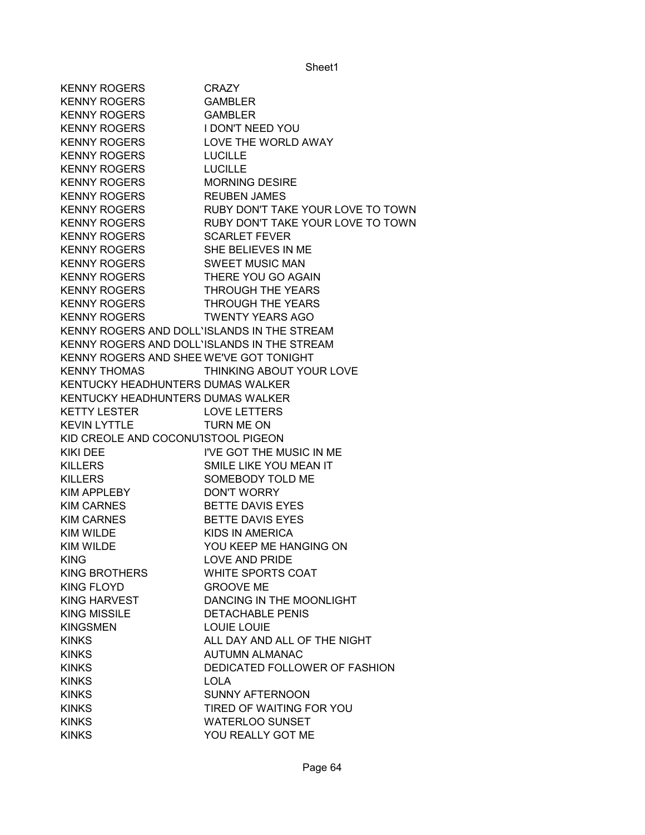KENNY ROGERS CRAZY KENNY ROGERS GAMBLER KENNY ROGERS GAMBLER KENNY ROGERS I DON'T NEED YOU KENNY ROGERS LOVE THE WORLD AWAY KENNY ROGERS LUCILLE KENNY ROGERS LUCILLE KENNY ROGERS MORNING DESIRE KENNY ROGERS REUBEN JAMES KENNY ROGERS RUBY DON'T TAKE YOUR LOVE TO TOWN KENNY ROGERS RUBY DON'T TAKE YOUR LOVE TO TOWN KENNY ROGERS SCARLET FEVER KENNY ROGERS SHE BELIEVES IN ME KENNY ROGERS SWEET MUSIC MAN KENNY ROGERS THERE YOU GO AGAIN KENNY ROGERS **THROUGH THE YEARS** KENNY ROGERS THROUGH THE YEARS KENNY ROGERS **TWENTY YEARS AGO** KENNY ROGERS AND DOLL'ISLANDS IN THE STREAM KENNY ROGERS AND DOLL'ISLANDS IN THE STREAM KENNY ROGERS AND SHEE WE'VE GOT TONIGHT KENNY THOMAS THINKING ABOUT YOUR LOVE KENTUCKY HEADHUNTERS DUMAS WALKER KENTUCKY HEADHUNTERS DUMAS WALKER KETTY LESTER LOVE LETTERS KEVIN LYTTLE TURN ME ON KID CREOLE AND COCONUTSTOOL PIGEON KIKI DEE I'VE GOT THE MUSIC IN ME KILLERS SMILE LIKE YOU MEAN IT KILLERS SOMEBODY TOLD ME KIM APPLEBY DON'T WORRY KIM CARNES BETTE DAVIS EYES KIM CARNES BETTE DAVIS EYES KIM WILDE KIDS IN AMERICA KIM WILDE YOU KEEP ME HANGING ON KING LOVE AND PRIDE KING BROTHERS WHITE SPORTS COAT KING FLOYD GROOVE ME KING HARVEST DANCING IN THE MOONLIGHT KING MISSILE DETACHABLE PENIS KINGSMEN LOUIE LOUIE KINKS ALL DAY AND ALL OF THE NIGHT KINKS AUTUMN ALMANAC KINKS DEDICATED FOLLOWER OF FASHION KINKS LOLA KINKS SUNNY AFTERNOON KINKS TIRED OF WAITING FOR YOU KINKS WATERLOO SUNSET KINKS YOU REALLY GOT ME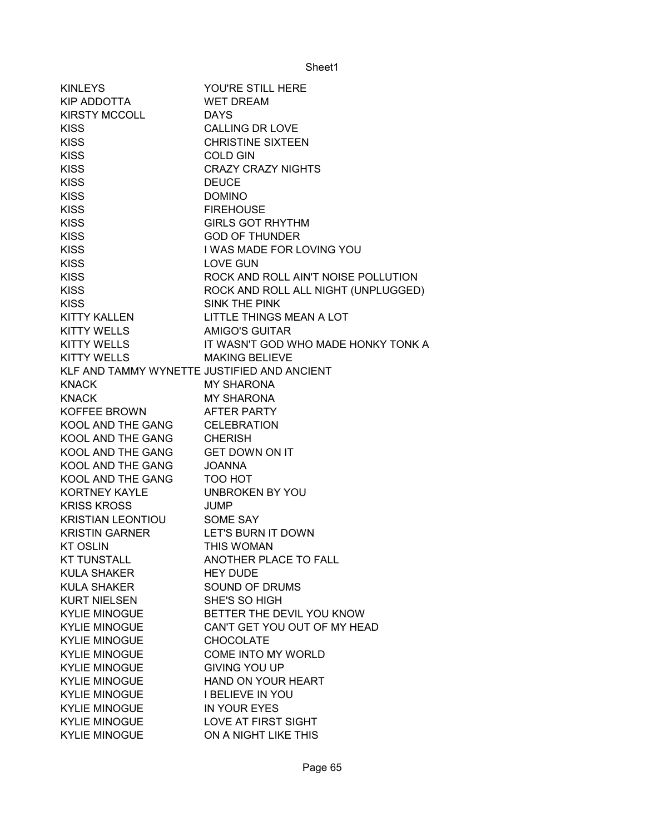| <b>KINLEYS</b>                              | YOU'RE STILL HERE                   |
|---------------------------------------------|-------------------------------------|
| KIP ADDOTTA                                 | <b>WET DREAM</b>                    |
| KIRSTY MCCOLL                               | <b>DAYS</b>                         |
| <b>KISS</b>                                 | <b>CALLING DR LOVE</b>              |
| <b>KISS</b>                                 | <b>CHRISTINE SIXTEEN</b>            |
| <b>KISS</b>                                 | <b>COLD GIN</b>                     |
| <b>KISS</b>                                 | <b>CRAZY CRAZY NIGHTS</b>           |
| <b>KISS</b>                                 | <b>DEUCE</b>                        |
| <b>KISS</b>                                 | <b>DOMINO</b>                       |
| <b>KISS</b>                                 | <b>FIREHOUSE</b>                    |
| <b>KISS</b>                                 | <b>GIRLS GOT RHYTHM</b>             |
| <b>KISS</b>                                 | <b>GOD OF THUNDER</b>               |
| <b>KISS</b>                                 | I WAS MADE FOR LOVING YOU           |
| <b>KISS</b>                                 | <b>LOVE GUN</b>                     |
| <b>KISS</b>                                 | ROCK AND ROLL AIN'T NOISE POLLUTION |
| <b>KISS</b>                                 | ROCK AND ROLL ALL NIGHT (UNPLUGGED) |
| <b>KISS</b>                                 | SINK THE PINK                       |
| <b>KITTY KALLEN</b>                         | LITTLE THINGS MEAN A LOT            |
| KITTY WELLS                                 | <b>AMIGO'S GUITAR</b>               |
| KITTY WELLS                                 | IT WASN'T GOD WHO MADE HONKY TONK A |
| <b>KITTY WELLS</b>                          | <b>MAKING BELIEVE</b>               |
| KLF AND TAMMY WYNETTE JUSTIFIED AND ANCIENT |                                     |
| <b>KNACK</b>                                | <b>MY SHARONA</b>                   |
| <b>KNACK</b>                                | <b>MY SHARONA</b>                   |
| KOFFEE BROWN                                | AFTER PARTY                         |
| KOOL AND THE GANG                           | <b>CELEBRATION</b>                  |
| KOOL AND THE GANG                           | <b>CHERISH</b>                      |
| KOOL AND THE GANG GET DOWN ON IT            |                                     |
| KOOL AND THE GANG                           | <b>JOANNA</b>                       |
| KOOL AND THE GANG                           | TOO HOT                             |
| KORTNEY KAYLE                               | <b>UNBROKEN BY YOU</b>              |
| <b>KRISS KROSS</b>                          | <b>JUMP</b>                         |
| KRISTIAN LEONTIOU                           | SOME SAY                            |
| <b>KRISTIN GARNER</b>                       | LET'S BURN IT DOWN                  |
| <b>KT OSLIN</b>                             | THIS WOMAN                          |
| KT TUNSTALL                                 | ANOTHER PLACE TO FALL               |
| <b>KULA SHAKER</b>                          | <b>HEY DUDE</b>                     |
| <b>KULA SHAKER</b>                          | SOUND OF DRUMS                      |
| <b>KURT NIELSEN</b>                         | SHE'S SO HIGH                       |
| <b>KYLIE MINOGUE</b>                        | BETTER THE DEVIL YOU KNOW           |
| <b>KYLIE MINOGUE</b>                        | CAN'T GET YOU OUT OF MY HEAD        |
| <b>KYLIE MINOGUE</b>                        | <b>CHOCOLATE</b>                    |
| <b>KYLIE MINOGUE</b>                        | COME INTO MY WORLD                  |
| <b>KYLIE MINOGUE</b>                        | <b>GIVING YOU UP</b>                |
| <b>KYLIE MINOGUE</b>                        | HAND ON YOUR HEART                  |
| <b>KYLIE MINOGUE</b>                        | <b>I BELIEVE IN YOU</b>             |
| <b>KYLIE MINOGUE</b>                        | IN YOUR EYES                        |
| <b>KYLIE MINOGUE</b>                        | LOVE AT FIRST SIGHT                 |
| <b>KYLIE MINOGUE</b>                        | ON A NIGHT LIKE THIS                |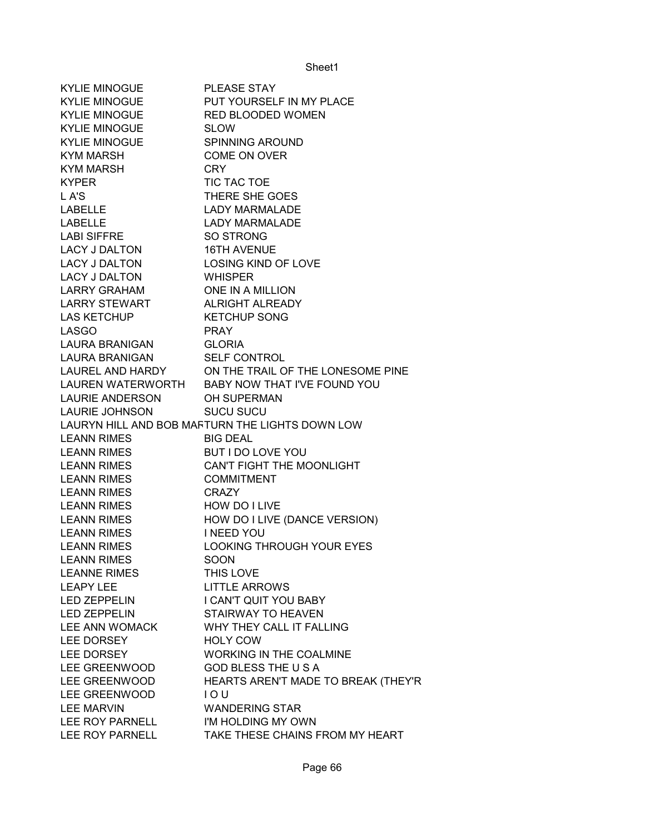| <b>KYLIE MINOGUE</b> | <b>PLEASE STAY</b>                              |
|----------------------|-------------------------------------------------|
| <b>KYLIE MINOGUE</b> | PUT YOURSELF IN MY PLACE                        |
| <b>KYLIE MINOGUE</b> | RED BLOODED WOMEN                               |
| KYLIE MINOGUE        | <b>SLOW</b>                                     |
| <b>KYLIE MINOGUE</b> | <b>SPINNING AROUND</b>                          |
| <b>KYM MARSH</b>     | <b>COME ON OVER</b>                             |
| KYM MARSH            | <b>CRY</b>                                      |
| <b>KYPER</b>         | TIC TAC TOE                                     |
| L A'S                | THERE SHE GOES                                  |
| <b>LABELLE</b>       | <b>LADY MARMALADE</b>                           |
| <b>LABELLE</b>       | <b>LADY MARMALADE</b>                           |
| <b>LABI SIFFRE</b>   | <b>SO STRONG</b>                                |
| <b>LACY J DALTON</b> | <b>16TH AVENUE</b>                              |
| LACY J DALTON        | <b>LOSING KIND OF LOVE</b>                      |
| LACY J DALTON        | <b>WHISPER</b>                                  |
| <b>LARRY GRAHAM</b>  | ONE IN A MILLION                                |
| LARRY STEWART        | <b>ALRIGHT ALREADY</b>                          |
| LAS KETCHUP          | <b>KETCHUP SONG</b>                             |
| <b>LASGO</b>         | <b>PRAY</b>                                     |
| LAURA BRANIGAN       | <b>GLORIA</b>                                   |
| LAURA BRANIGAN       | <b>SELF CONTROL</b>                             |
| LAUREL AND HARDY     | ON THE TRAIL OF THE LONESOME PINE               |
|                      | LAUREN WATERWORTH BABY NOW THAT I'VE FOUND YOU  |
| LAURIE ANDERSON      | OH SUPERMAN                                     |
| LAURIE JOHNSON       | <b>SUCU SUCU</b>                                |
|                      | LAURYN HILL AND BOB MAFTURN THE LIGHTS DOWN LOW |
| <b>LEANN RIMES</b>   | <b>BIG DEAL</b>                                 |
| LEANN RIMES          | BUT I DO LOVE YOU                               |
| <b>LEANN RIMES</b>   | CAN'T FIGHT THE MOONLIGHT                       |
| <b>LEANN RIMES</b>   | <b>COMMITMENT</b>                               |
| <b>LEANN RIMES</b>   | <b>CRAZY</b>                                    |
| <b>LEANN RIMES</b>   | HOW DO I LIVE                                   |
| <b>LEANN RIMES</b>   | HOW DO I LIVE (DANCE VERSION)                   |
| <b>LEANN RIMES</b>   | <b>I NEED YOU</b>                               |
| <b>LEANN RIMES</b>   | <b>LOOKING THROUGH YOUR EYES</b>                |
| <b>LEANN RIMES</b>   | SOON                                            |
| <b>LEANNE RIMES</b>  | THIS LOVE                                       |
| <b>LEAPY LEE</b>     | <b>LITTLE ARROWS</b>                            |
| <b>LED ZEPPELIN</b>  | I CAN'T QUIT YOU BABY                           |
| <b>LED ZEPPELIN</b>  | STAIRWAY TO HEAVEN                              |
| LEE ANN WOMACK       | WHY THEY CALL IT FALLING                        |
| LEE DORSEY           | <b>HOLY COW</b>                                 |
| LEE DORSEY           | <b>WORKING IN THE COALMINE</b>                  |
| LEE GREENWOOD        | <b>GOD BLESS THE USA</b>                        |
| LEE GREENWOOD        | HEARTS AREN'T MADE TO BREAK (THEY'R             |
| LEE GREENWOOD        | IOU                                             |
| <b>LEE MARVIN</b>    | <b>WANDERING STAR</b>                           |
| LEE ROY PARNELL      | I'M HOLDING MY OWN                              |
| LEE ROY PARNELL      | TAKE THESE CHAINS FROM MY HEART                 |
|                      |                                                 |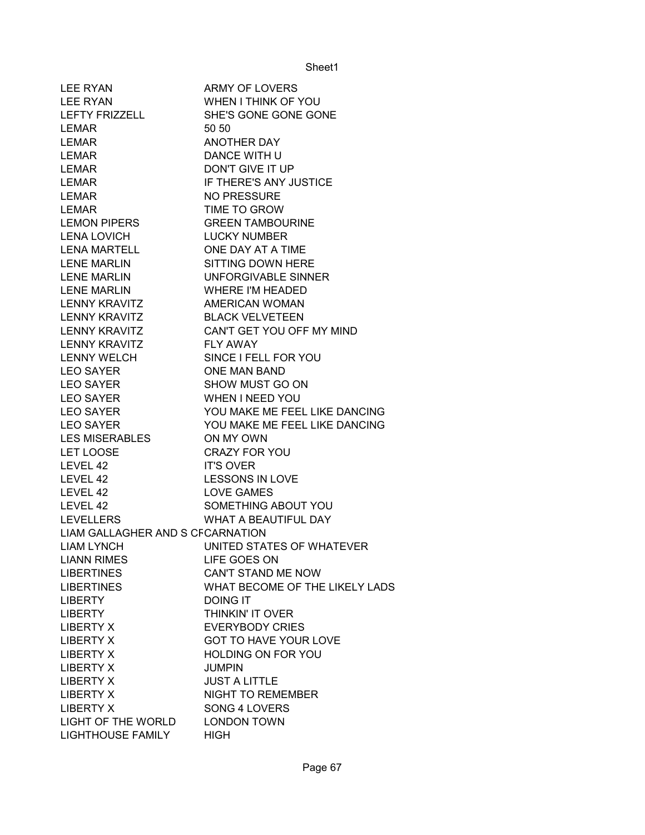| <b>LEE RYAN</b>                  | ARMY OF LOVERS                 |
|----------------------------------|--------------------------------|
| LEE RYAN                         | WHEN I THINK OF YOU            |
| LEFTY FRIZZELL                   | SHE'S GONE GONE GONE           |
| <b>LEMAR</b>                     | 50 50                          |
| LEMAR                            | <b>ANOTHER DAY</b>             |
| LEMAR                            | DANCE WITH U                   |
| LEMAR                            | DON'T GIVE IT UP               |
| <b>LEMAR</b>                     | IF THERE'S ANY JUSTICE         |
| <b>LEMAR</b>                     | <b>NO PRESSURE</b>             |
| <b>LEMAR</b>                     | TIME TO GROW                   |
| <b>LEMON PIPERS</b>              | <b>GREEN TAMBOURINE</b>        |
| <b>LENA LOVICH</b>               | <b>LUCKY NUMBER</b>            |
| <b>LENA MARTELL</b>              | ONE DAY AT A TIME              |
| <b>LENE MARLIN</b>               | SITTING DOWN HERE              |
| <b>LENE MARLIN</b>               | UNFORGIVABLE SINNER            |
| <b>LENE MARLIN</b>               | <b>WHERE I'M HEADED</b>        |
| <b>LENNY KRAVITZ</b>             | AMERICAN WOMAN                 |
| <b>LENNY KRAVITZ</b>             | <b>BLACK VELVETEEN</b>         |
| <b>LENNY KRAVITZ</b>             | CAN'T GET YOU OFF MY MIND      |
| <b>LENNY KRAVITZ</b>             | <b>FLY AWAY</b>                |
| <b>LENNY WELCH</b>               | SINCE I FELL FOR YOU           |
| <b>LEO SAYER</b>                 | <b>ONE MAN BAND</b>            |
| <b>LEO SAYER</b>                 | SHOW MUST GO ON                |
| <b>LEO SAYER</b>                 | <b>WHEN I NEED YOU</b>         |
| <b>LEO SAYER</b>                 | YOU MAKE ME FEEL LIKE DANCING  |
| <b>LEO SAYER</b>                 | YOU MAKE ME FEEL LIKE DANCING  |
| <b>LES MISERABLES</b>            | ON MY OWN                      |
| LET LOOSE                        | <b>CRAZY FOR YOU</b>           |
| LEVEL 42                         | <b>IT'S OVER</b>               |
| LEVEL 42                         | <b>LESSONS IN LOVE</b>         |
| LEVEL 42                         | <b>LOVE GAMES</b>              |
| LEVEL 42                         | SOMETHING ABOUT YOU            |
| LEVELLERS                        | WHAT A BEAUTIFUL DAY           |
| LIAM GALLAGHER AND S CFCARNATION |                                |
| <b>LIAM LYNCH</b>                | UNITED STATES OF WHATEVER      |
| <b>LIANN RIMES</b>               | LIFE GOES ON                   |
| <b>LIBERTINES</b>                | CAN'T STAND ME NOW             |
| <b>LIBERTINES</b>                | WHAT BECOME OF THE LIKELY LADS |
| <b>LIBERTY</b>                   | <b>DOING IT</b>                |
| <b>LIBERTY</b>                   | THINKIN' IT OVER               |
| <b>LIBERTY X</b>                 | <b>EVERYBODY CRIES</b>         |
| <b>LIBERTY X</b>                 | <b>GOT TO HAVE YOUR LOVE</b>   |
| <b>LIBERTY X</b>                 | <b>HOLDING ON FOR YOU</b>      |
| <b>LIBERTY X</b>                 | <b>JUMPIN</b>                  |
| <b>LIBERTY X</b>                 | <b>JUST A LITTLE</b>           |
| <b>LIBERTY X</b>                 | <b>NIGHT TO REMEMBER</b>       |
| <b>LIBERTY X</b>                 | SONG 4 LOVERS                  |
| LIGHT OF THE WORLD               | <b>LONDON TOWN</b>             |
| LIGHTHOUSE FAMILY                | <b>HIGH</b>                    |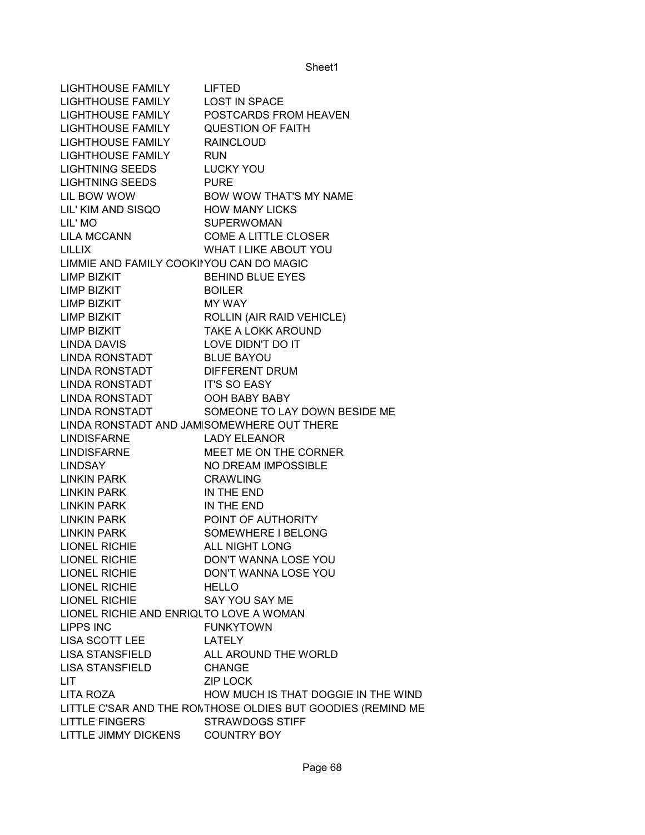LIGHTHOUSE FAMILY LIFTED LIGHTHOUSE FAMILY LOST IN SPACE LIGHTHOUSE FAMILY POSTCARDS FROM HEAVEN LIGHTHOUSE FAMILY QUESTION OF FAITH LIGHTHOUSE FAMILY RAINCLOUD LIGHTHOUSE FAMILY RUN LIGHTNING SEEDS LUCKY YOU LIGHTNING SEEDS PURE LIL BOW WOW BOW WOW THAT'S MY NAME LIL' KIM AND SISQO HOW MANY LICKS LIL' MO SUPERWOMAN LILA MCCANN COME A LITTLE CLOSER LILLIX WHAT I LIKE ABOUT YOU LIMMIE AND FAMILY COOKINYOU CAN DO MAGIC LIMP BIZKIT BEHIND BLUE EYES LIMP BIZKIT BOILER LIMP BIZKIT MY WAY LIMP BIZKIT ROLLIN (AIR RAID VEHICLE) LIMP BIZKIT TAKE A LOKK AROUND LINDA DAVIS LOVE DIDN'T DO IT LINDA RONSTADT BLUE BAYOU LINDA RONSTADT DIFFERENT DRUM LINDA RONSTADT IT'S SO EASY LINDA RONSTADT OOH BABY BABY LINDA RONSTADT SOMEONE TO LAY DOWN BESIDE ME LINDA RONSTADT AND JAMISOMEWHERE OUT THERE LINDISFARNE LADY ELEANOR LINDISFARNE MEET ME ON THE CORNER LINDSAY NO DREAM IMPOSSIBLE LINKIN PARK CRAWLING LINKIN PARK IN THE END LINKIN PARK IN THE END LINKIN PARK POINT OF AUTHORITY LINKIN PARK SOMEWHERE I BELONG LIONEL RICHIE ALL NIGHT LONG LIONEL RICHIE DON'T WANNA LOSE YOU LIONEL RICHIE DON'T WANNA LOSE YOU LIONEL RICHIE HELLO LIONEL RICHIE SAY YOU SAY ME LIONEL RICHIE AND ENRIQUTO LOVE A WOMAN LIPPS INC FUNKYTOWN LISA SCOTT LEE LATELY LISA STANSFIELD ALL AROUND THE WORLD LISA STANSFIELD CHANGE LIT ZIP LOCK LITA ROZA **HOW MUCH IS THAT DOGGIE IN THE WIND** LITTLE C'SAR AND THE RONTHOSE OLDIES BUT GOODIES (REMIND ME LITTLE FINGERS STRAWDOGS STIFF LITTLE JIMMY DICKENS COUNTRY BOY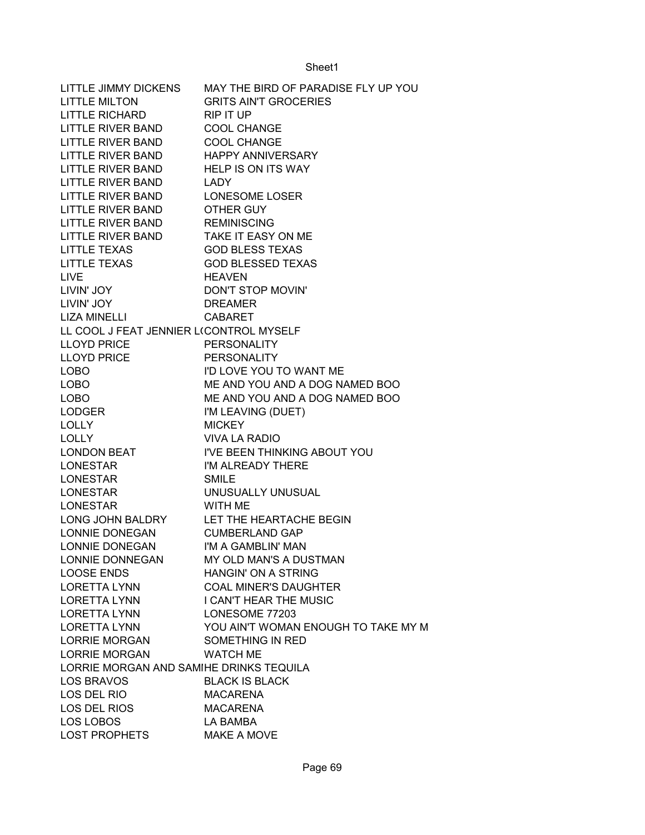| LITTLE JIMMY DICKENS                    | MAY THE BIRD OF PARADISE FLY UP YOU      |
|-----------------------------------------|------------------------------------------|
| <b>LITTLE MILTON</b>                    | <b>GRITS AIN'T GROCERIES</b>             |
| LITTLE RICHARD                          | <b>RIP IT UP</b>                         |
| LITTLE RIVER BAND                       | <b>COOL CHANGE</b>                       |
| <b>LITTLE RIVER BAND</b>                | <b>COOL CHANGE</b>                       |
| LITTLE RIVER BAND                       | <b>HAPPY ANNIVERSARY</b>                 |
| LITTLE RIVER BAND                       | <b>HELP IS ON ITS WAY</b>                |
| <b>LITTLE RIVER BAND</b>                | LADY                                     |
| LITTLE RIVER BAND LONESOME LOSER        |                                          |
| LITTLE RIVER BAND OTHER GUY             |                                          |
| LITTLE RIVER BAND REMINISCING           |                                          |
| LITTLE RIVER BAND                       | TAKE IT EASY ON ME                       |
| <b>LITTLE TEXAS</b>                     | <b>GOD BLESS TEXAS</b>                   |
| <b>LITTLE TEXAS</b>                     | <b>GOD BLESSED TEXAS</b>                 |
| <b>LIVE</b>                             | <b>HEAVEN</b>                            |
| LIVIN' JOY                              | DON'T STOP MOVIN'                        |
| LIVIN' JOY                              | <b>DREAMER</b>                           |
| LIZA MINELLI                            | <b>CABARET</b>                           |
| LL COOL J FEAT JENNIER L(CONTROL MYSELF |                                          |
| <b>LLOYD PRICE</b>                      | <b>PERSONALITY</b>                       |
| <b>LLOYD PRICE</b>                      | <b>PERSONALITY</b>                       |
| <b>LOBO</b>                             | I'D LOVE YOU TO WANT ME                  |
| <b>LOBO</b>                             | ME AND YOU AND A DOG NAMED BOO           |
| <b>LOBO</b>                             | ME AND YOU AND A DOG NAMED BOO           |
| LODGER                                  | I'M LEAVING (DUET)                       |
| <b>LOLLY</b>                            | <b>MICKEY</b>                            |
| <b>LOLLY</b>                            | <b>VIVA LA RADIO</b>                     |
| <b>LONDON BEAT</b>                      | I'VE BEEN THINKING ABOUT YOU             |
| <b>LONESTAR</b>                         | I'M ALREADY THERE                        |
| <b>LONESTAR</b>                         | <b>SMILE</b>                             |
| <b>LONESTAR</b>                         | UNUSUALLY UNUSUAL                        |
| <b>LONESTAR</b>                         | WITH ME                                  |
|                                         | LONG JOHN BALDRY LET THE HEARTACHE BEGIN |
| LONNIE DONEGAN                          | <b>CUMBERLAND GAP</b>                    |
| <b>LONNIE DONEGAN</b>                   | I'M A GAMBLIN' MAN                       |
| LONNIE DONNEGAN                         | MY OLD MAN'S A DUSTMAN                   |
| <b>LOOSE ENDS</b>                       | <b>HANGIN' ON A STRING</b>               |
| <b>LORETTA LYNN</b>                     | <b>COAL MINER'S DAUGHTER</b>             |
| <b>LORETTA LYNN</b>                     | I CAN'T HEAR THE MUSIC                   |
| <b>LORETTA LYNN</b>                     | LONESOME 77203                           |
| <b>LORETTA LYNN</b>                     | YOU AIN'T WOMAN ENOUGH TO TAKE MY M      |
| <b>LORRIE MORGAN</b>                    | SOMETHING IN RED                         |
| <b>LORRIE MORGAN</b>                    | <b>WATCH ME</b>                          |
| LORRIE MORGAN AND SAMIHE DRINKS TEQUILA |                                          |
| <b>LOS BRAVOS</b>                       | <b>BLACK IS BLACK</b>                    |
| LOS DEL RIO                             | <b>MACARENA</b>                          |
| LOS DEL RIOS                            | <b>MACARENA</b>                          |
| LOS LOBOS                               | LA BAMBA                                 |
| <b>LOST PROPHETS</b>                    | MAKE A MOVE                              |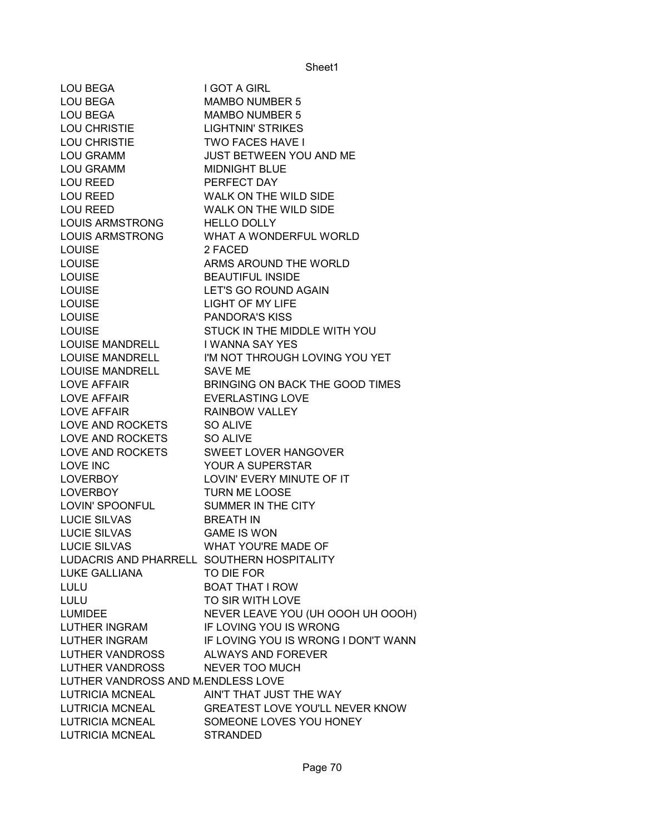| LOU BEGA                                   | I GOT A GIRL                                   |
|--------------------------------------------|------------------------------------------------|
| <b>LOU BEGA</b>                            | MAMBO NUMBER 5                                 |
| <b>LOU BEGA</b>                            | <b>MAMBO NUMBER 5</b>                          |
| LOU CHRISTIE                               | <b>LIGHTNIN' STRIKES</b>                       |
| LOU CHRISTIE                               | <b>TWO FACES HAVE I</b>                        |
| <b>LOU GRAMM</b>                           | <b>JUST BETWEEN YOU AND ME</b>                 |
| <b>LOU GRAMM</b>                           | <b>MIDNIGHT BLUE</b>                           |
| <b>LOU REED</b>                            | PERFECT DAY                                    |
| LOU REED                                   | WALK ON THE WILD SIDE                          |
| LOU REED                                   | WALK ON THE WILD SIDE                          |
| <b>LOUIS ARMSTRONG</b>                     | <b>HELLO DOLLY</b>                             |
| <b>LOUIS ARMSTRONG</b>                     | <b>WHAT A WONDERFUL WORLD</b>                  |
| <b>LOUISE</b>                              | 2 FACED                                        |
| <b>LOUISE</b>                              | ARMS AROUND THE WORLD                          |
| <b>LOUISE</b>                              | <b>BEAUTIFUL INSIDE</b>                        |
| <b>LOUISE</b>                              | LET'S GO ROUND AGAIN                           |
| <b>LOUISE</b>                              | <b>LIGHT OF MY LIFE</b>                        |
| <b>LOUISE</b>                              | <b>PANDORA'S KISS</b>                          |
| <b>LOUISE</b>                              | STUCK IN THE MIDDLE WITH YOU                   |
| LOUISE MANDRELL I WANNA SAY YES            |                                                |
|                                            | LOUISE MANDRELL I'M NOT THROUGH LOVING YOU YET |
| <b>LOUISE MANDRELL</b>                     | SAVE ME                                        |
| LOVE AFFAIR                                | BRINGING ON BACK THE GOOD TIMES                |
| <b>LOVE AFFAIR</b>                         | <b>EVERLASTING LOVE</b>                        |
| <b>LOVE AFFAIR</b>                         | <b>RAINBOW VALLEY</b>                          |
| LOVE AND ROCKETS                           | SO ALIVE                                       |
| LOVE AND ROCKETS                           | SO ALIVE                                       |
| LOVE AND ROCKETS                           | SWEET LOVER HANGOVER                           |
| <b>LOVE INC</b>                            | YOUR A SUPERSTAR                               |
| LOVERBOY                                   | LOVIN' EVERY MINUTE OF IT                      |
| <b>LOVERBOY</b>                            | TURN ME LOOSE                                  |
| LOVIN' SPOONFUL                            | SUMMER IN THE CITY                             |
| <b>LUCIE SILVAS</b>                        | <b>BREATH IN</b>                               |
| <b>LUCIE SILVAS</b>                        | <b>GAME IS WON</b>                             |
| <b>LUCIE SILVAS</b>                        | WHAT YOU'RE MADE OF                            |
| LUDACRIS AND PHARRELL SOUTHERN HOSPITALITY |                                                |
| <b>LUKE GALLIANA</b>                       | TO DIE FOR                                     |
| <b>LULU</b>                                | <b>BOAT THAT I ROW</b>                         |
| LULU                                       | TO SIR WITH LOVE                               |
| <b>LUMIDEE</b>                             | NEVER LEAVE YOU (UH OOOH UH OOOH)              |
| <b>LUTHER INGRAM</b>                       | IF LOVING YOU IS WRONG                         |
| <b>LUTHER INGRAM</b>                       | IF LOVING YOU IS WRONG I DON'T WANN            |
| LUTHER VANDROSS                            | <b>ALWAYS AND FOREVER</b>                      |
| LUTHER VANDROSS                            | NEVER TOO MUCH                                 |
| LUTHER VANDROSS AND MENDLESS LOVE          |                                                |
| <b>LUTRICIA MCNEAL</b>                     | AIN'T THAT JUST THE WAY                        |
| <b>LUTRICIA MCNEAL</b>                     | GREATEST LOVE YOU'LL NEVER KNOW                |
| <b>LUTRICIA MCNEAL</b>                     | SOMEONE LOVES YOU HONEY                        |
| <b>LUTRICIA MCNEAL</b>                     | <b>STRANDED</b>                                |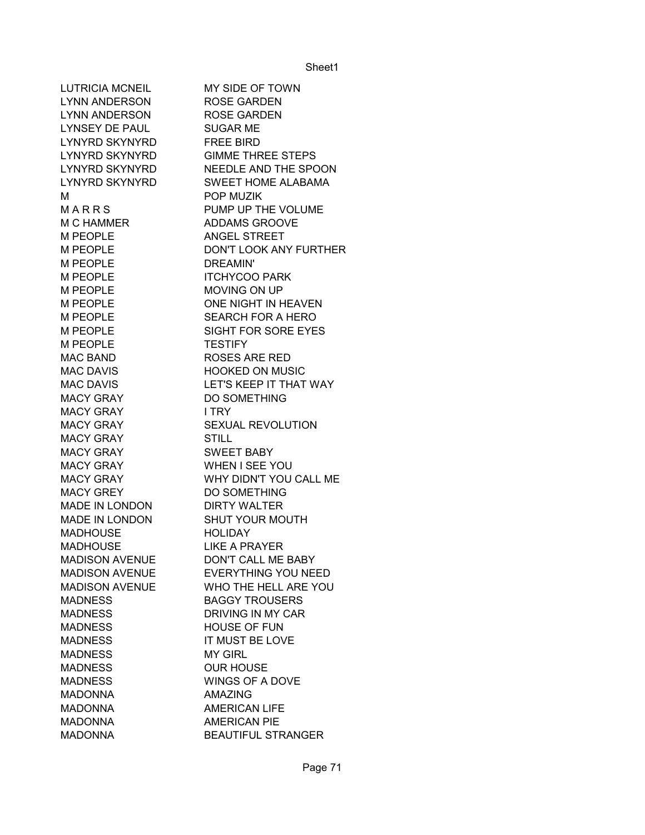LUTRICIA MCNEIL MY SIDE OF TOWN LYNN ANDERSON ROSE GARDEN LYNN ANDERSON ROSE GARDEN LYNSEY DE PAUL SUGAR ME LYNYRD SKYNYRD FREE BIRD LYNYRD SKYNYRD GIMME THREE STEPS LYNYRD SKYNYRD NEEDLE AND THE SPOON LYNYRD SKYNYRD SWEET HOME ALABAMA M POP MUZIK M A R R S PUMP UP THE VOLUME M C HAMMER ADDAMS GROOVE M PEOPLE ANGEL STREET M PEOPLE DON'T LOOK ANY FURTHER M PEOPLE DREAMIN' M PEOPLE **ITCHYCOO PARK** M PEOPLE MOVING ON UP M PEOPLE ONE NIGHT IN HEAVEN M PEOPLE SEARCH FOR A HERO M PEOPLE SIGHT FOR SORE EYES M PEOPLE TESTIFY MAC BAND ROSES ARE RED MAC DAVIS **HOOKED ON MUSIC** MAC DAVIS LET'S KEEP IT THAT WAY MACY GRAY DO SOMETHING MACY GRAY I TRY MACY GRAY SEXUAL REVOLUTION MACY GRAY STILL MACY GRAY SWEET BABY MACY GRAY WHEN I SEE YOU MACY GRAY WHY DIDN'T YOU CALL ME MACY GREY DO SOMETHING MADE IN LONDON DIRTY WALTER MADE IN LONDON SHUT YOUR MOUTH MADHOUSE HOLIDAY MADHOUSE LIKE A PRAYER MADISON AVENUE DON'T CALL ME BABY MADISON AVENUE EVERYTHING YOU NEED MADISON AVENUE WHO THE HELL ARE YOU MADNESS BAGGY TROUSERS MADNESS DRIVING IN MY CAR MADNESS HOUSE OF FUN MADNESS IT MUST BE LOVE MADNESS MY GIRL MADNESS OUR HOUSE MADNESS WINGS OF A DOVE MADONNA AMAZING MADONNA AMERICAN LIFE MADONNA AMERICAN PIF MADONNA BEAUTIFUL STRANGER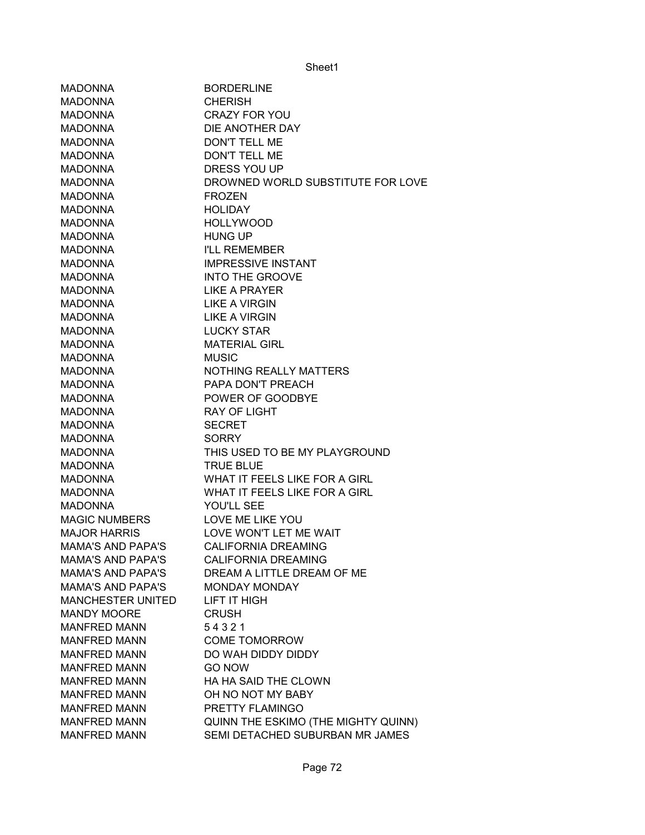| <b>MADONNA</b>           | <b>BORDERLINE</b>                   |
|--------------------------|-------------------------------------|
| <b>MADONNA</b>           | <b>CHERISH</b>                      |
| <b>MADONNA</b>           | <b>CRAZY FOR YOU</b>                |
| <b>MADONNA</b>           | DIE ANOTHER DAY                     |
| <b>MADONNA</b>           | <b>DON'T TELL ME</b>                |
| <b>MADONNA</b>           | <b>DON'T TELL ME</b>                |
| <b>MADONNA</b>           | DRESS YOU UP                        |
| <b>MADONNA</b>           | DROWNED WORLD SUBSTITUTE FOR LOVE   |
| <b>MADONNA</b>           | <b>FROZEN</b>                       |
| <b>MADONNA</b>           | <b>HOLIDAY</b>                      |
| <b>MADONNA</b>           | <b>HOLLYWOOD</b>                    |
| <b>MADONNA</b>           | <b>HUNG UP</b>                      |
| <b>MADONNA</b>           | <b>I'LL REMEMBER</b>                |
| <b>MADONNA</b>           | <b>IMPRESSIVE INSTANT</b>           |
| <b>MADONNA</b>           | <b>INTO THE GROOVE</b>              |
| <b>MADONNA</b>           | <b>LIKE A PRAYER</b>                |
| <b>MADONNA</b>           | <b>LIKE A VIRGIN</b>                |
| <b>MADONNA</b>           | <b>LIKE A VIRGIN</b>                |
| <b>MADONNA</b>           | <b>LUCKY STAR</b>                   |
| <b>MADONNA</b>           | <b>MATERIAL GIRL</b>                |
| <b>MADONNA</b>           | <b>MUSIC</b>                        |
| <b>MADONNA</b>           | NOTHING REALLY MATTERS              |
| <b>MADONNA</b>           | PAPA DON'T PREACH                   |
| <b>MADONNA</b>           | POWER OF GOODBYE                    |
| <b>MADONNA</b>           | <b>RAY OF LIGHT</b>                 |
| <b>MADONNA</b>           | <b>SECRET</b>                       |
| <b>MADONNA</b>           | <b>SORRY</b>                        |
| <b>MADONNA</b>           | THIS USED TO BE MY PLAYGROUND       |
| <b>MADONNA</b>           | <b>TRUE BLUE</b>                    |
| <b>MADONNA</b>           | WHAT IT FEELS LIKE FOR A GIRL       |
| <b>MADONNA</b>           | WHAT IT FEELS LIKE FOR A GIRL       |
| <b>MADONNA</b>           | YOU'LL SEE                          |
| <b>MAGIC NUMBERS</b>     | LOVE ME LIKE YOU                    |
| <b>MAJOR HARRIS</b>      | LOVE WON'T LET ME WAIT              |
| <b>MAMA'S AND PAPA'S</b> | <b>CALIFORNIA DREAMING</b>          |
| <b>MAMA'S AND PAPA'S</b> | <b>CALIFORNIA DREAMING</b>          |
| <b>MAMA'S AND PAPA'S</b> | DREAM A LITTLE DREAM OF ME          |
| <b>MAMA'S AND PAPA'S</b> | <b>MONDAY MONDAY</b>                |
| <b>MANCHESTER UNITED</b> | <b>LIFT IT HIGH</b>                 |
| <b>MANDY MOORE</b>       | <b>CRUSH</b>                        |
| <b>MANFRED MANN</b>      | 54321                               |
| <b>MANFRED MANN</b>      | <b>COME TOMORROW</b>                |
| <b>MANFRED MANN</b>      | DO WAH DIDDY DIDDY                  |
| <b>MANFRED MANN</b>      | <b>GO NOW</b>                       |
| <b>MANFRED MANN</b>      | HA HA SAID THE CLOWN                |
| <b>MANFRED MANN</b>      | OH NO NOT MY BABY                   |
| <b>MANFRED MANN</b>      | PRETTY FLAMINGO                     |
| <b>MANFRED MANN</b>      | QUINN THE ESKIMO (THE MIGHTY QUINN) |
| <b>MANFRED MANN</b>      | SEMI DETACHED SUBURBAN MR JAMES     |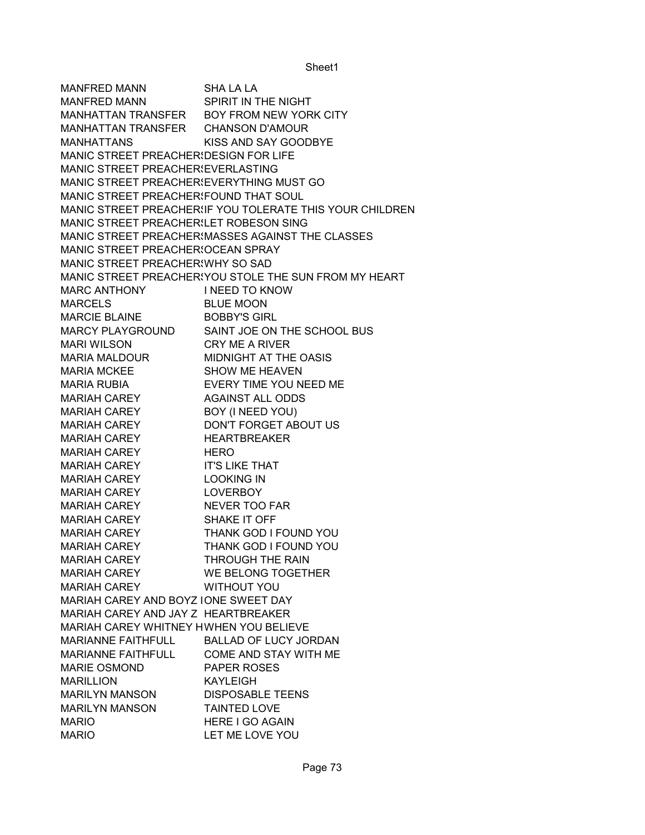MANFRED MANN SHA LA LA MANFRED MANN SPIRIT IN THE NIGHT MANHATTAN TRANSFER BOY FROM NEW YORK CITY MANHATTAN TRANSFER CHANSON D'AMOUR MANHATTANS KISS AND SAY GOODBYE MANIC STREET PREACHER! DESIGN FOR LIFE MANIC STREET PREACHER EVERLASTING MANIC STREET PREACHER EVERYTHING MUST GO MANIC STREET PREACHER FOUND THAT SOUL MANIC STREET PREACHERSIF YOU TOLERATE THIS YOUR CHILDREN MANIC STREET PREACHERSLET ROBESON SING MANIC STREET PREACHERSMASSES AGAINST THE CLASSES MANIC STREET PREACHER OCEAN SPRAY MANIC STREET PREACHER WHY SO SAD MANIC STREET PREACHER! YOU STOLE THE SUN FROM MY HEART MARC ANTHONY I NEED TO KNOW MARCELS BLUE MOON MARCIE BLAINE BOBBY'S GIRL MARCY PLAYGROUND SAINT JOE ON THE SCHOOL BUS MARI WILSON CRY ME A RIVER MARIA MALDOUR MIDNIGHT AT THE OASIS MARIA MCKEE SHOW ME HEAVEN MARIA RUBIA EVERY TIME YOU NEED ME MARIAH CAREY AGAINST ALL ODDS MARIAH CAREY BOY (I NEED YOU) MARIAH CAREY DON'T FORGET ABOUT US MARIAH CAREY HEARTBREAKER MARIAH CAREY HERO MARIAH CAREY IT'S LIKE THAT MARIAH CAREY LOOKING IN MARIAH CAREY LOVERBOY MARIAH CAREY NEVER TOO FAR MARIAH CAREY SHAKE IT OFF MARIAH CAREY THANK GOD I FOUND YOU MARIAH CAREY THANK GOD I FOUND YOU MARIAH CAREY THROUGH THE RAIN MARIAH CAREY WE BELONG TOGETHER MARIAH CAREY WITHOUT YOU MARIAH CAREY AND BOYZ IONE SWEET DAY MARIAH CAREY AND JAY Z HEARTBREAKER MARIAH CAREY WHITNEY HWHEN YOU BELIEVE MARIANNE FAITHFULL BALLAD OF LUCY JORDAN MARIANNE FAITHFULL COME AND STAY WITH ME MARIE OSMOND PAPER ROSES MARILLION KAYLEIGH MARILYN MANSON DISPOSABLE TEENS MARILYN MANSON TAINTED LOVE MARIO HERE I GO AGAIN MARIO LET ME LOVE YOU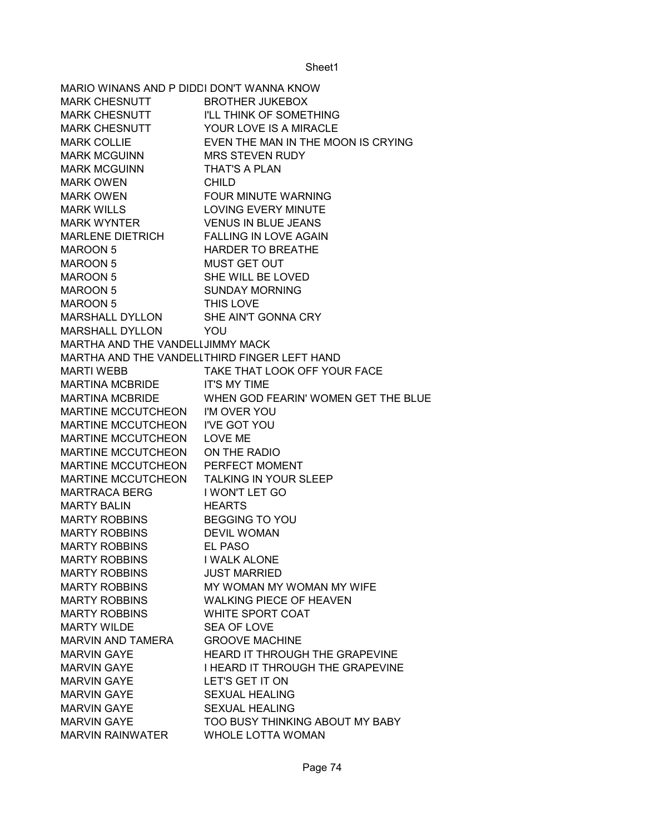| MARIO WINANS AND P DIDDI DON'T WANNA KNOW |                                              |
|-------------------------------------------|----------------------------------------------|
| <b>MARK CHESNUTT</b>                      | BROTHER JUKEBOX                              |
| <b>MARK CHESNUTT</b>                      | <b>I'LL THINK OF SOMETHING</b>               |
| <b>MARK CHESNUTT</b>                      | YOUR LOVE IS A MIRACLE                       |
| <b>MARK COLLIE</b>                        | EVEN THE MAN IN THE MOON IS CRYING           |
| <b>MARK MCGUINN</b>                       | <b>MRS STEVEN RUDY</b>                       |
| <b>MARK MCGUINN</b>                       | <b>THAT'S A PLAN</b>                         |
| <b>MARK OWEN</b>                          | <b>CHILD</b>                                 |
| <b>MARK OWEN</b>                          | FOUR MINUTE WARNING                          |
| <b>MARK WILLS</b>                         | <b>LOVING EVERY MINUTE</b>                   |
| <b>MARK WYNTER</b>                        | <b>VENUS IN BLUE JEANS</b>                   |
| <b>MARLENE DIETRICH</b>                   | <b>FALLING IN LOVE AGAIN</b>                 |
| <b>MAROON 5</b>                           | <b>HARDER TO BREATHE</b>                     |
| <b>MAROON 5</b>                           | <b>MUST GET OUT</b>                          |
| <b>MAROON 5</b>                           | SHE WILL BE LOVED                            |
| <b>MAROON 5</b>                           | <b>SUNDAY MORNING</b>                        |
| <b>MAROON 5</b>                           | THIS LOVE                                    |
| MARSHALL DYLLON                           | SHE AIN'T GONNA CRY                          |
| <b>MARSHALL DYLLON</b>                    | YOU                                          |
| MARTHA AND THE VANDELLJIMMY MACK          |                                              |
|                                           | MARTHA AND THE VANDELLTHIRD FINGER LEFT HAND |
| <b>MARTI WEBB</b>                         | TAKE THAT LOOK OFF YOUR FACE                 |
| <b>MARTINA MCBRIDE</b>                    | <b>IT'S MY TIME</b>                          |
| <b>MARTINA MCBRIDE</b>                    | WHEN GOD FEARIN' WOMEN GET THE BLUE          |
| MARTINE MCCUTCHEON I'M OVER YOU           |                                              |
| MARTINE MCCUTCHEON I'VE GOT YOU           |                                              |
| <b>MARTINE MCCUTCHEON</b>                 | <b>LOVE ME</b>                               |
| MARTINE MCCUTCHEON                        | ON THE RADIO                                 |
| MARTINE MCCUTCHEON                        | PERFECT MOMENT                               |
| <b>MARTINE MCCUTCHEON</b>                 | TALKING IN YOUR SLEEP                        |
| <b>MARTRACA BERG</b>                      | I WON'T LET GO                               |
| <b>MARTY BALIN</b>                        | <b>HEARTS</b>                                |
| <b>MARTY ROBBINS</b>                      | <b>BEGGING TO YOU</b>                        |
| MARTY ROBBINS                             | <b>DEVIL WOMAN</b>                           |
| <b>MARTY ROBBINS</b>                      | <b>EL PASO</b>                               |
| <b>MARTY ROBBINS</b>                      | <b>I WALK ALONE</b>                          |
| <b>MARTY ROBBINS</b>                      | <b>JUST MARRIED</b>                          |
| <b>MARTY ROBBINS</b>                      | MY WOMAN MY WOMAN MY WIFE                    |
| <b>MARTY ROBBINS</b>                      | <b>WALKING PIECE OF HEAVEN</b>               |
| <b>MARTY ROBBINS</b>                      | <b>WHITE SPORT COAT</b>                      |
| <b>MARTY WILDE</b>                        | <b>SEA OF LOVE</b>                           |
| <b>MARVIN AND TAMERA</b>                  | <b>GROOVE MACHINE</b>                        |
| <b>MARVIN GAYE</b>                        | <b>HEARD IT THROUGH THE GRAPEVINE</b>        |
| <b>MARVIN GAYE</b>                        | I HEARD IT THROUGH THE GRAPEVINE             |
| <b>MARVIN GAYE</b>                        | LET'S GET IT ON                              |
| <b>MARVIN GAYE</b>                        | <b>SEXUAL HEALING</b>                        |
| <b>MARVIN GAYE</b>                        | <b>SEXUAL HEALING</b>                        |
| <b>MARVIN GAYE</b>                        | TOO BUSY THINKING ABOUT MY BABY              |
| <b>MARVIN RAINWATER</b>                   | <b>WHOLE LOTTA WOMAN</b>                     |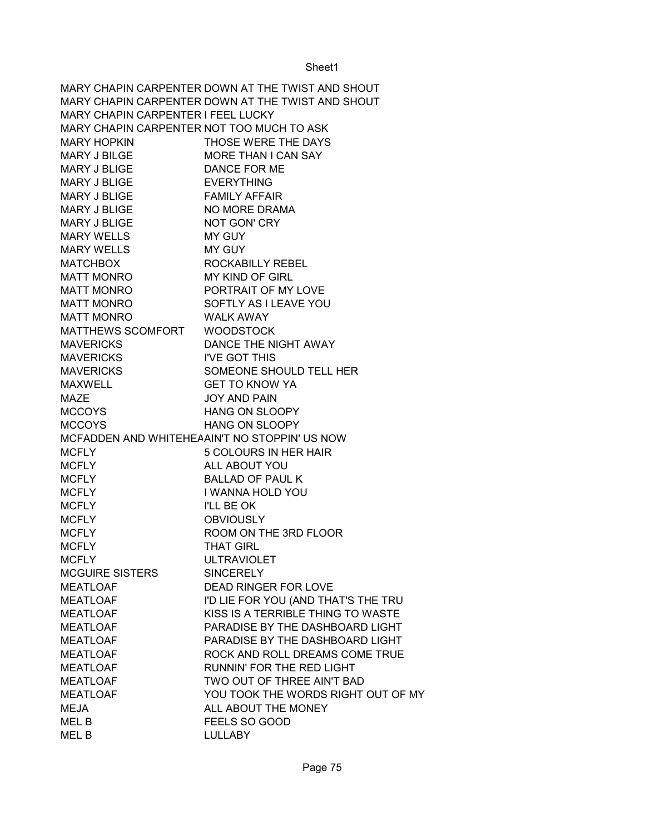MARY CHAPIN CARPENTER DOWN AT THE TWIST AND SHOUT MARY CHAPIN CARPENTER DOWN AT THE TWIST AND SHOUT MARY CHAPIN CARPENTER I FEEL LUCKY MARY CHAPIN CARPENTER NOT TOO MUCH TO ASK MARY HOPKIN THOSE WERE THE DAYS MARY J BILGE MORE THAN I CAN SAY MARY J BLIGE DANCE FOR ME MARY J BLIGE EVERYTHING MARY J BLIGE FAMILY AFFAIR MARY J BLIGE NO MORE DRAMA MARY J BLIGE NOT GON' CRY MARY WELLS MY GUY MARY WELLS MY GUY MATCHBOX ROCKABILLY REBEL MATT MONRO MY KIND OF GIRL MATT MONRO PORTRAIT OF MY LOVE MATT MONRO SOFTLY AS I LEAVE YOU MATT MONRO WALK AWAY MATTHEWS SCOMFORT WOODSTOCK MAVERICKS DANCE THE NIGHT AWAY MAVERICKS I'VE GOT THIS MAVERICKS SOMEONE SHOULD TELL HER MAXWELL GET TO KNOW YA MAZE JOY AND PAIN MCCOYS HANG ON SLOOPY MCCOYS HANG ON SLOOPY MCFADDEN AND WHITEHEAAIN'T NO STOPPIN' US NOW MCFLY 5 COLOURS IN HER HAIR MCFLY ALL ABOUT YOU MCFLY BALLAD OF PAUL K MCFLY I WANNA HOLD YOU MCFLY I'LL BE OK MCFLY OBVIOUSLY MCFLY ROOM ON THE 3RD FLOOR MCFLY THAT GIRL MCFLY ULTRAVIOLET MCGUIRE SISTERS SINCERELY MEATLOAF DEAD RINGER FOR LOVE MEATLOAF I'D LIE FOR YOU (AND THAT'S THE TRU MEATLOAF KISS IS A TERRIBLE THING TO WASTE MEATLOAF PARADISE BY THE DASHBOARD LIGHT MEATLOAF PARADISE BY THE DASHBOARD LIGHT MEATLOAF ROCK AND ROLL DREAMS COME TRUE MEATLOAF RUNNIN' FOR THE RED LIGHT MEATLOAF TWO OUT OF THREE AIN'T BAD MEATLOAF YOU TOOK THE WORDS RIGHT OUT OF MY MEJA **MEJA** ALL ABOUT THE MONEY MEL B FEELS SO GOOD MEL B LULLABY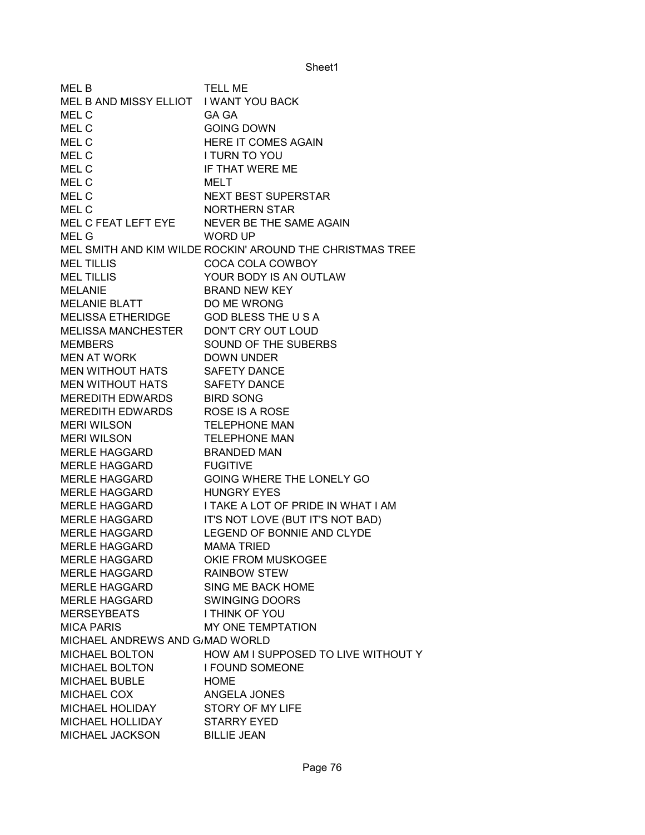| <b>MELB</b>                            | <b>TELL ME</b>                                            |
|----------------------------------------|-----------------------------------------------------------|
| MEL B AND MISSY ELLIOT I WANT YOU BACK |                                                           |
| MEL C                                  | <b>GA GA</b>                                              |
| MEL C                                  | <b>GOING DOWN</b>                                         |
| MEL C                                  | HERE IT COMES AGAIN                                       |
| MEL C                                  | I TURN TO YOU                                             |
| MEL C                                  | IF THAT WERE ME                                           |
| MEL C                                  | <b>MELT</b>                                               |
| MEL C                                  | <b>NEXT BEST SUPERSTAR</b>                                |
| MEL C                                  | NORTHERN STAR                                             |
| MEL C FEAT LEFT EYE                    | NEVER BE THE SAME AGAIN                                   |
| MEL G                                  | <b>WORD UP</b>                                            |
|                                        | MEL SMITH AND KIM WILDE ROCKIN' AROUND THE CHRISTMAS TREE |
| <b>MEL TILLIS</b>                      | COCA COLA COWBOY                                          |
| <b>MEL TILLIS</b>                      | YOUR BODY IS AN OUTLAW                                    |
| <b>MELANIE</b>                         | <b>BRAND NEW KEY</b>                                      |
| <b>MELANIE BLATT</b>                   | DO ME WRONG                                               |
| MELISSA ETHERIDGE                      | <b>GOD BLESS THE USA</b>                                  |
| <b>MELISSA MANCHESTER</b>              | DON'T CRY OUT LOUD                                        |
| <b>MEMBERS</b>                         | SOUND OF THE SUBERBS                                      |
| <b>MEN AT WORK</b>                     | <b>DOWN UNDER</b>                                         |
| <b>MEN WITHOUT HATS</b>                | <b>SAFETY DANCE</b>                                       |
| MEN WITHOUT HATS                       | <b>SAFETY DANCE</b>                                       |
| <b>MEREDITH EDWARDS</b>                | <b>BIRD SONG</b>                                          |
| <b>MEREDITH EDWARDS</b>                | <b>ROSE IS A ROSE</b>                                     |
| <b>MERI WILSON</b>                     | <b>TELEPHONE MAN</b>                                      |
| <b>MERI WILSON</b>                     | <b>TELEPHONE MAN</b>                                      |
| MERLE HAGGARD                          | <b>BRANDED MAN</b>                                        |
| MERLE HAGGARD                          | <b>FUGITIVE</b>                                           |
| MERLE HAGGARD                          | GOING WHERE THE LONELY GO                                 |
| MERLE HAGGARD                          | <b>HUNGRY EYES</b>                                        |
| <b>MERLE HAGGARD</b>                   | I TAKE A LOT OF PRIDE IN WHAT I AM                        |
| MERLE HAGGARD                          | IT'S NOT LOVE (BUT IT'S NOT BAD)                          |
| <b>MERLE HAGGARD</b>                   | LEGEND OF BONNIE AND CLYDE                                |
| <b>MERLE HAGGARD</b>                   | <b>MAMA TRIED</b>                                         |
| <b>MERLE HAGGARD</b>                   | OKIE FROM MUSKOGEE                                        |
| <b>MERLE HAGGARD</b>                   | <b>RAINBOW STEW</b>                                       |
| MERLE HAGGARD                          | SING ME BACK HOME                                         |
| <b>MERLE HAGGARD</b>                   | <b>SWINGING DOORS</b>                                     |
| <b>MERSEYBEATS</b>                     | I THINK OF YOU                                            |
| <b>MICA PARIS</b>                      | MY ONE TEMPTATION                                         |
| MICHAEL ANDREWS AND G/MAD WORLD        |                                                           |
| <b>MICHAEL BOLTON</b>                  | HOW AM I SUPPOSED TO LIVE WITHOUT Y                       |
| <b>MICHAEL BOLTON</b>                  |                                                           |
|                                        | <b>I FOUND SOMEONE</b>                                    |
| <b>MICHAEL BUBLE</b>                   | <b>HOME</b>                                               |
| MICHAEL COX<br>MICHAEL HOLIDAY         | ANGELA JONES<br><b>STORY OF MY LIFE</b>                   |
|                                        |                                                           |
| MICHAEL HOLLIDAY                       | <b>STARRY EYED</b>                                        |
| MICHAEL JACKSON                        | <b>BILLIE JEAN</b>                                        |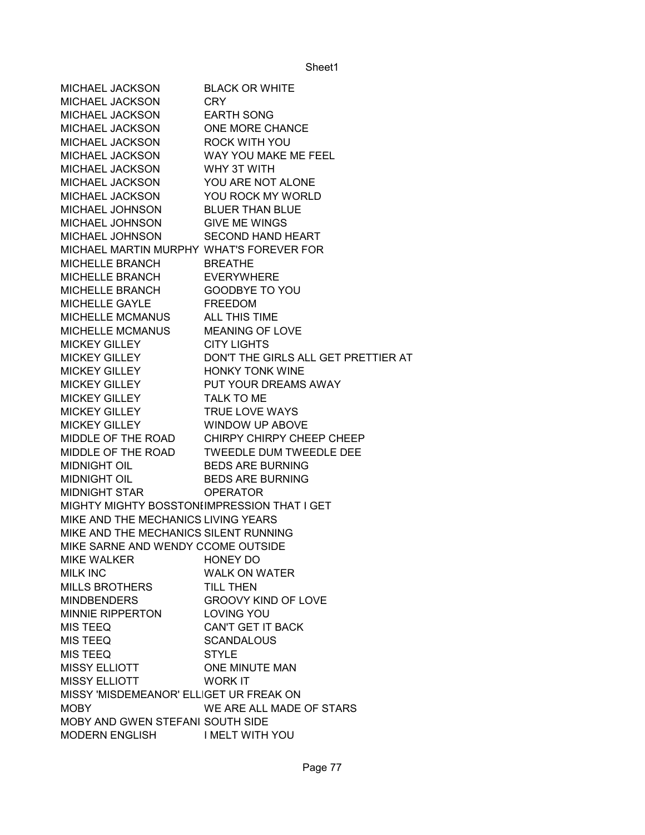| MICHAEL JACKSON                             | <b>BLACK OR WHITE</b>                        |
|---------------------------------------------|----------------------------------------------|
| MICHAEL JACKSON                             | CRY.                                         |
| <b>MICHAEL JACKSON</b>                      | <b>EARTH SONG</b>                            |
| MICHAEL JACKSON                             | ONE MORE CHANCE                              |
| <b>MICHAEL JACKSON</b>                      | ROCK WITH YOU                                |
| MICHAEL JACKSON                             | WAY YOU MAKE ME FEEL                         |
| MICHAEL JACKSON                             | WHY 3T WITH                                  |
| MICHAEL JACKSON                             | YOU ARE NOT ALONE                            |
| MICHAEL JACKSON                             | YOU ROCK MY WORLD                            |
| MICHAEL JOHNSON                             | <b>BLUER THAN BLUE</b>                       |
| MICHAEL JOHNSON                             | <b>GIVE ME WINGS</b>                         |
| MICHAEL JOHNSON                             | <b>SECOND HAND HEART</b>                     |
| MICHAEL MARTIN MURPHY WHAT'S FOREVER FOR    |                                              |
| MICHELLE BRANCH                             | <b>BREATHE</b>                               |
| MICHELLE BRANCH                             | <b>EVERYWHERE</b>                            |
| MICHELLE BRANCH                             | <b>GOODBYE TO YOU</b>                        |
| MICHELLE GAYLE                              | <b>FREEDOM</b>                               |
| MICHELLE MCMANUS                            | <b>ALL THIS TIME</b>                         |
| MICHELLE MCMANUS                            | <b>MEANING OF LOVE</b>                       |
| <b>MICKEY GILLEY</b>                        | <b>CITY LIGHTS</b>                           |
| <b>MICKEY GILLEY</b>                        | DON'T THE GIRLS ALL GET PRETTIER AT          |
| <b>MICKEY GILLEY</b>                        | <b>HONKY TONK WINE</b>                       |
| <b>MICKEY GILLEY</b>                        | PUT YOUR DREAMS AWAY                         |
| MICKEY GILLEY                               | TALK TO ME                                   |
| MICKEY GILLEY                               | <b>TRUE LOVE WAYS</b>                        |
| <b>MICKEY GILLEY</b>                        | <b>WINDOW UP ABOVE</b>                       |
|                                             | MIDDLE OF THE ROAD CHIRPY CHIRPY CHEEP CHEEP |
|                                             | MIDDLE OF THE ROAD TWEEDLE DUM TWEEDLE DEE   |
| <b>MIDNIGHT OIL</b>                         | <b>BEDS ARE BURNING</b>                      |
| <b>MIDNIGHT OIL</b>                         | <b>BEDS ARE BURNING</b>                      |
| MIDNIGHT STAR                               | <b>OPERATOR</b>                              |
| MIGHTY MIGHTY BOSSTONIIMPRESSION THAT I GET |                                              |
| MIKE AND THE MECHANICS LIVING YEARS         |                                              |
| MIKE AND THE MECHANICS SILENT RUNNING       |                                              |
| MIKE SARNE AND WENDY CCOME OUTSIDE          |                                              |
| MIKE WALKER                                 | <b>HONEY DO</b>                              |
| <b>MILK INC</b>                             | <b>WALK ON WATER</b>                         |
| <b>MILLS BROTHERS</b>                       | TILL THEN                                    |
| <b>MINDBENDERS</b>                          | <b>GROOVY KIND OF LOVE</b>                   |
| MINNIE RIPPERTON                            | <b>LOVING YOU</b>                            |
| MIS TEEQ                                    | <b>CAN'T GET IT BACK</b>                     |
| MIS TEEQ                                    | <b>SCANDALOUS</b>                            |
| <b>MIS TEEQ</b>                             | <b>STYLE</b>                                 |
| <b>MISSY ELLIOTT</b>                        | ONE MINUTE MAN                               |
| <b>MISSY ELLIOTT</b>                        | <b>WORK IT</b>                               |
| MISSY 'MISDEMEANOR' ELLIGET UR FREAK ON     |                                              |
| <b>MOBY</b>                                 | WE ARE ALL MADE OF STARS                     |
| MOBY AND GWEN STEFANI SOUTH SIDE            |                                              |
| MODERN ENGLISH IMELT WITH YOU               |                                              |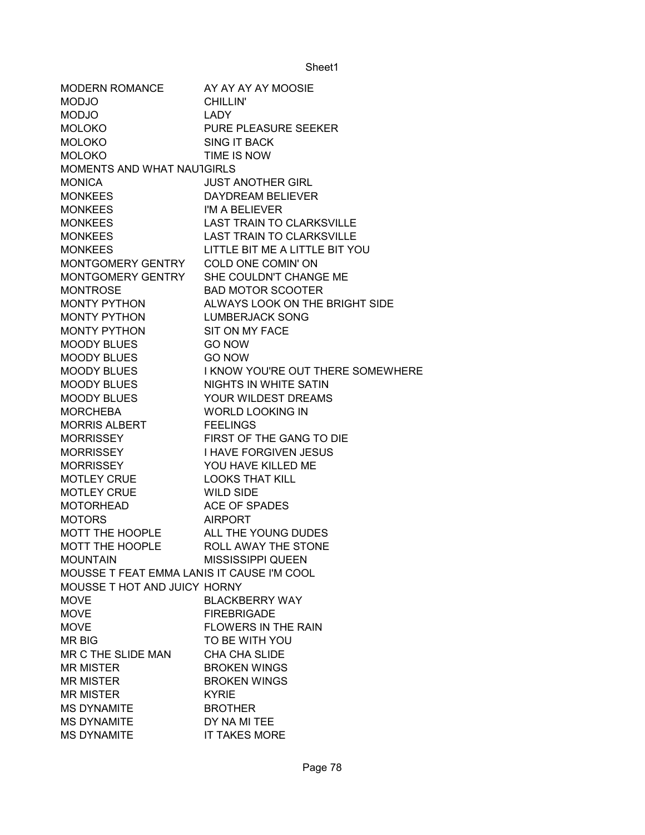| <b>MODERN ROMANCE</b>                      | AY AY AY AY MOOSIE                |
|--------------------------------------------|-----------------------------------|
| <b>MODJO</b>                               | <b>CHILLIN'</b>                   |
| <b>MODJO</b>                               | <b>LADY</b>                       |
| <b>MOLOKO</b>                              | <b>PURE PLEASURE SEEKER</b>       |
| <b>MOLOKO</b>                              | <b>SING IT BACK</b>               |
| <b>MOLOKO</b>                              | TIME IS NOW                       |
| <b>MOMENTS AND WHAT NAUTGIRLS</b>          |                                   |
| <b>MONICA</b>                              | <b>JUST ANOTHER GIRL</b>          |
| <b>MONKEES</b>                             | DAYDREAM BELIEVER                 |
| <b>MONKEES</b>                             | I'M A BELIEVER                    |
| <b>MONKEES</b>                             | <b>LAST TRAIN TO CLARKSVILLE</b>  |
| <b>MONKEES</b>                             | <b>LAST TRAIN TO CLARKSVILLE</b>  |
| <b>MONKEES</b>                             | LITTLE BIT ME A LITTLE BIT YOU    |
| MONTGOMERY GENTRY                          | COLD ONE COMIN' ON                |
| MONTGOMERY GENTRY                          | SHE COULDN'T CHANGE ME            |
| <b>MONTROSE</b>                            | <b>BAD MOTOR SCOOTER</b>          |
| MONTY PYTHON                               | ALWAYS LOOK ON THE BRIGHT SIDE    |
| <b>MONTY PYTHON</b>                        | <b>LUMBERJACK SONG</b>            |
| <b>MONTY PYTHON</b>                        | SIT ON MY FACE                    |
| <b>MOODY BLUES</b>                         | <b>GO NOW</b>                     |
| <b>MOODY BLUES</b>                         | <b>GO NOW</b>                     |
| <b>MOODY BLUES</b>                         | I KNOW YOU'RE OUT THERE SOMEWHERE |
| <b>MOODY BLUES</b>                         | NIGHTS IN WHITE SATIN             |
| <b>MOODY BLUES</b>                         | YOUR WILDEST DREAMS               |
| <b>MORCHEBA</b>                            | <b>WORLD LOOKING IN</b>           |
| <b>MORRIS ALBERT</b>                       | <b>FEELINGS</b>                   |
| <b>MORRISSEY</b>                           | FIRST OF THE GANG TO DIE          |
| <b>MORRISSEY</b>                           | <b>I HAVE FORGIVEN JESUS</b>      |
| <b>MORRISSEY</b>                           | YOU HAVE KILLED ME                |
| <b>MOTLEY CRUE</b>                         | <b>LOOKS THAT KILL</b>            |
| <b>MOTLEY CRUE</b>                         | <b>WILD SIDE</b>                  |
| <b>MOTORHEAD</b>                           | <b>ACE OF SPADES</b>              |
| <b>MOTORS</b>                              | <b>AIRPORT</b>                    |
| <b>MOTT THE HOOPLE</b>                     | ALL THE YOUNG DUDES               |
| <b>MOTT THE HOOPLE</b>                     | ROLL AWAY THE STONE               |
| <b>MOUNTAIN</b>                            | <b>MISSISSIPPI QUEEN</b>          |
| MOUSSE T FEAT EMMA LANIS IT CAUSE I'M COOL |                                   |
| MOUSSE T HOT AND JUICY HORNY               |                                   |
| <b>MOVE</b>                                | <b>BLACKBERRY WAY</b>             |
| <b>MOVE</b>                                | <b>FIREBRIGADE</b>                |
| <b>MOVE</b>                                | <b>FLOWERS IN THE RAIN</b>        |
| <b>MR BIG</b>                              | TO BE WITH YOU                    |
| MR C THE SLIDE MAN                         | CHA CHA SLIDE                     |
| <b>MR MISTER</b>                           | <b>BROKEN WINGS</b>               |
| <b>MR MISTER</b>                           | <b>BROKEN WINGS</b>               |
| <b>MR MISTER</b>                           | <b>KYRIE</b>                      |
| <b>MS DYNAMITE</b>                         | <b>BROTHER</b>                    |
| <b>MS DYNAMITE</b>                         | DY NA MI TEE                      |
| <b>MS DYNAMITE</b>                         | <b>IT TAKES MORE</b>              |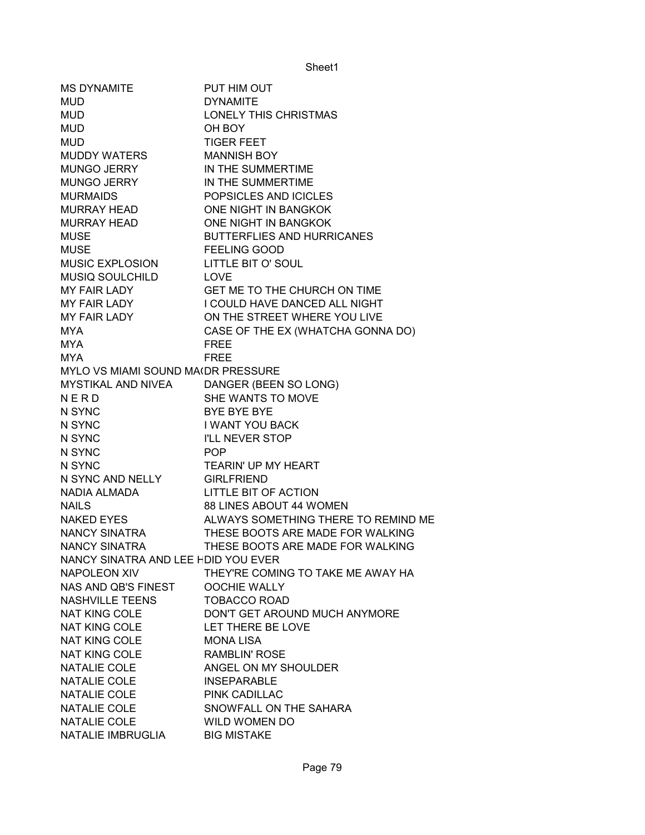| <b>MS DYNAMITE</b>                  | PUT HIM OUT                         |
|-------------------------------------|-------------------------------------|
| <b>MUD</b>                          | <b>DYNAMITE</b>                     |
| <b>MUD</b>                          | <b>LONELY THIS CHRISTMAS</b>        |
| <b>MUD</b>                          | OH BOY                              |
| <b>MUD</b>                          | <b>TIGER FEET</b>                   |
| MUDDY WATERS                        | <b>MANNISH BOY</b>                  |
| MUNGO JERRY                         | IN THE SUMMERTIME                   |
| <b>MUNGO JERRY</b>                  | IN THE SUMMERTIME                   |
| <b>MURMAIDS</b>                     | POPSICLES AND ICICLES               |
| MURRAY HEAD                         | ONE NIGHT IN BANGKOK                |
| <b>MURRAY HEAD</b>                  | ONE NIGHT IN BANGKOK                |
| <b>MUSE</b>                         | <b>BUTTERFLIES AND HURRICANES</b>   |
| <b>MUSE</b>                         | <b>FEELING GOOD</b>                 |
| MUSIC EXPLOSION                     | <b>LITTLE BIT O' SOUL</b>           |
| MUSIQ SOULCHILD                     | <b>LOVE</b>                         |
| <b>MY FAIR LADY</b>                 | GET ME TO THE CHURCH ON TIME        |
| MY FAIR LADY                        | I COULD HAVE DANCED ALL NIGHT       |
| MY FAIR LADY                        | ON THE STREET WHERE YOU LIVE        |
| <b>MYA</b>                          | CASE OF THE EX (WHATCHA GONNA DO)   |
| <b>MYA</b>                          | <b>FREE</b>                         |
| <b>MYA</b>                          | <b>FREE</b>                         |
| MYLO VS MIAMI SOUND MA(DR PRESSURE  |                                     |
| MYSTIKAL AND NIVEA                  | DANGER (BEEN SO LONG)               |
| NERD                                | SHE WANTS TO MOVE                   |
| N SYNC                              | <b>BYE BYE BYE</b>                  |
| N SYNC                              | <b>I WANT YOU BACK</b>              |
| N SYNC                              | I'LL NEVER STOP                     |
| N SYNC                              | <b>POP</b>                          |
| N SYNC                              | <b>TEARIN' UP MY HEART</b>          |
| N SYNC AND NELLY                    | <b>GIRLFRIEND</b>                   |
| NADIA ALMADA                        | LITTLE BIT OF ACTION                |
| <b>NAILS</b>                        | 88 LINES ABOUT 44 WOMEN             |
| <b>NAKED EYES</b>                   | ALWAYS SOMETHING THERE TO REMIND ME |
| NANCY SINATRA                       | THESE BOOTS ARE MADE FOR WALKING    |
| <b>NANCY SINATRA</b>                | THESE BOOTS ARE MADE FOR WALKING    |
| NANCY SINATRA AND LEE HDID YOU EVER |                                     |
| <b>NAPOLEON XIV</b>                 | THEY'RE COMING TO TAKE ME AWAY HA   |
| NAS AND QB'S FINEST                 | <b>OOCHIE WALLY</b>                 |
| <b>NASHVILLE TEENS</b>              | <b>TOBACCO ROAD</b>                 |
| <b>NAT KING COLE</b>                | DON'T GET AROUND MUCH ANYMORE       |
| <b>NAT KING COLE</b>                | LET THERE BE LOVE                   |
| <b>NAT KING COLE</b>                | <b>MONA LISA</b>                    |
| <b>NAT KING COLE</b>                | <b>RAMBLIN' ROSE</b>                |
| NATALIE COLE                        | ANGEL ON MY SHOULDER                |
| NATALIE COLE                        | <b>INSEPARABLE</b>                  |
| NATALIE COLE                        | PINK CADILLAC                       |
| NATALIE COLE                        | SNOWFALL ON THE SAHARA              |
| NATALIE COLE                        | WILD WOMEN DO                       |
| NATALIE IMBRUGLIA                   | <b>BIG MISTAKE</b>                  |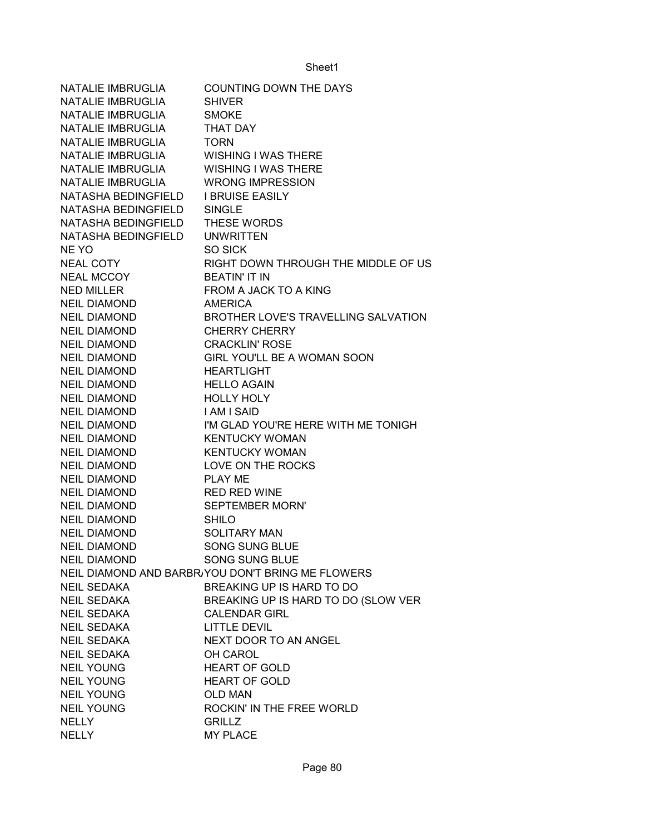| <b>NATALIE IMBRUGLIA</b> | <b>COUNTING DOWN THE DAYS</b>                     |
|--------------------------|---------------------------------------------------|
| NATALIE IMBRUGLIA        | <b>SHIVER</b>                                     |
| NATALIE IMBRUGLIA        | <b>SMOKE</b>                                      |
| NATALIE IMBRUGLIA        | <b>THAT DAY</b>                                   |
| <b>NATALIE IMBRUGLIA</b> | <b>TORN</b>                                       |
| NATALIE IMBRUGLIA        | <b>WISHING I WAS THERE</b>                        |
| NATALIE IMBRUGLIA        | <b>WISHING I WAS THERE</b>                        |
| NATALIE IMBRUGLIA        | <b>WRONG IMPRESSION</b>                           |
| NATASHA BEDINGFIELD      | <b>I BRUISE EASILY</b>                            |
| NATASHA BEDINGFIELD      | <b>SINGLE</b>                                     |
| NATASHA BEDINGFIELD      | <b>THESE WORDS</b>                                |
| NATASHA BEDINGFIELD      | <b>UNWRITTEN</b>                                  |
| <b>NE YO</b>             | SO SICK                                           |
| <b>NEAL COTY</b>         | RIGHT DOWN THROUGH THE MIDDLE OF US               |
| <b>NEAL MCCOY</b>        | <b>BEATIN' IT IN</b>                              |
| <b>NED MILLER</b>        | FROM A JACK TO A KING                             |
| <b>NEIL DIAMOND</b>      | <b>AMERICA</b>                                    |
| <b>NEIL DIAMOND</b>      | <b>BROTHER LOVE'S TRAVELLING SALVATION</b>        |
| <b>NEIL DIAMOND</b>      | <b>CHERRY CHERRY</b>                              |
| <b>NEIL DIAMOND</b>      | <b>CRACKLIN' ROSE</b>                             |
| <b>NEIL DIAMOND</b>      | GIRL YOU'LL BE A WOMAN SOON                       |
| <b>NEIL DIAMOND</b>      | <b>HEARTLIGHT</b>                                 |
| <b>NEIL DIAMOND</b>      | <b>HELLO AGAIN</b>                                |
| <b>NEIL DIAMOND</b>      | <b>HOLLY HOLY</b>                                 |
| <b>NEIL DIAMOND</b>      | <b>I AM I SAID</b>                                |
| <b>NEIL DIAMOND</b>      | I'M GLAD YOU'RE HERE WITH ME TONIGH               |
| <b>NEIL DIAMOND</b>      | <b>KENTUCKY WOMAN</b>                             |
| <b>NEIL DIAMOND</b>      | <b>KENTUCKY WOMAN</b>                             |
| <b>NEIL DIAMOND</b>      | LOVE ON THE ROCKS                                 |
| <b>NEIL DIAMOND</b>      | <b>PLAY ME</b>                                    |
| <b>NEIL DIAMOND</b>      | <b>RED RED WINE</b>                               |
| <b>NEIL DIAMOND</b>      | <b>SEPTEMBER MORN'</b>                            |
| <b>NEIL DIAMOND</b>      | <b>SHILO</b>                                      |
| <b>NEIL DIAMOND</b>      | <b>SOLITARY MAN</b>                               |
| <b>NEIL DIAMOND</b>      | <b>SONG SUNG BLUE</b>                             |
| <b>NEIL DIAMOND</b>      | <b>SONG SUNG BLUE</b>                             |
|                          | NEIL DIAMOND AND BARBR/YOU DON'T BRING ME FLOWERS |
| <b>NEIL SEDAKA</b>       | BREAKING UP IS HARD TO DO                         |
| <b>NEIL SEDAKA</b>       | BREAKING UP IS HARD TO DO (SLOW VER               |
| <b>NEIL SEDAKA</b>       | <b>CALENDAR GIRL</b>                              |
| <b>NEIL SEDAKA</b>       | <b>LITTLE DEVIL</b>                               |
| <b>NEIL SEDAKA</b>       | NEXT DOOR TO AN ANGEL                             |
| <b>NEIL SEDAKA</b>       | OH CAROL                                          |
| <b>NEIL YOUNG</b>        | <b>HEART OF GOLD</b>                              |
| <b>NEIL YOUNG</b>        | <b>HEART OF GOLD</b>                              |
| <b>NEIL YOUNG</b>        | <b>OLD MAN</b>                                    |
| <b>NEIL YOUNG</b>        | ROCKIN' IN THE FREE WORLD                         |
| <b>NELLY</b>             | <b>GRILLZ</b>                                     |
| <b>NELLY</b>             | <b>MY PLACE</b>                                   |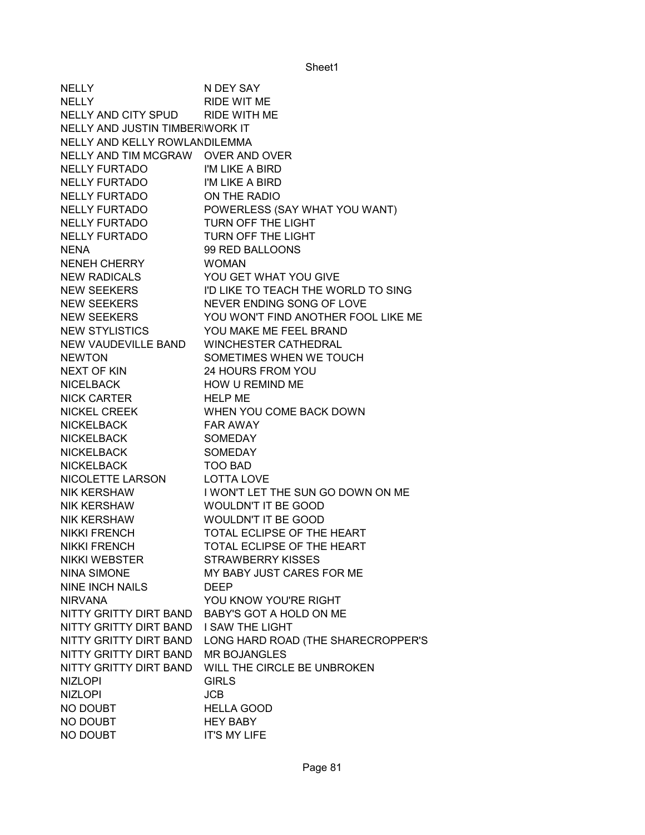| <b>NELLY</b>                       | N DEY SAY                           |
|------------------------------------|-------------------------------------|
| <b>NELLY</b>                       | RIDE WIT ME                         |
| NELLY AND CITY SPUD                | RIDE WITH ME                        |
| NELLY AND JUSTIN TIMBERIWORK IT    |                                     |
| NELLY AND KELLY ROWLANDILEMMA      |                                     |
| NELLY AND TIM MCGRAW OVER AND OVER |                                     |
| <b>NELLY FURTADO</b>               | I'M LIKE A BIRD                     |
| <b>NELLY FURTADO</b>               | I'M LIKE A BIRD                     |
| <b>NELLY FURTADO</b>               | ON THE RADIO                        |
| <b>NELLY FURTADO</b>               | POWERLESS (SAY WHAT YOU WANT)       |
| <b>NELLY FURTADO</b>               | TURN OFF THE LIGHT                  |
| <b>NELLY FURTADO</b>               | TURN OFF THE LIGHT                  |
| <b>NENA</b>                        | 99 RED BALLOONS                     |
| NENEH CHERRY                       | <b>WOMAN</b>                        |
| <b>NEW RADICALS</b>                | YOU GET WHAT YOU GIVE               |
| <b>NEW SEEKERS</b>                 | I'D LIKE TO TEACH THE WORLD TO SING |
| <b>NEW SEEKERS</b>                 | NEVER ENDING SONG OF LOVE           |
| <b>NEW SEEKERS</b>                 | YOU WON'T FIND ANOTHER FOOL LIKE ME |
| <b>NEW STYLISTICS</b>              | YOU MAKE ME FEEL BRAND              |
| NEW VAUDEVILLE BAND                | <b>WINCHESTER CATHEDRAL</b>         |
| <b>NEWTON</b>                      | SOMETIMES WHEN WE TOUCH             |
| NEXT OF KIN                        | 24 HOURS FROM YOU                   |
| <b>NICELBACK</b>                   | HOW U REMIND ME                     |
| NICK CARTER                        | <b>HELP ME</b>                      |
| NICKEL CREEK                       | WHEN YOU COME BACK DOWN             |
| <b>NICKELBACK</b>                  | <b>FAR AWAY</b>                     |
| <b>NICKELBACK</b>                  | <b>SOMEDAY</b>                      |
| <b>NICKELBACK</b>                  | <b>SOMEDAY</b>                      |
| <b>NICKELBACK</b>                  | <b>TOO BAD</b>                      |
| NICOLETTE LARSON                   | <b>LOTTA LOVE</b>                   |
| <b>NIK KERSHAW</b>                 | I WON'T LET THE SUN GO DOWN ON ME   |
| <b>NIK KERSHAW</b>                 | <b>WOULDN'T IT BE GOOD</b>          |
| <b>NIK KERSHAW</b>                 | <b>WOULDN'T IT BE GOOD</b>          |
| <b>NIKKI FRENCH</b>                | TOTAL ECLIPSE OF THE HEART          |
| <b>NIKKI FRENCH</b>                | TOTAL ECLIPSE OF THE HEART          |
| <b>NIKKI WEBSTER</b>               | <b>STRAWBERRY KISSES</b>            |
| <b>NINA SIMONE</b>                 | MY BABY JUST CARES FOR ME           |
| <b>NINE INCH NAILS</b>             | <b>DEEP</b>                         |
| <b>NIRVANA</b>                     | YOU KNOW YOU'RE RIGHT               |
| NITTY GRITTY DIRT BAND             | BABY'S GOT A HOLD ON ME             |
| NITTY GRITTY DIRT BAND             | <b>I SAW THE LIGHT</b>              |
| NITTY GRITTY DIRT BAND             | LONG HARD ROAD (THE SHARECROPPER'S  |
| NITTY GRITTY DIRT BAND             | <b>MR BOJANGLES</b>                 |
| NITTY GRITTY DIRT BAND             | WILL THE CIRCLE BE UNBROKEN         |
| <b>NIZLOPI</b>                     | <b>GIRLS</b>                        |
| <b>NIZLOPI</b>                     | <b>JCB</b>                          |
| NO DOUBT                           | <b>HELLA GOOD</b>                   |
| NO DOUBT                           | <b>HEY BABY</b>                     |
| NO DOUBT                           | <b>IT'S MY LIFE</b>                 |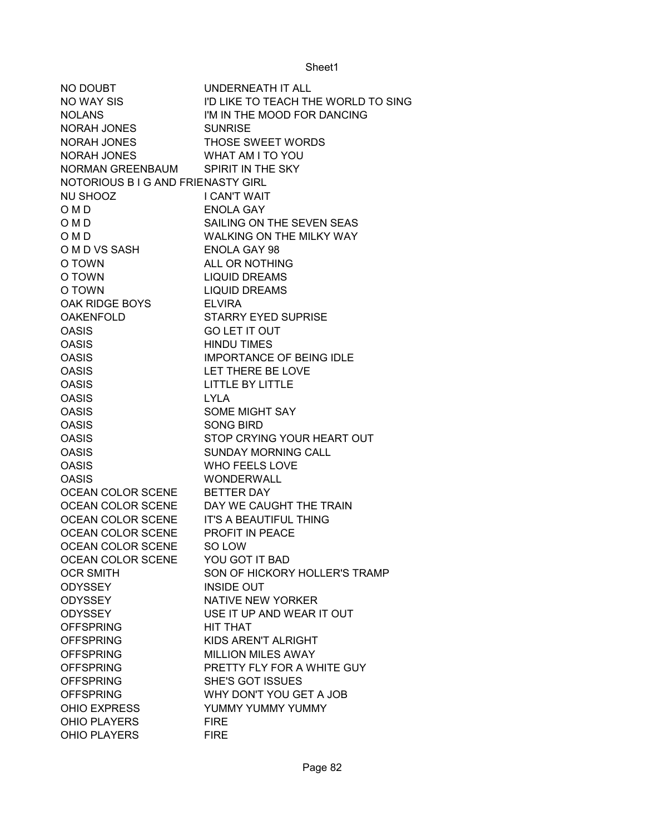| NO DOUBT                                 | UNDERNEATH IT ALL                         |
|------------------------------------------|-------------------------------------------|
| NO WAY SIS                               | I'D LIKE TO TEACH THE WORLD TO SING       |
| <b>NOLANS</b>                            | I'M IN THE MOOD FOR DANCING               |
| NORAH JONES                              | <b>SUNRISE</b>                            |
| NORAH JONES                              | THOSE SWEET WORDS                         |
| <b>NORAH JONES</b>                       | <b>WHAT AM I TO YOU</b>                   |
| NORMAN GREENBAUM SPIRIT IN THE SKY       |                                           |
| NOTORIOUS B I G AND FRIENASTY GIRL       |                                           |
| NU SHOOZ                                 | <b>I CAN'T WAIT</b>                       |
| O M D                                    | <b>ENOLA GAY</b>                          |
| O M D                                    | SAILING ON THE SEVEN SEAS                 |
| O M D                                    | WALKING ON THE MILKY WAY                  |
| O M D VS SASH                            | <b>ENOLA GAY 98</b>                       |
| O TOWN                                   | ALL OR NOTHING                            |
| O TOWN                                   | <b>LIQUID DREAMS</b>                      |
| O TOWN                                   | <b>LIQUID DREAMS</b>                      |
| OAK RIDGE BOYS                           | <b>ELVIRA</b>                             |
| <b>OAKENFOLD</b>                         | <b>STARRY EYED SUPRISE</b>                |
| <b>OASIS</b>                             | <b>GO LET IT OUT</b>                      |
| <b>OASIS</b>                             | <b>HINDU TIMES</b>                        |
| <b>OASIS</b>                             | <b>IMPORTANCE OF BEING IDLE</b>           |
| <b>OASIS</b>                             | LET THERE BE LOVE                         |
| <b>OASIS</b>                             | LITTLE BY LITTLE                          |
| <b>OASIS</b>                             | <b>LYLA</b>                               |
| <b>OASIS</b>                             | <b>SOME MIGHT SAY</b>                     |
| <b>OASIS</b>                             | <b>SONG BIRD</b>                          |
| <b>OASIS</b>                             | STOP CRYING YOUR HEART OUT                |
| <b>OASIS</b>                             | <b>SUNDAY MORNING CALL</b>                |
| <b>OASIS</b>                             | <b>WHO FEELS LOVE</b>                     |
| <b>OASIS</b>                             | <b>WONDERWALL</b>                         |
| OCEAN COLOR SCENE                        | <b>BETTER DAY</b>                         |
|                                          | OCEAN COLOR SCENE DAY WE CAUGHT THE TRAIN |
| OCEAN COLOR SCENE IT'S A BEAUTIFUL THING |                                           |
| OCEAN COLOR SCENE PROFIT IN PEACE        |                                           |
| OCEAN COLOR SCENE                        | SO LOW                                    |
| OCEAN COLOR SCENE                        | YOU GOT IT BAD                            |
| <b>OCR SMITH</b>                         | SON OF HICKORY HOLLER'S TRAMP             |
| <b>ODYSSEY</b>                           | <b>INSIDE OUT</b>                         |
| <b>ODYSSEY</b>                           | <b>NATIVE NEW YORKER</b>                  |
| <b>ODYSSEY</b>                           | USE IT UP AND WEAR IT OUT                 |
| <b>OFFSPRING</b>                         | HIT THAT                                  |
| <b>OFFSPRING</b>                         | KIDS AREN'T ALRIGHT                       |
| <b>OFFSPRING</b>                         | MILLION MILES AWAY                        |
| <b>OFFSPRING</b>                         | PRETTY FLY FOR A WHITE GUY                |
| <b>OFFSPRING</b>                         | SHE'S GOT ISSUES                          |
| <b>OFFSPRING</b>                         | WHY DON'T YOU GET A JOB                   |
| <b>OHIO EXPRESS</b>                      | YUMMY YUMMY YUMMY                         |
| <b>OHIO PLAYERS</b>                      | <b>FIRE</b>                               |
| <b>OHIO PLAYERS</b>                      | <b>FIRE</b>                               |
|                                          |                                           |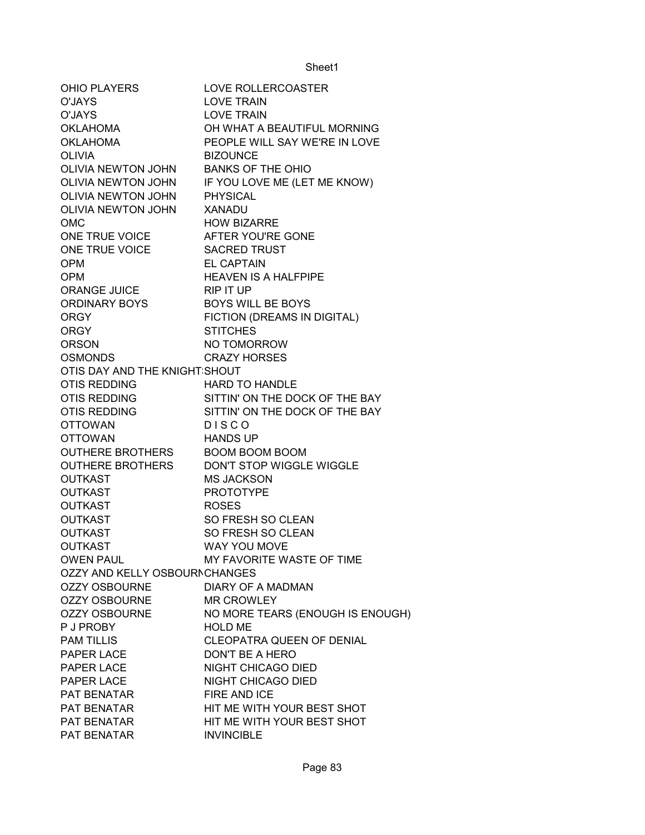| OHIO PLAYERS                     | LOVE ROLLERCOASTER               |
|----------------------------------|----------------------------------|
| O'JAYS                           | <b>LOVE TRAIN</b>                |
| O'JAYS                           | <b>LOVE TRAIN</b>                |
| OKLAHOMA                         | OH WHAT A BEAUTIFUL MORNING      |
| <b>OKLAHOMA</b>                  | PEOPLE WILL SAY WE'RE IN LOVE    |
| <b>OLIVIA</b>                    | <b>BIZOUNCE</b>                  |
| OLIVIA NEWTON JOHN               | <b>BANKS OF THE OHIO</b>         |
| OLIVIA NEWTON JOHN               | IF YOU LOVE ME (LET ME KNOW)     |
| OLIVIA NEWTON JOHN               | <b>PHYSICAL</b>                  |
| OLIVIA NEWTON JOHN               | <b>XANADU</b>                    |
| <b>OMC</b>                       | <b>HOW BIZARRE</b>               |
| ONE TRUE VOICE AFTER YOU'RE GONE |                                  |
| ONE TRUE VOICE SACRED TRUST      |                                  |
| <b>OPM</b>                       | <b>EL CAPTAIN</b>                |
| <b>OPM</b>                       | <b>HEAVEN IS A HALFPIPE</b>      |
| ORANGE JUICE                     | RIP IT UP                        |
| ORDINARY BOYS                    | <b>BOYS WILL BE BOYS</b>         |
| <b>ORGY</b>                      | FICTION (DREAMS IN DIGITAL)      |
| <b>ORGY</b>                      | <b>STITCHES</b>                  |
| <b>ORSON</b>                     | NO TOMORROW                      |
| <b>OSMONDS</b>                   | <b>CRAZY HORSES</b>              |
| OTIS DAY AND THE KNIGHT SHOUT    |                                  |
| OTIS REDDING                     | <b>HARD TO HANDLE</b>            |
| OTIS REDDING                     | SITTIN' ON THE DOCK OF THE BAY   |
| OTIS REDDING                     | SITTIN' ON THE DOCK OF THE BAY   |
| <b>OTTOWAN</b>                   | <b>DISCO</b>                     |
| <b>OTTOWAN</b>                   | <b>HANDS UP</b>                  |
| <b>OUTHERE BROTHERS</b>          | <b>BOOM BOOM BOOM</b>            |
| OUTHERE BROTHERS                 | DON'T STOP WIGGLE WIGGLE         |
| <b>OUTKAST</b>                   | <b>MS JACKSON</b>                |
| <b>OUTKAST</b>                   | <b>PROTOTYPE</b>                 |
| <b>OUTKAST</b>                   | <b>ROSES</b>                     |
| <b>OUTKAST</b>                   | SO FRESH SO CLEAN                |
| <b>OUTKAST</b>                   | SO FRESH SO CLEAN                |
| <b>OUTKAST</b>                   | <b>WAY YOU MOVE</b>              |
| <b>OWEN PAUL</b>                 | MY FAVORITE WASTE OF TIME        |
| OZZY AND KELLY OSBOURNCHANGES    |                                  |
| <b>OZZY OSBOURNE</b>             | <b>DIARY OF A MADMAN</b>         |
| <b>OZZY OSBOURNE</b>             | <b>MR CROWLEY</b>                |
| <b>OZZY OSBOURNE</b>             | NO MORE TEARS (ENOUGH IS ENOUGH) |
| P J PROBY                        | <b>HOLD ME</b>                   |
| <b>PAM TILLIS</b>                | CLEOPATRA QUEEN OF DENIAL        |
| PAPER LACE                       | DON'T BE A HERO                  |
| PAPER LACE                       | NIGHT CHICAGO DIED               |
| PAPER LACE                       | NIGHT CHICAGO DIED               |
| PAT BENATAR                      | FIRE AND ICE                     |
| PAT BENATAR                      | HIT ME WITH YOUR BEST SHOT       |
| PAT BENATAR                      | HIT ME WITH YOUR BEST SHOT       |
| PAT BENATAR                      | <b>INVINCIBLE</b>                |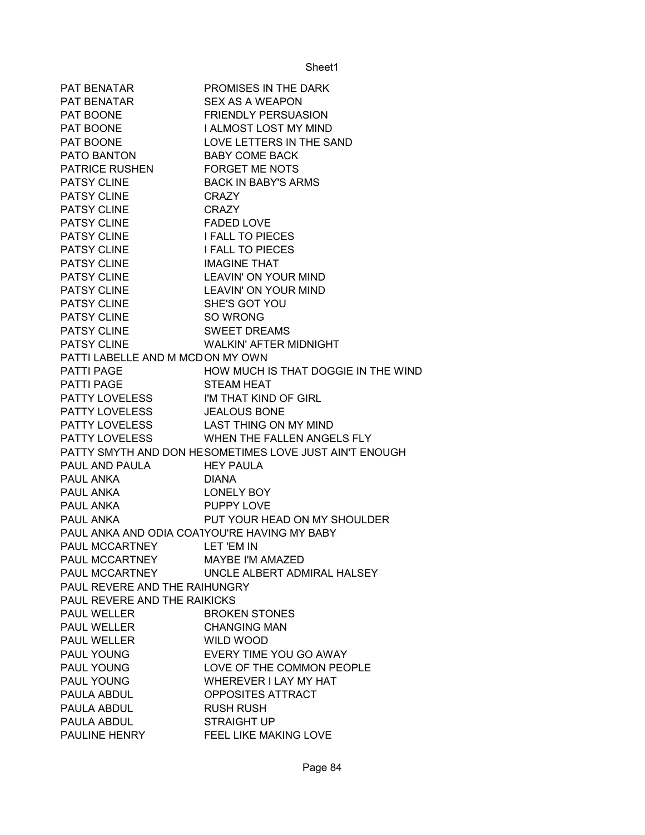| PAT BENATAR                                  | PROMISES IN THE DARK                                   |
|----------------------------------------------|--------------------------------------------------------|
| PAT BENATAR                                  | <b>SEX AS A WEAPON</b>                                 |
| PAT BOONE                                    | <b>FRIENDLY PERSUASION</b>                             |
| PAT BOONE                                    | I ALMOST LOST MY MIND                                  |
| PAT BOONE                                    | LOVE LETTERS IN THE SAND                               |
| PATO BANTON                                  | <b>BABY COME BACK</b>                                  |
| PATRICE RUSHEN FORGET ME NOTS                |                                                        |
| <b>PATSY CLINE</b>                           | <b>BACK IN BABY'S ARMS</b>                             |
| PATSY CLINE                                  | <b>CRAZY</b>                                           |
| PATSY CLINE                                  | <b>CRAZY</b>                                           |
| <b>PATSY CLINE</b>                           | <b>FADED LOVE</b>                                      |
| PATSY CLINE                                  | <b>I FALL TO PIECES</b>                                |
| PATSY CLINE                                  | <b>I FALL TO PIECES</b>                                |
| PATSY CLINE                                  | <b>IMAGINE THAT</b>                                    |
| PATSY CLINE                                  | LEAVIN' ON YOUR MIND                                   |
| PATSY CLINE                                  | LEAVIN' ON YOUR MIND                                   |
| <b>PATSY CLINE</b>                           | SHE'S GOT YOU                                          |
| PATSY CLINE SO WRONG                         |                                                        |
| <b>PATSY CLINE</b>                           | <b>SWEET DREAMS</b>                                    |
| PATSY CLINE                                  | WALKIN' AFTER MIDNIGHT                                 |
| PATTI LABELLE AND M MCDON MY OWN             |                                                        |
| PATTI PAGE                                   | HOW MUCH IS THAT DOGGIE IN THE WIND                    |
| <b>PATTI PAGE</b>                            | <b>STEAM HEAT</b>                                      |
| PATTY LOVELESS I'M THAT KIND OF GIRL         |                                                        |
| PATTY LOVELESS JEALOUS BONE                  |                                                        |
| PATTY LOVELESS LAST THING ON MY MIND         |                                                        |
|                                              | PATTY LOVELESS WHEN THE FALLEN ANGELS FLY              |
|                                              | PATTY SMYTH AND DON HESOMETIMES LOVE JUST AIN'T ENOUGH |
| PAUL AND PAULA HEY PAULA                     |                                                        |
| PAUL ANKA                                    | <b>DIANA</b>                                           |
| PAUL ANKA                                    | LONELY BOY                                             |
| <b>PAUL ANKA</b>                             | PUPPY LOVE                                             |
| PAUL ANKA                                    | PUT YOUR HEAD ON MY SHOULDER                           |
| PAUL ANKA AND ODIA COATYOU'RE HAVING MY BABY |                                                        |
| PAUL MCCARTNEY                               | LET 'EM IN                                             |
| PAUL MCCARTNEY                               | <b>MAYBE I'M AMAZED</b>                                |
| PAUL MCCARTNEY                               | UNCLE ALBERT ADMIRAL HALSEY                            |
| PAUL REVERE AND THE RAIHUNGRY                |                                                        |
| PAUL REVERE AND THE RAIKICKS                 |                                                        |
| <b>PAUL WELLER</b>                           | <b>BROKEN STONES</b>                                   |
| <b>PAUL WELLER</b>                           | <b>CHANGING MAN</b>                                    |
| <b>PAUL WELLER</b>                           | <b>WILD WOOD</b>                                       |
| PAUL YOUNG                                   | EVERY TIME YOU GO AWAY                                 |
| PAUL YOUNG                                   | LOVE OF THE COMMON PEOPLE                              |
| <b>PAUL YOUNG</b>                            | WHEREVER I LAY MY HAT                                  |
| PAULA ABDUL                                  | OPPOSITES ATTRACT                                      |
| PAULA ABDUL                                  | <b>RUSH RUSH</b>                                       |
| PAULA ABDUL                                  | <b>STRAIGHT UP</b>                                     |
| PAULINE HENRY                                | FEEL LIKE MAKING LOVE                                  |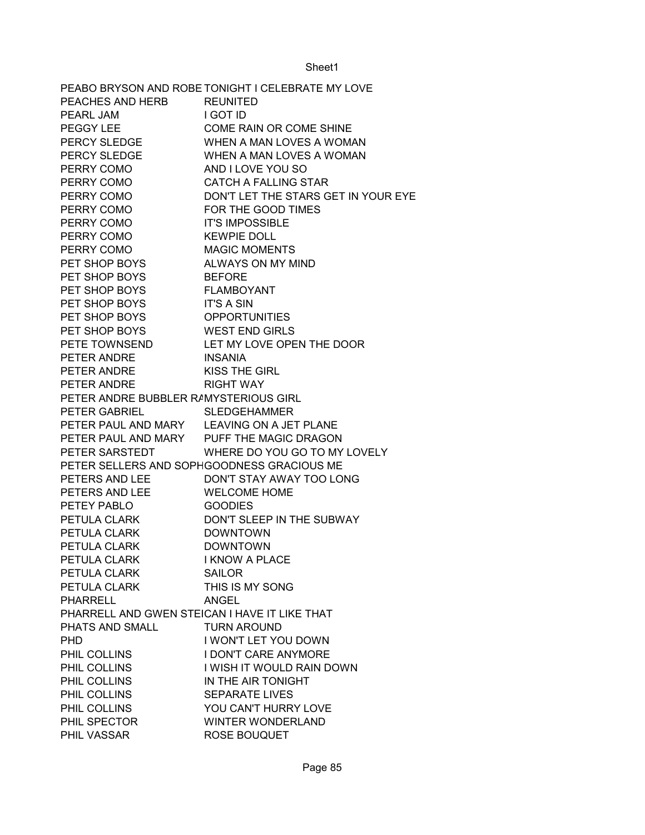|                                               | PEABO BRYSON AND ROBE TONIGHT I CELEBRATE MY LOVE |
|-----------------------------------------------|---------------------------------------------------|
| PEACHES AND HERB REUNITED                     |                                                   |
| PEARL JAM                                     | I GOT ID                                          |
| PEGGY LEE                                     | <b>COME RAIN OR COME SHINE</b>                    |
| PERCY SLEDGE                                  | WHEN A MAN LOVES A WOMAN                          |
| PERCY SLEDGE                                  | WHEN A MAN LOVES A WOMAN                          |
| PERRY COMO                                    | AND I LOVE YOU SO                                 |
| PERRY COMO                                    | <b>CATCH A FALLING STAR</b>                       |
| PERRY COMO                                    | DON'T LET THE STARS GET IN YOUR EYE               |
| PERRY COMO                                    | FOR THE GOOD TIMES                                |
| PERRY COMO IT'S IMPOSSIBLE                    |                                                   |
| PERRY COMO KEWPIE DOLL                        |                                                   |
| PERRY COMO MAGIC MOMENTS                      |                                                   |
| PET SHOP BOYS                                 | ALWAYS ON MY MIND                                 |
| PET SHOP BOYS                                 | <b>BEFORE</b>                                     |
| PET SHOP BOYS                                 | FLAMBOYANT                                        |
| PET SHOP BOYS                                 | <b>IT'S A SIN</b>                                 |
| PET SHOP BOYS                                 | <b>OPPORTUNITIES</b>                              |
| PET SHOP BOYS WEST END GIRLS                  |                                                   |
|                                               | PETE TOWNSEND LET MY LOVE OPEN THE DOOR           |
| PETER ANDRE INSANIA                           |                                                   |
| PETER ANDRE                                   | <b>KISS THE GIRL</b>                              |
| PETER ANDRE                                   | <b>RIGHT WAY</b>                                  |
| PETER ANDRE BUBBLER RAMYSTERIOUS GIRL         |                                                   |
| PETER GABRIEL SLEDGEHAMMER                    |                                                   |
| PETER PAUL AND MARY LEAVING ON A JET PLANE    |                                                   |
| PETER PAUL AND MARY PUFF THE MAGIC DRAGON     |                                                   |
|                                               | PETER SARSTEDT WHERE DO YOU GO TO MY LOVELY       |
| PETER SELLERS AND SOPHGOODNESS GRACIOUS ME    |                                                   |
| PETERS AND LEE                                | DON'T STAY AWAY TOO LONG                          |
| PETERS AND LEE<br>PETEY PABLO<br>PETULA OLARY | <b>WELCOME HOME</b>                               |
|                                               | <b>GOODIES</b>                                    |
| PETULA CLARK                                  | DON'T SLEEP IN THE SUBWAY                         |
| PETULA CLARK                                  | <b>DOWNTOWN</b>                                   |
| PETULA CLARK                                  | <b>DOWNTOWN</b>                                   |
| PETULA CLARK                                  | <b>I KNOW A PLACE</b>                             |
| PETULA CLARK                                  | <b>SAILOR</b>                                     |
| PETULA CLARK                                  | THIS IS MY SONG                                   |
| PHARRELL                                      | ANGEL                                             |
| PHARRELL AND GWEN STEICAN I HAVE IT LIKE THAT |                                                   |
| PHATS AND SMALL                               | <b>TURN AROUND</b>                                |
| <b>PHD</b>                                    | I WON'T LET YOU DOWN                              |
| PHIL COLLINS                                  | <b>I DON'T CARE ANYMORE</b>                       |
| PHIL COLLINS                                  | I WISH IT WOULD RAIN DOWN                         |
| PHIL COLLINS                                  | IN THE AIR TONIGHT                                |
| PHIL COLLINS                                  | <b>SEPARATE LIVES</b>                             |
| PHIL COLLINS                                  | YOU CAN'T HURRY LOVE                              |
| PHIL SPECTOR                                  | <b>WINTER WONDERLAND</b>                          |
| PHIL VASSAR                                   | ROSE BOUQUET                                      |
|                                               |                                                   |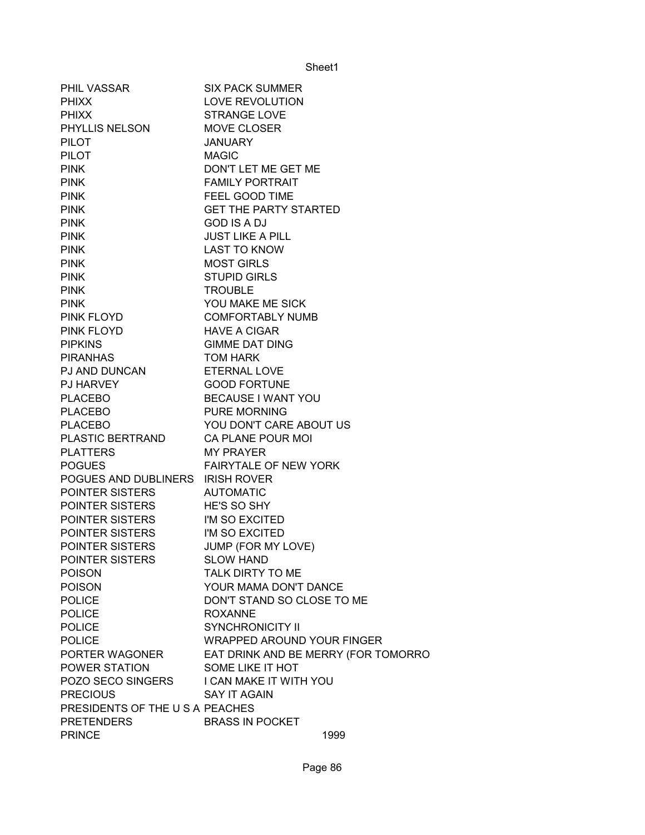| <b>PHIL VASSAR</b>               | <b>SIX PACK SUMMER</b>              |
|----------------------------------|-------------------------------------|
| <b>PHIXX</b>                     | LOVE REVOLUTION                     |
| <b>PHIXX</b>                     | <b>STRANGE LOVE</b>                 |
| PHYLLIS NELSON                   | MOVE CLOSER                         |
| <b>PILOT</b>                     | <b>JANUARY</b>                      |
| <b>PILOT</b>                     | <b>MAGIC</b>                        |
| <b>PINK</b>                      | DON'T LET ME GET ME                 |
| <b>PINK</b>                      | <b>FAMILY PORTRAIT</b>              |
| <b>PINK</b>                      | FEEL GOOD TIME                      |
| <b>PINK</b>                      | <b>GET THE PARTY STARTED</b>        |
| <b>PINK</b>                      | <b>GOD IS A DJ</b>                  |
| <b>PINK</b>                      | <b>JUST LIKE A PILL</b>             |
| <b>PINK</b>                      | <b>LAST TO KNOW</b>                 |
| <b>PINK</b>                      | <b>MOST GIRLS</b>                   |
| <b>PINK</b>                      | <b>STUPID GIRLS</b>                 |
| <b>PINK</b>                      | <b>TROUBLE</b>                      |
| <b>PINK</b>                      | YOU MAKE ME SICK                    |
| PINK FLOYD                       | <b>COMFORTABLY NUMB</b>             |
| <b>PINK FLOYD</b>                | <b>HAVE A CIGAR</b>                 |
| <b>PIPKINS</b>                   | <b>GIMME DAT DING</b>               |
| <b>PIRANHAS</b>                  | <b>TOM HARK</b>                     |
| PJ AND DUNCAN                    | <b>ETERNAL LOVE</b>                 |
| PJ HARVEY                        | <b>GOOD FORTUNE</b>                 |
| <b>PLACEBO</b>                   | BECAUSE I WANT YOU                  |
| <b>PLACEBO</b>                   | <b>PURE MORNING</b>                 |
| <b>PLACEBO</b>                   | YOU DON'T CARE ABOUT US             |
| PLASTIC BERTRAND                 | CA PLANE POUR MOI                   |
| <b>PLATTERS</b>                  | <b>MY PRAYER</b>                    |
| <b>POGUES</b>                    | FAIRYTALE OF NEW YORK               |
| POGUES AND DUBLINERS IRISH ROVER |                                     |
| POINTER SISTERS                  | <b>AUTOMATIC</b>                    |
| POINTER SISTERS                  | HE'S SO SHY                         |
| POINTER SISTERS                  | I'M SO EXCITED                      |
| POINTER SISTERS                  | I'M SO EXCITED                      |
| POINTER SISTERS                  | JUMP (FOR MY LOVE)                  |
| POINTER SISTERS                  | <b>SLOW HAND</b>                    |
| <b>POISON</b>                    | TALK DIRTY TO ME                    |
| <b>POISON</b>                    | YOUR MAMA DON'T DANCE               |
| <b>POLICE</b>                    | DON'T STAND SO CLOSE TO ME          |
| <b>POLICE</b>                    | <b>ROXANNE</b>                      |
| <b>POLICE</b>                    | <b>SYNCHRONICITY II</b>             |
| <b>POLICE</b>                    | <b>WRAPPED AROUND YOUR FINGER</b>   |
| PORTER WAGONER                   | EAT DRINK AND BE MERRY (FOR TOMORRO |
| POWER STATION                    | SOME LIKE IT HOT                    |
| POZO SECO SINGERS                | I CAN MAKE IT WITH YOU              |
| <b>PRECIOUS</b>                  | SAY IT AGAIN                        |
| PRESIDENTS OF THE U S A PEACHES  |                                     |
| <b>PRETENDERS</b>                | <b>BRASS IN POCKET</b>              |
| <b>PRINCE</b>                    | 1999                                |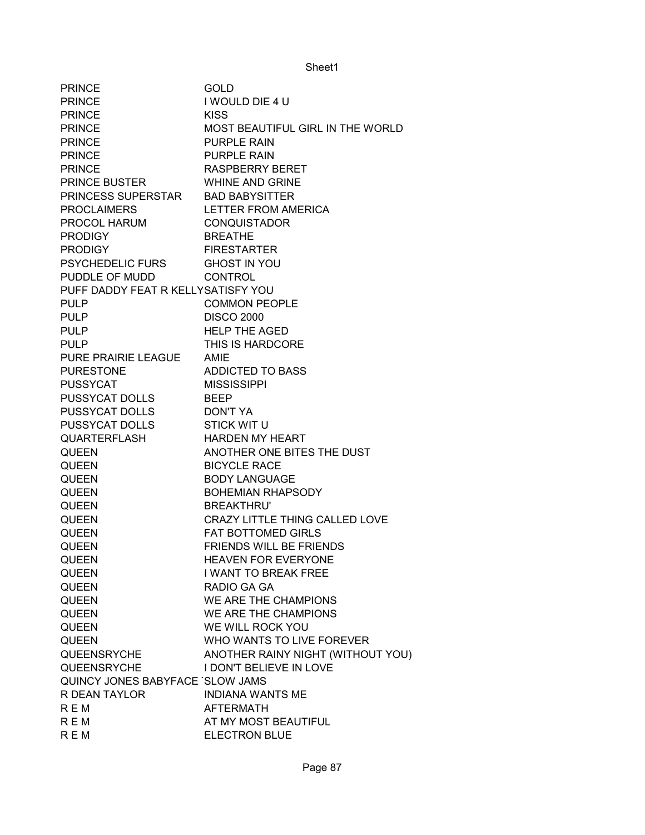| <b>PRINCE</b>                      | GOLD                              |
|------------------------------------|-----------------------------------|
| <b>PRINCE</b>                      | I WOULD DIE 4 U                   |
| <b>PRINCE</b>                      | <b>KISS</b>                       |
| <b>PRINCE</b>                      | MOST BEAUTIFUL GIRL IN THE WORLD  |
| <b>PRINCE</b>                      | <b>PURPLE RAIN</b>                |
| <b>PRINCE</b>                      | <b>PURPLE RAIN</b>                |
| <b>PRINCE</b>                      | <b>RASPBERRY BERET</b>            |
| <b>PRINCE BUSTER</b>               | <b>WHINE AND GRINE</b>            |
| PRINCESS SUPERSTAR BAD BABYSITTER  |                                   |
| <b>PROCLAIMERS</b>                 | LETTER FROM AMERICA               |
| PROCOL HARUM                       | <b>CONQUISTADOR</b>               |
| <b>PRODIGY</b>                     | <b>BREATHE</b>                    |
| <b>PRODIGY</b>                     | <b>FIRESTARTER</b>                |
| <b>PSYCHEDELIC FURS</b>            | <b>GHOST IN YOU</b>               |
| PUDDLE OF MUDD                     | <b>CONTROL</b>                    |
| PUFF DADDY FEAT R KELLYSATISFY YOU |                                   |
| <b>PULP</b>                        | <b>COMMON PEOPLE</b>              |
| <b>PULP</b>                        | <b>DISCO 2000</b>                 |
| <b>PULP</b>                        | <b>HELP THE AGED</b>              |
| <b>PULP</b>                        | THIS IS HARDCORE                  |
| PURE PRAIRIE LEAGUE                | AMIE                              |
| <b>PURESTONE</b>                   | ADDICTED TO BASS                  |
| <b>PUSSYCAT</b>                    | <b>MISSISSIPPI</b>                |
| PUSSYCAT DOLLS                     | <b>BEEP</b>                       |
| PUSSYCAT DOLLS                     | <b>DON'T YA</b>                   |
| <b>PUSSYCAT DOLLS</b>              | <b>STICK WIT U</b>                |
| <b>QUARTERFLASH</b>                | <b>HARDEN MY HEART</b>            |
| <b>QUEEN</b>                       | ANOTHER ONE BITES THE DUST        |
| <b>QUEEN</b>                       | <b>BICYCLE RACE</b>               |
| <b>QUEEN</b>                       | <b>BODY LANGUAGE</b>              |
| <b>QUEEN</b>                       | <b>BOHEMIAN RHAPSODY</b>          |
| <b>QUEEN</b>                       | <b>BREAKTHRU'</b>                 |
| <b>QUEEN</b>                       | CRAZY LITTLE THING CALLED LOVE    |
| <b>QUEEN</b>                       | <b>FAT BOTTOMED GIRLS</b>         |
| <b>QUEEN</b>                       | FRIENDS WILL BE FRIENDS           |
| <b>QUEEN</b>                       | <b>HEAVEN FOR EVERYONE</b>        |
| QUEEN                              | I WANT TO BREAK FREE              |
| <b>QUEEN</b>                       | RADIO GA GA                       |
| <b>QUEEN</b>                       | WE ARE THE CHAMPIONS              |
| <b>QUEEN</b>                       | WE ARE THE CHAMPIONS              |
| <b>QUEEN</b>                       | WE WILL ROCK YOU                  |
| <b>QUEEN</b>                       | WHO WANTS TO LIVE FOREVER         |
| QUEENSRYCHE                        | ANOTHER RAINY NIGHT (WITHOUT YOU) |
| QUEENSRYCHE                        | I DON'T BELIEVE IN LOVE           |
| QUINCY JONES BABYFACE SLOW JAMS    |                                   |
| R DEAN TAYLOR                      | <b>INDIANA WANTS ME</b>           |
| <b>REM</b>                         | <b>AFTERMATH</b>                  |
| <b>REM</b>                         | AT MY MOST BEAUTIFUL              |
| <b>REM</b>                         | ELECTRON BLUE                     |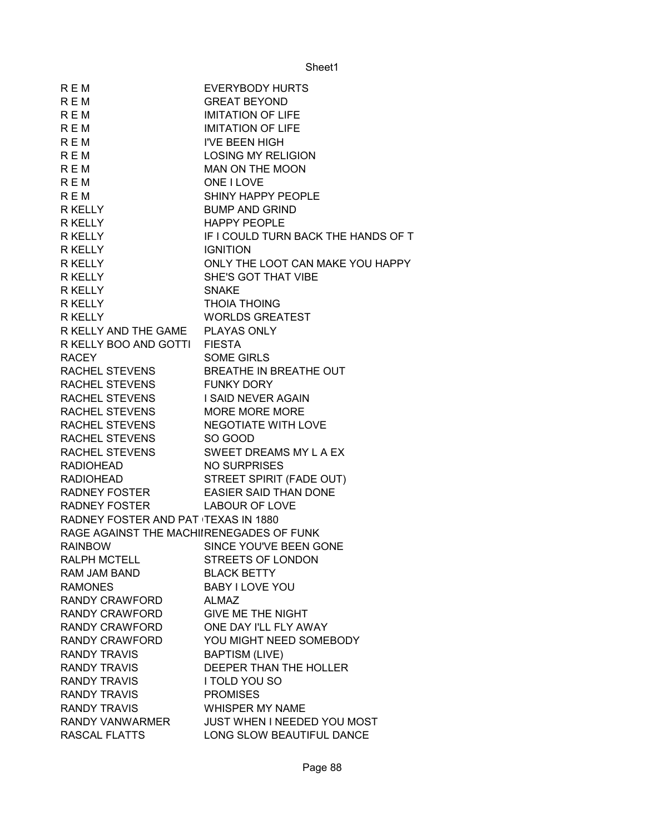| <b>REM</b>                               | <b>EVERYBODY HURTS</b>              |
|------------------------------------------|-------------------------------------|
| <b>REM</b>                               | <b>GREAT BEYOND</b>                 |
| R E M                                    | <b>IMITATION OF LIFE</b>            |
| <b>REM</b>                               | <b>IMITATION OF LIFE</b>            |
| <b>REM</b>                               | <b>I'VE BEEN HIGH</b>               |
| <b>REM</b>                               | <b>LOSING MY RELIGION</b>           |
| <b>REM</b>                               | MAN ON THE MOON                     |
| <b>REM</b>                               | ONE I LOVE                          |
| <b>REM</b>                               | SHINY HAPPY PEOPLE                  |
| R KELLY                                  | <b>BUMP AND GRIND</b>               |
| R KELLY                                  | <b>HAPPY PEOPLE</b>                 |
| R KELLY                                  | IF I COULD TURN BACK THE HANDS OF T |
| R KELLY                                  | <b>IGNITION</b>                     |
| R KELLY                                  | ONLY THE LOOT CAN MAKE YOU HAPPY    |
| R KELLY                                  | SHE'S GOT THAT VIBE                 |
| R KELLY                                  | <b>SNAKE</b>                        |
| R KELLY                                  | <b>THOIA THOING</b>                 |
| R KELLY                                  | <b>WORLDS GREATEST</b>              |
| R KELLY AND THE GAME PLAYAS ONLY         |                                     |
| R KELLY BOO AND GOTTI FIESTA             |                                     |
| <b>RACEY</b>                             | <b>SOME GIRLS</b>                   |
| RACHEL STEVENS                           | BREATHE IN BREATHE OUT              |
| RACHEL STEVENS                           | <b>FUNKY DORY</b>                   |
| RACHEL STEVENS                           | I SAID NEVER AGAIN                  |
| RACHEL STEVENS MORE MORE MORE            |                                     |
| RACHEL STEVENS NEGOTIATE WITH LOVE       |                                     |
| RACHEL STEVENS SO GOOD                   |                                     |
|                                          | RACHEL STEVENS SWEET DREAMS MY LAEX |
| <b>RADIOHEAD</b>                         | <b>NO SURPRISES</b>                 |
| <b>RADIOHEAD</b>                         | STREET SPIRIT (FADE OUT)            |
| <b>RADNEY FOSTER</b>                     | <b>EASIER SAID THAN DONE</b>        |
| RADNEY FOSTER                            | <b>LABOUR OF LOVE</b>               |
| RADNEY FOSTER AND PAT (TEXAS IN 1880)    |                                     |
| RAGE AGAINST THE MACHIIRENEGADES OF FUNK |                                     |
| <b>RAINBOW</b>                           | SINCE YOU'VE BEEN GONE              |
| <b>RALPH MCTELL</b>                      | STREETS OF LONDON                   |
| RAM JAM BAND                             | <b>BLACK BETTY</b>                  |
| <b>RAMONES</b>                           | <b>BABY I LOVE YOU</b>              |
| <b>RANDY CRAWFORD</b>                    | <b>ALMAZ</b>                        |
| <b>RANDY CRAWFORD</b>                    | <b>GIVE ME THE NIGHT</b>            |
| RANDY CRAWFORD                           | ONE DAY I'LL FLY AWAY               |
| RANDY CRAWFORD                           | YOU MIGHT NEED SOMEBODY             |
| <b>RANDY TRAVIS</b>                      | <b>BAPTISM (LIVE)</b>               |
| <b>RANDY TRAVIS</b>                      | DEEPER THAN THE HOLLER              |
| <b>RANDY TRAVIS</b>                      | I TOLD YOU SO                       |
| <b>RANDY TRAVIS</b>                      | <b>PROMISES</b>                     |
| <b>RANDY TRAVIS</b>                      | <b>WHISPER MY NAME</b>              |
| RANDY VANWARMER                          | JUST WHEN I NEEDED YOU MOST         |
| <b>RASCAL FLATTS</b>                     | LONG SLOW BEAUTIFUL DANCE           |
|                                          |                                     |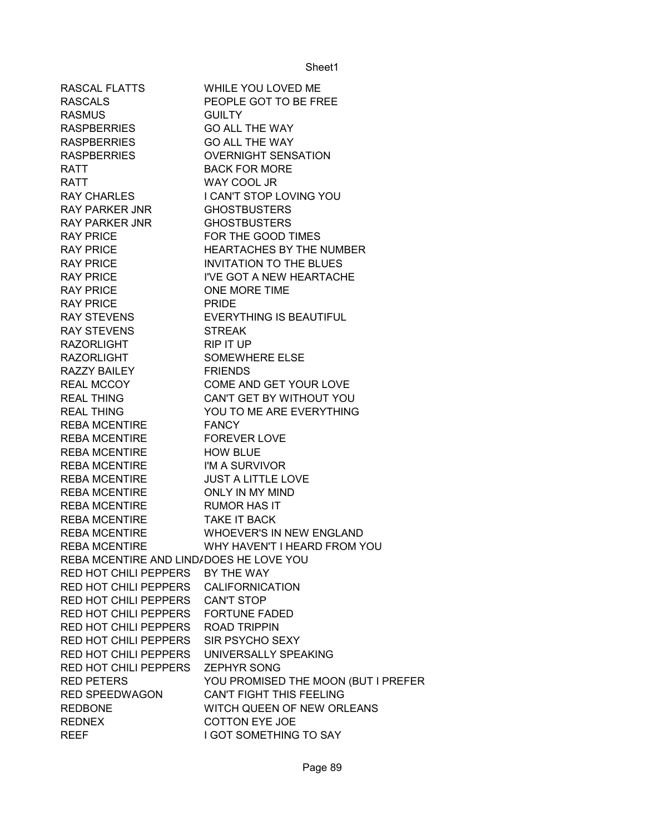| RASCAL FLATTS                           | WHILE YOU LOVED ME                  |
|-----------------------------------------|-------------------------------------|
| <b>RASCALS</b>                          | PEOPLE GOT TO BE FREE               |
| <b>RASMUS</b>                           | <b>GUILTY</b>                       |
| <b>RASPBERRIES</b>                      | <b>GO ALL THE WAY</b>               |
| <b>RASPBERRIES</b>                      | <b>GO ALL THE WAY</b>               |
| <b>RASPBERRIES</b>                      | <b>OVERNIGHT SENSATION</b>          |
| <b>RATT</b>                             | <b>BACK FOR MORE</b>                |
| <b>RATT</b>                             | WAY COOL JR                         |
| <b>RAY CHARLES</b>                      | I CAN'T STOP LOVING YOU             |
| RAY PARKER JNR                          | <b>GHOSTBUSTERS</b>                 |
| <b>RAY PARKER JNR</b>                   | <b>GHOSTBUSTERS</b>                 |
| <b>RAY PRICE</b>                        | FOR THE GOOD TIMES                  |
| <b>RAY PRICE</b>                        | <b>HEARTACHES BY THE NUMBER</b>     |
| <b>RAY PRICE</b>                        | <b>INVITATION TO THE BLUES</b>      |
| <b>RAY PRICE</b>                        | I'VE GOT A NEW HEARTACHE            |
| <b>RAY PRICE</b>                        | ONE MORE TIME                       |
| <b>RAY PRICE</b>                        | <b>PRIDE</b>                        |
| RAY STEVENS                             | <b>EVERYTHING IS BEAUTIFUL</b>      |
| <b>RAY STEVENS</b>                      | <b>STREAK</b>                       |
| <b>RAZORLIGHT</b>                       | RIP IT UP                           |
| <b>RAZORLIGHT</b>                       | SOMEWHERE ELSE                      |
| RAZZY BAILEY                            | <b>FRIENDS</b>                      |
| REAL MCCOY                              | COME AND GET YOUR LOVE              |
| <b>REAL THING</b>                       | CAN'T GET BY WITHOUT YOU            |
| <b>REAL THING</b>                       | YOU TO ME ARE EVERYTHING            |
| <b>REBA MCENTIRE</b>                    | <b>FANCY</b>                        |
| <b>REBA MCENTIRE</b>                    | <b>FOREVER LOVE</b>                 |
| <b>REBA MCENTIRE</b>                    | <b>HOW BLUE</b>                     |
| <b>REBA MCENTIRE</b>                    | I'M A SURVIVOR                      |
| <b>REBA MCENTIRE</b>                    | <b>JUST A LITTLE LOVE</b>           |
| <b>REBA MCENTIRE</b>                    | <b>ONLY IN MY MIND</b>              |
| <b>REBA MCENTIRE</b>                    | <b>RUMOR HAS IT</b>                 |
| <b>REBA MCENTIRE</b>                    | <b>TAKE IT BACK</b>                 |
| <b>REBA MCENTIRE</b>                    | <b>WHOEVER'S IN NEW ENGLAND</b>     |
| <b>REBA MCENTIRE</b>                    | WHY HAVEN'T I HEARD FROM YOU        |
| REBA MCENTIRE AND LIND/DOES HE LOVE YOU |                                     |
| <b>RED HOT CHILI PEPPERS</b>            | BY THE WAY                          |
| <b>RED HOT CHILI PEPPERS</b>            | <b>CALIFORNICATION</b>              |
| <b>RED HOT CHILI PEPPERS</b>            | <b>CAN'T STOP</b>                   |
| <b>RED HOT CHILI PEPPERS</b>            | <b>FORTUNE FADED</b>                |
| RED HOT CHILI PEPPERS                   | <b>ROAD TRIPPIN</b>                 |
| RED HOT CHILI PEPPERS                   | SIR PSYCHO SEXY                     |
| RED HOT CHILI PEPPERS                   | UNIVERSALLY SPEAKING                |
| RED HOT CHILI PEPPERS                   | <b>ZEPHYR SONG</b>                  |
| <b>RED PETERS</b>                       | YOU PROMISED THE MOON (BUT I PREFER |
| <b>RED SPEEDWAGON</b>                   | CAN'T FIGHT THIS FEELING            |
| <b>REDBONE</b>                          | WITCH QUEEN OF NEW ORLEANS          |
| <b>REDNEX</b>                           | <b>COTTON EYE JOE</b>               |
| <b>REEF</b>                             | I GOT SOMETHING TO SAY              |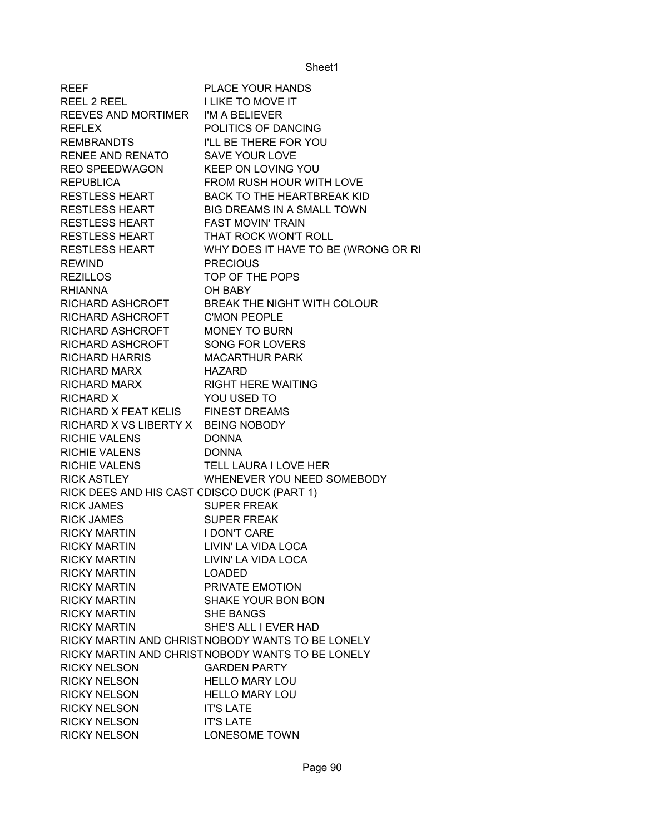| <b>REEF</b>                                 | PLACE YOUR HANDS                                 |
|---------------------------------------------|--------------------------------------------------|
| REEL 2 REEL                                 | <b>I LIKE TO MOVE IT</b>                         |
| REEVES AND MORTIMER                         | I'M A BELIEVER                                   |
| <b>REFLEX</b>                               | POLITICS OF DANCING                              |
| REMBRANDTS                                  | I'LL BE THERE FOR YOU                            |
| RENEE AND RENATO                            | <b>SAVE YOUR LOVE</b>                            |
| REO SPEEDWAGON                              | KEEP ON LOVING YOU                               |
| <b>REPUBLICA</b>                            | FROM RUSH HOUR WITH LOVE                         |
| <b>RESTLESS HEART</b>                       | BACK TO THE HEARTBREAK KID                       |
| <b>RESTLESS HEART</b>                       | <b>BIG DREAMS IN A SMALL TOWN</b>                |
| <b>RESTLESS HEART</b>                       | <b>FAST MOVIN' TRAIN</b>                         |
| RESTLESS HEART                              | THAT ROCK WON'T ROLL                             |
| RESTLESS HEART                              | WHY DOES IT HAVE TO BE (WRONG OR RI              |
| <b>REWIND</b>                               | <b>PRECIOUS</b>                                  |
| REZILLOS                                    | TOP OF THE POPS                                  |
| <b>RHIANNA</b>                              | OH BABY                                          |
| RICHARD ASHCROFT                            | BREAK THE NIGHT WITH COLOUR                      |
| RICHARD ASHCROFT                            | <b>C'MON PEOPLE</b>                              |
| RICHARD ASHCROFT                            | <b>MONEY TO BURN</b>                             |
| RICHARD ASHCROFT                            | <b>SONG FOR LOVERS</b>                           |
| RICHARD HARRIS                              | <b>MACARTHUR PARK</b>                            |
| RICHARD MARX                                | <b>HAZARD</b>                                    |
| RICHARD MARX                                | <b>RIGHT HERE WAITING</b>                        |
| RICHARD X                                   | YOU USED TO                                      |
| RICHARD X FEAT KELIS FINEST DREAMS          |                                                  |
| RICHARD X VS LIBERTY X BEING NOBODY         |                                                  |
| RICHIE VALENS                               | <b>DONNA</b>                                     |
| RICHIE VALENS                               | <b>DONNA</b>                                     |
| RICHIE VALENS                               | TELL LAURA I LOVE HER                            |
| <b>RICK ASTLEY</b>                          | WHENEVER YOU NEED SOMEBODY                       |
| RICK DEES AND HIS CAST CDISCO DUCK (PART 1) |                                                  |
| <b>RICK JAMES</b>                           | <b>SUPER FREAK</b>                               |
| <b>RICK JAMES</b>                           | <b>SUPER FREAK</b>                               |
| <b>RICKY MARTIN</b>                         | I DON'T CARE                                     |
| <b>RICKY MARTIN</b>                         | LIVIN' LA VIDA LOCA                              |
| <b>RICKY MARTIN</b>                         | LIVIN' LA VIDA LOCA                              |
| <b>RICKY MARTIN</b>                         | <b>LOADED</b>                                    |
| <b>RICKY MARTIN</b>                         | PRIVATE EMOTION                                  |
| <b>RICKY MARTIN</b>                         | <b>SHAKE YOUR BON BON</b>                        |
| <b>RICKY MARTIN</b>                         | <b>SHE BANGS</b>                                 |
| <b>RICKY MARTIN</b>                         | SHE'S ALL I EVER HAD                             |
|                                             | RICKY MARTIN AND CHRISTNOBODY WANTS TO BE LONELY |
|                                             | RICKY MARTIN AND CHRISTNOBODY WANTS TO BE LONELY |
| <b>RICKY NELSON</b>                         | <b>GARDEN PARTY</b>                              |
| <b>RICKY NELSON</b>                         | <b>HELLO MARY LOU</b>                            |
| <b>RICKY NELSON</b>                         | <b>HELLO MARY LOU</b>                            |
| <b>RICKY NELSON</b>                         | <b>IT'S LATE</b>                                 |
| <b>RICKY NELSON</b>                         | <b>IT'S LATE</b>                                 |
| <b>RICKY NELSON</b>                         | <b>LONESOME TOWN</b>                             |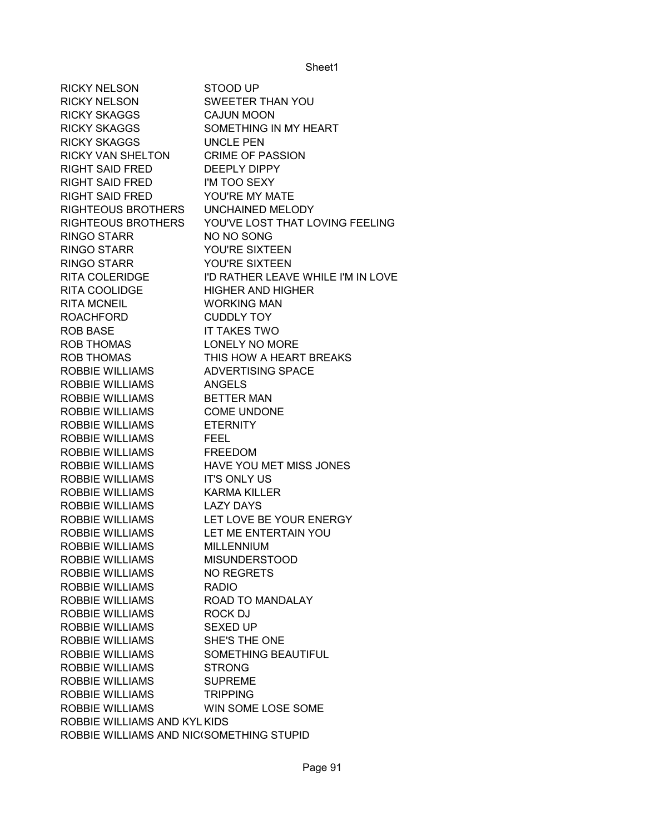RICKY NELSON STOOD UP RICKY NELSON SWEETER THAN YOU RICKY SKAGGS CAJUN MOON RICKY SKAGGS SOMETHING IN MY HEART RICKY SKAGGS UNCLE PEN RICKY VAN SHELTON CRIME OF PASSION RIGHT SAID FRED DEEPLY DIPPY RIGHT SAID FRED I'M TOO SEXY RIGHT SAID FRED YOU'RE MY MATE RIGHTEOUS BROTHERS UNCHAINED MELODY RIGHTEOUS BROTHERS YOU'VE LOST THAT LOVING FEELING RINGO STARR NO NO SONG RINGO STARR YOU'RE SIXTEEN RINGO STARR YOU'RE SIXTEEN RITA COLERIDGE **I'D RATHER LEAVE WHILE I'M IN LOVE** RITA COOLIDGE HIGHER AND HIGHER RITA MCNEIL WORKING MAN ROACHFORD CUDDLY TOY ROB BASE IT TAKES TWO ROB THOMAS LONELY NO MORE ROB THOMAS THIS HOW A HEART BREAKS ROBBIE WILLIAMS ADVERTISING SPACE ROBBIE WILLIAMS ANGELS ROBBIE WILLIAMS BETTER MAN ROBBIE WILLIAMS COME UNDONE ROBBIE WILLIAMS ETERNITY ROBBIE WILLIAMS FEEL ROBBIE WILLIAMS FREEDOM ROBBIE WILLIAMS HAVE YOU MET MISS JONES ROBBIE WILLIAMS IT'S ONLY US ROBBIE WILLIAMS KARMA KILLER ROBBIE WILLIAMS LAZY DAYS ROBBIE WILLIAMS LET LOVE BE YOUR ENERGY ROBBIE WILLIAMS LET ME ENTERTAIN YOU ROBBIE WILLIAMS MILLENNIUM ROBBIE WILLIAMS MISUNDERSTOOD ROBBIE WILLIAMS NO REGRETS ROBBIE WILLIAMS RADIO ROBBIE WILLIAMS ROAD TO MANDALAY ROBBIE WILLIAMS ROCK DJ ROBBIE WILLIAMS SEXED UP ROBBIE WILLIAMS SHE'S THE ONE ROBBIE WILLIAMS SOMETHING BEAUTIFUL ROBBIE WILLIAMS STRONG ROBBIE WILLIAMS SUPREME ROBBIE WILLIAMS TRIPPING ROBBIE WILLIAMS WIN SOME LOSE SOME ROBBIE WILLIAMS AND KYL KIDS ROBBIE WILLIAMS AND NIC(SOMETHING STUPID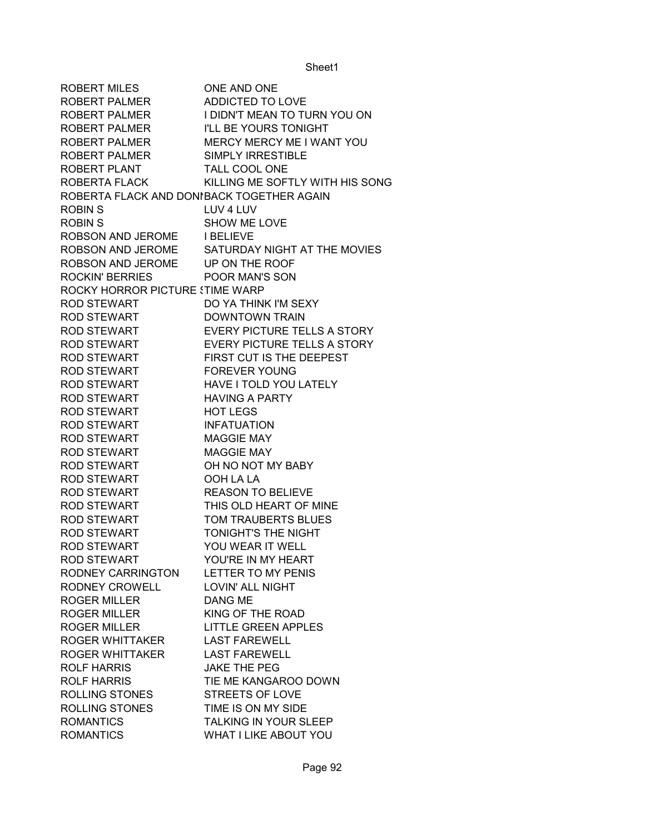| ROBERT MILES                               | <b>ONE AND ONE</b>                                       |
|--------------------------------------------|----------------------------------------------------------|
| ROBERT PALMER                              | <b>ADDICTED TO LOVE</b>                                  |
| ROBERT PALMER                              | I DIDN'T MEAN TO TURN YOU ON                             |
| ROBERT PALMER                              | I'LL BE YOURS TONIGHT                                    |
| ROBERT PALMER                              | MERCY MERCY ME I WANT YOU                                |
| ROBERT PALMER                              | <b>SIMPLY IRRESTIBLE</b>                                 |
| ROBERT PLANT                               | TALL COOL ONE                                            |
| ROBERTA FLACK                              | KILLING ME SOFTLY WITH HIS SONG                          |
| ROBERTA FLACK AND DONIBACK TOGETHER AGAIN  |                                                          |
| <b>ROBIN S</b>                             | LUV 4 LUV                                                |
| <b>ROBIN S</b>                             | SHOW ME LOVE                                             |
| ROBSON AND JEROME I BELIEVE                |                                                          |
|                                            | ROBSON AND JEROME SATURDAY NIGHT AT THE MOVIES           |
| ROBSON AND JEROME UP ON THE ROOF           |                                                          |
| <b>ROCKIN' BERRIES</b>                     | POOR MAN'S SON                                           |
| ROCKY HORROR PICTURE STIME WARP            |                                                          |
| ROD STEWART                                | DO YA THINK I'M SEXY                                     |
| <b>ROD STEWART</b>                         | <b>DOWNTOWN TRAIN</b>                                    |
| <b>ROD STEWART</b>                         | <b>EVERY PICTURE TELLS A STORY</b>                       |
| <b>ROD STEWART</b>                         | <b>EVERY PICTURE TELLS A STORY</b>                       |
| <b>ROD STEWART</b>                         | FIRST CUT IS THE DEEPEST                                 |
| <b>ROD STEWART</b>                         | <b>FOREVER YOUNG</b>                                     |
| <b>ROD STEWART</b>                         | <b>HAVE I TOLD YOU LATELY</b>                            |
| <b>ROD STEWART</b>                         | <b>HAVING A PARTY</b>                                    |
| <b>ROD STEWART</b>                         | <b>HOT LEGS</b>                                          |
| <b>ROD STEWART</b>                         | <b>INFATUATION</b>                                       |
| <b>ROD STEWART</b>                         | <b>MAGGIE MAY</b>                                        |
| <b>ROD STEWART</b>                         | <b>MAGGIE MAY</b>                                        |
| <b>ROD STEWART</b>                         | OH NO NOT MY BABY                                        |
| <b>ROD STEWART</b>                         | OOH LA LA                                                |
| <b>ROD STEWART</b>                         | <b>REASON TO BELIEVE</b>                                 |
|                                            | THIS OLD HEART OF MINE                                   |
| <b>ROD STEWART</b>                         |                                                          |
| <b>ROD STEWART</b>                         | <b>TOM TRAUBERTS BLUES</b><br><b>TONIGHT'S THE NIGHT</b> |
| <b>ROD STEWART</b><br><b>ROD STEWART</b>   |                                                          |
|                                            | YOU WEAR IT WELL                                         |
| <b>ROD STEWART</b>                         | YOU'RE IN MY HEART                                       |
| RODNEY CARRINGTON                          | LETTER TO MY PENIS                                       |
| RODNEY CROWELL                             | <b>LOVIN' ALL NIGHT</b>                                  |
| <b>ROGER MILLER</b><br><b>ROGER MILLER</b> | DANG ME<br>KING OF THE ROAD                              |
|                                            |                                                          |
| <b>ROGER MILLER</b>                        | <b>LITTLE GREEN APPLES</b>                               |
| ROGER WHITTAKER                            | <b>LAST FAREWELL</b>                                     |
| <b>ROGER WHITTAKER</b>                     | <b>LAST FAREWELL</b>                                     |
| ROLF HARRIS                                | <b>JAKE THE PEG</b>                                      |
| <b>ROLF HARRIS</b>                         | TIE ME KANGAROO DOWN                                     |
| ROLLING STONES                             | <b>STREETS OF LOVE</b>                                   |
| ROLLING STONES                             | TIME IS ON MY SIDE                                       |
| <b>ROMANTICS</b>                           | TALKING IN YOUR SLEEP                                    |
| <b>ROMANTICS</b>                           | WHAT I LIKE ABOUT YOU                                    |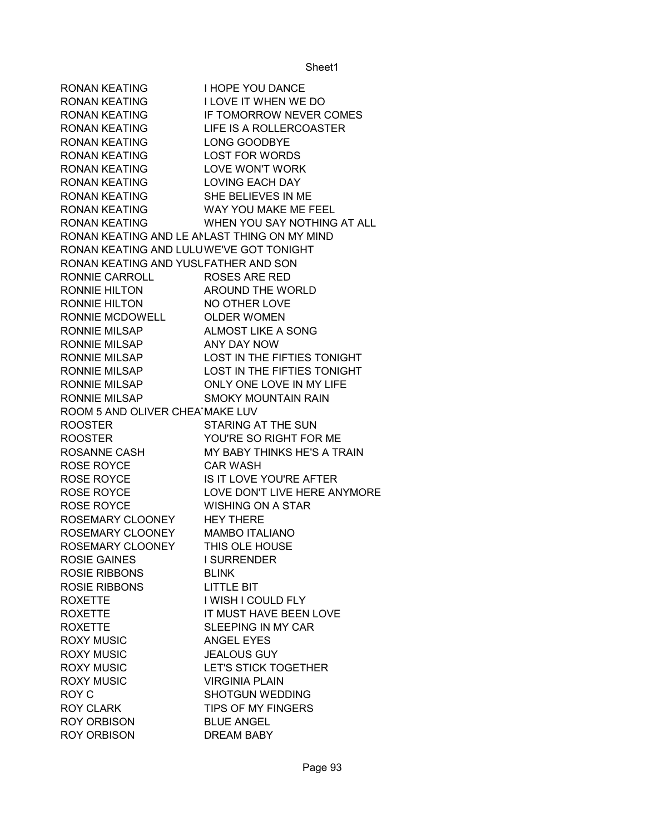RONAN KEATING I HOPE YOU DANCE RONAN KEATING I LOVE IT WHEN WE DO RONAN KEATING IF TOMORROW NEVER COMES RONAN KEATING LIFE IS A ROLLERCOASTER RONAN KEATING LONG GOODBYE RONAN KEATING LOST FOR WORDS RONAN KEATING LOVE WON'T WORK RONAN KEATING LOVING EACH DAY RONAN KEATING SHE BELIEVES IN ME RONAN KEATING WAY YOU MAKE ME FEEL RONAN KEATING WHEN YOU SAY NOTHING AT ALL RONAN KEATING AND LE ANLAST THING ON MY MIND RONAN KEATING AND LULUWE'VE GOT TONIGHT RONAN KEATING AND YUSLFATHER AND SON RONNIE CARROLL ROSES ARE RED RONNIE HILTON AROUND THE WORLD RONNIE HILTON NO OTHER LOVE RONNIE MCDOWELL OLDER WOMEN RONNIE MILSAP ALMOST LIKE A SONG RONNIE MILSAP ANY DAY NOW RONNIE MILSAP LOST IN THE FIFTIES TONIGHT RONNIE MILSAP LOST IN THE FIFTIES TONIGHT RONNIE MILSAP ONLY ONE LOVE IN MY LIFE RONNIE MILSAP SMOKY MOUNTAIN RAIN ROOM 5 AND OLIVER CHEA MAKE LUV ROOSTER STARING AT THE SUN ROOSTER YOU'RE SO RIGHT FOR ME ROSANNE CASH MY BABY THINKS HE'S A TRAIN ROSE ROYCE CAR WASH ROSE ROYCE IS IT LOVE YOU'RE AFTER ROSE ROYCE LOVE DON'T LIVE HERE ANYMORE ROSE ROYCE WISHING ON A STAR ROSEMARY CLOONEY HEY THERE ROSEMARY CLOONEY MAMBO ITALIANO ROSEMARY CLOONEY THIS OLE HOUSE ROSIE GAINES I SURRENDER ROSIE RIBBONS BLINK ROSIE RIBBONS LITTLE BIT ROXETTE I WISH I COULD FLY ROXETTE IT MUST HAVE BEEN LOVE ROXETTE SLEEPING IN MY CAR ROXY MUSIC **ANGEL EYES** ROXY MUSIC **SEALOUS GUY** ROXY MUSIC LET'S STICK TOGETHER ROXY MUSIC VIRGINIA PLAIN ROY C **SHOTGUN WEDDING** ROY CLARK TIPS OF MY FINGERS ROY ORBISON BLUE ANGEL ROY ORBISON DREAM BABY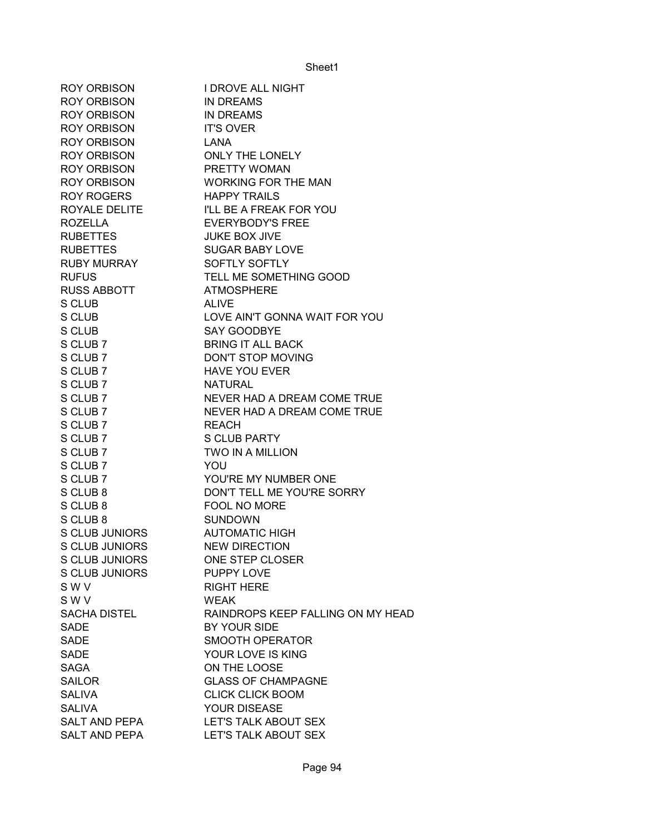| ROY ORBISON                   | I DROVE ALL NIGHT                     |
|-------------------------------|---------------------------------------|
| <b>ROY ORBISON</b>            | <b>IN DREAMS</b>                      |
| ROY ORBISON                   | <b>IN DREAMS</b>                      |
| <b>ROY ORBISON</b>            | <b>IT'S OVER</b>                      |
| <b>ROY ORBISON</b>            | LANA                                  |
| <b>ROY ORBISON</b>            | ONLY THE LONELY                       |
| <b>ROY ORBISON</b>            | <b>PRETTY WOMAN</b>                   |
| ROY ORBISON                   | <b>WORKING FOR THE MAN</b>            |
| ROY ROGERS                    | <b>HAPPY TRAILS</b>                   |
|                               | ROYALE DELITE I'LL BE A FREAK FOR YOU |
| <b>ROZELLA</b>                | <b>EVERYBODY'S FREE</b>               |
| <b>RUBETTES</b>               | <b>JUKE BOX JIVE</b>                  |
| <b>RUBETTES</b>               | <b>SUGAR BABY LOVE</b>                |
| RUBY MURRAY                   | SOFTLY SOFTLY                         |
| <b>RUFUS</b>                  | TELL ME SOMETHING GOOD                |
| <b>RUSS ABBOTT</b>            | <b>ATMOSPHERE</b>                     |
| S CLUB                        | <b>ALIVE</b>                          |
| S CLUB                        | LOVE AIN'T GONNA WAIT FOR YOU         |
| S CLUB                        | <b>SAY GOODBYE</b>                    |
| S CLUB 7                      | <b>BRING IT ALL BACK</b>              |
| S CLUB 7                      | DON'T STOP MOVING                     |
| S CLUB 7                      | <b>HAVE YOU EVER</b>                  |
| S CLUB 7                      | NATURAL                               |
| S CLUB 7                      | NEVER HAD A DREAM COME TRUE           |
| S CLUB 7                      | NEVER HAD A DREAM COME TRUE           |
| S CLUB 7                      | <b>REACH</b>                          |
| S CLUB 7                      | <b>S CLUB PARTY</b>                   |
| S CLUB 7                      | <b>TWO IN A MILLION</b>               |
| S CLUB 7                      | YOU                                   |
| S CLUB 7                      | YOU'RE MY NUMBER ONE                  |
| S CLUB 8                      | DON'T TELL ME YOU'RE SORRY            |
| S CLUB 8                      | FOOL NO MORE                          |
| S CLUB 8                      | <b>SUNDOWN</b>                        |
| S CLUB JUNIORS AUTOMATIC HIGH |                                       |
| <b>S CLUB JUNIORS</b>         | <b>NEW DIRECTION</b>                  |
| S CLUB JUNIORS                | ONE STEP CLOSER                       |
| S CLUB JUNIORS                | PUPPY LOVE                            |
| S W V                         | <b>RIGHT HERE</b>                     |
| S W V                         | <b>WEAK</b>                           |
| <b>SACHA DISTEL</b>           | RAINDROPS KEEP FALLING ON MY HEAD     |
| <b>SADE</b>                   | BY YOUR SIDE                          |
| <b>SADE</b>                   | <b>SMOOTH OPERATOR</b>                |
| <b>SADE</b>                   | YOUR LOVE IS KING                     |
| <b>SAGA</b>                   | ON THE LOOSE                          |
| <b>SAILOR</b>                 | <b>GLASS OF CHAMPAGNE</b>             |
| <b>SALIVA</b>                 | <b>CLICK CLICK BOOM</b>               |
| <b>SALIVA</b>                 | YOUR DISEASE                          |
| SALT AND PEPA                 | LET'S TALK ABOUT SEX                  |
| <b>SALT AND PEPA</b>          | LET'S TALK ABOUT SEX                  |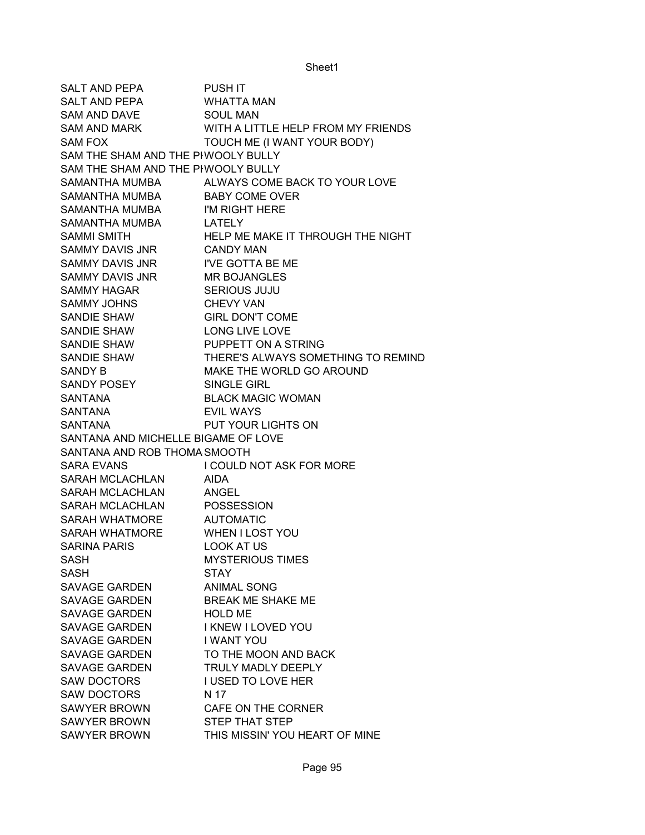SALT AND PEPA PUSH IT SALT AND PEPA WHATTA MAN SAM AND DAVE SOUL MAN SAM AND MARK WITH A LITTLE HELP FROM MY FRIENDS SAM FOX TOUCH ME (I WANT YOUR BODY) SAM THE SHAM AND THE PHWOOLY BULLY SAM THE SHAM AND THE PIWOOLY BULLY SAMANTHA MUMBA ALWAYS COME BACK TO YOUR LOVE SAMANTHA MUMBA BABY COME OVER SAMANTHA MUMBA I'M RIGHT HERE SAMANTHA MUMBA LATELY SAMMI SMITH **HELP ME MAKE IT THROUGH THE NIGHT** SAMMY DAVIS JNR CANDY MAN SAMMY DAVIS JNR I'VE GOTTA BE ME SAMMY DAVIS JNR MR BOJANGLES SAMMY HAGAR SERIOUS JUJU SAMMY JOHNS CHEVY VAN SANDIE SHAW GIRL DON'T COME SANDIE SHAW LONG LIVE LOVE SANDIE SHAW PUPPETT ON A STRING SANDIE SHAW THERE'S ALWAYS SOMETHING TO REMIND SANDY B MAKE THE WORLD GO AROUND SANDY POSEY SINGLE GIRL SANTANA BLACK MAGIC WOMAN SANTANA EVIL WAYS SANTANA PUT YOUR LIGHTS ON SANTANA AND MICHELLE BIGAME OF LOVE SANTANA AND ROB THOMA SMOOTH SARA EVANS I COULD NOT ASK FOR MORE SARAH MCLACHLAN AIDA SARAH MCLACHLAN ANGEL SARAH MCLACHLAN POSSESSION SARAH WHATMORE AUTOMATIC SARAH WHATMORE WHEN I LOST YOU SARINA PARIS LOOK AT US SASH MYSTERIOUS TIMES SASH STAY SAVAGE GARDEN ANIMAL SONG SAVAGE GARDEN BREAK ME SHAKE ME SAVAGE GARDEN HOLD ME SAVAGE GARDEN I KNEW I LOVED YOU SAVAGE GARDEN I WANT YOU SAVAGE GARDEN TO THE MOON AND BACK SAVAGE GARDEN TRULY MADLY DEEPLY SAW DOCTORS I USED TO LOVE HER SAW DOCTORS N 17 SAWYER BROWN CAFE ON THE CORNER SAWYER BROWN STEP THAT STEP SAWYER BROWN THIS MISSIN' YOU HEART OF MINE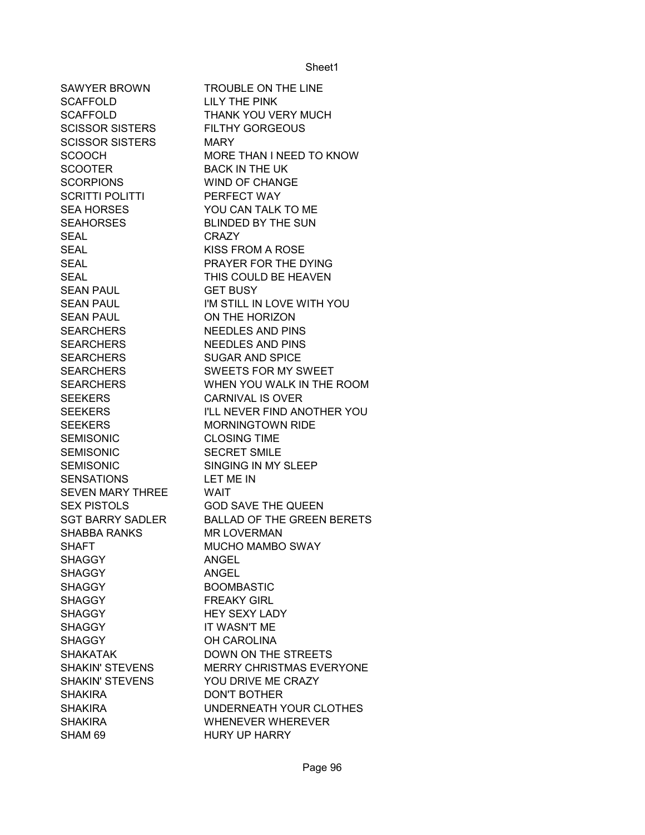| SAWYER BROWN            | <b>TROUBLE ON THE LINE</b>        |
|-------------------------|-----------------------------------|
| <b>SCAFFOLD</b>         | <b>LILY THE PINK</b>              |
| <b>SCAFFOLD</b>         | THANK YOU VERY MUCH               |
| <b>SCISSOR SISTERS</b>  | <b>FILTHY GORGEOUS</b>            |
| <b>SCISSOR SISTERS</b>  | <b>MARY</b>                       |
| <b>SCOOCH</b>           | MORE THAN I NEED TO KNOW          |
| <b>SCOOTER</b>          | <b>BACK IN THE UK</b>             |
| <b>SCORPIONS</b>        | <b>WIND OF CHANGE</b>             |
| <b>SCRITTI POLITTI</b>  | PERFECT WAY                       |
| <b>SEA HORSES</b>       | YOU CAN TALK TO ME                |
| SEAHORSES               | <b>BLINDED BY THE SUN</b>         |
| <b>SEAL</b>             | <b>CRAZY</b>                      |
| <b>SEAL</b>             | <b>KISS FROM A ROSE</b>           |
| <b>SEAL</b>             | PRAYER FOR THE DYING              |
| <b>SEAL</b>             | THIS COULD BE HEAVEN              |
| <b>SEAN PAUL</b>        | <b>GET BUSY</b>                   |
| <b>SEAN PAUL</b>        | I'M STILL IN LOVE WITH YOU        |
| <b>SEAN PAUL</b>        | ON THE HORIZON                    |
| <b>SEARCHERS</b>        | <b>NEEDLES AND PINS</b>           |
| <b>SEARCHERS</b>        | <b>NEEDLES AND PINS</b>           |
| <b>SEARCHERS</b>        | <b>SUGAR AND SPICE</b>            |
| <b>SEARCHERS</b>        | SWEETS FOR MY SWEET               |
| <b>SEARCHERS</b>        | WHEN YOU WALK IN THE ROOM         |
| <b>SEEKERS</b>          | <b>CARNIVAL IS OVER</b>           |
| <b>SEEKERS</b>          | I'LL NEVER FIND ANOTHER YOU       |
| <b>SEEKERS</b>          | <b>MORNINGTOWN RIDE</b>           |
| <b>SEMISONIC</b>        | <b>CLOSING TIME</b>               |
| <b>SEMISONIC</b>        | <b>SECRET SMILE</b>               |
| <b>SEMISONIC</b>        | SINGING IN MY SLEEP               |
| <b>SENSATIONS</b>       | LET ME IN                         |
| SEVEN MARY THREE        | <b>WAIT</b>                       |
| <b>SEX PISTOLS</b>      | <b>GOD SAVE THE QUEEN</b>         |
| <b>SGT BARRY SADLER</b> | <b>BALLAD OF THE GREEN BERETS</b> |
| <b>SHABBA RANKS</b>     | <b>MR LOVERMAN</b>                |
| <b>SHAFT</b>            | <b>MUCHO MAMBO SWAY</b>           |
| <b>SHAGGY</b>           | ANGEL                             |
| <b>SHAGGY</b>           | <b>ANGEL</b>                      |
| <b>SHAGGY</b>           | <b>BOOMBASTIC</b>                 |
| <b>SHAGGY</b>           | <b>FREAKY GIRL</b>                |
| <b>SHAGGY</b>           | <b>HEY SEXY LADY</b>              |
| <b>SHAGGY</b>           | IT WASN'T ME                      |
| <b>SHAGGY</b>           | <b>OH CAROLINA</b>                |
| <b>SHAKATAK</b>         | <b>DOWN ON THE STREETS</b>        |
| <b>SHAKIN' STEVENS</b>  | <b>MERRY CHRISTMAS EVERYONE</b>   |
| <b>SHAKIN' STEVENS</b>  | YOU DRIVE ME CRAZY                |
| <b>SHAKIRA</b>          | <b>DON'T BOTHER</b>               |
| <b>SHAKIRA</b>          | UNDERNEATH YOUR CLOTHES           |
| <b>SHAKIRA</b>          | <b>WHENEVER WHEREVER</b>          |
| SHAM 69                 | <b>HURY UP HARRY</b>              |
|                         |                                   |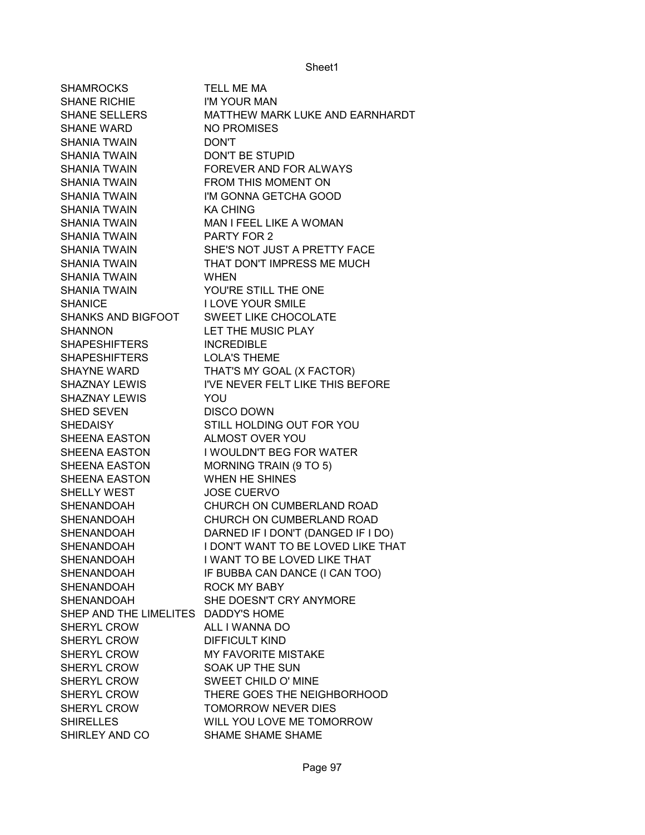| <b>SHAMROCKS</b>                    | TELL ME MA                         |
|-------------------------------------|------------------------------------|
| <b>SHANE RICHIE</b>                 | I'M YOUR MAN                       |
| <b>SHANE SELLERS</b>                | MATTHEW MARK LUKE AND EARNHARDT    |
| <b>SHANE WARD</b>                   | NO PROMISES                        |
| <b>SHANIA TWAIN</b>                 | <b>DON'T</b>                       |
| <b>SHANIA TWAIN</b>                 | <b>DON'T BE STUPID</b>             |
| <b>SHANIA TWAIN</b>                 | FOREVER AND FOR ALWAYS             |
| <b>SHANIA TWAIN</b>                 | FROM THIS MOMENT ON                |
| <b>SHANIA TWAIN</b>                 | I'M GONNA GETCHA GOOD              |
| <b>SHANIA TWAIN</b>                 | <b>KA CHING</b>                    |
| <b>SHANIA TWAIN</b>                 | MAN I FEEL LIKE A WOMAN            |
| <b>SHANIA TWAIN</b>                 | PARTY FOR 2                        |
| <b>SHANIA TWAIN</b>                 | SHE'S NOT JUST A PRETTY FACE       |
| SHANIA TWAIN                        | THAT DON'T IMPRESS ME MUCH         |
| SHANIA TWAIN                        | <b>WHEN</b>                        |
| <b>SHANIA TWAIN</b>                 | YOU'RE STILL THE ONE               |
| <b>SHANICE</b>                      | <b>I LOVE YOUR SMILE</b>           |
| <b>SHANKS AND BIGFOOT</b>           | SWEET LIKE CHOCOLATE               |
| <b>SHANNON</b>                      | LET THE MUSIC PLAY                 |
| <b>SHAPESHIFTERS</b>                | <b>INCREDIBLE</b>                  |
| <b>SHAPESHIFTERS</b>                | <b>LOLA'S THEME</b>                |
| <b>SHAYNE WARD</b>                  | THAT'S MY GOAL (X FACTOR)          |
| SHAZNAY LEWIS                       | I'VE NEVER FELT LIKE THIS BEFORE   |
| <b>SHAZNAY LEWIS</b>                | YOU                                |
| <b>SHED SEVEN</b>                   | <b>DISCO DOWN</b>                  |
| <b>SHEDAISY</b>                     | STILL HOLDING OUT FOR YOU          |
| SHEENA EASTON                       | ALMOST OVER YOU                    |
| SHEENA EASTON                       | I WOULDN'T BEG FOR WATER           |
| SHEENA EASTON                       | MORNING TRAIN (9 TO 5)             |
| SHEENA EASTON                       | WHEN HE SHINES                     |
| SHELLY WEST                         | <b>JOSE CUERVO</b>                 |
| <b>SHENANDOAH</b>                   | CHURCH ON CUMBERLAND ROAD          |
| <b>SHENANDOAH</b>                   | CHURCH ON CUMBERLAND ROAD          |
| <b>SHENANDOAH</b>                   | DARNED IF I DON'T (DANGED IF I DO) |
| <b>SHENANDOAH</b>                   | I DON'T WANT TO BE LOVED LIKE THAT |
| <b>SHENANDOAH</b>                   | I WANT TO BE LOVED LIKE THAT       |
| SHENANDOAH                          | IF BUBBA CAN DANCE (I CAN TOO)     |
| SHENANDOAH                          | <b>ROCK MY BABY</b>                |
| SHENANDOAH                          | SHE DOESN'T CRY ANYMORE            |
| SHEP AND THE LIMELITES DADDY'S HOME |                                    |
| SHERYL CROW                         | ALL I WANNA DO                     |
| SHERYL CROW                         | <b>DIFFICULT KIND</b>              |
|                                     |                                    |
| SHERYL CROW                         | <b>MY FAVORITE MISTAKE</b>         |
| SHERYL CROW                         | SOAK UP THE SUN                    |
| SHERYL CROW                         | <b>SWEET CHILD O' MINE</b>         |
| SHERYL CROW                         | THERE GOES THE NEIGHBORHOOD        |
| SHERYL CROW                         | TOMORROW NEVER DIES                |
| <b>SHIRELLES</b>                    | WILL YOU LOVE ME TOMORROW          |
| SHIRLEY AND CO                      | SHAME SHAME SHAME                  |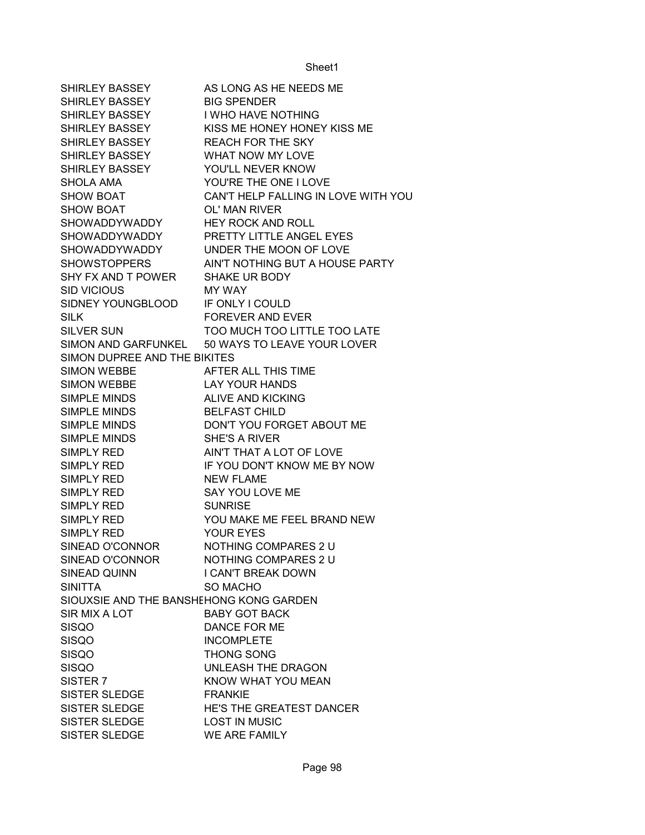| SHIRLEY BASSEY                          | AS LONG AS HE NEEDS ME                          |
|-----------------------------------------|-------------------------------------------------|
| SHIRLEY BASSEY                          | <b>BIG SPENDER</b>                              |
| SHIRLEY BASSEY                          | I WHO HAVE NOTHING                              |
| SHIRLEY BASSEY                          | KISS ME HONEY HONEY KISS ME                     |
| SHIRLEY BASSEY                          | <b>REACH FOR THE SKY</b>                        |
| SHIRLEY BASSEY                          | WHAT NOW MY LOVE                                |
| SHIRLEY BASSEY                          | YOU'LL NEVER KNOW                               |
| SHOLA AMA                               | YOU'RE THE ONE I LOVE                           |
| <b>SHOW BOAT</b>                        | CAN'T HELP FALLING IN LOVE WITH YOU             |
| <b>SHOW BOAT</b>                        | OL' MAN RIVER                                   |
| SHOWADDYWADDY HEY ROCK AND ROLL         |                                                 |
|                                         | SHOWADDYWADDY PRETTY LITTLE ANGEL EYES          |
|                                         | SHOWADDYWADDY UNDER THE MOON OF LOVE            |
| <b>SHOWSTOPPERS</b>                     | AIN'T NOTHING BUT A HOUSE PARTY                 |
| SHY FX AND T POWER                      | SHAKE UR BODY                                   |
| <b>SID VICIOUS</b>                      | MY WAY                                          |
| SIDNEY YOUNGBLOOD                       | IF ONLY I COULD                                 |
| <b>SILK</b>                             | <b>FOREVER AND EVER</b>                         |
| <b>SILVER SUN</b>                       | TOO MUCH TOO LITTLE TOO LATE                    |
|                                         | SIMON AND GARFUNKEL 50 WAYS TO LEAVE YOUR LOVER |
| SIMON DUPREE AND THE BIKITES            |                                                 |
| <b>SIMON WEBBE</b>                      | AFTER ALL THIS TIME                             |
| <b>SIMON WEBBE</b>                      | <b>LAY YOUR HANDS</b>                           |
| SIMPLE MINDS                            | <b>ALIVE AND KICKING</b>                        |
| SIMPLE MINDS                            | <b>BELFAST CHILD</b>                            |
| <b>SIMPLE MINDS</b>                     | DON'T YOU FORGET ABOUT ME                       |
| <b>SIMPLE MINDS</b>                     | <b>SHE'S A RIVER</b>                            |
| <b>SIMPLY RED</b>                       | AIN'T THAT A LOT OF LOVE                        |
| SIMPLY RED                              | IF YOU DON'T KNOW ME BY NOW                     |
| <b>SIMPLY RED</b>                       | <b>NEW FLAME</b>                                |
| <b>SIMPLY RED</b>                       | SAY YOU LOVE ME                                 |
| SIMPLY RED                              | <b>SUNRISE</b>                                  |
| <b>SIMPLY RED</b>                       | YOU MAKE ME FEEL BRAND NEW                      |
| <b>SIMPLY RED</b>                       | <b>YOUR EYES</b>                                |
| SINEAD O'CONNOR                         | NOTHING COMPARES 2 U                            |
| SINEAD O'CONNOR                         | NOTHING COMPARES 2 U                            |
| SINEAD QUINN                            | I CAN'T BREAK DOWN                              |
| <b>SINITTA</b>                          | <b>SO MACHO</b>                                 |
| SIOUXSIE AND THE BANSHEHONG KONG GARDEN |                                                 |
| SIR MIX A LOT                           | <b>BABY GOT BACK</b>                            |
| <b>SISQO</b>                            | DANCE FOR ME                                    |
| <b>SISQO</b>                            | <b>INCOMPLETE</b>                               |
| <b>SISQO</b>                            | THONG SONG                                      |
| <b>SISQO</b>                            | UNLEASH THE DRAGON                              |
| SISTER <sub>7</sub>                     | KNOW WHAT YOU MEAN                              |
| <b>SISTER SLEDGE</b>                    | <b>FRANKIE</b>                                  |
| <b>SISTER SLEDGE</b>                    | HE'S THE GREATEST DANCER                        |
| SISTER SLEDGE                           | <b>LOST IN MUSIC</b>                            |
| SISTER SLEDGE                           | WE ARE FAMILY                                   |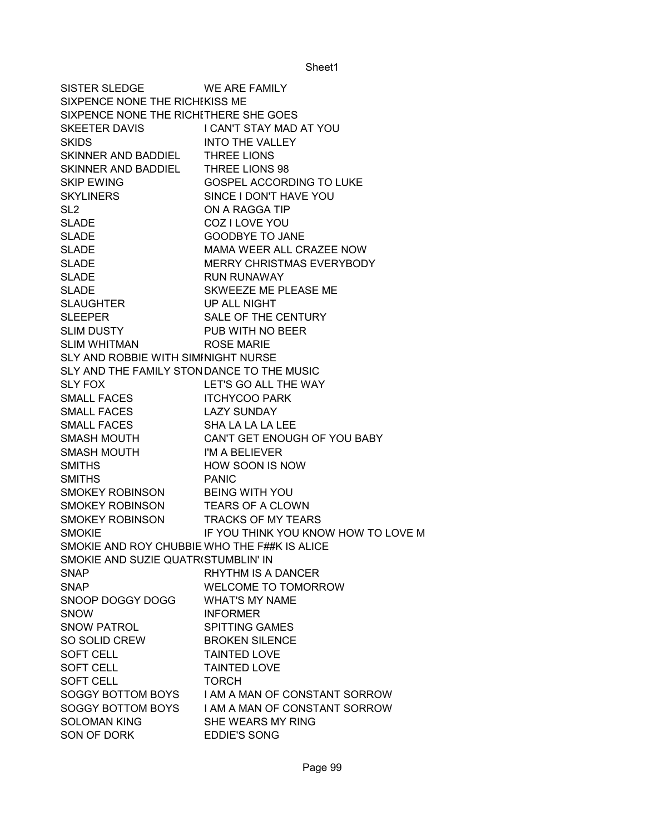SISTER SLEDGE WE ARE FAMILY SIXPENCE NONE THE RICHIKISS ME SIXPENCE NONE THE RICHITHERE SHE GOES SKEETER DAVIS I CAN'T STAY MAD AT YOU SKIDS INTO THE VALLEY SKINNER AND BADDIEL THREE LIONS SKINNER AND BADDIEL THREE LIONS 98 SKIP EWING GOSPEL ACCORDING TO LUKE SKYLINERS SINCE I DON'T HAVE YOU SL2 ON A RAGGA TIP SLADE COZ I LOVE YOU SLADE GOODBYE TO JANE SLADE MAMA WEER ALL CRAZEE NOW SLADE MERRY CHRISTMAS EVERYBODY SLADE RUN RUNAWAY SLADE SKWEEZE ME PLEASE ME SLAUGHTER UP ALL NIGHT SLEEPER SALE OF THE CENTURY SLIM DUSTY PUB WITH NO BEER SLIM WHITMAN ROSE MARIE SLY AND ROBBIE WITH SIMINIGHT NURSE SLY AND THE FAMILY STONDANCE TO THE MUSIC SLY FOX LET'S GO ALL THE WAY SMALL FACES ITCHYCOO PARK SMALL FACES LAZY SUNDAY SMALL FACES SHA LA LA LA LEE SMASH MOUTH CAN'T GET ENOUGH OF YOU BABY SMASH MOUTH I'M A BELIEVER SMITHS **HOW SOON IS NOW** SMITHS PANIC SMOKEY ROBINSON BEING WITH YOU SMOKEY ROBINSON TEARS OF A CLOWN SMOKEY ROBINSON TRACKS OF MY TEARS SMOKIE IF YOU THINK YOU KNOW HOW TO LOVE M SMOKIE AND ROY CHUBBIE WHO THE F##K IS ALICE SMOKIE AND SUZIE QUATRISTUMBLIN' IN SNAP RHYTHM IS A DANCER SNAP WELCOME TO TOMORROW SNOOP DOGGY DOGG WHAT'S MY NAME SNOW INFORMER SNOW PATROL SPITTING GAMES SO SOLID CREW BROKEN SILENCE SOFT CELL **TAINTED LOVE** SOFT CELL TAINTED LOVE SOFT CELL TORCH SOGGY BOTTOM BOYS I AM A MAN OF CONSTANT SORROW SOGGY BOTTOM BOYS I AM A MAN OF CONSTANT SORROW SOLOMAN KING SHE WEARS MY RING SON OF DORK EDDIE'S SONG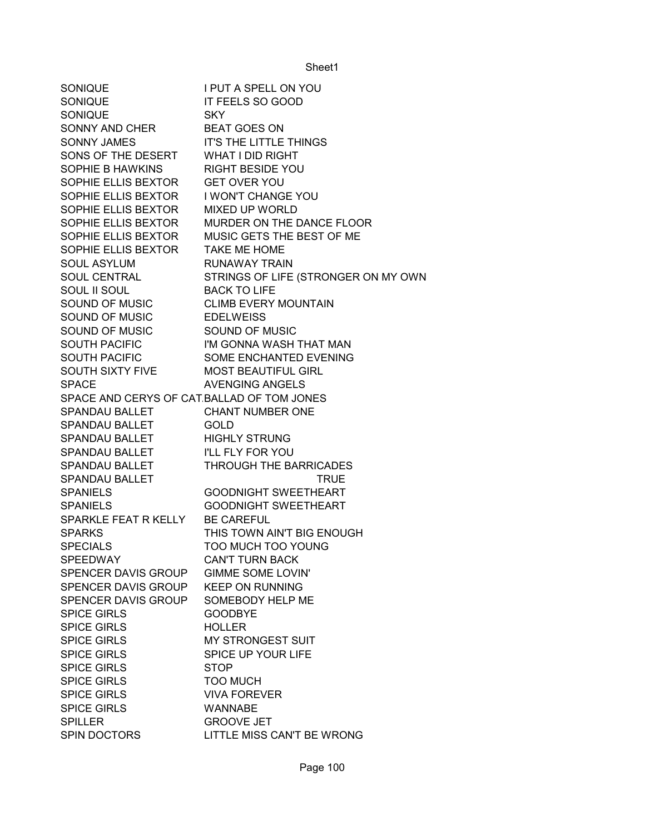SONIQUE I PUT A SPELL ON YOU SONIQUE IT FEELS SO GOOD SONIQUE SKY SONNY AND CHER BEAT GOES ON SONNY JAMES **IT'S THE LITTLE THINGS** SONS OF THE DESERT WHAT I DID RIGHT SOPHIE B HAWKINS RIGHT BESIDE YOU SOPHIE ELLIS BEXTOR GET OVER YOU SOPHIE ELLIS BEXTOR I WON'T CHANGE YOU SOPHIE ELLIS BEXTOR MIXED UP WORLD SOPHIE ELLIS BEXTOR MURDER ON THE DANCE FLOOR SOPHIE ELLIS BEXTOR MUSIC GETS THE BEST OF ME SOPHIE ELLIS BEXTOR TAKE ME HOME SOUL ASYLUM RUNAWAY TRAIN SOUL CENTRAL STRINGS OF LIFE (STRONGER ON MY OWN SOUL II SOUL BACK TO LIFE SOUND OF MUSIC CLIMB EVERY MOUNTAIN SOUND OF MUSIC EDELWEISS SOUND OF MUSIC SOUND OF MUSIC SOUTH PACIFIC **I'M GONNA WASH THAT MAN** SOUTH PACIFIC SOME ENCHANTED EVENING SOUTH SIXTY FIVE MOST BEAUTIFUL GIRL SPACE AVENGING ANGELS SPACE AND CERYS OF CAT BALLAD OF TOM JONES SPANDAU BALLET CHANT NUMBER ONE SPANDAU BALLET **GOLD** SPANDAU BALLET HIGHLY STRUNG SPANDAU BALLET I'LL FLY FOR YOU SPANDAU BALLET **THROUGH THE BARRICADES** SPANDAU BALLET TRUE SPANIELS GOODNIGHT SWEETHEART SPANIELS GOODNIGHT SWEETHEART SPARKLE FEAT R KELLY BE CAREFUL SPARKS THIS TOWN AIN'T BIG ENOUGH SPECIALS TOO MUCH TOO YOUNG SPEEDWAY CAN'T TURN BACK SPENCER DAVIS GROUP GIMME SOME LOVIN' SPENCER DAVIS GROUP KEEP ON RUNNING SPENCER DAVIS GROUP SOMEBODY HELP ME SPICE GIRLS **GOODBYE** SPICE GIRLS HOLLER SPICE GIRLS MY STRONGEST SUIT SPICE GIRLS SPICE UP YOUR LIFE SPICE GIRLS STOP SPICE GIRLS **TOO MUCH** SPICE GIRLS VIVA FOREVER SPICE GIRLS WANNABE SPILLER GROOVE JET SPIN DOCTORS LITTLE MISS CAN'T BE WRONG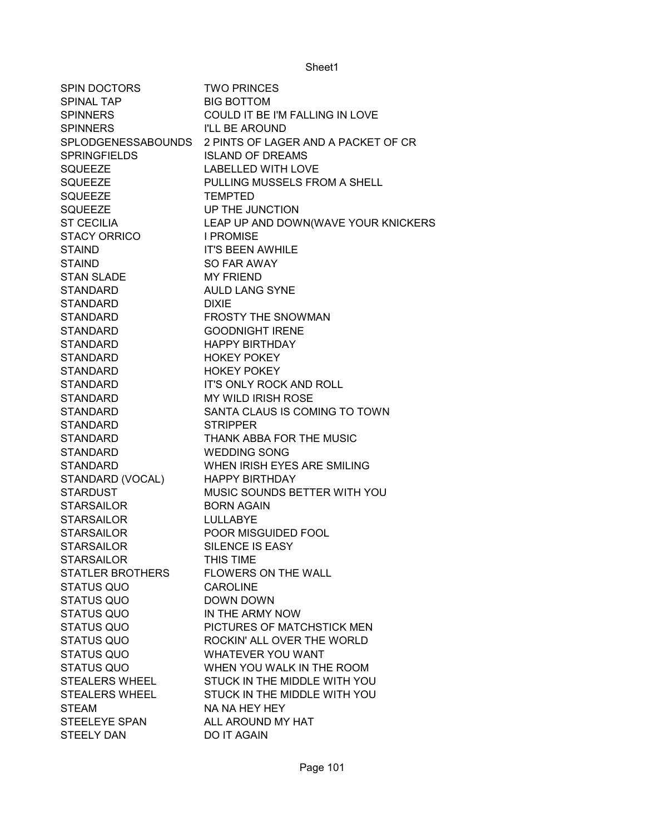| SPIN DOCTORS            | <b>TWO PRINCES</b>                  |
|-------------------------|-------------------------------------|
| SPINAL TAP              | <b>BIG BOTTOM</b>                   |
| <b>SPINNERS</b>         | COULD IT BE I'M FALLING IN LOVE     |
| <b>SPINNERS</b>         | I'LL BE AROUND                      |
| SPLODGENESSABOUNDS      | 2 PINTS OF LAGER AND A PACKET OF CR |
| <b>SPRINGFIELDS</b>     | <b>ISLAND OF DREAMS</b>             |
| <b>SQUEEZE</b>          | <b>LABELLED WITH LOVE</b>           |
| <b>SQUEEZE</b>          | PULLING MUSSELS FROM A SHELL        |
| <b>SQUEEZE</b>          | <b>TEMPTED</b>                      |
| <b>SQUEEZE</b>          | UP THE JUNCTION                     |
| <b>ST CECILIA</b>       | LEAP UP AND DOWN(WAVE YOUR KNICKERS |
| <b>STACY ORRICO</b>     | <b>I PROMISE</b>                    |
| <b>STAIND</b>           | <b>IT'S BEEN AWHILE</b>             |
| <b>STAIND</b>           | SO FAR AWAY                         |
| <b>STAN SLADE</b>       | <b>MY FRIEND</b>                    |
| <b>STANDARD</b>         | <b>AULD LANG SYNE</b>               |
| <b>STANDARD</b>         | <b>DIXIE</b>                        |
| <b>STANDARD</b>         | <b>FROSTY THE SNOWMAN</b>           |
| <b>STANDARD</b>         | <b>GOODNIGHT IRENE</b>              |
| <b>STANDARD</b>         | <b>HAPPY BIRTHDAY</b>               |
| <b>STANDARD</b>         | <b>HOKEY POKEY</b>                  |
| <b>STANDARD</b>         | <b>HOKEY POKEY</b>                  |
| <b>STANDARD</b>         | IT'S ONLY ROCK AND ROLL             |
| <b>STANDARD</b>         | MY WILD IRISH ROSE                  |
| <b>STANDARD</b>         | SANTA CLAUS IS COMING TO TOWN       |
| <b>STANDARD</b>         | <b>STRIPPER</b>                     |
| <b>STANDARD</b>         | THANK ABBA FOR THE MUSIC            |
| <b>STANDARD</b>         | <b>WEDDING SONG</b>                 |
| <b>STANDARD</b>         | WHEN IRISH EYES ARE SMILING         |
| STANDARD (VOCAL)        | <b>HAPPY BIRTHDAY</b>               |
| <b>STARDUST</b>         | MUSIC SOUNDS BETTER WITH YOU        |
| <b>STARSAILOR</b>       | <b>BORN AGAIN</b>                   |
| <b>STARSAILOR</b>       | <b>LULLABYE</b>                     |
| <b>STARSAILOR</b>       | POOR MISGUIDED FOOL                 |
| <b>STARSAILOR</b>       | SILENCE IS EASY                     |
| <b>STARSAILOR</b>       | THIS TIME                           |
| <b>STATLER BROTHERS</b> | <b>FLOWERS ON THE WALL</b>          |
| <b>STATUS QUO</b>       | <b>CAROLINE</b>                     |
| <b>STATUS QUO</b>       | <b>DOWN DOWN</b>                    |
| <b>STATUS QUO</b>       | IN THE ARMY NOW                     |
| <b>STATUS QUO</b>       | PICTURES OF MATCHSTICK MEN          |
| <b>STATUS QUO</b>       | ROCKIN' ALL OVER THE WORLD          |
| <b>STATUS QUO</b>       | <b>WHATEVER YOU WANT</b>            |
| <b>STATUS QUO</b>       | WHEN YOU WALK IN THE ROOM           |
| STEALERS WHEEL          | STUCK IN THE MIDDLE WITH YOU        |
| <b>STEALERS WHEEL</b>   | STUCK IN THE MIDDLE WITH YOU        |
| <b>STEAM</b>            | NA NA HEY HEY                       |
| <b>STEELEYE SPAN</b>    | ALL AROUND MY HAT                   |
| <b>STEELY DAN</b>       | <b>DO IT AGAIN</b>                  |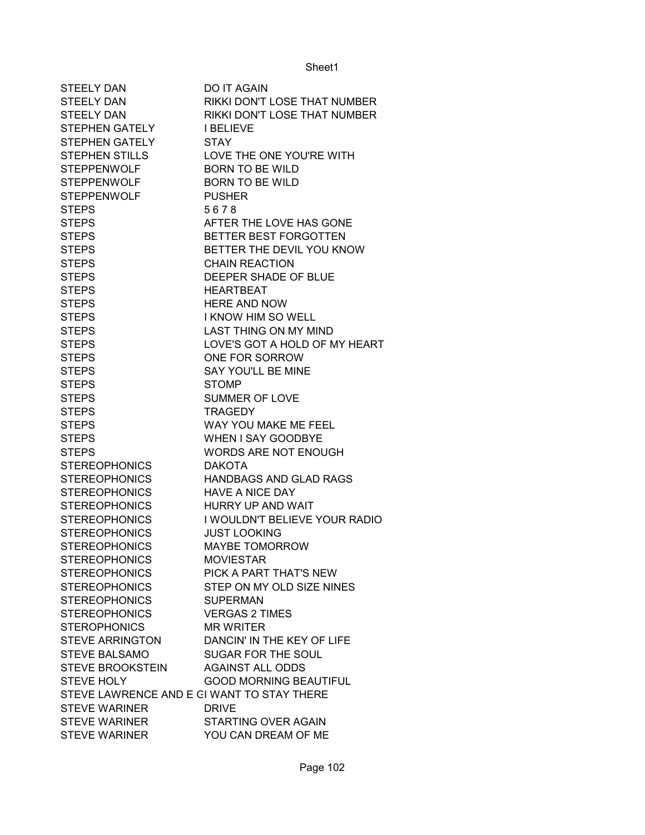| <b>STEELY DAN</b>                          | DO IT AGAIN                         |
|--------------------------------------------|-------------------------------------|
| <b>STEELY DAN</b>                          | RIKKI DON'T LOSE THAT NUMBER        |
| <b>STEELY DAN</b>                          | <b>RIKKI DON'T LOSE THAT NUMBER</b> |
| STEPHEN GATELY                             | <b>I BELIEVE</b>                    |
| <b>STEPHEN GATELY</b>                      | <b>STAY</b>                         |
| <b>STEPHEN STILLS</b>                      | LOVE THE ONE YOU'RE WITH            |
| <b>STEPPENWOLF</b>                         | <b>BORN TO BE WILD</b>              |
| <b>STEPPENWOLF</b>                         | <b>BORN TO BE WILD</b>              |
| <b>STEPPENWOLF</b>                         | <b>PUSHER</b>                       |
| <b>STEPS</b>                               | 5678                                |
| <b>STEPS</b>                               | AFTER THE LOVE HAS GONE             |
| <b>STEPS</b>                               | BETTER BEST FORGOTTEN               |
| <b>STEPS</b>                               | BETTER THE DEVIL YOU KNOW           |
| <b>STEPS</b>                               | <b>CHAIN REACTION</b>               |
| <b>STEPS</b>                               | DEEPER SHADE OF BLUE                |
| <b>STEPS</b>                               | <b>HEARTBEAT</b>                    |
| <b>STEPS</b>                               | <b>HERE AND NOW</b>                 |
| <b>STEPS</b>                               | I KNOW HIM SO WELL                  |
| <b>STEPS</b>                               | <b>LAST THING ON MY MIND</b>        |
| <b>STEPS</b>                               | LOVE'S GOT A HOLD OF MY HEART       |
| <b>STEPS</b>                               | ONE FOR SORROW                      |
| <b>STEPS</b>                               | SAY YOU'LL BE MINE                  |
| <b>STEPS</b>                               | <b>STOMP</b>                        |
| <b>STEPS</b>                               | SUMMER OF LOVE                      |
| <b>STEPS</b>                               | <b>TRAGEDY</b>                      |
| <b>STEPS</b>                               | WAY YOU MAKE ME FEEL                |
| <b>STEPS</b>                               | <b>WHEN I SAY GOODBYE</b>           |
| <b>STEPS</b>                               | <b>WORDS ARE NOT ENOUGH</b>         |
| <b>STEREOPHONICS</b>                       | <b>DAKOTA</b>                       |
| <b>STEREOPHONICS</b>                       | <b>HANDBAGS AND GLAD RAGS</b>       |
| <b>STEREOPHONICS</b>                       | <b>HAVE A NICE DAY</b>              |
| <b>STEREOPHONICS</b>                       | <b>HURRY UP AND WAIT</b>            |
| <b>STEREOPHONICS</b>                       | I WOULDN'T BELIEVE YOUR RADIO       |
| <b>STEREOPHONICS</b>                       | <b>JUST LOOKING</b>                 |
| <b>STEREOPHONICS</b>                       | <b>MAYBE TOMORROW</b>               |
| <b>STEREOPHONICS</b>                       | <b>MOVIESTAR</b>                    |
| <b>STEREOPHONICS</b>                       | PICK A PART THAT'S NEW              |
| <b>STEREOPHONICS</b>                       | STEP ON MY OLD SIZE NINES           |
| <b>STEREOPHONICS</b>                       | <b>SUPERMAN</b>                     |
| <b>STEREOPHONICS</b>                       | <b>VERGAS 2 TIMES</b>               |
| <b>STEROPHONICS</b>                        | <b>MR WRITER</b>                    |
| <b>STEVE ARRINGTON</b>                     | DANCIN' IN THE KEY OF LIFE          |
| <b>STEVE BALSAMO</b>                       | SUGAR FOR THE SOUL                  |
| <b>STEVE BROOKSTEIN</b>                    | <b>AGAINST ALL ODDS</b>             |
| <b>STEVE HOLY</b>                          | <b>GOOD MORNING BEAUTIFUL</b>       |
| STEVE LAWRENCE AND E GI WANT TO STAY THERE |                                     |
| <b>STEVE WARINER</b>                       | <b>DRIVE</b>                        |
| <b>STEVE WARINER</b>                       | STARTING OVER AGAIN                 |
| <b>STEVE WARINER</b>                       | YOU CAN DREAM OF ME                 |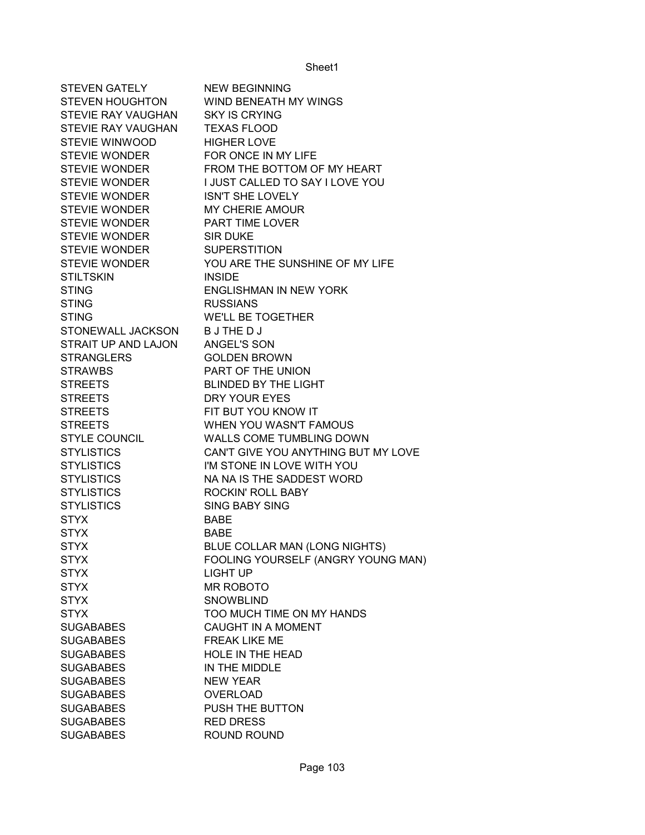| <b>STEVEN GATELY</b>   | <b>NEW BEGINNING</b>                |
|------------------------|-------------------------------------|
| <b>STEVEN HOUGHTON</b> | WIND BENEATH MY WINGS               |
| STEVIE RAY VAUGHAN     | <b>SKY IS CRYING</b>                |
| STEVIE RAY VAUGHAN     | <b>TEXAS FLOOD</b>                  |
| <b>STEVIE WINWOOD</b>  | <b>HIGHER LOVE</b>                  |
| <b>STEVIE WONDER</b>   | FOR ONCE IN MY LIFE                 |
| <b>STEVIE WONDER</b>   | FROM THE BOTTOM OF MY HEART         |
| <b>STEVIE WONDER</b>   | I JUST CALLED TO SAY I LOVE YOU     |
| <b>STEVIE WONDER</b>   | <b>ISN'T SHE LOVELY</b>             |
| <b>STEVIE WONDER</b>   | MY CHERIE AMOUR                     |
| <b>STEVIE WONDER</b>   | <b>PART TIME LOVER</b>              |
| <b>STEVIE WONDER</b>   | <b>SIR DUKE</b>                     |
| STEVIE WONDER          | <b>SUPERSTITION</b>                 |
| <b>STEVIE WONDER</b>   | YOU ARE THE SUNSHINE OF MY LIFE     |
| <b>STILTSKIN</b>       | <b>INSIDE</b>                       |
| <b>STING</b>           | <b>ENGLISHMAN IN NEW YORK</b>       |
| <b>STING</b>           | <b>RUSSIANS</b>                     |
| <b>STING</b>           | <b>WE'LL BE TOGETHER</b>            |
| STONEWALL JACKSON      | <b>BJTHEDJ</b>                      |
| STRAIT UP AND LAJON    | ANGEL'S SON                         |
| <b>STRANGLERS</b>      | <b>GOLDEN BROWN</b>                 |
| <b>STRAWBS</b>         | PART OF THE UNION                   |
| <b>STREETS</b>         | <b>BLINDED BY THE LIGHT</b>         |
| <b>STREETS</b>         | DRY YOUR EYES                       |
| <b>STREETS</b>         | FIT BUT YOU KNOW IT                 |
| <b>STREETS</b>         | WHEN YOU WASN'T FAMOUS              |
| <b>STYLE COUNCIL</b>   | WALLS COME TUMBLING DOWN            |
| <b>STYLISTICS</b>      | CAN'T GIVE YOU ANYTHING BUT MY LOVE |
| <b>STYLISTICS</b>      | I'M STONE IN LOVE WITH YOU          |
| <b>STYLISTICS</b>      | NA NA IS THE SADDEST WORD           |
| <b>STYLISTICS</b>      | <b>ROCKIN' ROLL BABY</b>            |
| <b>STYLISTICS</b>      | <b>SING BABY SING</b>               |
| <b>STYX</b>            | <b>BABE</b>                         |
| <b>STYX</b>            | <b>BABE</b>                         |
| <b>STYX</b>            | BLUE COLLAR MAN (LONG NIGHTS)       |
| <b>STYX</b>            | FOOLING YOURSELF (ANGRY YOUNG MAN)  |
| <b>STYX</b>            | <b>LIGHT UP</b>                     |
| <b>STYX</b>            | <b>MR ROBOTO</b>                    |
| <b>STYX</b>            | <b>SNOWBLIND</b>                    |
| <b>STYX</b>            | TOO MUCH TIME ON MY HANDS           |
| <b>SUGABABES</b>       | <b>CAUGHT IN A MOMENT</b>           |
| <b>SUGABABES</b>       | <b>FREAK LIKE ME</b>                |
| <b>SUGABABES</b>       | HOLE IN THE HEAD                    |
| <b>SUGABABES</b>       | IN THE MIDDLE                       |
| <b>SUGABABES</b>       | <b>NEW YEAR</b>                     |
| <b>SUGABABES</b>       | <b>OVERLOAD</b>                     |
| <b>SUGABABES</b>       | PUSH THE BUTTON                     |
| <b>SUGABABES</b>       | <b>RED DRESS</b>                    |
| <b>SUGABABES</b>       | ROUND ROUND                         |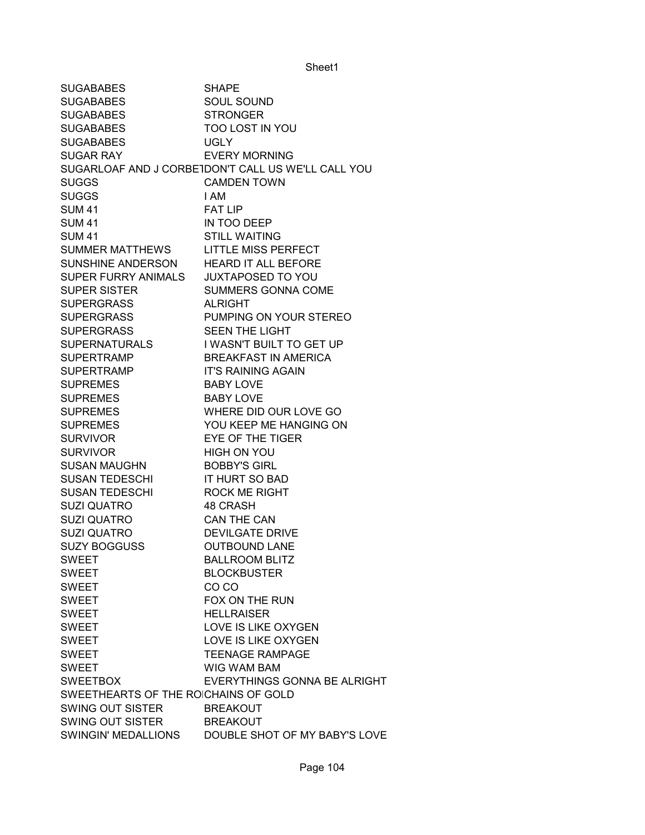SUGABABES SHAPE SUGABABES SOUL SOUND SUGABABES STRONGER SUGABABES TOO LOST IN YOU SUGABABES UGLY SUGAR RAY **EVERY MORNING** SUGARLOAF AND J CORBETDON'T CALL US WE'LL CALL YOU SUGGS CAMDEN TOWN SUGGS
BUGGS
I AM SUM 41 FAT LIP SUM 41 IN TOO DEEP SUM 41 STILL WAITING SUMMER MATTHEWS LITTLE MISS PERFECT SUNSHINE ANDERSON HEARD IT ALL BEFORE SUPER FURRY ANIMALS JUXTAPOSED TO YOU SUPER SISTER SUMMERS GONNA COME SUPERGRASS ALRIGHT SUPERGRASS PUMPING ON YOUR STEREO SUPERGRASS SEEN THE LIGHT SUPERNATURALS I WASN'T BUILT TO GET UP SUPERTRAMP BREAKFAST IN AMERICA SUPERTRAMP IT'S RAINING AGAIN SUPREMES BABY LOVE SUPREMES BABY LOVE SUPREMES WHERE DID OUR LOVE GO SUPREMES YOU KEEP ME HANGING ON SURVIVOR EYE OF THE TIGER SURVIVOR **HIGH ON YOU** SUSAN MAUGHN BOBBY'S GIRL SUSAN TEDESCHI IT HURT SO BAD SUSAN TEDESCHI ROCK ME RIGHT SUZI QUATRO 48 CRASH SUZI QUATRO CAN THE CAN SUZI QUATRO DEVILGATE DRIVE SUZY BOGGUSS OUTBOUND LANE SWEET BALLROOM BLITZ SWEET BLOCKBUSTER SWEET CO CO SWEET FOX ON THE RUN SWEET HELLRAISER SWEET LOVE IS LIKE OXYGEN SWEET LOVE IS LIKE OXYGEN SWEET TEENAGE RAMPAGE SWEET WIG WAM BAM SWEETBOX EVERYTHINGS GONNA BE ALRIGHT SWEETHEARTS OF THE ROICHAINS OF GOLD SWING OUT SISTER BREAKOUT SWING OUT SISTER BREAKOUT SWINGIN' MEDALLIONS DOUBLE SHOT OF MY BABY'S LOVE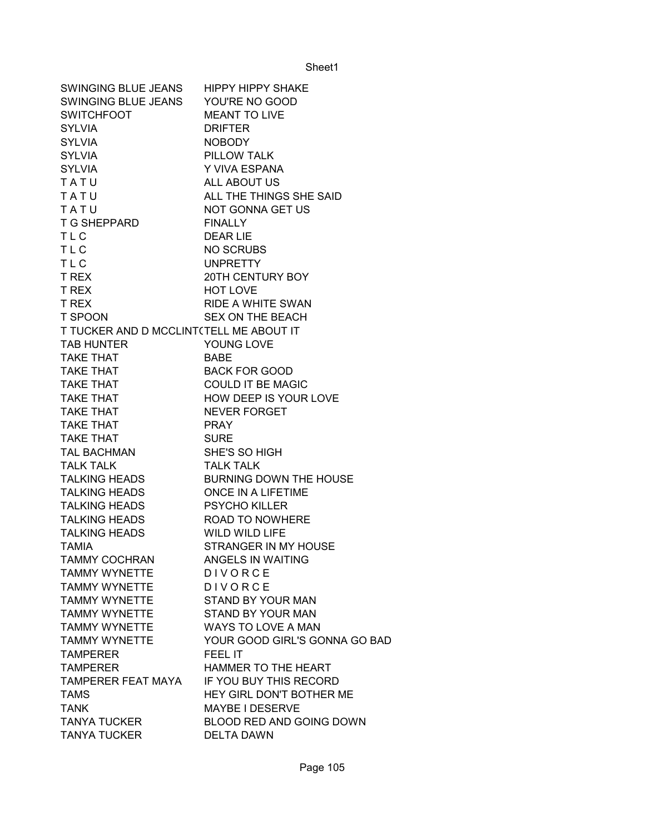| SWINGING BLUE JEANS                     | <b>HIPPY HIPPY SHAKE</b>      |
|-----------------------------------------|-------------------------------|
| SWINGING BLUE JEANS                     | YOU'RE NO GOOD                |
| <b>SWITCHFOOT</b>                       | <b>MEANT TO LIVE</b>          |
| <b>SYLVIA</b>                           | <b>DRIFTER</b>                |
| <b>SYLVIA</b>                           | <b>NOBODY</b>                 |
| <b>SYLVIA</b>                           | PILLOW TALK                   |
| <b>SYLVIA</b>                           | Y VIVA ESPANA                 |
| TATU                                    | ALL ABOUT US                  |
| TATU                                    | ALL THE THINGS SHE SAID       |
| TATU                                    | NOT GONNA GET US              |
| T G SHEPPARD                            | <b>FINALLY</b>                |
| <b>TLC</b>                              | <b>DEAR LIE</b>               |
| <b>TLC</b>                              | NO SCRUBS                     |
| <b>TLC</b>                              | <b>UNPRETTY</b>               |
| T REX                                   | 20TH CENTURY BOY              |
| <b>T REX</b>                            | <b>HOT LOVE</b>               |
| <b>T REX</b>                            | <b>RIDE A WHITE SWAN</b>      |
| <b>T SPOON</b>                          | SEX ON THE BEACH              |
| T TUCKER AND D MCCLINT(TELL ME ABOUT IT |                               |
| <b>TAB HUNTER</b>                       | YOUNG LOVE                    |
| <b>TAKE THAT</b>                        | <b>BABE</b>                   |
| <b>TAKE THAT</b>                        | <b>BACK FOR GOOD</b>          |
| <b>TAKE THAT</b>                        | <b>COULD IT BE MAGIC</b>      |
| <b>TAKE THAT</b>                        | HOW DEEP IS YOUR LOVE         |
| <b>TAKE THAT</b>                        | <b>NEVER FORGET</b>           |
| TAKE THAT                               | <b>PRAY</b>                   |
| <b>TAKE THAT</b>                        | <b>SURE</b>                   |
| TAL BACHMAN                             | SHE'S SO HIGH                 |
| <b>TALK TALK</b>                        | <b>TALK TALK</b>              |
| <b>TALKING HEADS</b>                    | BURNING DOWN THE HOUSE        |
| <b>TALKING HEADS</b>                    | <b>ONCE IN A LIFETIME</b>     |
| <b>TALKING HEADS</b>                    | <b>PSYCHO KILLER</b>          |
| TALKING HEADS                           | <b>ROAD TO NOWHERE</b>        |
| TALKING HEADS                           | WILD WILD LIFE                |
| <b>TAMIA</b>                            | STRANGER IN MY HOUSE          |
| <b>TAMMY COCHRAN</b>                    | <b>ANGELS IN WAITING</b>      |
| <b>TAMMY WYNETTE</b>                    | DIVORCE                       |
| <b>TAMMY WYNETTE</b>                    | DIVORCE                       |
| <b>TAMMY WYNETTE</b>                    | STAND BY YOUR MAN             |
| <b>TAMMY WYNETTE</b>                    | <b>STAND BY YOUR MAN</b>      |
| <b>TAMMY WYNETTE</b>                    | WAYS TO LOVE A MAN            |
| TAMMY WYNETTE                           | YOUR GOOD GIRL'S GONNA GO BAD |
| <b>TAMPERER</b>                         | <b>FEEL IT</b>                |
| <b>TAMPERER</b>                         | HAMMER TO THE HEART           |
| TAMPERER FEAT MAYA                      | IF YOU BUY THIS RECORD        |
| <b>TAMS</b>                             | HEY GIRL DON'T BOTHER ME      |
| <b>TANK</b>                             | MAYBE I DESERVE               |
| <b>TANYA TUCKER</b>                     | BLOOD RED AND GOING DOWN      |
| <b>TANYA TUCKER</b>                     | <b>DELTA DAWN</b>             |
|                                         |                               |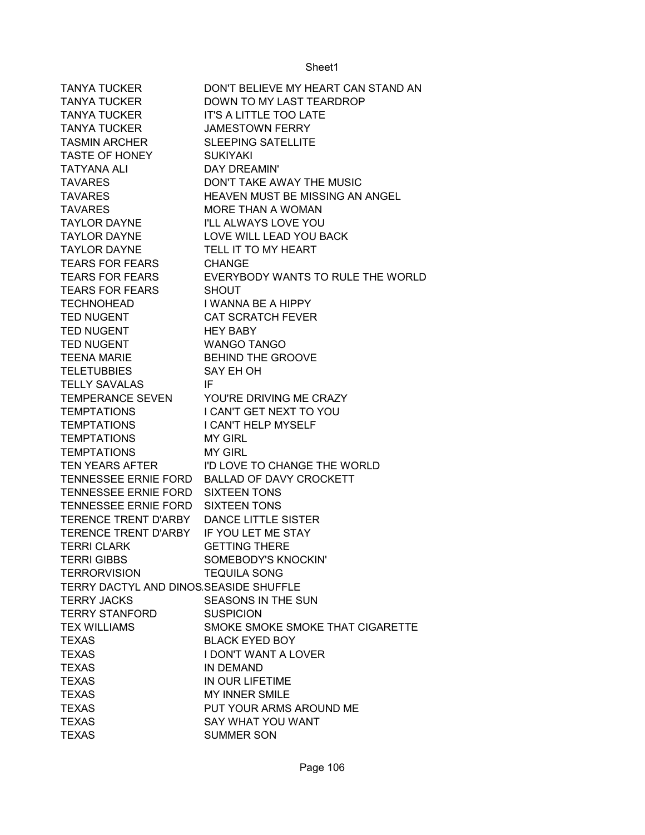| <b>TANYA TUCKER</b>                                           | DON'T BELIEVE MY HEART CAN STAND AN      |
|---------------------------------------------------------------|------------------------------------------|
| <b>TANYA TUCKER</b>                                           | DOWN TO MY LAST TEARDROP                 |
| <b>TANYA TUCKER</b>                                           | <b>IT'S A LITTLE TOO LATE</b>            |
| <b>TANYA TUCKER</b>                                           | <b>JAMESTOWN FERRY</b>                   |
| <b>TASMIN ARCHER</b>                                          | <b>SLEEPING SATELLITE</b>                |
| <b>TASTE OF HONEY</b>                                         | <b>SUKIYAKI</b>                          |
| <b>TATYANA ALI</b>                                            | DAY DREAMIN'                             |
| <b>TAVARES</b>                                                | DON'T TAKE AWAY THE MUSIC                |
| <b>TAVARES</b>                                                | <b>HEAVEN MUST BE MISSING AN ANGEL</b>   |
| <b>TAVARES</b>                                                | MORE THAN A WOMAN                        |
| <b>TAYLOR DAYNE</b>                                           | <b>I'LL ALWAYS LOVE YOU</b>              |
| <b>TAYLOR DAYNE</b>                                           | LOVE WILL LEAD YOU BACK                  |
| <b>TAYLOR DAYNE</b>                                           | TELL IT TO MY HEART                      |
| <b>TEARS FOR FEARS</b>                                        | <b>CHANGE</b>                            |
| <b>TEARS FOR FEARS</b>                                        | EVERYBODY WANTS TO RULE THE WORLD        |
| TEARS FOR FEARS                                               | <b>SHOUT</b>                             |
| <b>TECHNOHEAD</b>                                             | I WANNA BE A HIPPY                       |
| <b>TED NUGENT</b>                                             | <b>CAT SCRATCH FEVER</b>                 |
| <b>TED NUGENT</b>                                             | <b>HEY BABY</b>                          |
| <b>TED NUGENT</b>                                             | <b>WANGO TANGO</b>                       |
| <b>TEENA MARIE</b>                                            | <b>BEHIND THE GROOVE</b>                 |
| <b>TELETUBBIES</b>                                            | SAY EH OH                                |
| <b>TELLY SAVALAS</b>                                          | IF                                       |
|                                                               | TEMPERANCE SEVEN YOU'RE DRIVING ME CRAZY |
| <b>TEMPTATIONS</b>                                            | <b>I CAN'T GET NEXT TO YOU</b>           |
| <b>TEMPTATIONS</b>                                            | <b>I CAN'T HELP MYSELF</b>               |
| <b>TEMPTATIONS</b>                                            | <b>MY GIRL</b>                           |
| <b>TEMPTATIONS</b>                                            | <b>MY GIRL</b>                           |
| TEN YEARS AFTER                                               | I'D LOVE TO CHANGE THE WORLD             |
| TENNESSEE ERNIE FORD                                          | <b>BALLAD OF DAVY CROCKETT</b>           |
| TENNESSEE ERNIE FORD                                          | <b>SIXTEEN TONS</b>                      |
| TENNESSEE ERNIE FORD                                          | <b>SIXTEEN TONS</b>                      |
| TERENCE TRENT D'ARBY                                          | <b>DANCE LITTLE SISTER</b>               |
| <b>TERENCE TRENT D'ARBY</b>                                   | IF YOU LET ME STAY                       |
| <b>TERRI CLARK</b>                                            | <b>GETTING THERE</b>                     |
| <b>TERRI GIBBS</b>                                            | SOMEBODY'S KNOCKIN'                      |
|                                                               |                                          |
| <b>TERRORVISION</b><br>TERRY DACTYL AND DINOS SEASIDE SHUFFLE | <b>TEQUILA SONG</b>                      |
| <b>TERRY JACKS</b>                                            | SEASONS IN THE SUN                       |
|                                                               | <b>SUSPICION</b>                         |
| TERRY STANFORD                                                |                                          |
| <b>TEX WILLIAMS</b>                                           | SMOKE SMOKE SMOKE THAT CIGARETTE         |
| <b>TEXAS</b>                                                  | <b>BLACK EYED BOY</b>                    |
| <b>TEXAS</b>                                                  | <b>I DON'T WANT A LOVER</b>              |
| <b>TEXAS</b>                                                  | IN DEMAND                                |
| <b>TEXAS</b>                                                  | IN OUR LIFETIME                          |
| <b>TEXAS</b>                                                  | <b>MY INNER SMILE</b>                    |
| <b>TEXAS</b>                                                  | PUT YOUR ARMS AROUND ME                  |
| <b>TEXAS</b>                                                  | SAY WHAT YOU WANT                        |
| <b>TEXAS</b>                                                  | <b>SUMMER SON</b>                        |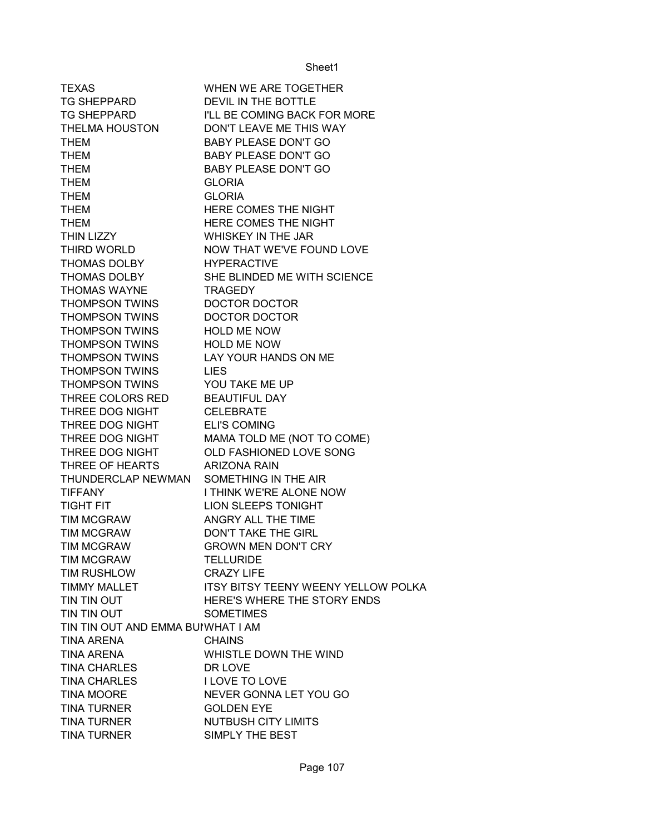| <b>TEXAS</b>                      | WHEN WE ARE TOGETHER                                  |
|-----------------------------------|-------------------------------------------------------|
| <b>TG SHEPPARD</b>                | DEVIL IN THE BOTTLE                                   |
| <b>TG SHEPPARD</b>                | I'LL BE COMING BACK FOR MORE                          |
| THELMA HOUSTON                    | DON'T LEAVE ME THIS WAY                               |
| <b>THEM</b>                       | <b>BABY PLEASE DON'T GO</b>                           |
| <b>THEM</b>                       | <b>BABY PLEASE DON'T GO</b>                           |
| <b>THEM</b>                       | <b>BABY PLEASE DON'T GO</b>                           |
| <b>THEM</b>                       | <b>GLORIA</b>                                         |
| <b>THEM</b>                       | <b>GLORIA</b>                                         |
| <b>THEM</b>                       | HERE COMES THE NIGHT                                  |
| <b>THEM</b>                       | HERE COMES THE NIGHT                                  |
| THIN LIZZY                        | WHISKEY IN THE JAR                                    |
| THIRD WORLD                       | NOW THAT WE'VE FOUND LOVE                             |
| THOMAS DOLBY                      | <b>HYPERACTIVE</b>                                    |
| THOMAS DOLBY                      | SHE BLINDED ME WITH SCIENCE                           |
| <b>THOMAS WAYNE</b>               | <b>TRAGEDY</b>                                        |
| <b>THOMPSON TWINS</b>             | <b>DOCTOR DOCTOR</b>                                  |
| <b>THOMPSON TWINS</b>             | DOCTOR DOCTOR                                         |
| <b>THOMPSON TWINS</b>             | <b>HOLD ME NOW</b>                                    |
| <b>THOMPSON TWINS</b>             | <b>HOLD ME NOW</b>                                    |
| <b>THOMPSON TWINS</b>             | LAY YOUR HANDS ON ME                                  |
| <b>THOMPSON TWINS</b>             | <b>LIES</b>                                           |
| <b>THOMPSON TWINS</b>             | YOU TAKE ME UP                                        |
| THREE COLORS RED                  | <b>BEAUTIFUL DAY</b>                                  |
| THREE DOG NIGHT                   | <b>CELEBRATE</b>                                      |
| THREE DOG NIGHT                   | <b>ELI'S COMING</b>                                   |
| THREE DOG NIGHT                   |                                                       |
| THREE DOG NIGHT                   | MAMA TOLD ME (NOT TO COME)<br>OLD FASHIONED LOVE SONG |
| THREE OF HEARTS                   | <b>ARIZONA RAIN</b>                                   |
| THUNDERCLAP NEWMAN                | SOMETHING IN THE AIR                                  |
|                                   |                                                       |
| <b>TIFFANY</b>                    | I THINK WE'RE ALONE NOW                               |
| <b>TIGHT FIT</b>                  | <b>LION SLEEPS TONIGHT</b>                            |
| TIM MCGRAW                        | ANGRY ALL THE TIME                                    |
| <b>TIM MCGRAW</b>                 | <b>DON'T TAKE THE GIRL</b>                            |
| <b>TIM MCGRAW</b>                 | <b>GROWN MEN DON'T CRY</b>                            |
| TIM MCGRAW                        | <b>TELLURIDE</b>                                      |
| TIM RUSHLOW                       | <b>CRAZY LIFE</b>                                     |
| <b>TIMMY MALLET</b>               | <b>ITSY BITSY TEENY WEENY YELLOW POLKA</b>            |
| TIN TIN OUT                       | HERE'S WHERE THE STORY ENDS                           |
| TIN TIN OUT                       | <b>SOMETIMES</b>                                      |
| TIN TIN OUT AND EMMA BUIWHAT I AM |                                                       |
| <b>TINA ARENA</b>                 | <b>CHAINS</b>                                         |
| <b>TINA ARENA</b>                 | WHISTLE DOWN THE WIND                                 |
| <b>TINA CHARLES</b>               | DR LOVE                                               |
| <b>TINA CHARLES</b>               | I LOVE TO LOVE                                        |
| <b>TINA MOORE</b>                 | NEVER GONNA LET YOU GO                                |
| <b>TINA TURNER</b>                | <b>GOLDEN EYE</b>                                     |
| <b>TINA TURNER</b>                | <b>NUTBUSH CITY LIMITS</b>                            |
| <b>TINA TURNER</b>                | SIMPLY THE BEST                                       |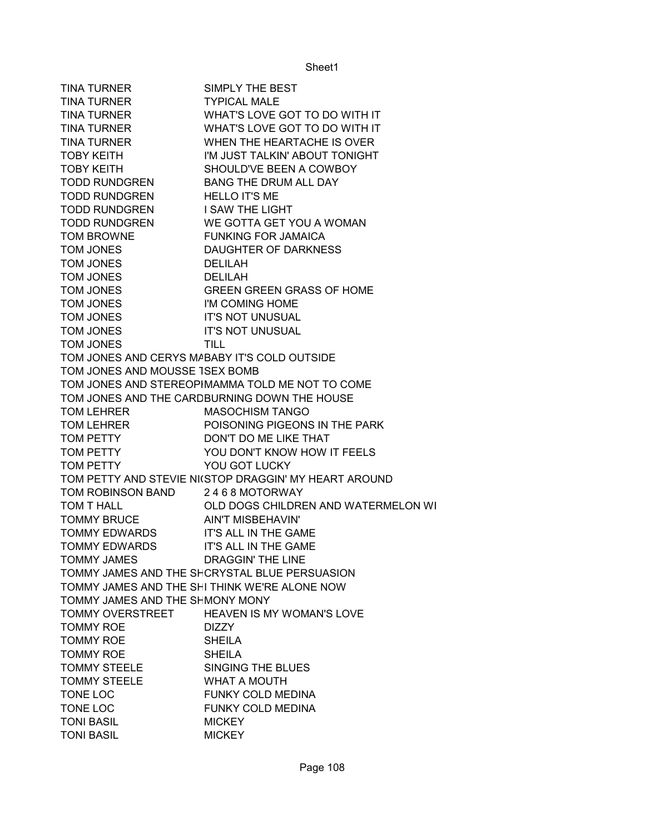| TINA TURNER                                                             | SIMPLY THE BEST                                       |
|-------------------------------------------------------------------------|-------------------------------------------------------|
| TINA TURNER                                                             | <b>TYPICAL MALE</b>                                   |
|                                                                         | TINA TURNER WHAT'S LOVE GOT TO DO WITH IT             |
|                                                                         | TINA TURNER WHAT'S LOVE GOT TO DO WITH IT             |
| <b>TINA TURNER</b>                                                      | WHEN THE HEARTACHE IS OVER                            |
| <b>TOBY KEITH</b>                                                       | I'M JUST TALKIN' ABOUT TONIGHT                        |
|                                                                         | SHOULD'VE BEEN A COWBOY                               |
| TOBY KEITH SHOULD'VE BEEN A COWB<br>TODD RUNDGREN BANG THE DRUM ALL DAY |                                                       |
| TODD RUNDGREN HELLO IT'S ME                                             |                                                       |
| TODD RUNDGREN I SAW THE LIGHT                                           |                                                       |
|                                                                         | TODD RUNDGREN WE GOTTA GET YOU A WOMAN                |
| TOM BROWNE                                                              | <b>FUNKING FOR JAMAICA</b>                            |
| TOM JONES                                                               | DAUGHTER OF DARKNESS                                  |
| TOM JONES                                                               | <b>DELILAH</b>                                        |
| TOM JONES                                                               | <b>DELILAH</b>                                        |
| TOM JONES                                                               | <b>GREEN GREEN GRASS OF HOME</b>                      |
| <b>TOM JONES</b>                                                        | I'M COMING HOME                                       |
| TOM JONES IT'S NOT UNUSUAL                                              |                                                       |
| TOM JONES                                                               | IT'S NOT UNUSUAL                                      |
| TOM JONES                                                               | <b>TILL</b>                                           |
| TOM JONES AND CERYS MABABY IT'S COLD OUTSIDE                            |                                                       |
| TOM JONES AND MOUSSE TSEX BOMB                                          |                                                       |
|                                                                         | TOM JONES AND STEREOPIMAMMA TOLD ME NOT TO COME       |
|                                                                         | TOM JONES AND THE CARDBURNING DOWN THE HOUSE          |
| TOM LEHRER                                                              | <b>MASOCHISM TANGO</b>                                |
| TOM LEHRER                                                              | POISONING PIGEONS IN THE PARK                         |
| TOM PETTY                                                               | DON'T DO ME LIKE THAT                                 |
| TOM PETTY                                                               | YOU DON'T KNOW HOW IT FEELS                           |
| TOM PETTY                                                               | YOU GOT LUCKY                                         |
|                                                                         | TOM PETTY AND STEVIE NI(STOP DRAGGIN' MY HEART AROUND |
| TOM ROBINSON BAND 2468 MOTORWAY                                         |                                                       |
| TOM T HALL                                                              | OLD DOGS CHILDREN AND WATERMELON WI                   |
| <b>TOMMY BRUCE</b>                                                      | AIN'T MISBEHAVIN'                                     |
| TOMMY EDWARDS IT'S ALL IN THE GAME                                      |                                                       |
| TOMMY EDWARDS IT'S ALL IN THE GAME                                      |                                                       |
| <b>TOMMY JAMES</b>                                                      | <b>DRAGGIN' THE LINE</b>                              |
|                                                                         | TOMMY JAMES AND THE SHCRYSTAL BLUE PERSUASION         |
|                                                                         | TOMMY JAMES AND THE SHI THINK WE'RE ALONE NOW         |
| TOMMY JAMES AND THE SHMONY MONY                                         |                                                       |
| TOMMY OVERSTREET                                                        | <b>HEAVEN IS MY WOMAN'S LOVE</b>                      |
| <b>TOMMY ROE</b>                                                        | <b>DIZZY</b>                                          |
| <b>TOMMY ROE</b>                                                        | <b>SHEILA</b>                                         |
| <b>TOMMY ROE</b>                                                        | <b>SHEILA</b>                                         |
| <b>TOMMY STEELE</b>                                                     | SINGING THE BLUES                                     |
| <b>TOMMY STEELE</b>                                                     | <b>WHAT A MOUTH</b>                                   |
| TONE LOC                                                                | FUNKY COLD MEDINA                                     |
| TONE LOC                                                                | <b>FUNKY COLD MEDINA</b>                              |
| <b>TONI BASIL</b>                                                       | <b>MICKEY</b>                                         |
| <b>TONI BASIL</b>                                                       | <b>MICKEY</b>                                         |
|                                                                         |                                                       |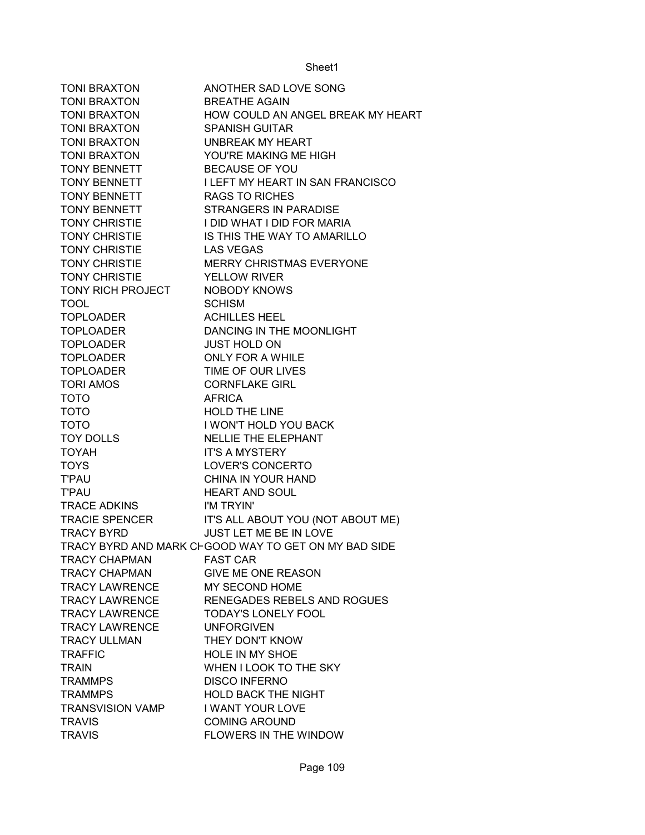| <b>TONI BRAXTON</b>     | ANOTHER SAD LOVE SONG                                |
|-------------------------|------------------------------------------------------|
| TONI BRAXTON            | <b>BREATHE AGAIN</b>                                 |
| <b>TONI BRAXTON</b>     | HOW COULD AN ANGEL BREAK MY HEART                    |
| TONI BRAXTON            | <b>SPANISH GUITAR</b>                                |
| <b>TONI BRAXTON</b>     | UNBREAK MY HEART                                     |
| TONI BRAXTON            | YOU'RE MAKING ME HIGH                                |
| <b>TONY BENNETT</b>     | <b>BECAUSE OF YOU</b>                                |
| <b>TONY BENNETT</b>     | I LEFT MY HEART IN SAN FRANCISCO                     |
| <b>TONY BENNETT</b>     | <b>RAGS TO RICHES</b>                                |
| <b>TONY BENNETT</b>     | <b>STRANGERS IN PARADISE</b>                         |
|                         | TONY CHRISTIE I DID WHAT I DID FOR MARIA             |
| TONY CHRISTIE           | IS THIS THE WAY TO AMARILLO                          |
| <b>TONY CHRISTIE</b>    | <b>LAS VEGAS</b>                                     |
| <b>TONY CHRISTIE</b>    | <b>MERRY CHRISTMAS EVERYONE</b>                      |
| <b>TONY CHRISTIE</b>    | <b>YELLOW RIVER</b>                                  |
| TONY RICH PROJECT       | <b>NOBODY KNOWS</b>                                  |
| <b>TOOL</b>             | <b>SCHISM</b>                                        |
| <b>TOPLOADER</b>        | <b>ACHILLES HEEL</b>                                 |
| <b>TOPLOADER</b>        | DANCING IN THE MOONLIGHT                             |
| <b>TOPLOADER</b>        | <b>JUST HOLD ON</b>                                  |
| <b>TOPLOADER</b>        | <b>ONLY FOR A WHILE</b>                              |
| <b>TOPLOADER</b>        | TIME OF OUR LIVES                                    |
| <b>TORI AMOS</b>        | <b>CORNFLAKE GIRL</b>                                |
| <b>TOTO</b>             | <b>AFRICA</b>                                        |
| <b>TOTO</b>             | <b>HOLD THE LINE</b>                                 |
| <b>TOTO</b>             | I WON'T HOLD YOU BACK                                |
| <b>TOY DOLLS</b>        | <b>NELLIE THE ELEPHANT</b>                           |
| <b>TOYAH</b>            | <b>IT'S A MYSTERY</b>                                |
| <b>TOYS</b>             | LOVER'S CONCERTO                                     |
| <b>T'PAU</b>            | CHINA IN YOUR HAND                                   |
| <b>T'PAU</b>            | <b>HEART AND SOUL</b>                                |
| <b>TRACE ADKINS</b>     | I'M TRYIN'                                           |
|                         | TRACIE SPENCER IT'S ALL ABOUT YOU (NOT ABOUT ME)     |
| <b>TRACY BYRD</b>       | JUST LET ME BE IN LOVE                               |
|                         | TRACY BYRD AND MARK CHGOOD WAY TO GET ON MY BAD SIDE |
| <b>TRACY CHAPMAN</b>    | <b>FAST CAR</b>                                      |
| <b>TRACY CHAPMAN</b>    | <b>GIVE ME ONE REASON</b>                            |
| <b>TRACY LAWRENCE</b>   | MY SECOND HOME                                       |
| <b>TRACY LAWRENCE</b>   | RENEGADES REBELS AND ROGUES                          |
| <b>TRACY LAWRENCE</b>   | <b>TODAY'S LONELY FOOL</b>                           |
| <b>TRACY LAWRENCE</b>   | <b>UNFORGIVEN</b>                                    |
| <b>TRACY ULLMAN</b>     | THEY DON'T KNOW                                      |
| <b>TRAFFIC</b>          | <b>HOLE IN MY SHOE</b>                               |
| <b>TRAIN</b>            | WHEN I LOOK TO THE SKY                               |
| <b>TRAMMPS</b>          | <b>DISCO INFERNO</b>                                 |
| <b>TRAMMPS</b>          | <b>HOLD BACK THE NIGHT</b>                           |
| <b>TRANSVISION VAMP</b> | I WANT YOUR LOVE                                     |
| <b>TRAVIS</b>           | <b>COMING AROUND</b>                                 |
| <b>TRAVIS</b>           | FLOWERS IN THE WINDOW                                |
|                         |                                                      |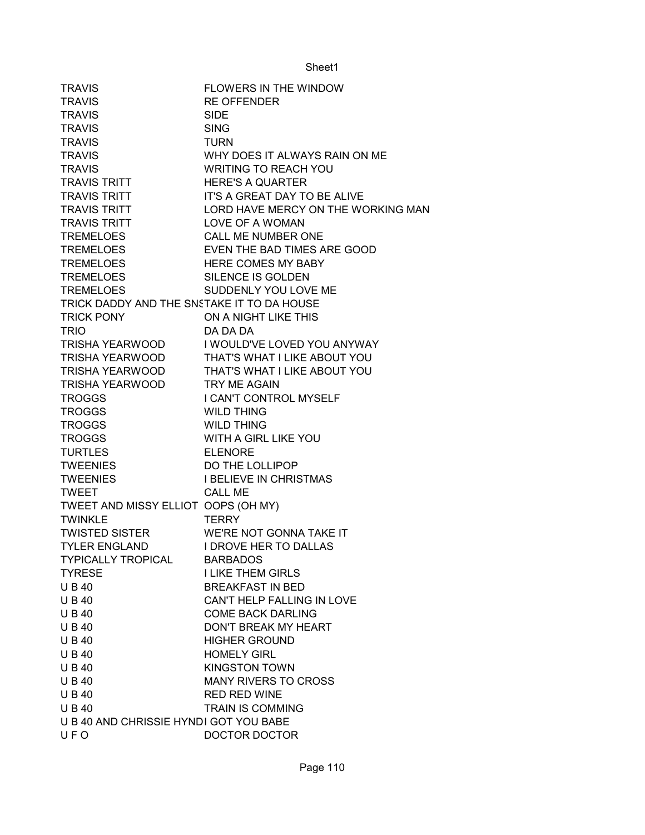| <b>TRAVIS</b>                              | <b>FLOWERS IN THE WINDOW</b>       |
|--------------------------------------------|------------------------------------|
| <b>TRAVIS</b>                              | <b>RE OFFENDER</b>                 |
| <b>TRAVIS</b>                              | <b>SIDE</b>                        |
| <b>TRAVIS</b>                              | <b>SING</b>                        |
| <b>TRAVIS</b>                              | <b>TURN</b>                        |
| <b>TRAVIS</b>                              | WHY DOES IT ALWAYS RAIN ON ME      |
| <b>TRAVIS</b>                              | <b>WRITING TO REACH YOU</b>        |
| <b>TRAVIS TRITT</b>                        | <b>HERE'S A QUARTER</b>            |
| TRAVIS TRITT                               | IT'S A GREAT DAY TO BE ALIVE       |
| <b>TRAVIS TRITT</b>                        | LORD HAVE MERCY ON THE WORKING MAN |
| <b>TRAVIS TRITT</b>                        | LOVE OF A WOMAN                    |
| <b>TREMELOES</b>                           | CALL ME NUMBER ONE                 |
| <b>TREMELOES</b>                           | EVEN THE BAD TIMES ARE GOOD        |
| <b>TREMELOES</b>                           | <b>HERE COMES MY BABY</b>          |
| <b>TREMELOES</b>                           | SILENCE IS GOLDEN                  |
| <b>TREMELOES</b>                           | SUDDENLY YOU LOVE ME               |
| TRICK DADDY AND THE SNSTAKE IT TO DA HOUSE |                                    |
| <b>TRICK PONY</b>                          | ON A NIGHT LIKE THIS               |
| <b>TRIO</b>                                | DA DA DA                           |
| TRISHA YEARWOOD                            | I WOULD'VE LOVED YOU ANYWAY        |
| TRISHA YEARWOOD                            | THAT'S WHAT I LIKE ABOUT YOU       |
| TRISHA YEARWOOD                            | THAT'S WHAT I LIKE ABOUT YOU       |
| TRISHA YEARWOOD TRY ME AGAIN               |                                    |
| <b>TROGGS</b>                              | I CAN'T CONTROL MYSELF             |
| <b>TROGGS</b>                              | <b>WILD THING</b>                  |
| <b>TROGGS</b>                              | <b>WILD THING</b>                  |
| <b>TROGGS</b>                              | WITH A GIRL LIKE YOU               |
| <b>TURTLES</b>                             | <b>ELENORE</b>                     |
| <b>TWEENIES</b>                            | DO THE LOLLIPOP                    |
| <b>TWEENIES</b>                            | <b>I BELIEVE IN CHRISTMAS</b>      |
| <b>TWEET</b>                               | <b>CALL ME</b>                     |
| TWEET AND MISSY ELLIOT OOPS (OH MY)        |                                    |
| <b>TWINKLE</b>                             | <b>TERRY</b>                       |
| <b>TWISTED SISTER</b>                      | WE'RE NOT GONNA TAKE IT            |
| <b>TYLER ENGLAND</b>                       | I DROVE HER TO DALLAS              |
| <b>TYPICALLY TROPICAL</b>                  | <b>BARBADOS</b>                    |
| <b>TYRESE</b>                              | <b>I LIKE THEM GIRLS</b>           |
| <b>UB40</b>                                | <b>BREAKFAST IN BED</b>            |
| <b>UB40</b>                                | CAN'T HELP FALLING IN LOVE         |
| <b>UB40</b>                                | <b>COME BACK DARLING</b>           |
| <b>UB40</b>                                | DON'T BREAK MY HEART               |
| <b>UB40</b>                                | <b>HIGHER GROUND</b>               |
| <b>UB40</b>                                | <b>HOMELY GIRL</b>                 |
| <b>UB40</b>                                | <b>KINGSTON TOWN</b>               |
| <b>UB40</b>                                | <b>MANY RIVERS TO CROSS</b>        |
| <b>UB40</b>                                | <b>RED RED WINE</b>                |
| <b>UB40</b>                                | <b>TRAIN IS COMMING</b>            |
| U B 40 AND CHRISSIE HYNDI GOT YOU BABE     |                                    |
| UFO                                        | DOCTOR DOCTOR                      |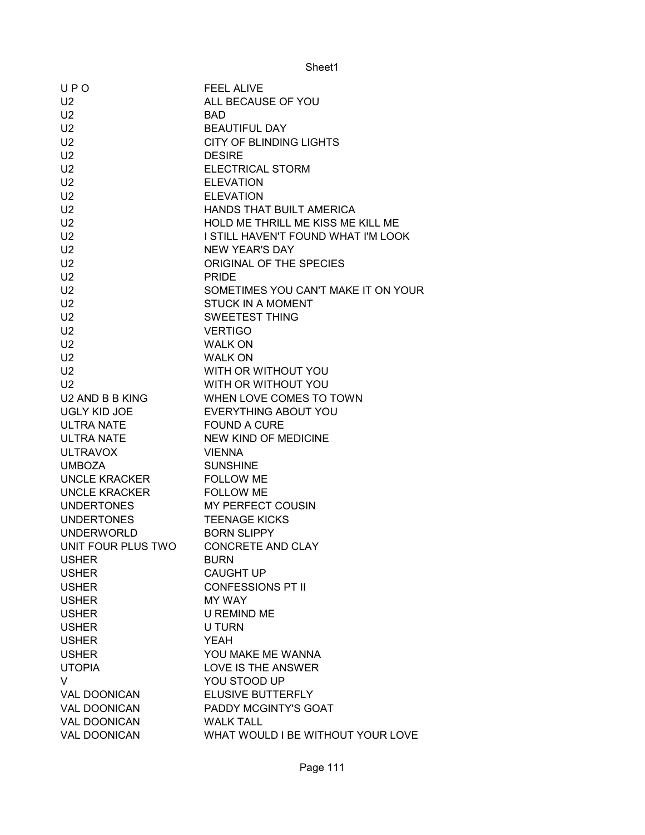| UPO                 | <b>FEEL ALIVE</b>                            |  |
|---------------------|----------------------------------------------|--|
| U <sub>2</sub>      | ALL BECAUSE OF YOU                           |  |
| U <sub>2</sub>      | <b>BAD</b>                                   |  |
| U <sub>2</sub>      | <b>BEAUTIFUL DAY</b>                         |  |
| U <sub>2</sub>      | <b>CITY OF BLINDING LIGHTS</b>               |  |
| U <sub>2</sub>      | <b>DESIRE</b>                                |  |
| U <sub>2</sub>      | <b>ELECTRICAL STORM</b>                      |  |
| U <sub>2</sub>      | <b>ELEVATION</b>                             |  |
| U <sub>2</sub>      | <b>ELEVATION</b>                             |  |
| U <sub>2</sub>      | HANDS THAT BUILT AMERICA                     |  |
| U <sub>2</sub>      | HOLD ME THRILL ME KISS ME KILL ME            |  |
| U <sub>2</sub>      | I STILL HAVEN'T FOUND WHAT I'M LOOK          |  |
| U <sub>2</sub>      | <b>NEW YEAR'S DAY</b>                        |  |
| U2                  | ORIGINAL OF THE SPECIES                      |  |
| U <sub>2</sub>      | <b>PRIDE</b>                                 |  |
| U <sub>2</sub>      | SOMETIMES YOU CAN'T MAKE IT ON YOUR          |  |
| U <sub>2</sub>      | <b>STUCK IN A MOMENT</b>                     |  |
| U <sub>2</sub>      | <b>SWEETEST THING</b>                        |  |
| U <sub>2</sub>      | <b>VERTIGO</b>                               |  |
| U <sub>2</sub>      | <b>WALK ON</b>                               |  |
| U <sub>2</sub>      | <b>WALK ON</b>                               |  |
| U <sub>2</sub>      | WITH OR WITHOUT YOU                          |  |
| U <sub>2</sub>      | WITH OR WITHOUT YOU                          |  |
| U2 AND B B KING     | WHEN LOVE COMES TO TOWN                      |  |
| UGLY KID JOE        | EVERYTHING ABOUT YOU                         |  |
| ULTRA NATE          | <b>FOUND A CURE</b>                          |  |
| ULTRA NATE          | NEW KIND OF MEDICINE                         |  |
| <b>ULTRAVOX</b>     | <b>VIENNA</b>                                |  |
| <b>UMBOZA</b>       | <b>SUNSHINE</b>                              |  |
| UNCLE KRACKER       | <b>FOLLOW ME</b>                             |  |
| UNCLE KRACKER       | <b>FOLLOW ME</b>                             |  |
| <b>UNDERTONES</b>   | MY PERFECT COUSIN                            |  |
| <b>UNDERTONES</b>   | <b>TEENAGE KICKS</b>                         |  |
| <b>UNDERWORLD</b>   | <b>BORN SLIPPY</b>                           |  |
| UNIT FOUR PLUS TWO  | <b>CONCRETE AND CLAY</b>                     |  |
| <b>USHER</b>        | <b>BURN</b>                                  |  |
| <b>USHER</b>        |                                              |  |
| <b>USHER</b>        | <b>CAUGHT UP</b><br><b>CONFESSIONS PT II</b> |  |
| <b>USHER</b>        | <b>MY WAY</b>                                |  |
| <b>USHER</b>        | <b>U REMIND ME</b>                           |  |
|                     | <b>U TURN</b>                                |  |
| <b>USHER</b>        | <b>YEAH</b>                                  |  |
| <b>USHER</b>        | YOU MAKE ME WANNA                            |  |
| <b>USHER</b>        |                                              |  |
| <b>UTOPIA</b>       | LOVE IS THE ANSWER                           |  |
| V                   | YOU STOOD UP                                 |  |
| <b>VAL DOONICAN</b> | ELUSIVE BUTTERFLY                            |  |
| <b>VAL DOONICAN</b> | PADDY MCGINTY'S GOAT                         |  |
| <b>VAL DOONICAN</b> | <b>WALK TALL</b>                             |  |
| <b>VAL DOONICAN</b> | WHAT WOULD I BE WITHOUT YOUR LOVE            |  |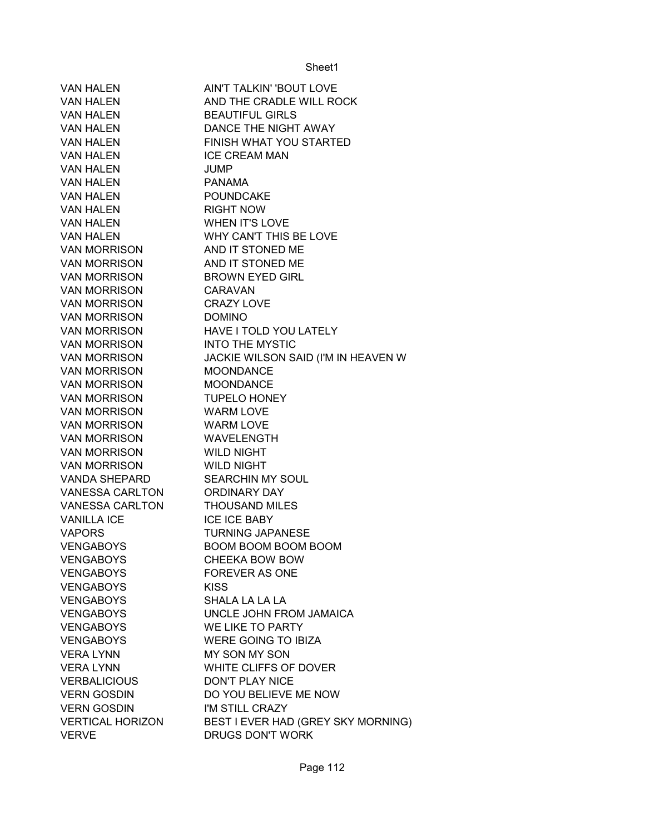| <b>VAN HALEN</b>              | AIN'T TALKIN' 'BOUT LOVE            |  |
|-------------------------------|-------------------------------------|--|
| <b>VAN HALEN</b>              | AND THE CRADLE WILL ROCK            |  |
| <b>VAN HALEN</b>              | <b>BEAUTIFUL GIRLS</b>              |  |
| <b>VAN HALEN</b>              | DANCE THE NIGHT AWAY                |  |
| <b>VAN HALEN</b>              | FINISH WHAT YOU STARTED             |  |
| VAN HALEN                     | <b>ICE CREAM MAN</b>                |  |
| VAN HALEN                     | <b>JUMP</b>                         |  |
| <b>VAN HALEN</b>              | PANAMA                              |  |
| <b>VAN HALEN</b>              | POUNDCAKE                           |  |
| <b>VAN HALEN</b>              | <b>RIGHT NOW</b>                    |  |
| <b>VAN HALEN</b>              | <b>WHEN IT'S LOVE</b>               |  |
| <b>VAN HALEN</b>              | WHY CAN'T THIS BE LOVE              |  |
| VAN MORRISON AND IT STONED ME |                                     |  |
| <b>VAN MORRISON</b>           | AND IT STONED ME                    |  |
| <b>VAN MORRISON</b>           | <b>BROWN EYED GIRL</b>              |  |
| <b>VAN MORRISON</b>           | CARAVAN                             |  |
| <b>VAN MORRISON</b>           | <b>CRAZY LOVE</b>                   |  |
| VAN MORRISON                  | <b>DOMINO</b>                       |  |
| VAN MORRISON <b>WAN</b>       | <b>HAVE I TOLD YOU LATELY</b>       |  |
| VAN MORRISON VAN MORRISON     | <b>INTO THE MYSTIC</b>              |  |
| VAN MORRISON                  | JACKIE WILSON SAID (I'M IN HEAVEN W |  |
| VAN MORRISON                  | <b>MOONDANCE</b>                    |  |
| <b>VAN MORRISON</b>           | <b>MOONDANCE</b>                    |  |
| <b>VAN MORRISON</b>           | <b>TUPELO HONEY</b>                 |  |
| VAN MORRISON                  | WARM LOVE                           |  |
| VAN MORRISON                  | WARM LOVE                           |  |
| VAN MORRISON WAVELENGTH       |                                     |  |
| VAN MORRISON WILD NIGHT       |                                     |  |
| VAN MORRISON WILD NIGHT       |                                     |  |
| VANDA SHEPARD                 | <b>SEARCHIN MY SOUL</b>             |  |
| VANESSA CARLTON               | ORDINARY DAY                        |  |
| VANESSA CARLTON               | <b>THOUSAND MILES</b>               |  |
| <b>VANILLA ICE</b>            | <b>ICE ICE BABY</b>                 |  |
| <b>VAPORS</b>                 | <b>TURNING JAPANESE</b>             |  |
| <b>VENGABOYS</b>              | <b>BOOM BOOM BOOM BOOM</b>          |  |
| <b>VENGABOYS</b>              | CHEEKA BOW BOW                      |  |
| <b>VENGABOYS</b>              | <b>FOREVER AS ONE</b>               |  |
| <b>VENGABOYS</b>              | <b>KISS</b>                         |  |
| <b>VENGABOYS</b>              | SHALA LA LA LA                      |  |
| <b>VENGABOYS</b>              | UNCLE JOHN FROM JAMAICA             |  |
| <b>VENGABOYS</b>              | WE LIKE TO PARTY                    |  |
| <b>VENGABOYS</b>              | <b>WERE GOING TO IBIZA</b>          |  |
| <b>VERA LYNN</b>              | MY SON MY SON                       |  |
| <b>VERA LYNN</b>              | WHITE CLIFFS OF DOVER               |  |
| <b>VERBALICIOUS</b>           | <b>DON'T PLAY NICE</b>              |  |
| <b>VERN GOSDIN</b>            | DO YOU BELIEVE ME NOW               |  |
| <b>VERN GOSDIN</b>            | I'M STILL CRAZY                     |  |
| <b>VERTICAL HORIZON</b>       | BEST I EVER HAD (GREY SKY MORNING)  |  |
| <b>VERVE</b>                  | <b>DRUGS DON'T WORK</b>             |  |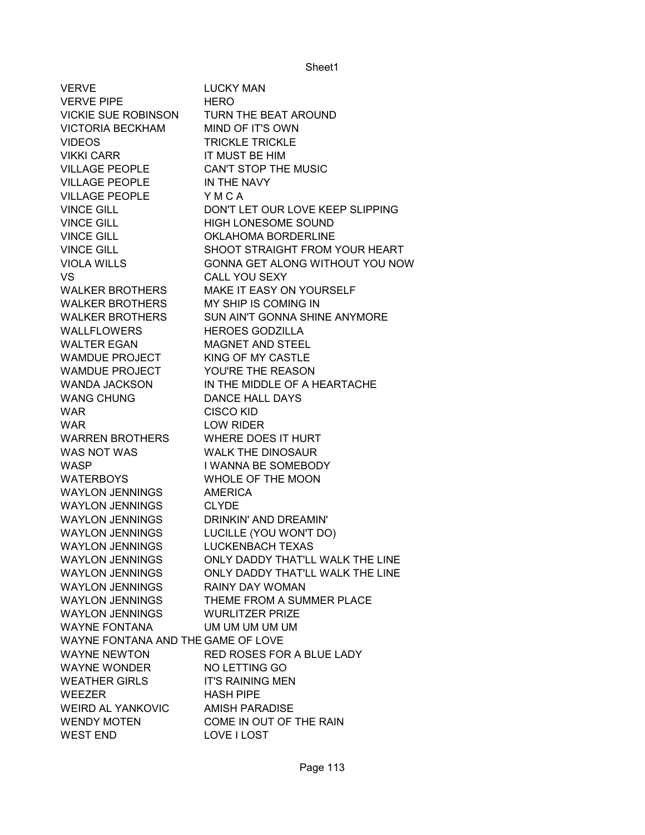VERVE LUCKY MAN VERVE PIPE HERO VICKIE SUE ROBINSON TURN THE BEAT AROUND VICTORIA BECKHAM MIND OF IT'S OWN VIDEOS TRICKLE TRICKLE VIKKI CARR IT MUST BE HIM VILLAGE PEOPLE CAN'T STOP THE MUSIC VILLAGE PEOPLE **IN THE NAVY** VILLAGE PEOPLE Y M C A VINCE GILL DON'T LET OUR LOVE KEEP SLIPPING VINCE GILL HIGH LONESOME SOUND VINCE GILL **OKLAHOMA BORDERLINE** VINCE GILL SHOOT STRAIGHT FROM YOUR HEART VIOLA WILLS GONNA GET ALONG WITHOUT YOU NOW VS CALL YOU SEXY WALKER BROTHERS MAKE IT EASY ON YOURSELF WALKER BROTHERS MY SHIP IS COMING IN WALKER BROTHERS SUN AIN'T GONNA SHINE ANYMORE WALLFLOWERS HEROES GODZILLA WALTER EGAN MAGNET AND STEEL WAMDUE PROJECT KING OF MY CASTLE WAMDUE PROJECT YOU'RE THE REASON WANDA JACKSON IN THE MIDDLE OF A HEARTACHE WANG CHUNG DANCE HALL DAYS WAR CISCO KID WAR LOW RIDER WARREN BROTHERS WHERE DOES IT HURT WAS NOT WAS WALK THE DINOSAUR WASP I WANNA BE SOMEBODY WATERBOYS WHOLE OF THE MOON WAYLON JENNINGS AMERICA WAYLON JENNINGS CLYDE WAYLON JENNINGS DRINKIN' AND DREAMIN' WAYLON JENNINGS LUCILLE (YOU WON'T DO) WAYLON JENNINGS LUCKENBACH TEXAS WAYLON JENNINGS ONLY DADDY THAT'LL WALK THE LINE WAYLON JENNINGS ONLY DADDY THAT'LL WALK THE LINE WAYLON JENNINGS RAINY DAY WOMAN WAYLON JENNINGS THEME FROM A SUMMER PLACE WAYLON JENNINGS WURLITZER PRIZE WAYNE FONTANA UM UM UM UM UM UM WAYNE FONTANA AND THE GAME OF LOVE WAYNE NEWTON RED ROSES FOR A BLUE LADY WAYNE WONDER NO LETTING GO WEATHER GIRLS IT'S RAINING MEN WEEZER HASH PIPE WEIRD AL YANKOVIC AMISH PARADISE WENDY MOTEN COME IN OUT OF THE RAIN WEST END LOVE I LOST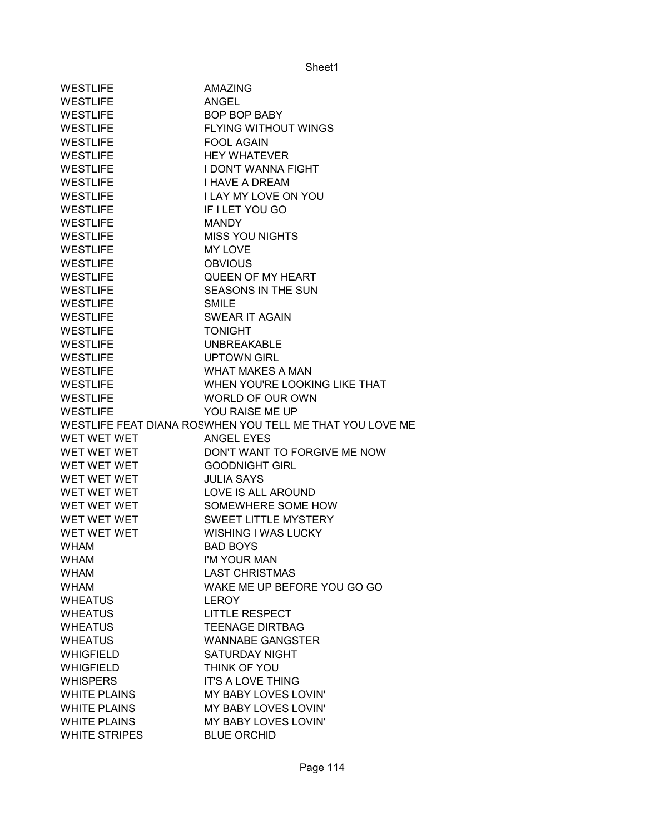| <b>WESTLIFE</b>     | <b>AMAZING</b>                                           |
|---------------------|----------------------------------------------------------|
| <b>WESTLIFE</b>     | <b>ANGEL</b>                                             |
| <b>WESTLIFE</b>     | <b>BOP BOP BABY</b>                                      |
| <b>WESTLIFE</b>     | <b>FLYING WITHOUT WINGS</b>                              |
| <b>WESTLIFE</b>     | <b>FOOL AGAIN</b>                                        |
| <b>WESTLIFE</b>     | <b>HEY WHATEVER</b>                                      |
| <b>WESTLIFE</b>     | <b>I DON'T WANNA FIGHT</b>                               |
| <b>WESTLIFE</b>     | <b>I HAVE A DREAM</b>                                    |
| <b>WESTLIFE</b>     | <b>I LAY MY LOVE ON YOU</b>                              |
| <b>WESTLIFE</b>     | IF I LET YOU GO                                          |
| <b>WESTLIFE</b>     | <b>MANDY</b>                                             |
| <b>WESTLIFE</b>     | <b>MISS YOU NIGHTS</b>                                   |
| <b>WESTLIFE</b>     | MY LOVE                                                  |
| <b>WESTLIFE</b>     | <b>OBVIOUS</b>                                           |
| <b>WESTLIFE</b>     | QUEEN OF MY HEART                                        |
| <b>WESTLIFE</b>     | <b>SEASONS IN THE SUN</b>                                |
| <b>WESTLIFE</b>     | <b>SMILE</b>                                             |
|                     |                                                          |
| <b>WESTLIFE</b>     | <b>SWEAR IT AGAIN</b>                                    |
| <b>WESTLIFE</b>     | <b>TONIGHT</b>                                           |
| <b>WESTLIFE</b>     | <b>UNBREAKABLE</b>                                       |
| <b>WESTLIFE</b>     | <b>UPTOWN GIRL</b>                                       |
| <b>WESTLIFE</b>     | <b>WHAT MAKES A MAN</b>                                  |
| <b>WESTLIFE</b>     | WHEN YOU'RE LOOKING LIKE THAT                            |
| <b>WESTLIFE</b>     | WORLD OF OUR OWN                                         |
|                     |                                                          |
| <b>WESTLIFE</b>     | YOU RAISE ME UP                                          |
|                     | WESTLIFE FEAT DIANA ROSWHEN YOU TELL ME THAT YOU LOVE ME |
| WET WET WET         | <b>ANGEL EYES</b>                                        |
| WET WET WET         | DON'T WANT TO FORGIVE ME NOW                             |
| WET WET WET         | <b>GOODNIGHT GIRL</b>                                    |
| WET WET WET         | <b>JULIA SAYS</b>                                        |
| WET WET WET         | LOVE IS ALL AROUND                                       |
| WET WET WET         | SOMEWHERE SOME HOW                                       |
| WET WET WET         | <b>SWEET LITTLE MYSTERY</b>                              |
| WET WET WET         | <b>WISHING I WAS LUCKY</b>                               |
| <b>WHAM</b>         | <b>BAD BOYS</b>                                          |
| <b>WHAM</b>         | I'M YOUR MAN                                             |
| <b>WHAM</b>         | <b>LAST CHRISTMAS</b>                                    |
| <b>WHAM</b>         | WAKE ME UP BEFORE YOU GO GO                              |
| <b>WHEATUS</b>      | LEROY                                                    |
| <b>WHEATUS</b>      | <b>LITTLE RESPECT</b>                                    |
| <b>WHEATUS</b>      | <b>TEENAGE DIRTBAG</b>                                   |
| <b>WHEATUS</b>      | <b>WANNABE GANGSTER</b>                                  |
| <b>WHIGFIELD</b>    | <b>SATURDAY NIGHT</b>                                    |
| <b>WHIGFIELD</b>    | THINK OF YOU                                             |
| <b>WHISPERS</b>     | <b>IT'S A LOVE THING</b>                                 |
| <b>WHITE PLAINS</b> | MY BABY LOVES LOVIN'                                     |
| <b>WHITE PLAINS</b> | MY BABY LOVES LOVIN'                                     |
| <b>WHITE PLAINS</b> | MY BABY LOVES LOVIN'                                     |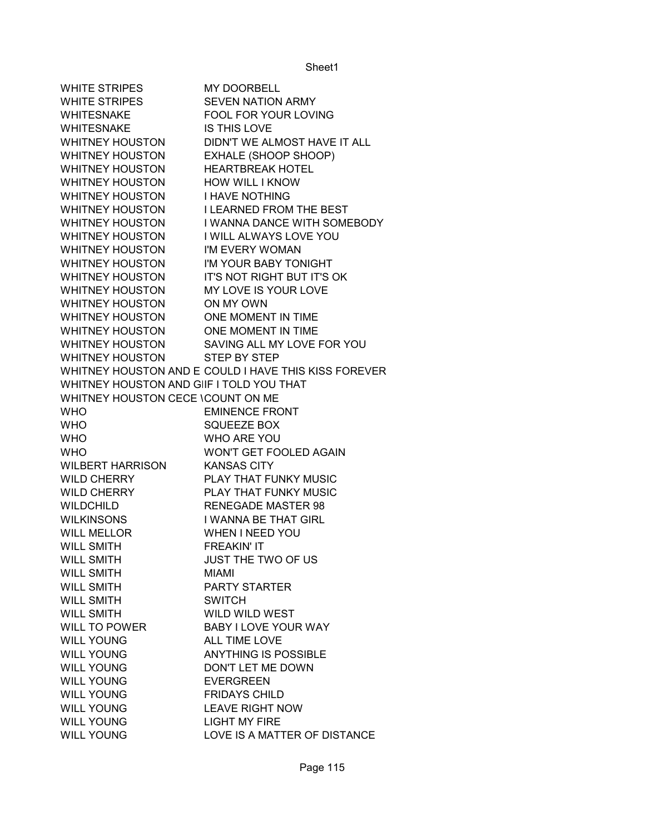| <b>WHITE STRIPES</b>                     | <b>MY DOORBELL</b>                                   |
|------------------------------------------|------------------------------------------------------|
| WHITE STRIPES                            | <b>SEVEN NATION ARMY</b>                             |
| <b>WHITESNAKE</b>                        | FOOL FOR YOUR LOVING                                 |
| <b>WHITESNAKE</b>                        | <b>IS THIS LOVE</b>                                  |
| <b>WHITNEY HOUSTON</b>                   | DIDN'T WE ALMOST HAVE IT ALL                         |
| <b>WHITNEY HOUSTON</b>                   | EXHALE (SHOOP SHOOP)                                 |
| <b>WHITNEY HOUSTON</b>                   | <b>HEARTBREAK HOTEL</b>                              |
| <b>WHITNEY HOUSTON</b>                   | <b>HOW WILL I KNOW</b>                               |
| <b>WHITNEY HOUSTON</b>                   | <b>I HAVE NOTHING</b>                                |
| <b>WHITNEY HOUSTON</b>                   | <b>I LEARNED FROM THE BEST</b>                       |
| <b>WHITNEY HOUSTON</b>                   | I WANNA DANCE WITH SOMEBODY                          |
| <b>WHITNEY HOUSTON</b>                   | I WILL ALWAYS LOVE YOU                               |
| <b>WHITNEY HOUSTON</b>                   | I'M EVERY WOMAN                                      |
| <b>WHITNEY HOUSTON</b>                   | I'M YOUR BABY TONIGHT                                |
| <b>WHITNEY HOUSTON</b>                   | IT'S NOT RIGHT BUT IT'S OK                           |
| <b>WHITNEY HOUSTON</b>                   | MY LOVE IS YOUR LOVE                                 |
| <b>WHITNEY HOUSTON</b>                   | ON MY OWN                                            |
| <b>WHITNEY HOUSTON</b>                   | <b>ONE MOMENT IN TIME</b>                            |
| <b>WHITNEY HOUSTON</b>                   | ONE MOMENT IN TIME                                   |
| WHITNEY HOUSTON                          | SAVING ALL MY LOVE FOR YOU                           |
| <b>WHITNEY HOUSTON</b>                   | <b>STEP BY STEP</b>                                  |
|                                          | WHITNEY HOUSTON AND E COULD I HAVE THIS KISS FOREVER |
| WHITNEY HOUSTON AND GIIF I TOLD YOU THAT |                                                      |
| WHITNEY HOUSTON CECE \COUNT ON ME        |                                                      |
| <b>WHO</b>                               | <b>EMINENCE FRONT</b>                                |
| <b>WHO</b>                               | <b>SQUEEZE BOX</b>                                   |
| <b>WHO</b>                               | WHO ARE YOU                                          |
| <b>WHO</b>                               | WON'T GET FOOLED AGAIN                               |
| <b>WILBERT HARRISON</b>                  | <b>KANSAS CITY</b>                                   |
| <b>WILD CHERRY</b>                       | PLAY THAT FUNKY MUSIC                                |
| <b>WILD CHERRY</b>                       | PLAY THAT FUNKY MUSIC                                |
| <b>WILDCHILD</b>                         | <b>RENEGADE MASTER 98</b>                            |
| <b>WILKINSONS</b>                        | I WANNA BE THAT GIRL                                 |
| <b>WILL MELLOR</b>                       | <b>WHEN I NEED YOU</b>                               |
| <b>WILL SMITH</b>                        | <b>FREAKIN' IT</b>                                   |
| WILL SMITH                               | JUST THE TWO OF US                                   |
| <b>WILL SMITH</b>                        | MIAMI                                                |
| <b>WILL SMITH</b>                        | <b>PARTY STARTER</b>                                 |
| <b>WILL SMITH</b>                        | <b>SWITCH</b>                                        |
| <b>WILL SMITH</b>                        | <b>WILD WILD WEST</b>                                |
| <b>WILL TO POWER</b>                     | <b>BABY I LOVE YOUR WAY</b>                          |
| <b>WILL YOUNG</b>                        | ALL TIME LOVE                                        |
| <b>WILL YOUNG</b>                        | <b>ANYTHING IS POSSIBLE</b>                          |
| <b>WILL YOUNG</b>                        | DON'T LET ME DOWN                                    |
| <b>WILL YOUNG</b>                        | <b>EVERGREEN</b>                                     |
| <b>WILL YOUNG</b>                        | <b>FRIDAYS CHILD</b>                                 |
| <b>WILL YOUNG</b>                        | <b>LEAVE RIGHT NOW</b>                               |
| <b>WILL YOUNG</b>                        | <b>LIGHT MY FIRE</b>                                 |
| <b>WILL YOUNG</b>                        | LOVE IS A MATTER OF DISTANCE                         |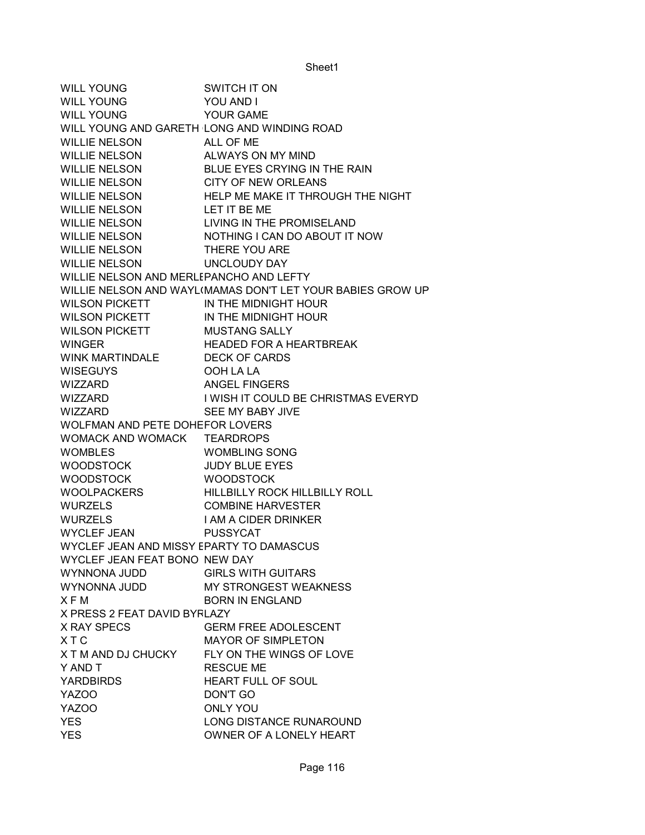WILL YOUNG SWITCH IT ON WILL YOUNG YOU AND I WILL YOUNG YOUR GAME WILL YOUNG AND GARETH LONG AND WINDING ROAD WILLIE NELSON ALL OF ME WILLIE NELSON ALWAYS ON MY MIND WILLIE NELSON BLUE EYES CRYING IN THE RAIN WILLIE NELSON CITY OF NEW ORLEANS WILLIE NELSON HELP ME MAKE IT THROUGH THE NIGHT WILLIE NELSON LET IT BE ME WILLIE NELSON LIVING IN THE PROMISELAND WILLIE NELSON NOTHING I CAN DO ABOUT IT NOW WILLIE NELSON THERE YOU ARE WILLIE NELSON UNCLOUDY DAY WILLIE NELSON AND MERLEPANCHO AND LEFTY WILLIE NELSON AND WAYL(MAMAS DON'T LET YOUR BABIES GROW UP WILSON PICKETT IN THE MIDNIGHT HOUR WILSON PICKETT IN THE MIDNIGHT HOUR WILSON PICKETT MUSTANG SALLY WINGER HEADED FOR A HEARTBREAK WINK MARTINDALE DECK OF CARDS WISEGUYS OOH LA LA WIZZARD ANGEL FINGERS WIZZARD I WISH IT COULD BE CHRISTMAS EVERYD WIZZARD SEE MY BABY JIVE WOLFMAN AND PETE DOHEFOR LOVERS WOMACK AND WOMACK TEARDROPS WOMBLES WOMBLING SONG WOODSTOCK JUDY BLUE EYES WOODSTOCK WOODSTOCK WOOLPACKERS HILLBILLY ROCK HILLBILLY ROLL WURZELS COMBINE HARVESTER WURZELS I AM A CIDER DRINKER WYCLEF JEAN PUSSYCAT WYCLEF JEAN AND MISSY EPARTY TO DAMASCUS WYCLEF JEAN FEAT BONO NEW DAY WYNNONA JUDD GIRLS WITH GUITARS WYNONNA JUDD MY STRONGEST WEAKNESS X F M BORN IN ENGLAND X PRESS 2 FEAT DAVID BYRLAZY X RAY SPECS GERM FREE ADOLESCENT X T C MAYOR OF SIMPLETON X T M AND DJ CHUCKY FLY ON THE WINGS OF LOVE Y AND T RESCUE ME YARDBIRDS HEART FULL OF SOUL YAZOO DON'T GO YAZOO ONLY YOU YES LONG DISTANCE RUNAROUND YES **OWNER OF A LONELY HEART**